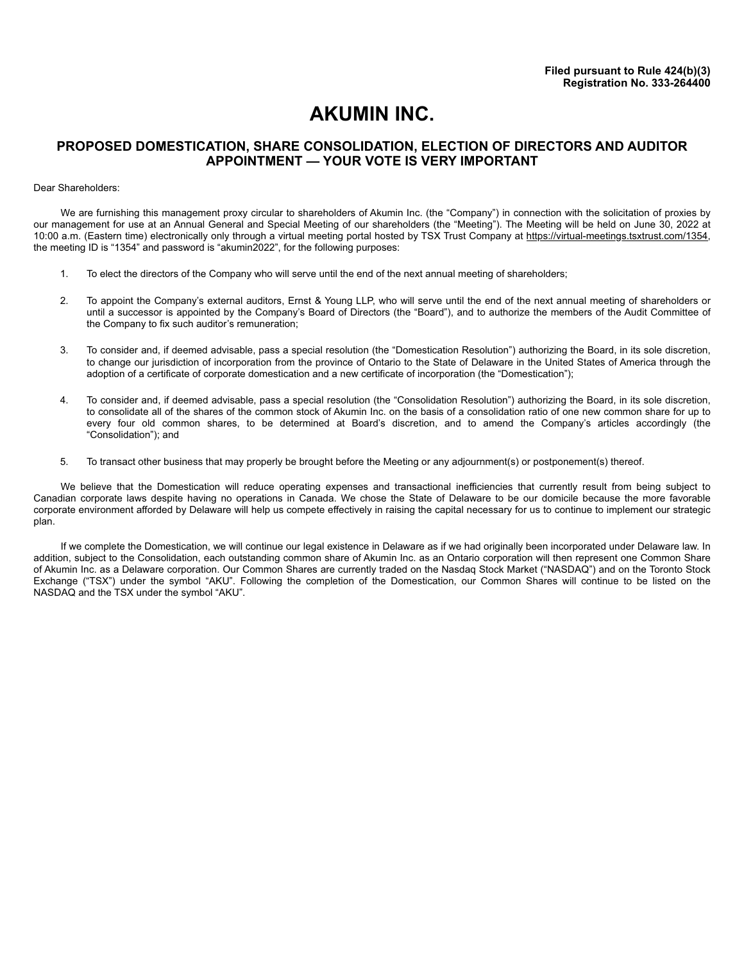## **AKUMIN INC.**

## **PROPOSED DOMESTICATION, SHARE CONSOLIDATION, ELECTION OF DIRECTORS AND AUDITOR APPOINTMENT — YOUR VOTE IS VERY IMPORTANT**

#### Dear Shareholders:

We are furnishing this management proxy circular to shareholders of Akumin Inc. (the "Company") in connection with the solicitation of proxies by our management for use at an Annual General and Special Meeting of our shareholders (the "Meeting"). The Meeting will be held on June 30, 2022 at 10:00 a.m. (Eastern time) electronically only through a virtual meeting portal hosted by TSX Trust Company at https://virtual-meetings.tsxtrust.com/1354, the meeting ID is "1354" and password is "akumin2022", for the following purposes:

- 1. To elect the directors of the Company who will serve until the end of the next annual meeting of shareholders;
- 2. To appoint the Company's external auditors, Ernst & Young LLP, who will serve until the end of the next annual meeting of shareholders or until a successor is appointed by the Company's Board of Directors (the "Board"), and to authorize the members of the Audit Committee of the Company to fix such auditor's remuneration;
- 3. To consider and, if deemed advisable, pass a special resolution (the "Domestication Resolution") authorizing the Board, in its sole discretion, to change our jurisdiction of incorporation from the province of Ontario to the State of Delaware in the United States of America through the adoption of a certificate of corporate domestication and a new certificate of incorporation (the "Domestication");
- 4. To consider and, if deemed advisable, pass a special resolution (the "Consolidation Resolution") authorizing the Board, in its sole discretion, to consolidate all of the shares of the common stock of Akumin Inc. on the basis of a consolidation ratio of one new common share for up to every four old common shares, to be determined at Board's discretion, and to amend the Company's articles accordingly (the "Consolidation"); and
- 5. To transact other business that may properly be brought before the Meeting or any adjournment(s) or postponement(s) thereof.

We believe that the Domestication will reduce operating expenses and transactional inefficiencies that currently result from being subject to Canadian corporate laws despite having no operations in Canada. We chose the State of Delaware to be our domicile because the more favorable corporate environment afforded by Delaware will help us compete effectively in raising the capital necessary for us to continue to implement our strategic plan.

If we complete the Domestication, we will continue our legal existence in Delaware as if we had originally been incorporated under Delaware law. In addition, subject to the Consolidation, each outstanding common share of Akumin Inc. as an Ontario corporation will then represent one Common Share of Akumin Inc. as a Delaware corporation. Our Common Shares are currently traded on the Nasdaq Stock Market ("NASDAQ") and on the Toronto Stock Exchange ("TSX") under the symbol "AKU". Following the completion of the Domestication, our Common Shares will continue to be listed on the NASDAQ and the TSX under the symbol "AKU".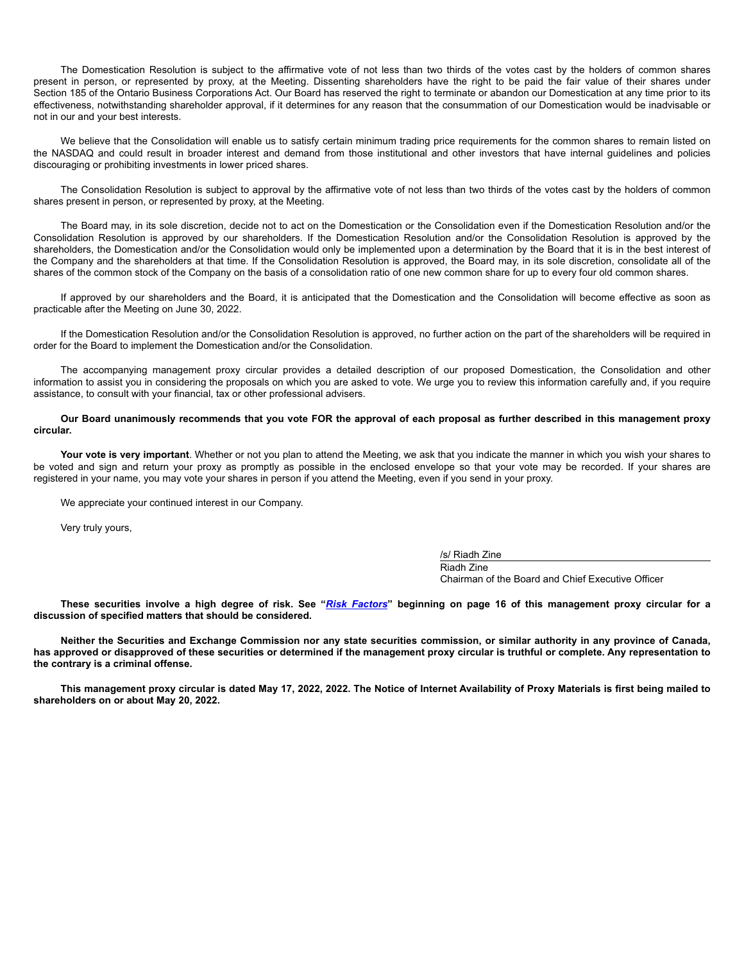The Domestication Resolution is subject to the affirmative vote of not less than two thirds of the votes cast by the holders of common shares present in person, or represented by proxy, at the Meeting. Dissenting shareholders have the right to be paid the fair value of their shares under Section 185 of the Ontario Business Corporations Act. Our Board has reserved the right to terminate or abandon our Domestication at any time prior to its effectiveness, notwithstanding shareholder approval, if it determines for any reason that the consummation of our Domestication would be inadvisable or not in our and your best interests.

We believe that the Consolidation will enable us to satisfy certain minimum trading price requirements for the common shares to remain listed on the NASDAQ and could result in broader interest and demand from those institutional and other investors that have internal guidelines and policies discouraging or prohibiting investments in lower priced shares.

The Consolidation Resolution is subject to approval by the affirmative vote of not less than two thirds of the votes cast by the holders of common shares present in person, or represented by proxy, at the Meeting.

The Board may, in its sole discretion, decide not to act on the Domestication or the Consolidation even if the Domestication Resolution and/or the Consolidation Resolution is approved by our shareholders. If the Domestication Resolution and/or the Consolidation Resolution is approved by the shareholders, the Domestication and/or the Consolidation would only be implemented upon a determination by the Board that it is in the best interest of the Company and the shareholders at that time. If the Consolidation Resolution is approved, the Board may, in its sole discretion, consolidate all of the shares of the common stock of the Company on the basis of a consolidation ratio of one new common share for up to every four old common shares.

If approved by our shareholders and the Board, it is anticipated that the Domestication and the Consolidation will become effective as soon as practicable after the Meeting on June 30, 2022.

If the Domestication Resolution and/or the Consolidation Resolution is approved, no further action on the part of the shareholders will be required in order for the Board to implement the Domestication and/or the Consolidation.

The accompanying management proxy circular provides a detailed description of our proposed Domestication, the Consolidation and other information to assist you in considering the proposals on which you are asked to vote. We urge you to review this information carefully and, if you require assistance, to consult with your financial, tax or other professional advisers.

#### **Our Board unanimously recommends that you vote FOR the approval of each proposal as further described in this management proxy circular.**

**Your vote is very important**. Whether or not you plan to attend the Meeting, we ask that you indicate the manner in which you wish your shares to be voted and sign and return your proxy as promptly as possible in the enclosed envelope so that your vote may be recorded. If your shares are registered in your name, you may vote your shares in person if you attend the Meeting, even if you send in your proxy.

We appreciate your continued interest in our Company.

Very truly yours,

/s/ Riadh Zine Riadh Zine Chairman of the Board and Chief Executive Officer

**These securities involve a high degree of risk. See "***Risk Factors***" beginning on page 16 of this management proxy circular for a discussion of specified matters that should be considered.**

**Neither the Securities and Exchange Commission nor any state securities commission, or similar authority in any province of Canada, has approved or disapproved of these securities or determined if the management proxy circular is truthful or complete. Any representation to the contrary is a criminal offense.**

**This management proxy circular is dated May 17, 2022, 2022. The Notice of Internet Availability of Proxy Materials is first being mailed to shareholders on or about May 20, 2022.**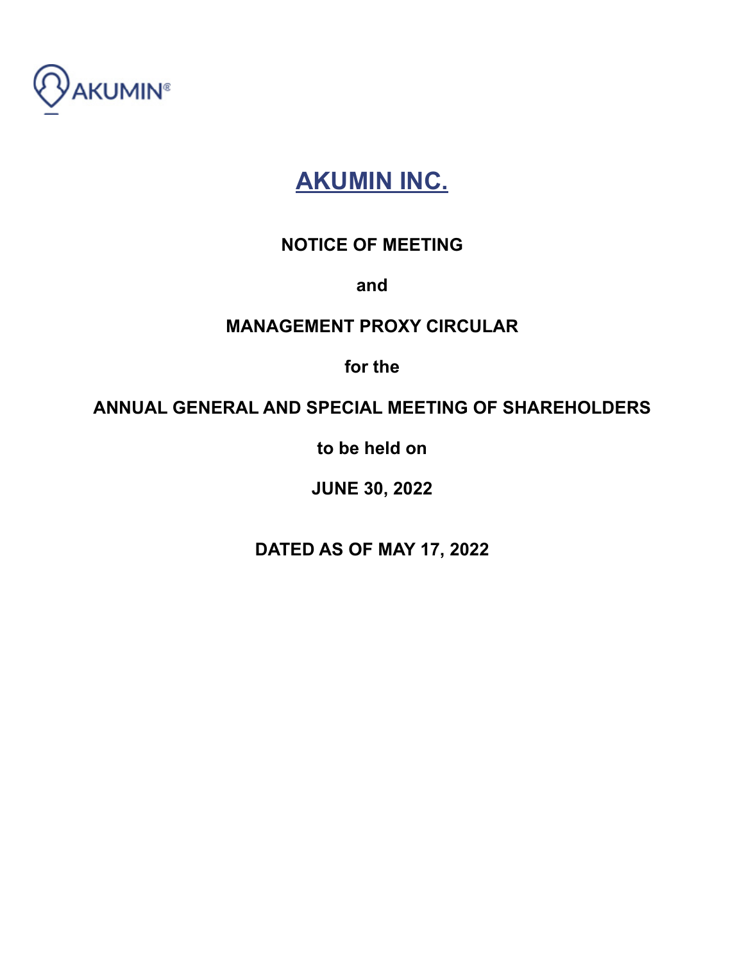

# **AKUMIN INC.**

## **NOTICE OF MEETING**

**and**

## **MANAGEMENT PROXY CIRCULAR**

**for the**

## **ANNUAL GENERAL AND SPECIAL MEETING OF SHAREHOLDERS**

**to be held on**

**JUNE 30, 2022**

**DATED AS OF MAY 17, 2022**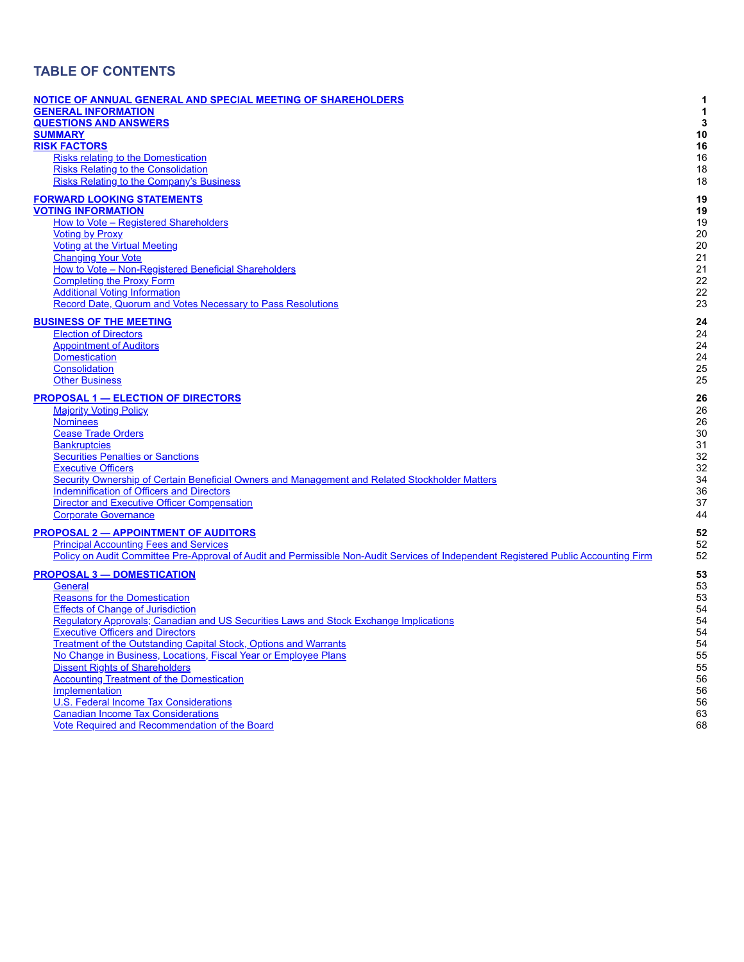## **TABLE OF CONTENTS**

| NOTICE OF ANNUAL GENERAL AND SPECIAL MEETING OF SHAREHOLDERS                                                                        | 1  |
|-------------------------------------------------------------------------------------------------------------------------------------|----|
| <b>GENERAL INFORMATION</b>                                                                                                          | 1  |
| <b>QUESTIONS AND ANSWERS</b>                                                                                                        | 3  |
| <b>SUMMARY</b>                                                                                                                      | 10 |
| <b>RISK FACTORS</b>                                                                                                                 | 16 |
| <b>Risks relating to the Domestication</b>                                                                                          | 16 |
| <b>Risks Relating to the Consolidation</b>                                                                                          | 18 |
| <b>Risks Relating to the Company's Business</b>                                                                                     | 18 |
| <b>FORWARD LOOKING STATEMENTS</b>                                                                                                   | 19 |
| <b>VOTING INFORMATION</b>                                                                                                           | 19 |
| How to Vote - Registered Shareholders                                                                                               | 19 |
| <b>Voting by Proxy</b>                                                                                                              | 20 |
| <b>Voting at the Virtual Meeting</b>                                                                                                | 20 |
| <b>Changing Your Vote</b>                                                                                                           | 21 |
| How to Vote - Non-Registered Beneficial Shareholders                                                                                | 21 |
| <b>Completing the Proxy Form</b>                                                                                                    | 22 |
| <b>Additional Voting Information</b>                                                                                                | 22 |
| Record Date, Quorum and Votes Necessary to Pass Resolutions                                                                         | 23 |
| <b>BUSINESS OF THE MEETING</b>                                                                                                      | 24 |
| <b>Election of Directors</b>                                                                                                        | 24 |
| <b>Appointment of Auditors</b>                                                                                                      | 24 |
| <b>Domestication</b>                                                                                                                | 24 |
| Consolidation                                                                                                                       | 25 |
| <b>Other Business</b>                                                                                                               | 25 |
| <b>PROPOSAL 1 - ELECTION OF DIRECTORS</b>                                                                                           | 26 |
| <b>Majority Voting Policy</b>                                                                                                       | 26 |
| <b>Nominees</b>                                                                                                                     | 26 |
| <b>Cease Trade Orders</b>                                                                                                           | 30 |
| <b>Bankruptcies</b>                                                                                                                 | 31 |
| Securities Penalties or Sanctions                                                                                                   | 32 |
| <b>Executive Officers</b>                                                                                                           | 32 |
| Security Ownership of Certain Beneficial Owners and Management and Related Stockholder Matters                                      | 34 |
| <b>Indemnification of Officers and Directors</b>                                                                                    | 36 |
| <b>Director and Executive Officer Compensation</b>                                                                                  | 37 |
| <b>Corporate Governance</b>                                                                                                         | 44 |
| <b>PROPOSAL 2 - APPOINTMENT OF AUDITORS</b>                                                                                         | 52 |
| <b>Principal Accounting Fees and Services</b>                                                                                       | 52 |
| Policy on Audit Committee Pre-Approval of Audit and Permissible Non-Audit Services of Independent Registered Public Accounting Firm | 52 |
| <b>PROPOSAL 3 - DOMESTICATION</b>                                                                                                   | 53 |
| <b>General</b>                                                                                                                      | 53 |
| <b>Reasons for the Domestication</b>                                                                                                | 53 |
| <b>Effects of Change of Jurisdiction</b>                                                                                            | 54 |
| Regulatory Approvals; Canadian and US Securities Laws and Stock Exchange Implications                                               | 54 |
| <b>Executive Officers and Directors</b>                                                                                             | 54 |
| <b>Treatment of the Outstanding Capital Stock, Options and Warrants</b>                                                             | 54 |
| No Change in Business, Locations, Fiscal Year or Employee Plans                                                                     | 55 |
| <b>Dissent Rights of Shareholders</b>                                                                                               | 55 |
| <b>Accounting Treatment of the Domestication</b>                                                                                    | 56 |
| Implementation                                                                                                                      | 56 |
| <b>U.S. Federal Income Tax Considerations</b>                                                                                       | 56 |
| <b>Canadian Income Tax Considerations</b>                                                                                           | 63 |
| Vote Required and Recommendation of the Board                                                                                       | 68 |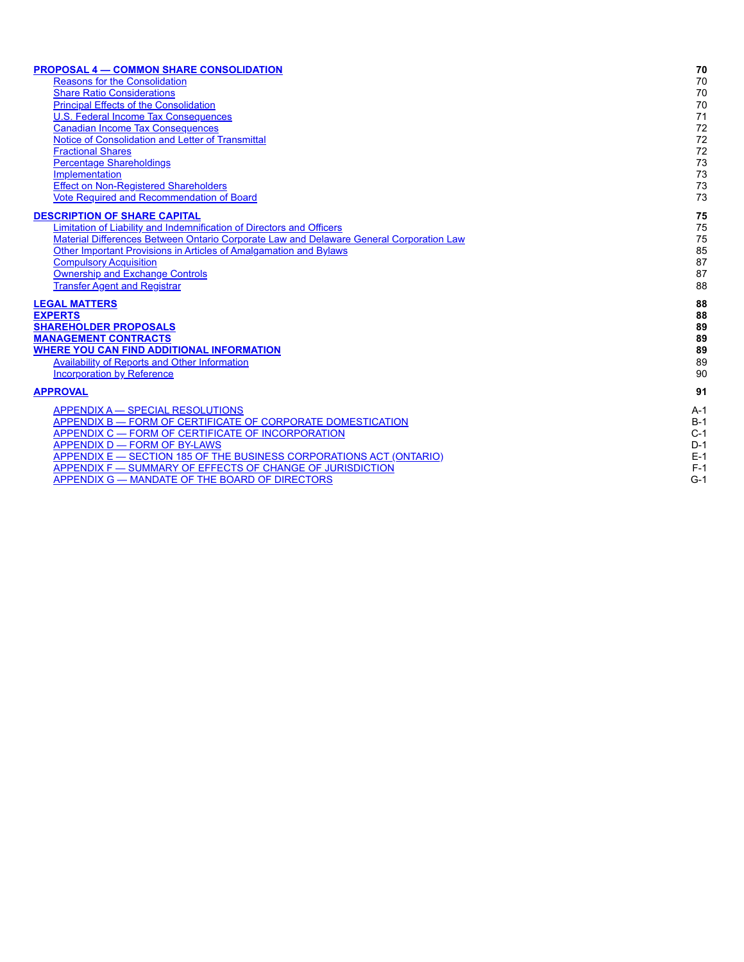| 70    |
|-------|
| 70    |
| 70    |
| 70    |
| 71    |
| 72    |
| 72    |
| 72    |
| 73    |
| 73    |
| 73    |
| 73    |
| 75    |
| 75    |
| 75    |
| 85    |
| 87    |
| 87    |
| 88    |
| 88    |
| 88    |
| 89    |
| 89    |
| 89    |
| 89    |
| 90    |
| 91    |
| $A-1$ |
| B-1   |
| $C-1$ |
| $D-1$ |
| $E-1$ |
| $F-1$ |
| $G-1$ |
|       |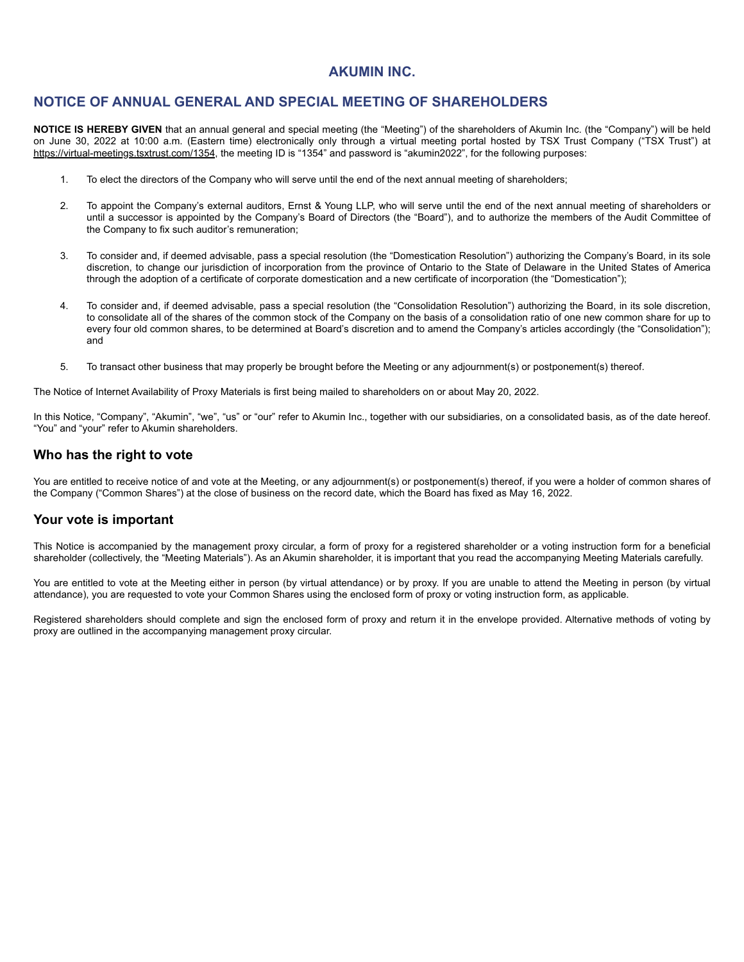## **AKUMIN INC.**

## **NOTICE OF ANNUAL GENERAL AND SPECIAL MEETING OF SHAREHOLDERS**

**NOTICE IS HEREBY GIVEN** that an annual general and special meeting (the "Meeting") of the shareholders of Akumin Inc. (the "Company") will be held on June 30, 2022 at 10:00 a.m. (Eastern time) electronically only through a virtual meeting portal hosted by TSX Trust Company ("TSX Trust") at https://virtual-meetings.tsxtrust.com/1354, the meeting ID is "1354" and password is "akumin2022", for the following purposes:

- 1. To elect the directors of the Company who will serve until the end of the next annual meeting of shareholders;
- 2. To appoint the Company's external auditors, Ernst & Young LLP, who will serve until the end of the next annual meeting of shareholders or until a successor is appointed by the Company's Board of Directors (the "Board"), and to authorize the members of the Audit Committee of the Company to fix such auditor's remuneration;
- 3. To consider and, if deemed advisable, pass a special resolution (the "Domestication Resolution") authorizing the Company's Board, in its sole discretion, to change our jurisdiction of incorporation from the province of Ontario to the State of Delaware in the United States of America through the adoption of a certificate of corporate domestication and a new certificate of incorporation (the "Domestication");
- 4. To consider and, if deemed advisable, pass a special resolution (the "Consolidation Resolution") authorizing the Board, in its sole discretion, to consolidate all of the shares of the common stock of the Company on the basis of a consolidation ratio of one new common share for up to every four old common shares, to be determined at Board's discretion and to amend the Company's articles accordingly (the "Consolidation"); and
- 5. To transact other business that may properly be brought before the Meeting or any adjournment(s) or postponement(s) thereof.

The Notice of Internet Availability of Proxy Materials is first being mailed to shareholders on or about May 20, 2022.

In this Notice, "Company", "Akumin", "we", "us" or "our" refer to Akumin Inc., together with our subsidiaries, on a consolidated basis, as of the date hereof. "You" and "your" refer to Akumin shareholders.

### **Who has the right to vote**

You are entitled to receive notice of and vote at the Meeting, or any adjournment(s) or postponement(s) thereof, if you were a holder of common shares of the Company ("Common Shares") at the close of business on the record date, which the Board has fixed as May 16, 2022.

## **Your vote is important**

This Notice is accompanied by the management proxy circular, a form of proxy for a registered shareholder or a voting instruction form for a beneficial shareholder (collectively, the "Meeting Materials"). As an Akumin shareholder, it is important that you read the accompanying Meeting Materials carefully.

You are entitled to vote at the Meeting either in person (by virtual attendance) or by proxy. If you are unable to attend the Meeting in person (by virtual attendance), you are requested to vote your Common Shares using the enclosed form of proxy or voting instruction form, as applicable.

Registered shareholders should complete and sign the enclosed form of proxy and return it in the envelope provided. Alternative methods of voting by proxy are outlined in the accompanying management proxy circular.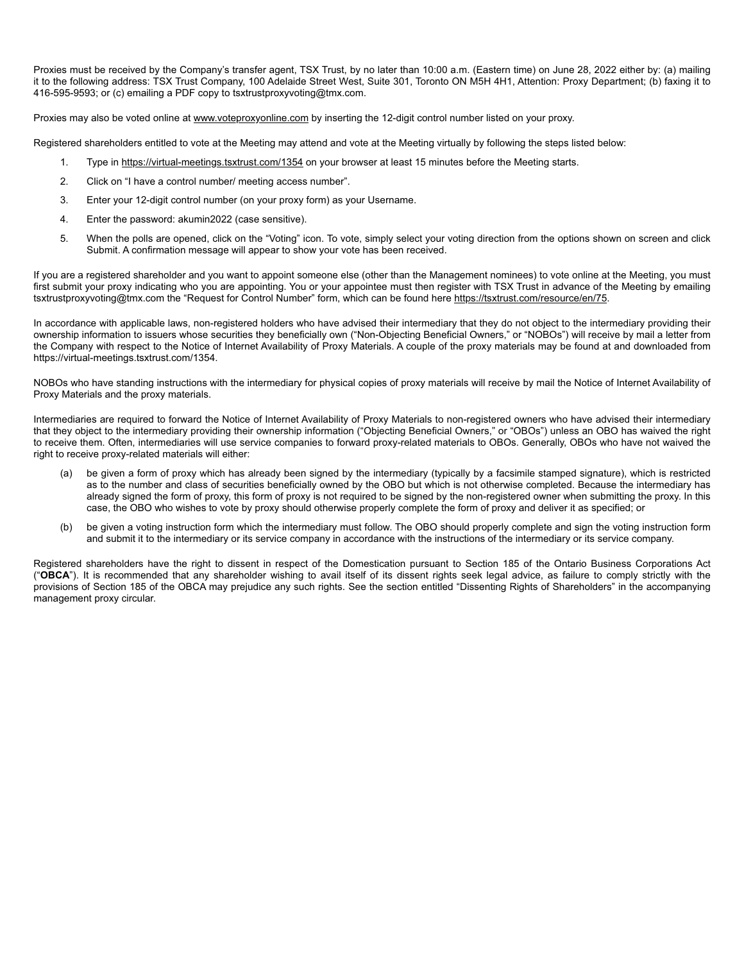Proxies must be received by the Company's transfer agent, TSX Trust, by no later than 10:00 a.m. (Eastern time) on June 28, 2022 either by: (a) mailing it to the following address: TSX Trust Company, 100 Adelaide Street West, Suite 301, Toronto ON M5H 4H1, Attention: Proxy Department; (b) faxing it to 416-595-9593; or (c) emailing a PDF copy to tsxtrustproxyvoting@tmx.com.

Proxies may also be voted online at www.voteproxyonline.com by inserting the 12-digit control number listed on your proxy.

Registered shareholders entitled to vote at the Meeting may attend and vote at the Meeting virtually by following the steps listed below:

- 1. Type in https://virtual-meetings.tsxtrust.com/1354 on your browser at least 15 minutes before the Meeting starts.
- 2. Click on "I have a control number/ meeting access number".
- 3. Enter your 12-digit control number (on your proxy form) as your Username.
- 4. Enter the password: akumin2022 (case sensitive).
- 5. When the polls are opened, click on the "Voting" icon. To vote, simply select your voting direction from the options shown on screen and click Submit. A confirmation message will appear to show your vote has been received.

If you are a registered shareholder and you want to appoint someone else (other than the Management nominees) to vote online at the Meeting, you must first submit your proxy indicating who you are appointing. You or your appointee must then register with TSX Trust in advance of the Meeting by emailing tsxtrustproxyvoting@tmx.com the "Request for Control Number" form, which can be found here https://tsxtrust.com/resource/en/75.

In accordance with applicable laws, non-registered holders who have advised their intermediary that they do not object to the intermediary providing their ownership information to issuers whose securities they beneficially own ("Non-Objecting Beneficial Owners," or "NOBOs") will receive by mail a letter from the Company with respect to the Notice of Internet Availability of Proxy Materials. A couple of the proxy materials may be found at and downloaded from https://virtual-meetings.tsxtrust.com/1354.

NOBOs who have standing instructions with the intermediary for physical copies of proxy materials will receive by mail the Notice of Internet Availability of Proxy Materials and the proxy materials.

Intermediaries are required to forward the Notice of Internet Availability of Proxy Materials to non-registered owners who have advised their intermediary that they object to the intermediary providing their ownership information ("Objecting Beneficial Owners," or "OBOs") unless an OBO has waived the right to receive them. Often, intermediaries will use service companies to forward proxy-related materials to OBOs. Generally, OBOs who have not waived the right to receive proxy-related materials will either:

- (a) be given a form of proxy which has already been signed by the intermediary (typically by a facsimile stamped signature), which is restricted as to the number and class of securities beneficially owned by the OBO but which is not otherwise completed. Because the intermediary has already signed the form of proxy, this form of proxy is not required to be signed by the non-registered owner when submitting the proxy. In this case, the OBO who wishes to vote by proxy should otherwise properly complete the form of proxy and deliver it as specified; or
- (b) be given a voting instruction form which the intermediary must follow. The OBO should properly complete and sign the voting instruction form and submit it to the intermediary or its service company in accordance with the instructions of the intermediary or its service company.

Registered shareholders have the right to dissent in respect of the Domestication pursuant to Section 185 of the Ontario Business Corporations Act ("**OBCA**"). It is recommended that any shareholder wishing to avail itself of its dissent rights seek legal advice, as failure to comply strictly with the provisions of Section 185 of the OBCA may prejudice any such rights. See the section entitled "Dissenting Rights of Shareholders" in the accompanying management proxy circular.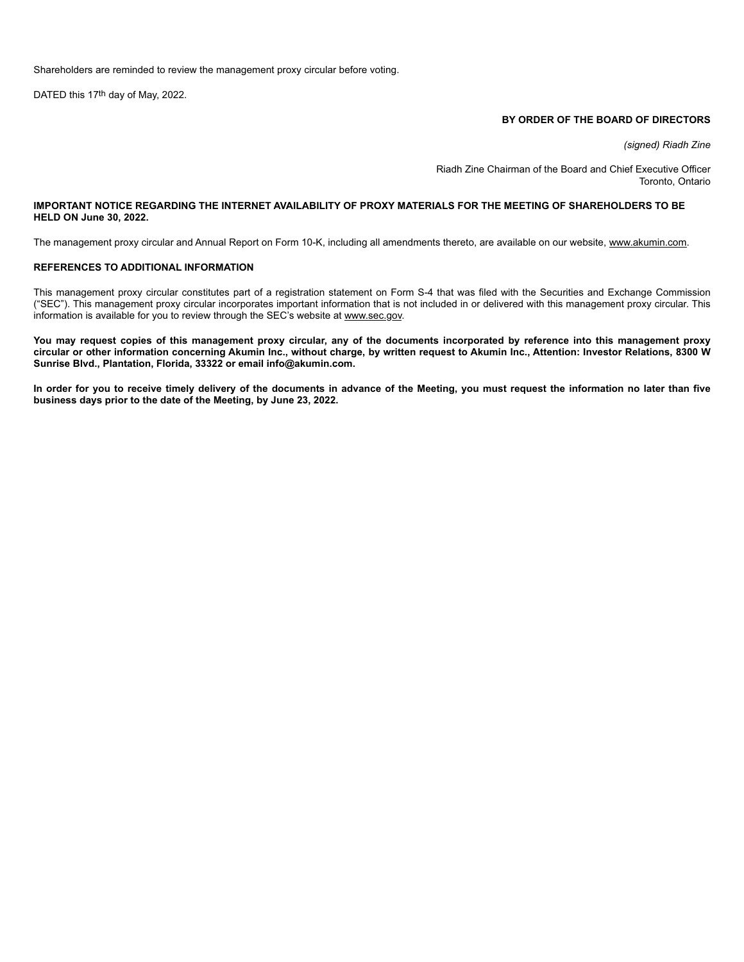Shareholders are reminded to review the management proxy circular before voting.

DATED this 17th day of May, 2022.

#### **BY ORDER OF THE BOARD OF DIRECTORS**

*(signed) Riadh Zine*

Riadh Zine Chairman of the Board and Chief Executive Officer Toronto, Ontario

#### **IMPORTANT NOTICE REGARDING THE INTERNET AVAILABILITY OF PROXY MATERIALS FOR THE MEETING OF SHAREHOLDERS TO BE HELD ON June 30, 2022.**

The management proxy circular and Annual Report on Form 10-K, including all amendments thereto, are available on our website, www.akumin.com.

#### **REFERENCES TO ADDITIONAL INFORMATION**

This management proxy circular constitutes part of a registration statement on Form S-4 that was filed with the Securities and Exchange Commission ("SEC"). This management proxy circular incorporates important information that is not included in or delivered with this management proxy circular. This information is available for you to review through the SEC's website at www.sec.gov.

**You may request copies of this management proxy circular, any of the documents incorporated by reference into this management proxy circular or other information concerning Akumin Inc., without charge, by written request to Akumin Inc., Attention: Investor Relations, 8300 W Sunrise Blvd., Plantation, Florida, 33322 or email info@akumin.com.**

**In order for you to receive timely delivery of the documents in advance of the Meeting, you must request the information no later than five business days prior to the date of the Meeting, by June 23, 2022.**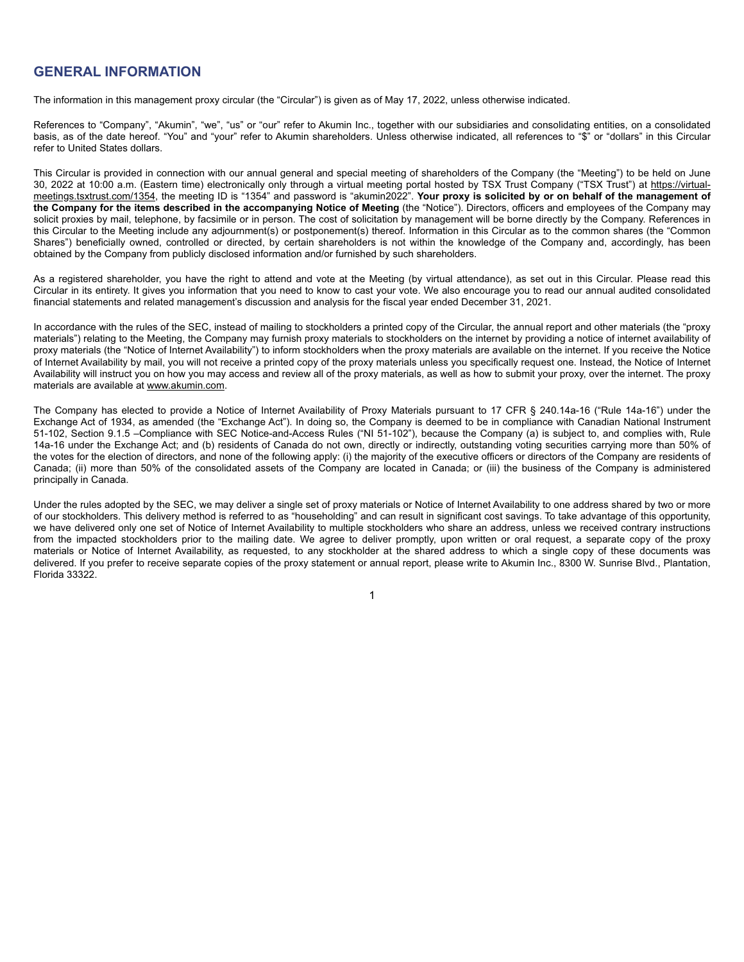## **GENERAL INFORMATION**

The information in this management proxy circular (the "Circular") is given as of May 17, 2022, unless otherwise indicated.

References to "Company", "Akumin", "we", "us" or "our" refer to Akumin Inc., together with our subsidiaries and consolidating entities, on a consolidated basis, as of the date hereof. "You" and "your" refer to Akumin shareholders. Unless otherwise indicated, all references to "\$" or "dollars" in this Circular refer to United States dollars.

This Circular is provided in connection with our annual general and special meeting of shareholders of the Company (the "Meeting") to be held on June 30, 2022 at 10:00 a.m. (Eastern time) electronically only through a virtual meeting portal hosted by TSX Trust Company ("TSX Trust") at https://virtualmeetings.tsxtrust.com/1354, the meeting ID is "1354" and password is "akumin2022". **Your proxy is solicited by or on behalf of the management of the Company for the items described in the accompanying Notice of Meeting** (the "Notice"). Directors, officers and employees of the Company may solicit proxies by mail, telephone, by facsimile or in person. The cost of solicitation by management will be borne directly by the Company. References in this Circular to the Meeting include any adjournment(s) or postponement(s) thereof. Information in this Circular as to the common shares (the "Common Shares") beneficially owned, controlled or directed, by certain shareholders is not within the knowledge of the Company and, accordingly, has been obtained by the Company from publicly disclosed information and/or furnished by such shareholders.

As a registered shareholder, you have the right to attend and vote at the Meeting (by virtual attendance), as set out in this Circular. Please read this Circular in its entirety. It gives you information that you need to know to cast your vote. We also encourage you to read our annual audited consolidated financial statements and related management's discussion and analysis for the fiscal year ended December 31, 2021.

In accordance with the rules of the SEC, instead of mailing to stockholders a printed copy of the Circular, the annual report and other materials (the "proxy materials") relating to the Meeting, the Company may furnish proxy materials to stockholders on the internet by providing a notice of internet availability of proxy materials (the "Notice of Internet Availability") to inform stockholders when the proxy materials are available on the internet. If you receive the Notice of Internet Availability by mail, you will not receive a printed copy of the proxy materials unless you specifically request one. Instead, the Notice of Internet Availability will instruct you on how you may access and review all of the proxy materials, as well as how to submit your proxy, over the internet. The proxy materials are available at www.akumin.com.

The Company has elected to provide a Notice of Internet Availability of Proxy Materials pursuant to 17 CFR § 240.14a-16 ("Rule 14a-16") under the Exchange Act of 1934, as amended (the "Exchange Act"). In doing so, the Company is deemed to be in compliance with Canadian National Instrument 51-102, Section 9.1.5 –Compliance with SEC Notice-and-Access Rules ("NI 51-102"), because the Company (a) is subject to, and complies with, Rule 14a-16 under the Exchange Act; and (b) residents of Canada do not own, directly or indirectly, outstanding voting securities carrying more than 50% of the votes for the election of directors, and none of the following apply: (i) the majority of the executive officers or directors of the Company are residents of Canada; (ii) more than 50% of the consolidated assets of the Company are located in Canada; or (iii) the business of the Company is administered principally in Canada.

Under the rules adopted by the SEC, we may deliver a single set of proxy materials or Notice of Internet Availability to one address shared by two or more of our stockholders. This delivery method is referred to as "householding" and can result in significant cost savings. To take advantage of this opportunity, we have delivered only one set of Notice of Internet Availability to multiple stockholders who share an address, unless we received contrary instructions from the impacted stockholders prior to the mailing date. We agree to deliver promptly, upon written or oral request, a separate copy of the proxy materials or Notice of Internet Availability, as requested, to any stockholder at the shared address to which a single copy of these documents was delivered. If you prefer to receive separate copies of the proxy statement or annual report, please write to Akumin Inc., 8300 W. Sunrise Blvd., Plantation, Florida 33322.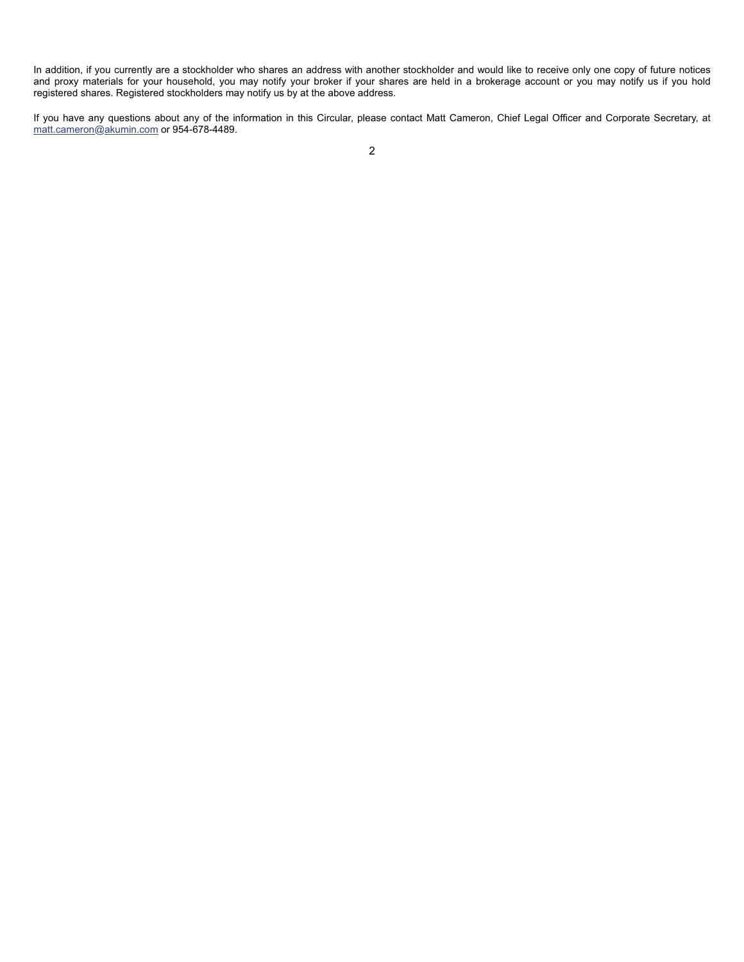In addition, if you currently are a stockholder who shares an address with another stockholder and would like to receive only one copy of future notices and proxy materials for your household, you may notify your broker if your shares are held in a brokerage account or you may notify us if you hold registered shares. Registered stockholders may notify us by at the above address.

If you have any questions about any of the information in this Circular, please contact Matt Cameron, Chief Legal Officer and Corporate Secretary, at matt.cameron@akumin.com or 954-678-4489.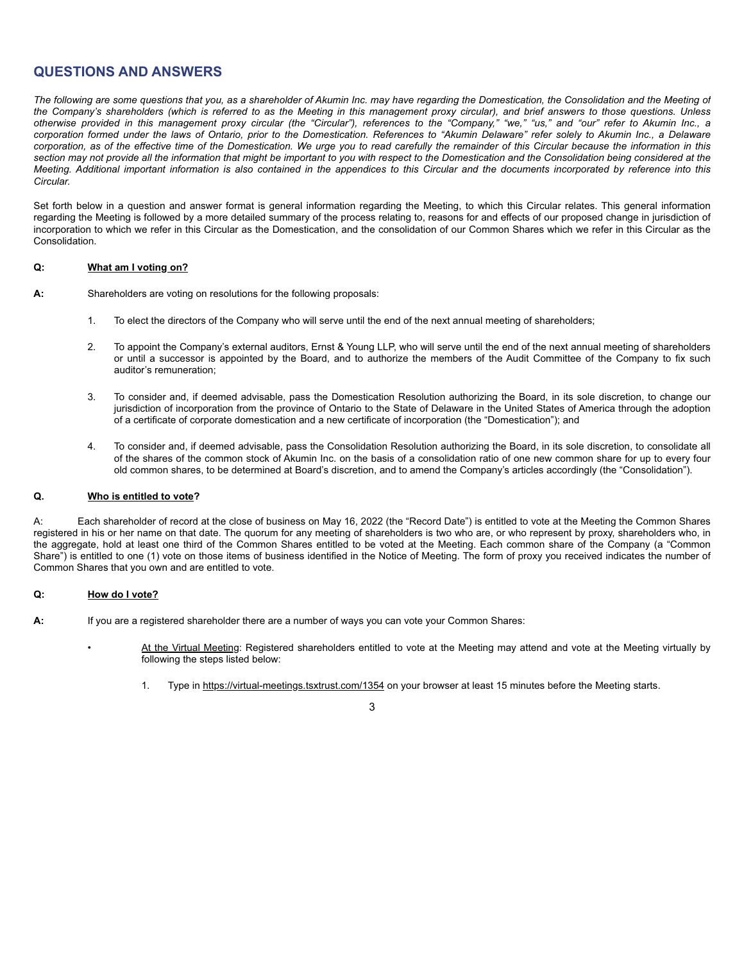## **QUESTIONS AND ANSWERS**

*The following are some questions that you, as a shareholder of Akumin Inc. may have regarding the Domestication, the Consolidation and the Meeting of the Company's shareholders (which is referred to as the Meeting in this management proxy circular), and brief answers to those questions. Unless otherwise provided in this management proxy circular (the "Circular"), references to the "Company," "we," "us," and "our" refer to Akumin Inc., a corporation formed under the laws of Ontario, prior to the Domestication. References to "Akumin Delaware" refer solely to Akumin Inc., a Delaware corporation, as of the effective time of the Domestication. We urge you to read carefully the remainder of this Circular because the information in this section may not provide all the information that might be important to you with respect to the Domestication and the Consolidation being considered at the Meeting. Additional important information is also contained in the appendices to this Circular and the documents incorporated by reference into this Circular.*

Set forth below in a question and answer format is general information regarding the Meeting, to which this Circular relates. This general information regarding the Meeting is followed by a more detailed summary of the process relating to, reasons for and effects of our proposed change in jurisdiction of incorporation to which we refer in this Circular as the Domestication, and the consolidation of our Common Shares which we refer in this Circular as the Consolidation.

#### **Q: What am I voting on?**

**A:** Shareholders are voting on resolutions for the following proposals:

- 1. To elect the directors of the Company who will serve until the end of the next annual meeting of shareholders;
- 2. To appoint the Company's external auditors, Ernst & Young LLP, who will serve until the end of the next annual meeting of shareholders or until a successor is appointed by the Board, and to authorize the members of the Audit Committee of the Company to fix such auditor's remuneration;
- 3. To consider and, if deemed advisable, pass the Domestication Resolution authorizing the Board, in its sole discretion, to change our jurisdiction of incorporation from the province of Ontario to the State of Delaware in the United States of America through the adoption of a certificate of corporate domestication and a new certificate of incorporation (the "Domestication"); and
- 4. To consider and, if deemed advisable, pass the Consolidation Resolution authorizing the Board, in its sole discretion, to consolidate all of the shares of the common stock of Akumin Inc. on the basis of a consolidation ratio of one new common share for up to every four old common shares, to be determined at Board's discretion, and to amend the Company's articles accordingly (the "Consolidation").

#### **Q. Who is entitled to vote?**

A: Each shareholder of record at the close of business on May 16, 2022 (the "Record Date") is entitled to vote at the Meeting the Common Shares registered in his or her name on that date. The quorum for any meeting of shareholders is two who are, or who represent by proxy, shareholders who, in the aggregate, hold at least one third of the Common Shares entitled to be voted at the Meeting. Each common share of the Company (a "Common Share") is entitled to one (1) vote on those items of business identified in the Notice of Meeting. The form of proxy you received indicates the number of Common Shares that you own and are entitled to vote.

#### **Q: How do I vote?**

- **A:** If you are a registered shareholder there are a number of ways you can vote your Common Shares:
	- At the Virtual Meeting: Registered shareholders entitled to vote at the Meeting may attend and vote at the Meeting virtually by following the steps listed below:
		- 1. Type in https://virtual-meetings.tsxtrust.com/1354 on your browser at least 15 minutes before the Meeting starts.

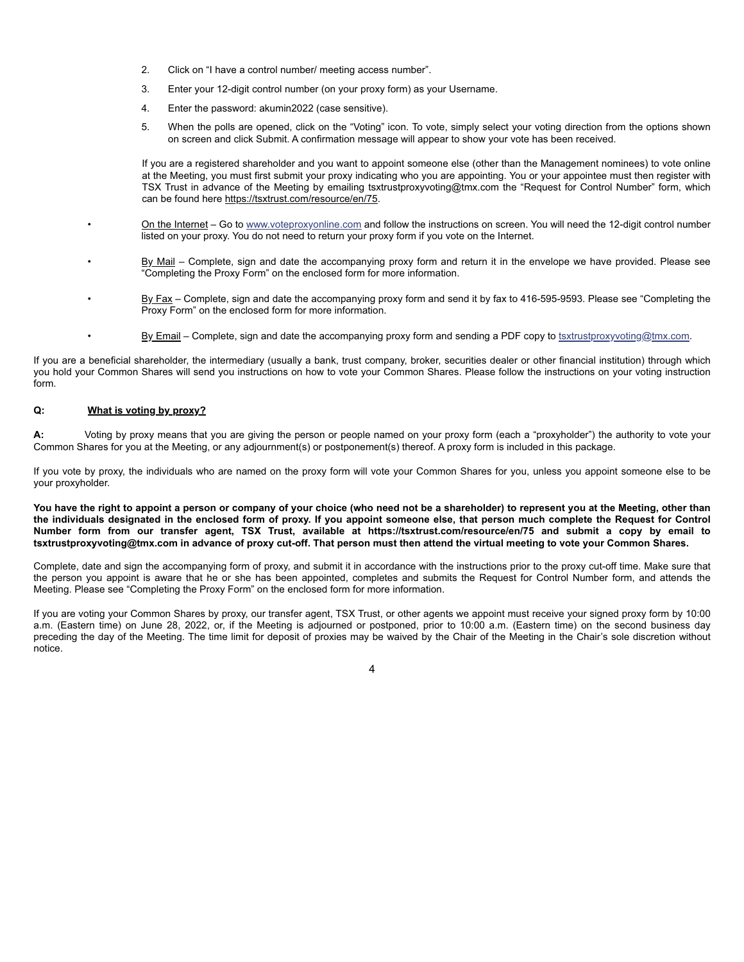- 2. Click on "I have a control number/ meeting access number".
- 3. Enter your 12-digit control number (on your proxy form) as your Username.
- 4. Enter the password: akumin2022 (case sensitive).
- 5. When the polls are opened, click on the "Voting" icon. To vote, simply select your voting direction from the options shown on screen and click Submit. A confirmation message will appear to show your vote has been received.

If you are a registered shareholder and you want to appoint someone else (other than the Management nominees) to vote online at the Meeting, you must first submit your proxy indicating who you are appointing. You or your appointee must then register with TSX Trust in advance of the Meeting by emailing tsxtrustproxyvoting@tmx.com the "Request for Control Number" form, which can be found here https://tsxtrust.com/resource/en/75.

- On the Internet Go to www.voteproxyonline.com and follow the instructions on screen. You will need the 12-digit control number listed on your proxy. You do not need to return your proxy form if you vote on the Internet.
	- By Mail Complete, sign and date the accompanying proxy form and return it in the envelope we have provided. Please see "Completing the Proxy Form" on the enclosed form for more information.
	- By Fax Complete, sign and date the accompanying proxy form and send it by fax to 416-595-9593. Please see "Completing the Proxy Form" on the enclosed form for more information.
- By Email Complete, sign and date the accompanying proxy form and sending a PDF copy to tsxtrustproxyvoting@tmx.com.

If you are a beneficial shareholder, the intermediary (usually a bank, trust company, broker, securities dealer or other financial institution) through which you hold your Common Shares will send you instructions on how to vote your Common Shares. Please follow the instructions on your voting instruction form.

#### **Q: What is voting by proxy?**

**A:** Voting by proxy means that you are giving the person or people named on your proxy form (each a "proxyholder") the authority to vote your Common Shares for you at the Meeting, or any adjournment(s) or postponement(s) thereof. A proxy form is included in this package.

If you vote by proxy, the individuals who are named on the proxy form will vote your Common Shares for you, unless you appoint someone else to be your proxyholder.

**You have the right to appoint a person or company of your choice (who need not be a shareholder) to represent you at the Meeting, other than the individuals designated in the enclosed form of proxy. If you appoint someone else, that person much complete the Request for Control Number form from our transfer agent, TSX Trust, available at https://tsxtrust.com/resource/en/75 and submit a copy by email to tsxtrustproxyvoting@tmx.com in advance of proxy cut-off. That person must then attend the virtual meeting to vote your Common Shares.**

Complete, date and sign the accompanying form of proxy, and submit it in accordance with the instructions prior to the proxy cut-off time. Make sure that the person you appoint is aware that he or she has been appointed, completes and submits the Request for Control Number form, and attends the Meeting. Please see "Completing the Proxy Form" on the enclosed form for more information.

If you are voting your Common Shares by proxy, our transfer agent, TSX Trust, or other agents we appoint must receive your signed proxy form by 10:00 a.m. (Eastern time) on June 28, 2022, or, if the Meeting is adjourned or postponed, prior to 10:00 a.m. (Eastern time) on the second business day preceding the day of the Meeting. The time limit for deposit of proxies may be waived by the Chair of the Meeting in the Chair's sole discretion without notice.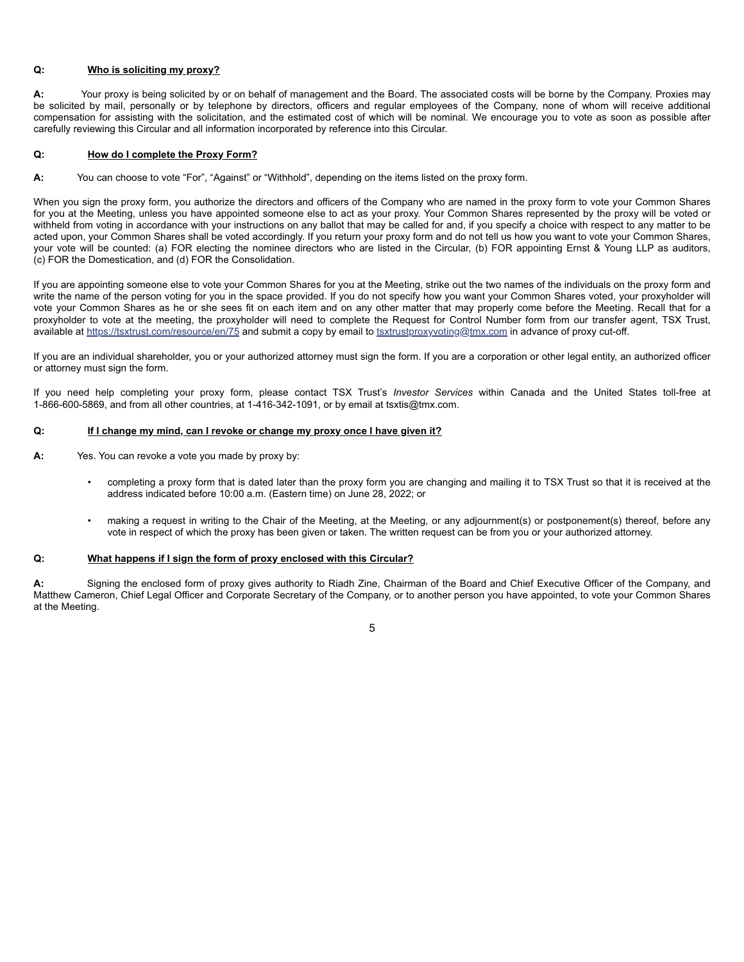#### **Q: Who is soliciting my proxy?**

**A:** Your proxy is being solicited by or on behalf of management and the Board. The associated costs will be borne by the Company. Proxies may be solicited by mail, personally or by telephone by directors, officers and regular employees of the Company, none of whom will receive additional compensation for assisting with the solicitation, and the estimated cost of which will be nominal. We encourage you to vote as soon as possible after carefully reviewing this Circular and all information incorporated by reference into this Circular.

#### **Q: How do I complete the Proxy Form?**

**A:** You can choose to vote "For", "Against" or "Withhold", depending on the items listed on the proxy form.

When you sign the proxy form, you authorize the directors and officers of the Company who are named in the proxy form to vote your Common Shares for you at the Meeting, unless you have appointed someone else to act as your proxy. Your Common Shares represented by the proxy will be voted or withheld from voting in accordance with your instructions on any ballot that may be called for and, if you specify a choice with respect to any matter to be acted upon, your Common Shares shall be voted accordingly. If you return your proxy form and do not tell us how you want to vote your Common Shares, your vote will be counted: (a) FOR electing the nominee directors who are listed in the Circular, (b) FOR appointing Ernst & Young LLP as auditors, (c) FOR the Domestication, and (d) FOR the Consolidation.

If you are appointing someone else to vote your Common Shares for you at the Meeting, strike out the two names of the individuals on the proxy form and write the name of the person voting for you in the space provided. If you do not specify how you want your Common Shares voted, your proxyholder will vote your Common Shares as he or she sees fit on each item and on any other matter that may properly come before the Meeting. Recall that for a proxyholder to vote at the meeting, the proxyholder will need to complete the Request for Control Number form from our transfer agent, TSX Trust, available at https://tsxtrust.com/resource/en/75 and submit a copy by email to tsxtrustproxyvoting@tmx.com in advance of proxy cut-off.

If you are an individual shareholder, you or your authorized attorney must sign the form. If you are a corporation or other legal entity, an authorized officer or attorney must sign the form.

If you need help completing your proxy form, please contact TSX Trust's *Investor Services* within Canada and the United States toll-free at 1-866-600-5869, and from all other countries, at 1-416-342-1091, or by email at tsxtis@tmx.com.

#### **Q: If I change my mind, can I revoke or change my proxy once I have given it?**

- **A:** Yes. You can revoke a vote you made by proxy by:
	- completing a proxy form that is dated later than the proxy form you are changing and mailing it to TSX Trust so that it is received at the address indicated before 10:00 a.m. (Eastern time) on June 28, 2022; or
	- making a request in writing to the Chair of the Meeting, at the Meeting, or any adjournment(s) or postponement(s) thereof, before any vote in respect of which the proxy has been given or taken. The written request can be from you or your authorized attorney.

#### **Q: What happens if I sign the form of proxy enclosed with this Circular?**

**A:** Signing the enclosed form of proxy gives authority to Riadh Zine, Chairman of the Board and Chief Executive Officer of the Company, and Matthew Cameron, Chief Legal Officer and Corporate Secretary of the Company, or to another person you have appointed, to vote your Common Shares at the Meeting.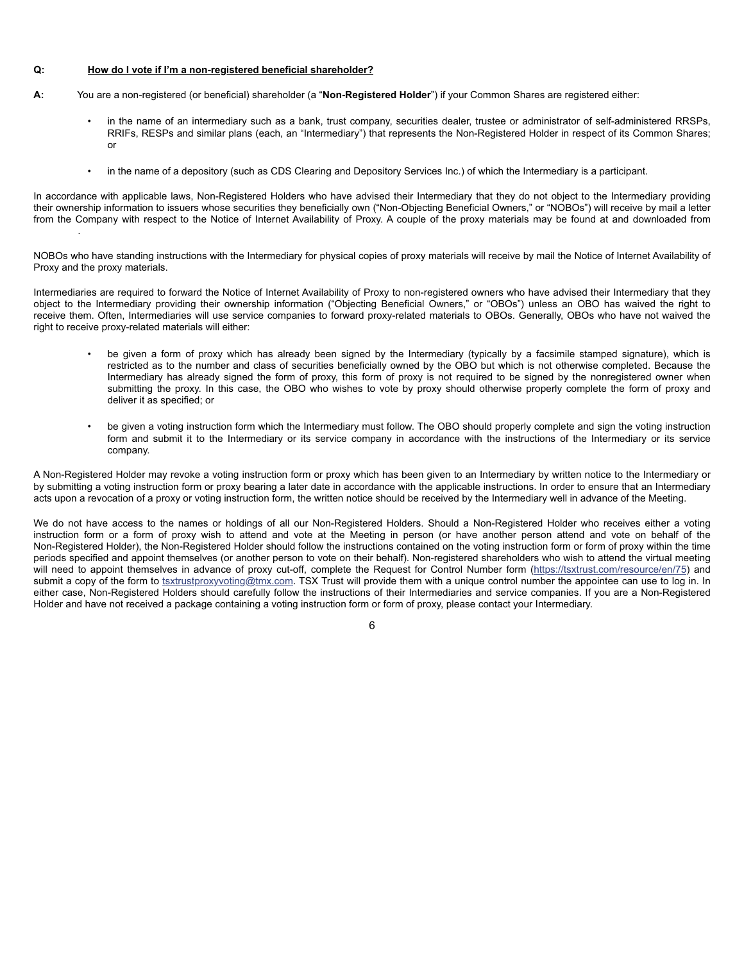#### **Q: How do I vote if I'm a non-registered beneficial shareholder?**

.

- **A:** You are a non-registered (or beneficial) shareholder (a "**Non-Registered Holder**") if your Common Shares are registered either:
	- in the name of an intermediary such as a bank, trust company, securities dealer, trustee or administrator of self-administered RRSPs, RRIFs, RESPs and similar plans (each, an "Intermediary") that represents the Non-Registered Holder in respect of its Common Shares; or
	- in the name of a depository (such as CDS Clearing and Depository Services Inc.) of which the Intermediary is a participant.

In accordance with applicable laws, Non-Registered Holders who have advised their Intermediary that they do not object to the Intermediary providing their ownership information to issuers whose securities they beneficially own ("Non-Objecting Beneficial Owners," or "NOBOs") will receive by mail a letter from the Company with respect to the Notice of Internet Availability of Proxy. A couple of the proxy materials may be found at and downloaded from

NOBOs who have standing instructions with the Intermediary for physical copies of proxy materials will receive by mail the Notice of Internet Availability of Proxy and the proxy materials.

Intermediaries are required to forward the Notice of Internet Availability of Proxy to non-registered owners who have advised their Intermediary that they object to the Intermediary providing their ownership information ("Objecting Beneficial Owners," or "OBOs") unless an OBO has waived the right to receive them. Often, Intermediaries will use service companies to forward proxy-related materials to OBOs. Generally, OBOs who have not waived the right to receive proxy-related materials will either:

- be given a form of proxy which has already been signed by the Intermediary (typically by a facsimile stamped signature), which is restricted as to the number and class of securities beneficially owned by the OBO but which is not otherwise completed. Because the Intermediary has already signed the form of proxy, this form of proxy is not required to be signed by the nonregistered owner when submitting the proxy. In this case, the OBO who wishes to vote by proxy should otherwise properly complete the form of proxy and deliver it as specified; or
- be given a voting instruction form which the Intermediary must follow. The OBO should properly complete and sign the voting instruction form and submit it to the Intermediary or its service company in accordance with the instructions of the Intermediary or its service company.

A Non-Registered Holder may revoke a voting instruction form or proxy which has been given to an Intermediary by written notice to the Intermediary or by submitting a voting instruction form or proxy bearing a later date in accordance with the applicable instructions. In order to ensure that an Intermediary acts upon a revocation of a proxy or voting instruction form, the written notice should be received by the Intermediary well in advance of the Meeting.

We do not have access to the names or holdings of all our Non-Registered Holders. Should a Non-Registered Holder who receives either a voting instruction form or a form of proxy wish to attend and vote at the Meeting in person (or have another person attend and vote on behalf of the Non-Registered Holder), the Non-Registered Holder should follow the instructions contained on the voting instruction form or form of proxy within the time periods specified and appoint themselves (or another person to vote on their behalf). Non-registered shareholders who wish to attend the virtual meeting will need to appoint themselves in advance of proxy cut-off, complete the Request for Control Number form (https://tsxtrust.com/resource/en/75) and submit a copy of the form to tsxtrustproxyvoting@tmx.com. TSX Trust will provide them with a unique control number the appointee can use to log in. In either case, Non-Registered Holders should carefully follow the instructions of their Intermediaries and service companies. If you are a Non-Registered Holder and have not received a package containing a voting instruction form or form of proxy, please contact your Intermediary.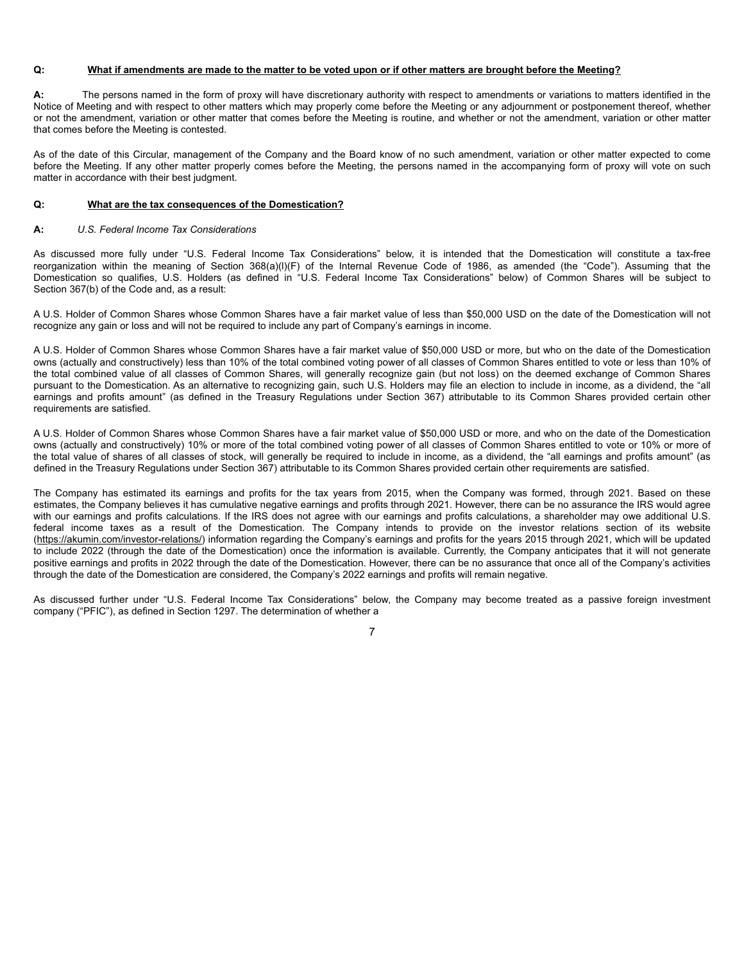#### **Q: What if amendments are made to the matter to be voted upon or if other matters are brought before the Meeting?**

**A:** The persons named in the form of proxy will have discretionary authority with respect to amendments or variations to matters identified in the Notice of Meeting and with respect to other matters which may properly come before the Meeting or any adjournment or postponement thereof, whether or not the amendment, variation or other matter that comes before the Meeting is routine, and whether or not the amendment, variation or other matter that comes before the Meeting is contested.

As of the date of this Circular, management of the Company and the Board know of no such amendment, variation or other matter expected to come before the Meeting. If any other matter properly comes before the Meeting, the persons named in the accompanying form of proxy will vote on such matter in accordance with their best judgment.

#### **Q: What are the tax consequences of the Domestication?**

#### **A:** *U.S. Federal Income Tax Considerations*

As discussed more fully under "U.S. Federal Income Tax Considerations" below, it is intended that the Domestication will constitute a tax-free reorganization within the meaning of Section 368(a)(l)(F) of the Internal Revenue Code of 1986, as amended (the "Code"). Assuming that the Domestication so qualifies, U.S. Holders (as defined in "U.S. Federal Income Tax Considerations" below) of Common Shares will be subject to Section 367(b) of the Code and, as a result:

A U.S. Holder of Common Shares whose Common Shares have a fair market value of less than \$50,000 USD on the date of the Domestication will not recognize any gain or loss and will not be required to include any part of Company's earnings in income.

A U.S. Holder of Common Shares whose Common Shares have a fair market value of \$50,000 USD or more, but who on the date of the Domestication owns (actually and constructively) less than 10% of the total combined voting power of all classes of Common Shares entitled to vote or less than 10% of the total combined value of all classes of Common Shares, will generally recognize gain (but not loss) on the deemed exchange of Common Shares pursuant to the Domestication. As an alternative to recognizing gain, such U.S. Holders may file an election to include in income, as a dividend, the "all earnings and profits amount" (as defined in the Treasury Regulations under Section 367) attributable to its Common Shares provided certain other requirements are satisfied.

A U.S. Holder of Common Shares whose Common Shares have a fair market value of \$50,000 USD or more, and who on the date of the Domestication owns (actually and constructively) 10% or more of the total combined voting power of all classes of Common Shares entitled to vote or 10% or more of the total value of shares of all classes of stock, will generally be required to include in income, as a dividend, the "all earnings and profits amount" (as defined in the Treasury Regulations under Section 367) attributable to its Common Shares provided certain other requirements are satisfied.

The Company has estimated its earnings and profits for the tax years from 2015, when the Company was formed, through 2021. Based on these estimates, the Company believes it has cumulative negative earnings and profits through 2021. However, there can be no assurance the IRS would agree with our earnings and profits calculations. If the IRS does not agree with our earnings and profits calculations, a shareholder may owe additional U.S. federal income taxes as a result of the Domestication. The Company intends to provide on the investor relations section of its website (https://akumin.com/investor-relations/) information regarding the Company's earnings and profits for the years 2015 through 2021, which will be updated to include 2022 (through the date of the Domestication) once the information is available. Currently, the Company anticipates that it will not generate positive earnings and profits in 2022 through the date of the Domestication. However, there can be no assurance that once all of the Company's activities through the date of the Domestication are considered, the Company's 2022 earnings and profits will remain negative.

As discussed further under "U.S. Federal Income Tax Considerations" below, the Company may become treated as a passive foreign investment company ("PFIC"), as defined in Section 1297. The determination of whether a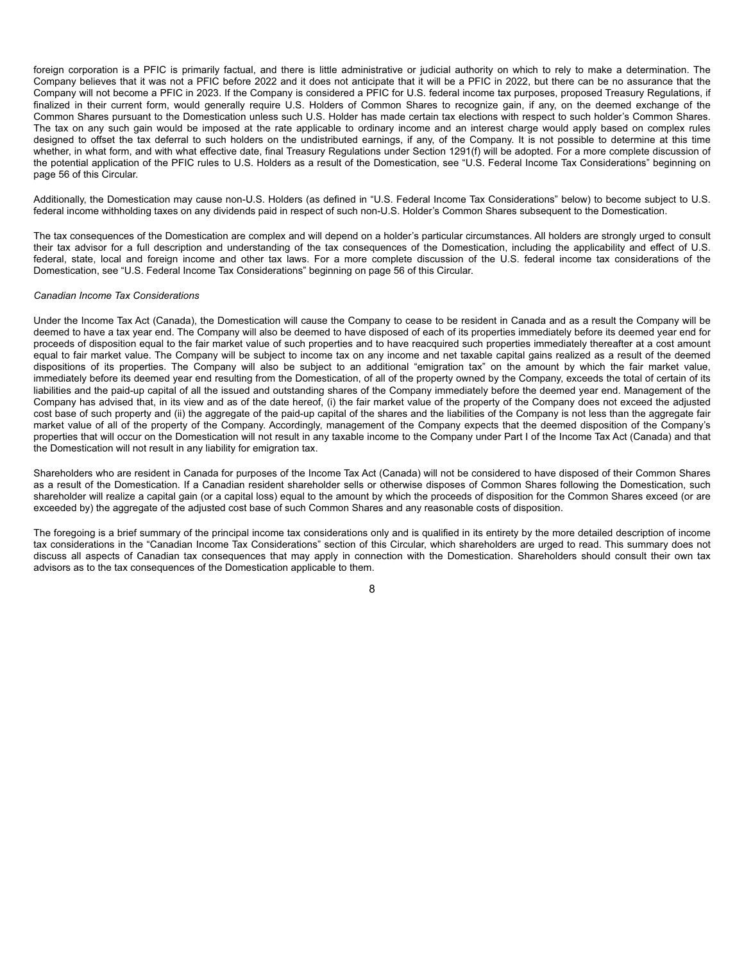foreign corporation is a PFIC is primarily factual, and there is little administrative or judicial authority on which to rely to make a determination. The Company believes that it was not a PFIC before 2022 and it does not anticipate that it will be a PFIC in 2022, but there can be no assurance that the Company will not become a PFIC in 2023. If the Company is considered a PFIC for U.S. federal income tax purposes, proposed Treasury Regulations, if finalized in their current form, would generally require U.S. Holders of Common Shares to recognize gain, if any, on the deemed exchange of the Common Shares pursuant to the Domestication unless such U.S. Holder has made certain tax elections with respect to such holder's Common Shares. The tax on any such gain would be imposed at the rate applicable to ordinary income and an interest charge would apply based on complex rules designed to offset the tax deferral to such holders on the undistributed earnings, if any, of the Company. It is not possible to determine at this time whether, in what form, and with what effective date, final Treasury Regulations under Section 1291(f) will be adopted. For a more complete discussion of the potential application of the PFIC rules to U.S. Holders as a result of the Domestication, see "U.S. Federal Income Tax Considerations" beginning on page 56 of this Circular.

Additionally, the Domestication may cause non-U.S. Holders (as defined in "U.S. Federal Income Tax Considerations" below) to become subject to U.S. federal income withholding taxes on any dividends paid in respect of such non-U.S. Holder's Common Shares subsequent to the Domestication.

The tax consequences of the Domestication are complex and will depend on a holder's particular circumstances. All holders are strongly urged to consult their tax advisor for a full description and understanding of the tax consequences of the Domestication, including the applicability and effect of U.S. federal, state, local and foreign income and other tax laws. For a more complete discussion of the U.S. federal income tax considerations of the Domestication, see "U.S. Federal Income Tax Considerations" beginning on page 56 of this Circular.

#### *Canadian Income Tax Considerations*

Under the Income Tax Act (Canada), the Domestication will cause the Company to cease to be resident in Canada and as a result the Company will be deemed to have a tax year end. The Company will also be deemed to have disposed of each of its properties immediately before its deemed year end for proceeds of disposition equal to the fair market value of such properties and to have reacquired such properties immediately thereafter at a cost amount equal to fair market value. The Company will be subject to income tax on any income and net taxable capital gains realized as a result of the deemed dispositions of its properties. The Company will also be subject to an additional "emigration tax" on the amount by which the fair market value, immediately before its deemed year end resulting from the Domestication, of all of the property owned by the Company, exceeds the total of certain of its liabilities and the paid-up capital of all the issued and outstanding shares of the Company immediately before the deemed year end. Management of the Company has advised that, in its view and as of the date hereof, (i) the fair market value of the property of the Company does not exceed the adjusted cost base of such property and (ii) the aggregate of the paid-up capital of the shares and the liabilities of the Company is not less than the aggregate fair market value of all of the property of the Company. Accordingly, management of the Company expects that the deemed disposition of the Company's properties that will occur on the Domestication will not result in any taxable income to the Company under Part I of the Income Tax Act (Canada) and that the Domestication will not result in any liability for emigration tax.

Shareholders who are resident in Canada for purposes of the Income Tax Act (Canada) will not be considered to have disposed of their Common Shares as a result of the Domestication. If a Canadian resident shareholder sells or otherwise disposes of Common Shares following the Domestication, such shareholder will realize a capital gain (or a capital loss) equal to the amount by which the proceeds of disposition for the Common Shares exceed (or are exceeded by) the aggregate of the adjusted cost base of such Common Shares and any reasonable costs of disposition.

The foregoing is a brief summary of the principal income tax considerations only and is qualified in its entirety by the more detailed description of income tax considerations in the "Canadian Income Tax Considerations" section of this Circular, which shareholders are urged to read. This summary does not discuss all aspects of Canadian tax consequences that may apply in connection with the Domestication. Shareholders should consult their own tax advisors as to the tax consequences of the Domestication applicable to them.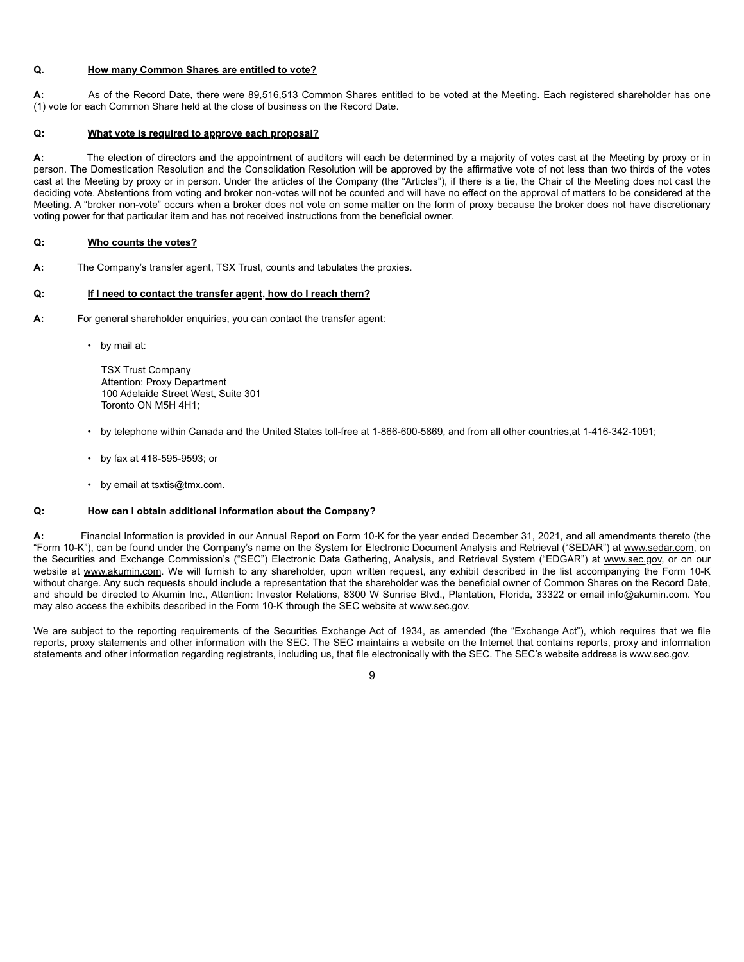#### **Q. How many Common Shares are entitled to vote?**

**A:** As of the Record Date, there were 89,516,513 Common Shares entitled to be voted at the Meeting. Each registered shareholder has one (1) vote for each Common Share held at the close of business on the Record Date.

#### **Q: What vote is required to approve each proposal?**

**A:** The election of directors and the appointment of auditors will each be determined by a majority of votes cast at the Meeting by proxy or in person. The Domestication Resolution and the Consolidation Resolution will be approved by the affirmative vote of not less than two thirds of the votes cast at the Meeting by proxy or in person. Under the articles of the Company (the "Articles"), if there is a tie, the Chair of the Meeting does not cast the deciding vote. Abstentions from voting and broker non-votes will not be counted and will have no effect on the approval of matters to be considered at the Meeting. A "broker non-vote" occurs when a broker does not vote on some matter on the form of proxy because the broker does not have discretionary voting power for that particular item and has not received instructions from the beneficial owner.

#### **Q: Who counts the votes?**

**A:** The Company's transfer agent, TSX Trust, counts and tabulates the proxies.

#### **Q: If I need to contact the transfer agent, how do I reach them?**

- **A:** For general shareholder enquiries, you can contact the transfer agent:
	- by mail at:

TSX Trust Company Attention: Proxy Department 100 Adelaide Street West, Suite 301 Toronto ON M5H 4H1;

- by telephone within Canada and the United States toll-free at 1-866-600-5869, and from all other countries,at 1-416-342-1091;
- by fax at 416-595-9593; or
- by email at tsxtis@tmx.com.

#### **Q: How can I obtain additional information about the Company?**

**A:** Financial Information is provided in our Annual Report on Form 10-K for the year ended December 31, 2021, and all amendments thereto (the "Form 10-K"), can be found under the Company's name on the System for Electronic Document Analysis and Retrieval ("SEDAR") at www.sedar.com, on the Securities and Exchange Commission's ("SEC") Electronic Data Gathering, Analysis, and Retrieval System ("EDGAR") at www.sec.gov, or on our website at www.akumin.com. We will furnish to any shareholder, upon written request, any exhibit described in the list accompanying the Form 10-K without charge. Any such requests should include a representation that the shareholder was the beneficial owner of Common Shares on the Record Date, and should be directed to Akumin Inc., Attention: Investor Relations, 8300 W Sunrise Blvd., Plantation, Florida, 33322 or email info@akumin.com. You may also access the exhibits described in the Form 10-K through the SEC website at www.sec.gov.

We are subject to the reporting requirements of the Securities Exchange Act of 1934, as amended (the "Exchange Act"), which requires that we file reports, proxy statements and other information with the SEC. The SEC maintains a website on the Internet that contains reports, proxy and information statements and other information regarding registrants, including us, that file electronically with the SEC. The SEC's website address is www.sec.gov.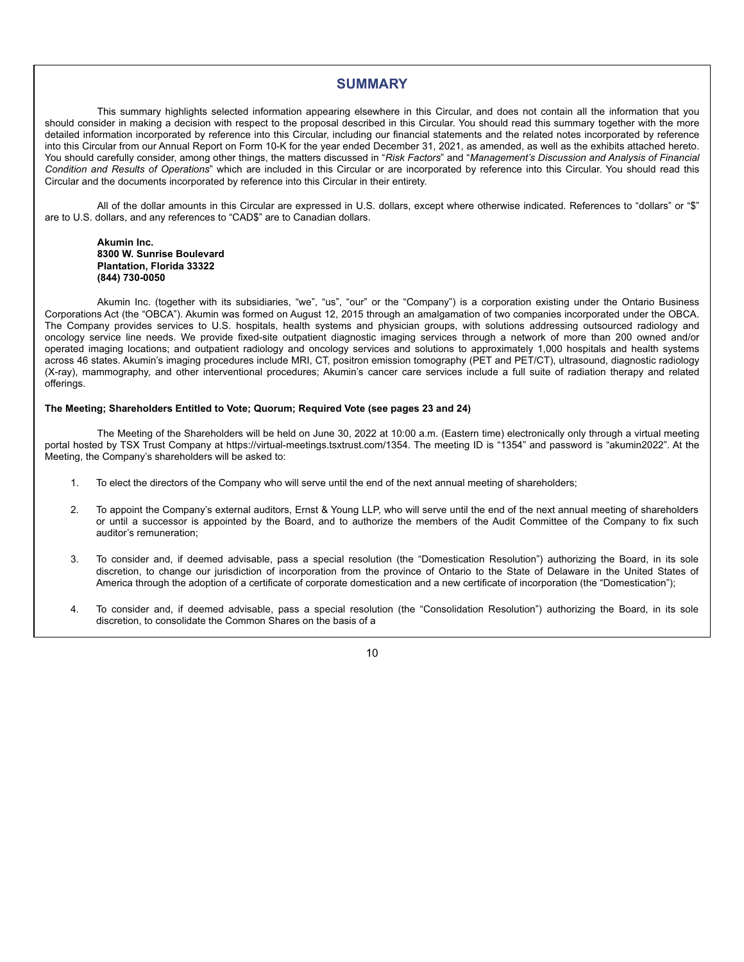## **SUMMARY**

This summary highlights selected information appearing elsewhere in this Circular, and does not contain all the information that you should consider in making a decision with respect to the proposal described in this Circular. You should read this summary together with the more detailed information incorporated by reference into this Circular, including our financial statements and the related notes incorporated by reference into this Circular from our Annual Report on Form 10-K for the year ended December 31, 2021, as amended, as well as the exhibits attached hereto. You should carefully consider, among other things, the matters discussed in "*Risk Factors*" and "*Management's Discussion and Analysis of Financial Condition and Results of Operations*" which are included in this Circular or are incorporated by reference into this Circular. You should read this Circular and the documents incorporated by reference into this Circular in their entirety.

All of the dollar amounts in this Circular are expressed in U.S. dollars, except where otherwise indicated. References to "dollars" or "\$" are to U.S. dollars, and any references to "CAD\$" are to Canadian dollars.

#### **Akumin Inc. 8300 W. Sunrise Boulevard Plantation, Florida 33322 (844) 730-0050**

Akumin Inc. (together with its subsidiaries, "we", "us", "our" or the "Company") is a corporation existing under the Ontario Business Corporations Act (the "OBCA"). Akumin was formed on August 12, 2015 through an amalgamation of two companies incorporated under the OBCA. The Company provides services to U.S. hospitals, health systems and physician groups, with solutions addressing outsourced radiology and oncology service line needs. We provide fixed-site outpatient diagnostic imaging services through a network of more than 200 owned and/or operated imaging locations; and outpatient radiology and oncology services and solutions to approximately 1,000 hospitals and health systems across 46 states. Akumin's imaging procedures include MRI, CT, positron emission tomography (PET and PET/CT), ultrasound, diagnostic radiology (X-ray), mammography, and other interventional procedures; Akumin's cancer care services include a full suite of radiation therapy and related offerings.

#### **The Meeting; Shareholders Entitled to Vote; Quorum; Required Vote (see pages 23 and 24)**

The Meeting of the Shareholders will be held on June 30, 2022 at 10:00 a.m. (Eastern time) electronically only through a virtual meeting portal hosted by TSX Trust Company at https://virtual-meetings.tsxtrust.com/1354. The meeting ID is "1354" and password is "akumin2022". At the Meeting, the Company's shareholders will be asked to:

- 1. To elect the directors of the Company who will serve until the end of the next annual meeting of shareholders;
- 2. To appoint the Company's external auditors, Ernst & Young LLP, who will serve until the end of the next annual meeting of shareholders or until a successor is appointed by the Board, and to authorize the members of the Audit Committee of the Company to fix such auditor's remuneration;
- 3. To consider and, if deemed advisable, pass a special resolution (the "Domestication Resolution") authorizing the Board, in its sole discretion, to change our jurisdiction of incorporation from the province of Ontario to the State of Delaware in the United States of America through the adoption of a certificate of corporate domestication and a new certificate of incorporation (the "Domestication");
- 4. To consider and, if deemed advisable, pass a special resolution (the "Consolidation Resolution") authorizing the Board, in its sole discretion, to consolidate the Common Shares on the basis of a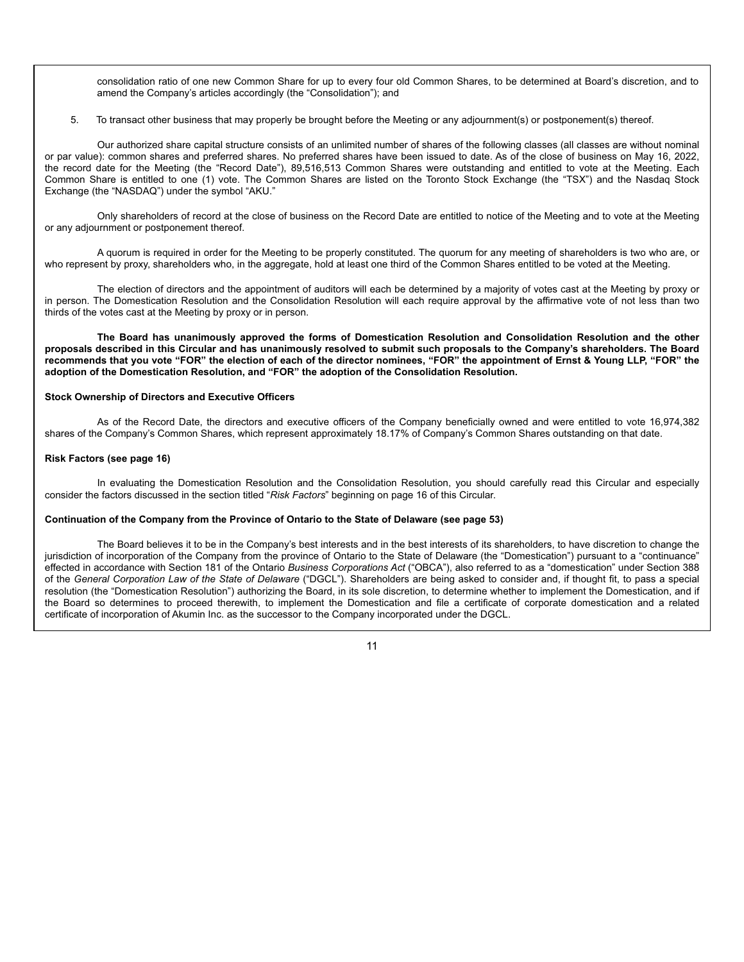consolidation ratio of one new Common Share for up to every four old Common Shares, to be determined at Board's discretion, and to amend the Company's articles accordingly (the "Consolidation"); and

5. To transact other business that may properly be brought before the Meeting or any adjournment(s) or postponement(s) thereof.

Our authorized share capital structure consists of an unlimited number of shares of the following classes (all classes are without nominal or par value): common shares and preferred shares. No preferred shares have been issued to date. As of the close of business on May 16, 2022, the record date for the Meeting (the "Record Date"), 89,516,513 Common Shares were outstanding and entitled to vote at the Meeting. Each Common Share is entitled to one (1) vote. The Common Shares are listed on the Toronto Stock Exchange (the "TSX") and the Nasdaq Stock Exchange (the "NASDAQ") under the symbol "AKU."

Only shareholders of record at the close of business on the Record Date are entitled to notice of the Meeting and to vote at the Meeting or any adjournment or postponement thereof.

A quorum is required in order for the Meeting to be properly constituted. The quorum for any meeting of shareholders is two who are, or who represent by proxy, shareholders who, in the aggregate, hold at least one third of the Common Shares entitled to be voted at the Meeting.

The election of directors and the appointment of auditors will each be determined by a majority of votes cast at the Meeting by proxy or in person. The Domestication Resolution and the Consolidation Resolution will each require approval by the affirmative vote of not less than two thirds of the votes cast at the Meeting by proxy or in person.

**The Board has unanimously approved the forms of Domestication Resolution and Consolidation Resolution and the other proposals described in this Circular and has unanimously resolved to submit such proposals to the Company's shareholders. The Board recommends that you vote "FOR" the election of each of the director nominees, "FOR" the appointment of Ernst & Young LLP, "FOR" the adoption of the Domestication Resolution, and "FOR" the adoption of the Consolidation Resolution.**

#### **Stock Ownership of Directors and Executive Officers**

As of the Record Date, the directors and executive officers of the Company beneficially owned and were entitled to vote 16,974,382 shares of the Company's Common Shares, which represent approximately 18.17% of Company's Common Shares outstanding on that date.

#### **Risk Factors (see page 16)**

In evaluating the Domestication Resolution and the Consolidation Resolution, you should carefully read this Circular and especially consider the factors discussed in the section titled "*Risk Factors*" beginning on page 16 of this Circular.

#### **Continuation of the Company from the Province of Ontario to the State of Delaware (see page 53)**

The Board believes it to be in the Company's best interests and in the best interests of its shareholders, to have discretion to change the jurisdiction of incorporation of the Company from the province of Ontario to the State of Delaware (the "Domestication") pursuant to a "continuance" effected in accordance with Section 181 of the Ontario *Business Corporations Act* ("OBCA"), also referred to as a "domestication" under Section 388 of the *General Corporation Law of the State of Delaware* ("DGCL"). Shareholders are being asked to consider and, if thought fit, to pass a special resolution (the "Domestication Resolution") authorizing the Board, in its sole discretion, to determine whether to implement the Domestication, and if the Board so determines to proceed therewith, to implement the Domestication and file a certificate of corporate domestication and a related certificate of incorporation of Akumin Inc. as the successor to the Company incorporated under the DGCL.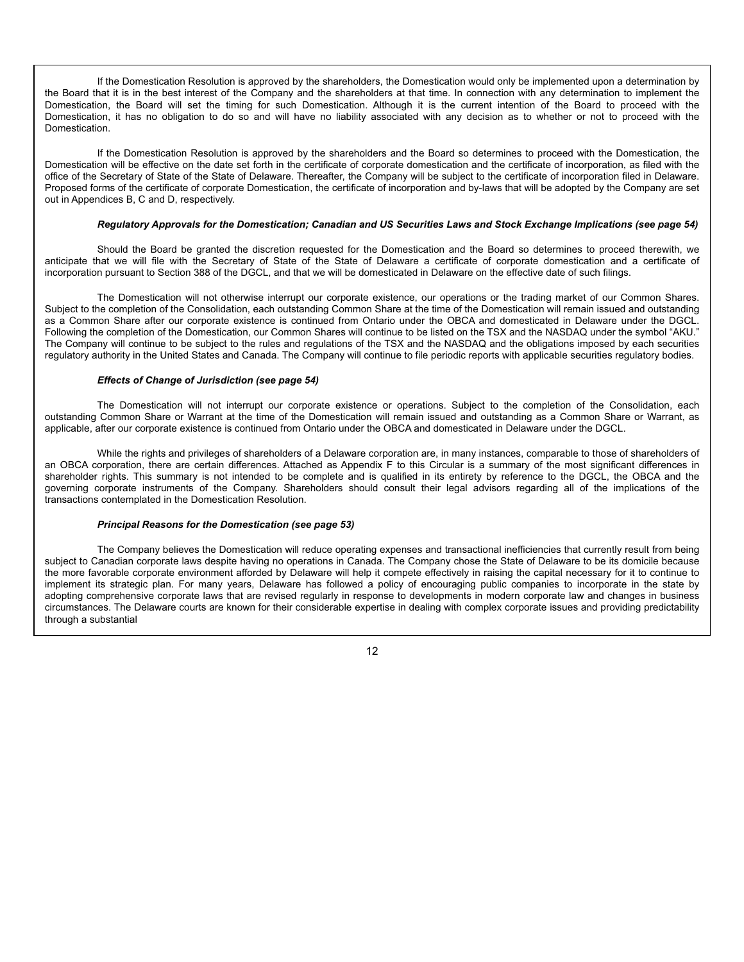If the Domestication Resolution is approved by the shareholders, the Domestication would only be implemented upon a determination by the Board that it is in the best interest of the Company and the shareholders at that time. In connection with any determination to implement the Domestication, the Board will set the timing for such Domestication. Although it is the current intention of the Board to proceed with the Domestication, it has no obligation to do so and will have no liability associated with any decision as to whether or not to proceed with the Domestication.

If the Domestication Resolution is approved by the shareholders and the Board so determines to proceed with the Domestication, the Domestication will be effective on the date set forth in the certificate of corporate domestication and the certificate of incorporation, as filed with the office of the Secretary of State of the State of Delaware. Thereafter, the Company will be subject to the certificate of incorporation filed in Delaware. Proposed forms of the certificate of corporate Domestication, the certificate of incorporation and by-laws that will be adopted by the Company are set out in Appendices B, C and D, respectively.

#### *Regulatory Approvals for the Domestication; Canadian and US Securities Laws and Stock Exchange Implications (see page 54)*

Should the Board be granted the discretion requested for the Domestication and the Board so determines to proceed therewith, we anticipate that we will file with the Secretary of State of the State of Delaware a certificate of corporate domestication and a certificate of incorporation pursuant to Section 388 of the DGCL, and that we will be domesticated in Delaware on the effective date of such filings.

The Domestication will not otherwise interrupt our corporate existence, our operations or the trading market of our Common Shares. Subject to the completion of the Consolidation, each outstanding Common Share at the time of the Domestication will remain issued and outstanding as a Common Share after our corporate existence is continued from Ontario under the OBCA and domesticated in Delaware under the DGCL. Following the completion of the Domestication, our Common Shares will continue to be listed on the TSX and the NASDAQ under the symbol "AKU." The Company will continue to be subject to the rules and regulations of the TSX and the NASDAQ and the obligations imposed by each securities regulatory authority in the United States and Canada. The Company will continue to file periodic reports with applicable securities regulatory bodies.

#### *Effects of Change of Jurisdiction (see page 54)*

The Domestication will not interrupt our corporate existence or operations. Subject to the completion of the Consolidation, each outstanding Common Share or Warrant at the time of the Domestication will remain issued and outstanding as a Common Share or Warrant, as applicable, after our corporate existence is continued from Ontario under the OBCA and domesticated in Delaware under the DGCL.

While the rights and privileges of shareholders of a Delaware corporation are, in many instances, comparable to those of shareholders of an OBCA corporation, there are certain differences. Attached as Appendix F to this Circular is a summary of the most significant differences in shareholder rights. This summary is not intended to be complete and is qualified in its entirety by reference to the DGCL, the OBCA and the governing corporate instruments of the Company. Shareholders should consult their legal advisors regarding all of the implications of the transactions contemplated in the Domestication Resolution.

#### *Principal Reasons for the Domestication (see page 53)*

The Company believes the Domestication will reduce operating expenses and transactional inefficiencies that currently result from being subject to Canadian corporate laws despite having no operations in Canada. The Company chose the State of Delaware to be its domicile because the more favorable corporate environment afforded by Delaware will help it compete effectively in raising the capital necessary for it to continue to implement its strategic plan. For many years, Delaware has followed a policy of encouraging public companies to incorporate in the state by adopting comprehensive corporate laws that are revised regularly in response to developments in modern corporate law and changes in business circumstances. The Delaware courts are known for their considerable expertise in dealing with complex corporate issues and providing predictability through a substantial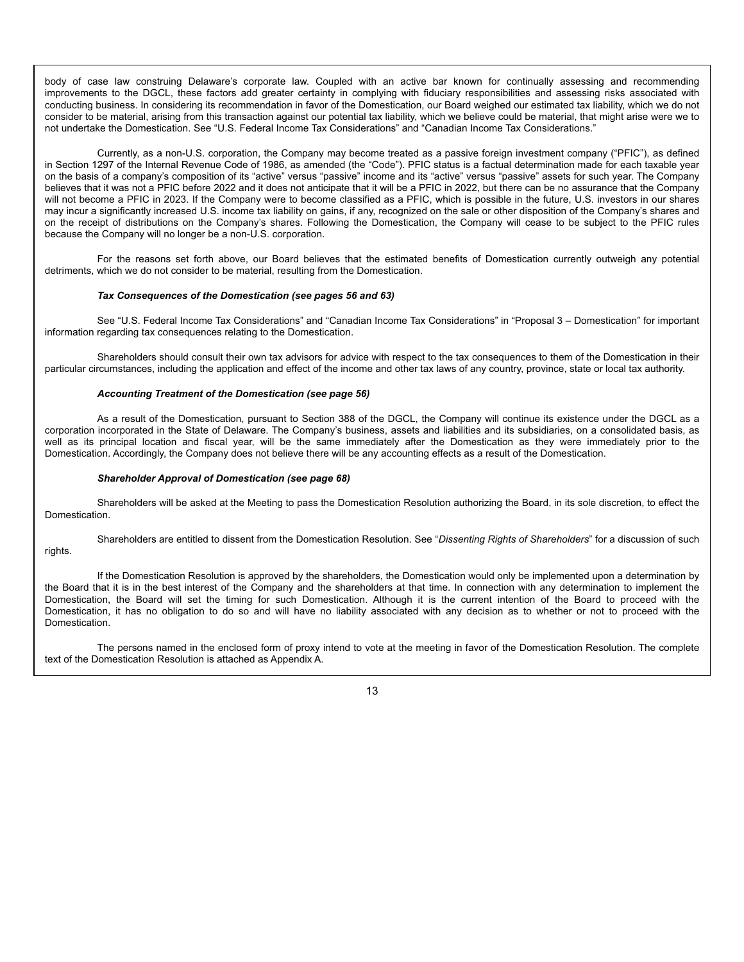body of case law construing Delaware's corporate law. Coupled with an active bar known for continually assessing and recommending improvements to the DGCL, these factors add greater certainty in complying with fiduciary responsibilities and assessing risks associated with conducting business. In considering its recommendation in favor of the Domestication, our Board weighed our estimated tax liability, which we do not consider to be material, arising from this transaction against our potential tax liability, which we believe could be material, that might arise were we to not undertake the Domestication. See "U.S. Federal Income Tax Considerations" and "Canadian Income Tax Considerations."

Currently, as a non-U.S. corporation, the Company may become treated as a passive foreign investment company ("PFIC"), as defined in Section 1297 of the Internal Revenue Code of 1986, as amended (the "Code"). PFIC status is a factual determination made for each taxable year on the basis of a company's composition of its "active" versus "passive" income and its "active" versus "passive" assets for such year. The Company believes that it was not a PFIC before 2022 and it does not anticipate that it will be a PFIC in 2022, but there can be no assurance that the Company will not become a PFIC in 2023. If the Company were to become classified as a PFIC, which is possible in the future, U.S. investors in our shares may incur a significantly increased U.S. income tax liability on gains, if any, recognized on the sale or other disposition of the Company's shares and on the receipt of distributions on the Company's shares. Following the Domestication, the Company will cease to be subject to the PFIC rules because the Company will no longer be a non-U.S. corporation.

For the reasons set forth above, our Board believes that the estimated benefits of Domestication currently outweigh any potential detriments, which we do not consider to be material, resulting from the Domestication.

#### *Tax Consequences of the Domestication (see pages 56 and 63)*

See "U.S. Federal Income Tax Considerations" and "Canadian Income Tax Considerations" in "Proposal 3 – Domestication" for important information regarding tax consequences relating to the Domestication.

Shareholders should consult their own tax advisors for advice with respect to the tax consequences to them of the Domestication in their particular circumstances, including the application and effect of the income and other tax laws of any country, province, state or local tax authority.

#### *Accounting Treatment of the Domestication (see page 56)*

As a result of the Domestication, pursuant to Section 388 of the DGCL, the Company will continue its existence under the DGCL as a corporation incorporated in the State of Delaware. The Company's business, assets and liabilities and its subsidiaries, on a consolidated basis, as well as its principal location and fiscal year, will be the same immediately after the Domestication as they were immediately prior to the Domestication. Accordingly, the Company does not believe there will be any accounting effects as a result of the Domestication.

#### *Shareholder Approval of Domestication (see page 68)*

Shareholders will be asked at the Meeting to pass the Domestication Resolution authorizing the Board, in its sole discretion, to effect the Domestication.

Shareholders are entitled to dissent from the Domestication Resolution. See "*Dissenting Rights of Shareholders*" for a discussion of such rights.

If the Domestication Resolution is approved by the shareholders, the Domestication would only be implemented upon a determination by the Board that it is in the best interest of the Company and the shareholders at that time. In connection with any determination to implement the Domestication, the Board will set the timing for such Domestication. Although it is the current intention of the Board to proceed with the Domestication, it has no obligation to do so and will have no liability associated with any decision as to whether or not to proceed with the Domestication.

The persons named in the enclosed form of proxy intend to vote at the meeting in favor of the Domestication Resolution. The complete text of the Domestication Resolution is attached as Appendix A.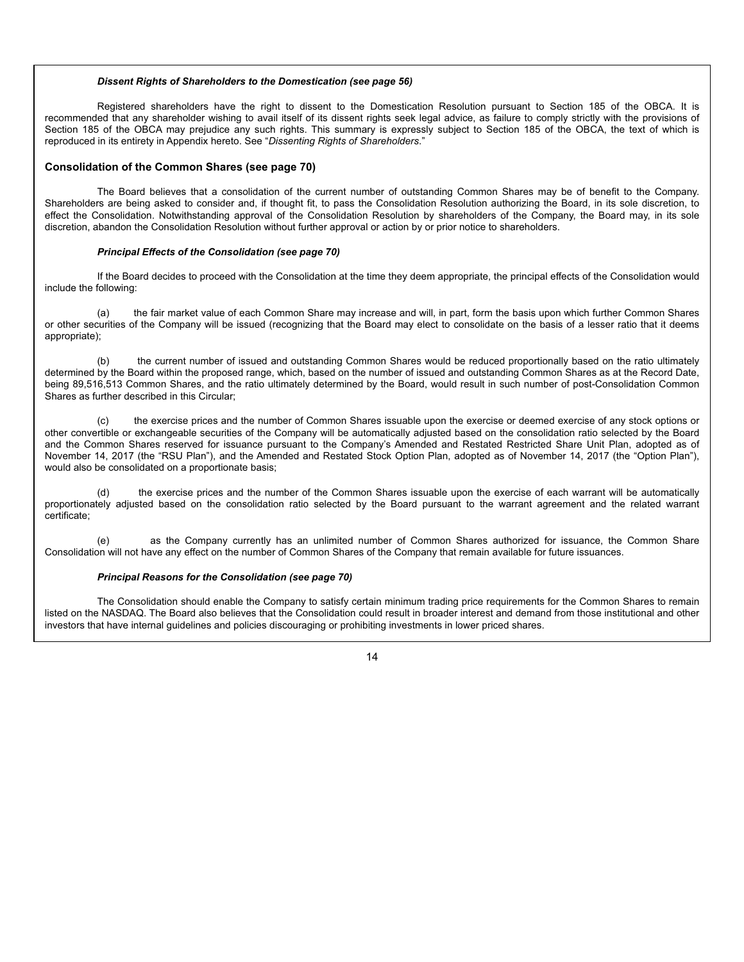#### *Dissent Rights of Shareholders to the Domestication (see page 56)*

Registered shareholders have the right to dissent to the Domestication Resolution pursuant to Section 185 of the OBCA. It is recommended that any shareholder wishing to avail itself of its dissent rights seek legal advice, as failure to comply strictly with the provisions of Section 185 of the OBCA may prejudice any such rights. This summary is expressly subject to Section 185 of the OBCA, the text of which is reproduced in its entirety in Appendix hereto. See "*Dissenting Rights of Shareholders*."

#### **Consolidation of the Common Shares (see page 70)**

The Board believes that a consolidation of the current number of outstanding Common Shares may be of benefit to the Company. Shareholders are being asked to consider and, if thought fit, to pass the Consolidation Resolution authorizing the Board, in its sole discretion, to effect the Consolidation. Notwithstanding approval of the Consolidation Resolution by shareholders of the Company, the Board may, in its sole discretion, abandon the Consolidation Resolution without further approval or action by or prior notice to shareholders.

#### *Principal Effects of the Consolidation (see page 70)*

If the Board decides to proceed with the Consolidation at the time they deem appropriate, the principal effects of the Consolidation would include the following:

(a) the fair market value of each Common Share may increase and will, in part, form the basis upon which further Common Shares or other securities of the Company will be issued (recognizing that the Board may elect to consolidate on the basis of a lesser ratio that it deems appropriate);

(b) the current number of issued and outstanding Common Shares would be reduced proportionally based on the ratio ultimately determined by the Board within the proposed range, which, based on the number of issued and outstanding Common Shares as at the Record Date, being 89,516,513 Common Shares, and the ratio ultimately determined by the Board, would result in such number of post-Consolidation Common Shares as further described in this Circular;

(c) the exercise prices and the number of Common Shares issuable upon the exercise or deemed exercise of any stock options or other convertible or exchangeable securities of the Company will be automatically adjusted based on the consolidation ratio selected by the Board and the Common Shares reserved for issuance pursuant to the Company's Amended and Restated Restricted Share Unit Plan, adopted as of November 14, 2017 (the "RSU Plan"), and the Amended and Restated Stock Option Plan, adopted as of November 14, 2017 (the "Option Plan"), would also be consolidated on a proportionate basis;

(d) the exercise prices and the number of the Common Shares issuable upon the exercise of each warrant will be automatically proportionately adjusted based on the consolidation ratio selected by the Board pursuant to the warrant agreement and the related warrant certificate;

(e) as the Company currently has an unlimited number of Common Shares authorized for issuance, the Common Share Consolidation will not have any effect on the number of Common Shares of the Company that remain available for future issuances.

#### *Principal Reasons for the Consolidation (see page 70)*

The Consolidation should enable the Company to satisfy certain minimum trading price requirements for the Common Shares to remain listed on the NASDAQ. The Board also believes that the Consolidation could result in broader interest and demand from those institutional and other investors that have internal guidelines and policies discouraging or prohibiting investments in lower priced shares.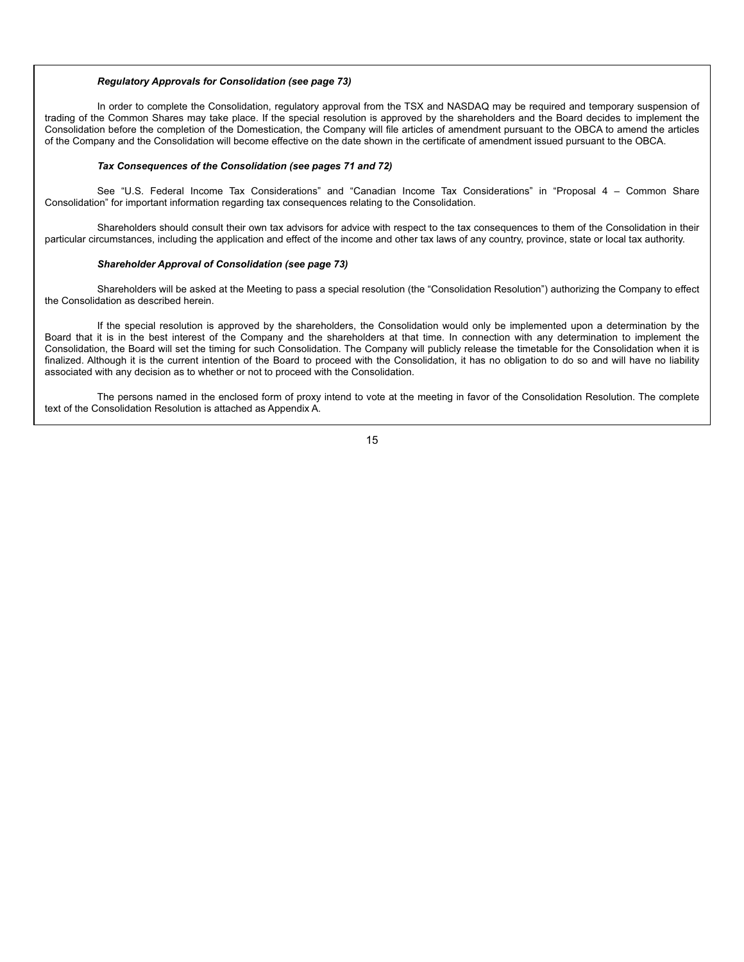#### *Regulatory Approvals for Consolidation (see page 73)*

In order to complete the Consolidation, regulatory approval from the TSX and NASDAQ may be required and temporary suspension of trading of the Common Shares may take place. If the special resolution is approved by the shareholders and the Board decides to implement the Consolidation before the completion of the Domestication, the Company will file articles of amendment pursuant to the OBCA to amend the articles of the Company and the Consolidation will become effective on the date shown in the certificate of amendment issued pursuant to the OBCA.

#### *Tax Consequences of the Consolidation (see pages 71 and 72)*

See "U.S. Federal Income Tax Considerations" and "Canadian Income Tax Considerations" in "Proposal 4 – Common Share Consolidation" for important information regarding tax consequences relating to the Consolidation.

Shareholders should consult their own tax advisors for advice with respect to the tax consequences to them of the Consolidation in their particular circumstances, including the application and effect of the income and other tax laws of any country, province, state or local tax authority.

#### *Shareholder Approval of Consolidation (see page 73)*

Shareholders will be asked at the Meeting to pass a special resolution (the "Consolidation Resolution") authorizing the Company to effect the Consolidation as described herein.

If the special resolution is approved by the shareholders, the Consolidation would only be implemented upon a determination by the Board that it is in the best interest of the Company and the shareholders at that time. In connection with any determination to implement the Consolidation, the Board will set the timing for such Consolidation. The Company will publicly release the timetable for the Consolidation when it is finalized. Although it is the current intention of the Board to proceed with the Consolidation, it has no obligation to do so and will have no liability associated with any decision as to whether or not to proceed with the Consolidation.

The persons named in the enclosed form of proxy intend to vote at the meeting in favor of the Consolidation Resolution. The complete text of the Consolidation Resolution is attached as Appendix A.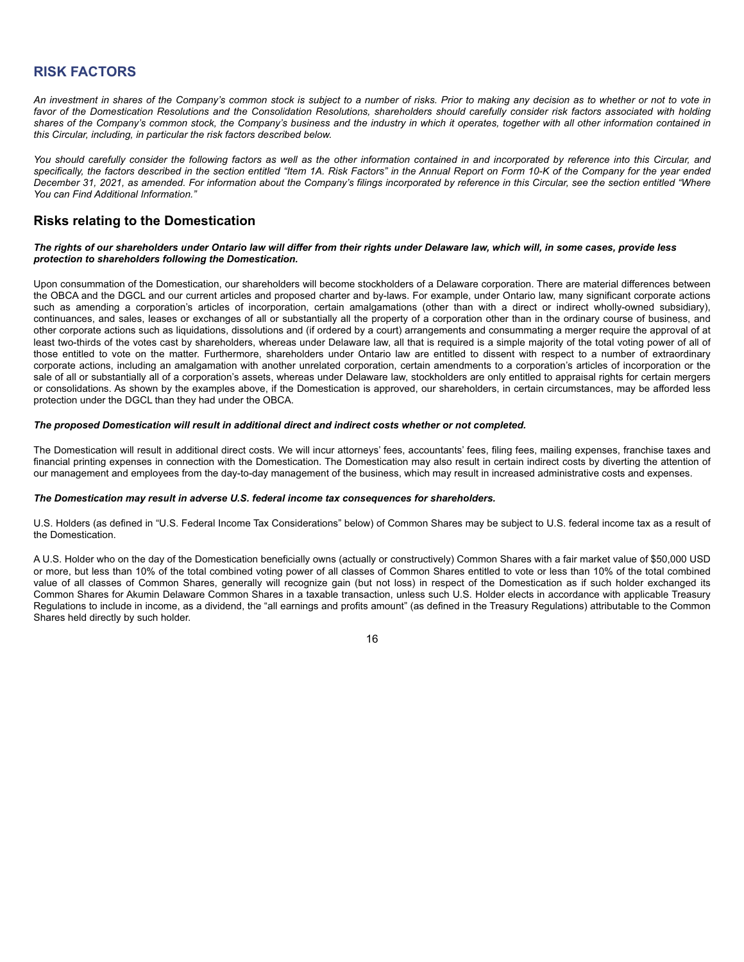## **RISK FACTORS**

*An investment in shares of the Company's common stock is subject to a number of risks. Prior to making any decision as to whether or not to vote in favor of the Domestication Resolutions and the Consolidation Resolutions, shareholders should carefully consider risk factors associated with holding shares of the Company's common stock, the Company's business and the industry in which it operates, together with all other information contained in this Circular, including, in particular the risk factors described below.*

*You should carefully consider the following factors as well as the other information contained in and incorporated by reference into this Circular, and specifically, the factors described in the section entitled "Item 1A. Risk Factors" in the Annual Report on Form 10-K of the Company for the year ended December 31, 2021, as amended. For information about the Company's filings incorporated by reference in this Circular, see the section entitled "Where You can Find Additional Information."*

## **Risks relating to the Domestication**

#### *The rights of our shareholders under Ontario law will differ from their rights under Delaware law, which will, in some cases, provide less protection to shareholders following the Domestication.*

Upon consummation of the Domestication, our shareholders will become stockholders of a Delaware corporation. There are material differences between the OBCA and the DGCL and our current articles and proposed charter and by-laws. For example, under Ontario law, many significant corporate actions such as amending a corporation's articles of incorporation, certain amalgamations (other than with a direct or indirect wholly-owned subsidiary), continuances, and sales, leases or exchanges of all or substantially all the property of a corporation other than in the ordinary course of business, and other corporate actions such as liquidations, dissolutions and (if ordered by a court) arrangements and consummating a merger require the approval of at least two-thirds of the votes cast by shareholders, whereas under Delaware law, all that is required is a simple majority of the total voting power of all of those entitled to vote on the matter. Furthermore, shareholders under Ontario law are entitled to dissent with respect to a number of extraordinary corporate actions, including an amalgamation with another unrelated corporation, certain amendments to a corporation's articles of incorporation or the sale of all or substantially all of a corporation's assets, whereas under Delaware law, stockholders are only entitled to appraisal rights for certain mergers or consolidations. As shown by the examples above, if the Domestication is approved, our shareholders, in certain circumstances, may be afforded less protection under the DGCL than they had under the OBCA.

#### *The proposed Domestication will result in additional direct and indirect costs whether or not completed.*

The Domestication will result in additional direct costs. We will incur attorneys' fees, accountants' fees, filing fees, mailing expenses, franchise taxes and financial printing expenses in connection with the Domestication. The Domestication may also result in certain indirect costs by diverting the attention of our management and employees from the day-to-day management of the business, which may result in increased administrative costs and expenses.

#### *The Domestication may result in adverse U.S. federal income tax consequences for shareholders.*

U.S. Holders (as defined in "U.S. Federal Income Tax Considerations" below) of Common Shares may be subject to U.S. federal income tax as a result of the Domestication.

A U.S. Holder who on the day of the Domestication beneficially owns (actually or constructively) Common Shares with a fair market value of \$50,000 USD or more, but less than 10% of the total combined voting power of all classes of Common Shares entitled to vote or less than 10% of the total combined value of all classes of Common Shares, generally will recognize gain (but not loss) in respect of the Domestication as if such holder exchanged its Common Shares for Akumin Delaware Common Shares in a taxable transaction, unless such U.S. Holder elects in accordance with applicable Treasury Regulations to include in income, as a dividend, the "all earnings and profits amount" (as defined in the Treasury Regulations) attributable to the Common Shares held directly by such holder.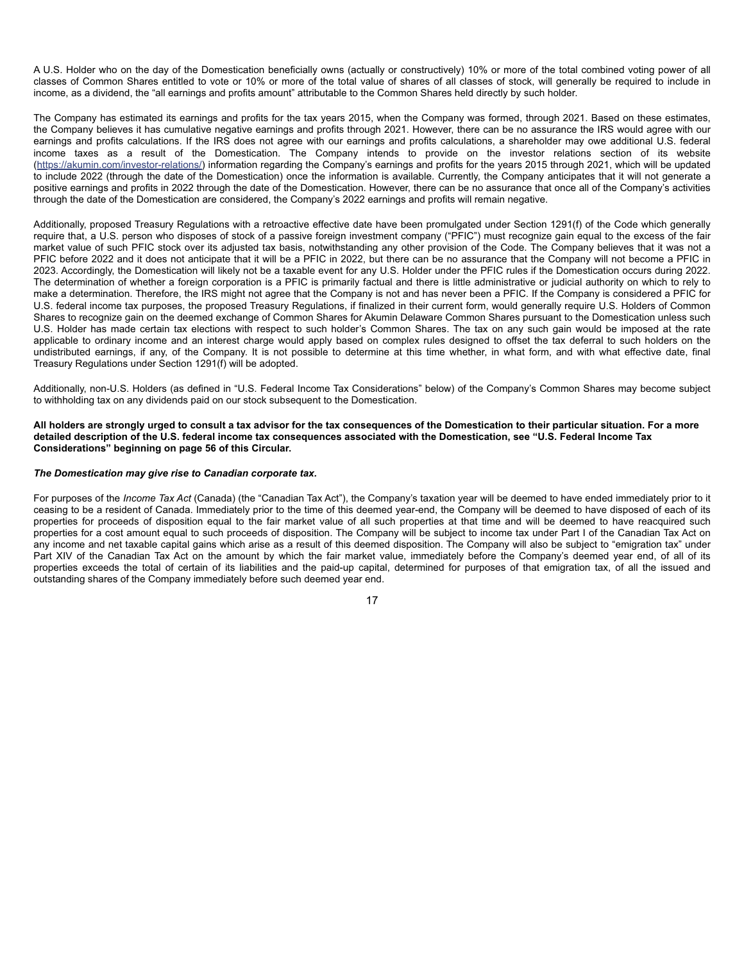A U.S. Holder who on the day of the Domestication beneficially owns (actually or constructively) 10% or more of the total combined voting power of all classes of Common Shares entitled to vote or 10% or more of the total value of shares of all classes of stock, will generally be required to include in income, as a dividend, the "all earnings and profits amount" attributable to the Common Shares held directly by such holder.

The Company has estimated its earnings and profits for the tax years 2015, when the Company was formed, through 2021. Based on these estimates, the Company believes it has cumulative negative earnings and profits through 2021. However, there can be no assurance the IRS would agree with our earnings and profits calculations. If the IRS does not agree with our earnings and profits calculations, a shareholder may owe additional U.S. federal income taxes as a result of the Domestication. The Company intends to provide on the investor relations section of its website (https://akumin.com/investor-relations/) information regarding the Company's earnings and profits for the years 2015 through 2021, which will be updated to include 2022 (through the date of the Domestication) once the information is available. Currently, the Company anticipates that it will not generate a positive earnings and profits in 2022 through the date of the Domestication. However, there can be no assurance that once all of the Company's activities through the date of the Domestication are considered, the Company's 2022 earnings and profits will remain negative.

Additionally, proposed Treasury Regulations with a retroactive effective date have been promulgated under Section 1291(f) of the Code which generally require that, a U.S. person who disposes of stock of a passive foreign investment company ("PFIC") must recognize gain equal to the excess of the fair market value of such PFIC stock over its adjusted tax basis, notwithstanding any other provision of the Code. The Company believes that it was not a PFIC before 2022 and it does not anticipate that it will be a PFIC in 2022, but there can be no assurance that the Company will not become a PFIC in 2023. Accordingly, the Domestication will likely not be a taxable event for any U.S. Holder under the PFIC rules if the Domestication occurs during 2022. The determination of whether a foreign corporation is a PFIC is primarily factual and there is little administrative or judicial authority on which to rely to make a determination. Therefore, the IRS might not agree that the Company is not and has never been a PFIC. If the Company is considered a PFIC for U.S. federal income tax purposes, the proposed Treasury Regulations, if finalized in their current form, would generally require U.S. Holders of Common Shares to recognize gain on the deemed exchange of Common Shares for Akumin Delaware Common Shares pursuant to the Domestication unless such U.S. Holder has made certain tax elections with respect to such holder's Common Shares. The tax on any such gain would be imposed at the rate applicable to ordinary income and an interest charge would apply based on complex rules designed to offset the tax deferral to such holders on the undistributed earnings, if any, of the Company. It is not possible to determine at this time whether, in what form, and with what effective date, final Treasury Regulations under Section 1291(f) will be adopted.

Additionally, non-U.S. Holders (as defined in "U.S. Federal Income Tax Considerations" below) of the Company's Common Shares may become subject to withholding tax on any dividends paid on our stock subsequent to the Domestication.

**All holders are strongly urged to consult a tax advisor for the tax consequences of the Domestication to their particular situation. For a more detailed description of the U.S. federal income tax consequences associated with the Domestication, see "U.S. Federal Income Tax Considerations" beginning on page 56 of this Circular.**

#### *The Domestication may give rise to Canadian corporate tax.*

For purposes of the *Income Tax Act* (Canada) (the "Canadian Tax Act"), the Company's taxation year will be deemed to have ended immediately prior to it ceasing to be a resident of Canada. Immediately prior to the time of this deemed year-end, the Company will be deemed to have disposed of each of its properties for proceeds of disposition equal to the fair market value of all such properties at that time and will be deemed to have reacquired such properties for a cost amount equal to such proceeds of disposition. The Company will be subject to income tax under Part I of the Canadian Tax Act on any income and net taxable capital gains which arise as a result of this deemed disposition. The Company will also be subject to "emigration tax" under Part XIV of the Canadian Tax Act on the amount by which the fair market value, immediately before the Company's deemed year end, of all of its properties exceeds the total of certain of its liabilities and the paid-up capital, determined for purposes of that emigration tax, of all the issued and outstanding shares of the Company immediately before such deemed year end.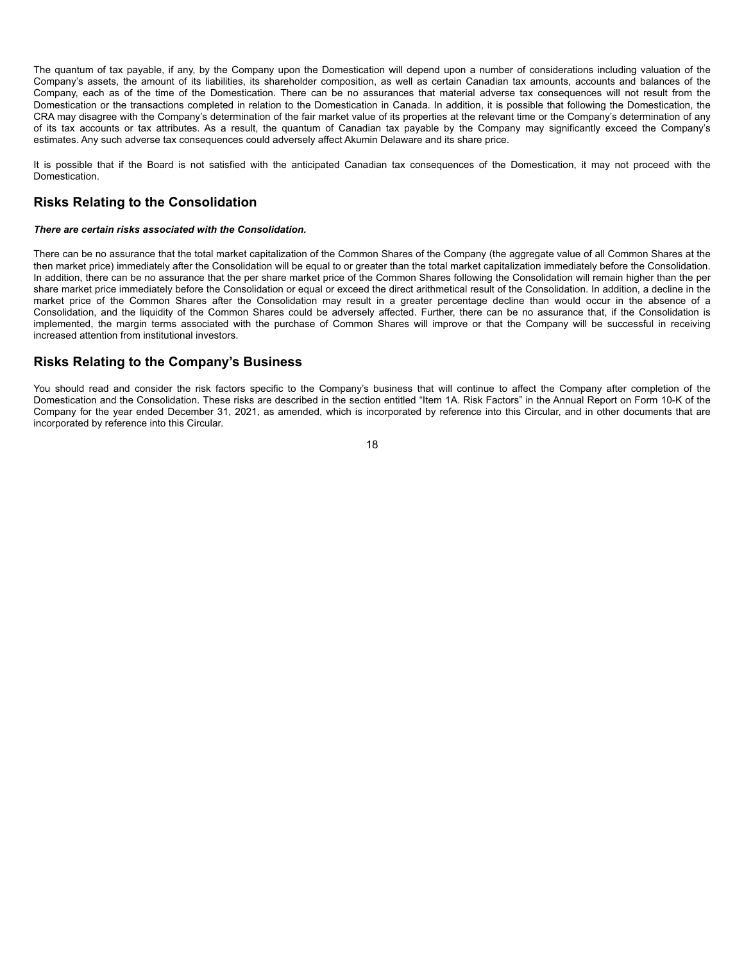The quantum of tax payable, if any, by the Company upon the Domestication will depend upon a number of considerations including valuation of the Company's assets, the amount of its liabilities, its shareholder composition, as well as certain Canadian tax amounts, accounts and balances of the Company, each as of the time of the Domestication. There can be no assurances that material adverse tax consequences will not result from the Domestication or the transactions completed in relation to the Domestication in Canada. In addition, it is possible that following the Domestication, the CRA may disagree with the Company's determination of the fair market value of its properties at the relevant time or the Company's determination of any of its tax accounts or tax attributes. As a result, the quantum of Canadian tax payable by the Company may significantly exceed the Company's estimates. Any such adverse tax consequences could adversely affect Akumin Delaware and its share price.

It is possible that if the Board is not satisfied with the anticipated Canadian tax consequences of the Domestication, it may not proceed with the Domestication.

### **Risks Relating to the Consolidation**

#### *There are certain risks associated with the Consolidation.*

There can be no assurance that the total market capitalization of the Common Shares of the Company (the aggregate value of all Common Shares at the then market price) immediately after the Consolidation will be equal to or greater than the total market capitalization immediately before the Consolidation. In addition, there can be no assurance that the per share market price of the Common Shares following the Consolidation will remain higher than the per share market price immediately before the Consolidation or equal or exceed the direct arithmetical result of the Consolidation. In addition, a decline in the market price of the Common Shares after the Consolidation may result in a greater percentage decline than would occur in the absence of a Consolidation, and the liquidity of the Common Shares could be adversely affected. Further, there can be no assurance that, if the Consolidation is implemented, the margin terms associated with the purchase of Common Shares will improve or that the Company will be successful in receiving increased attention from institutional investors.

### **Risks Relating to the Company's Business**

You should read and consider the risk factors specific to the Company's business that will continue to affect the Company after completion of the Domestication and the Consolidation. These risks are described in the section entitled "Item 1A. Risk Factors" in the Annual Report on Form 10-K of the Company for the year ended December 31, 2021, as amended, which is incorporated by reference into this Circular, and in other documents that are incorporated by reference into this Circular.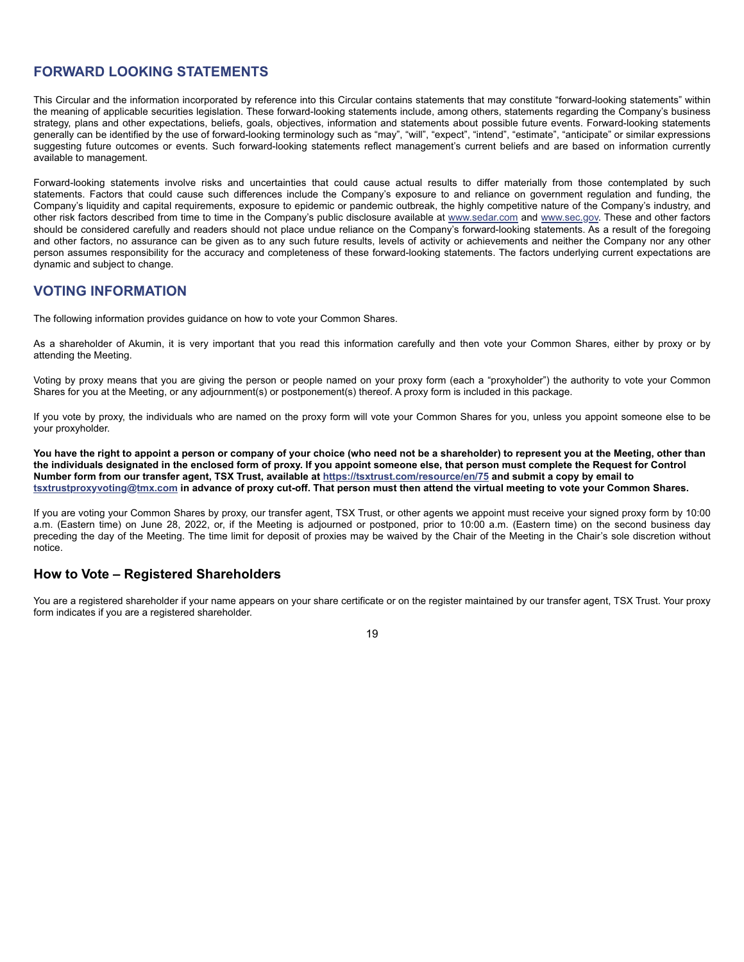## **FORWARD LOOKING STATEMENTS**

This Circular and the information incorporated by reference into this Circular contains statements that may constitute "forward-looking statements" within the meaning of applicable securities legislation. These forward-looking statements include, among others, statements regarding the Company's business strategy, plans and other expectations, beliefs, goals, objectives, information and statements about possible future events. Forward-looking statements generally can be identified by the use of forward-looking terminology such as "may", "will", "expect", "intend", "estimate", "anticipate" or similar expressions suggesting future outcomes or events. Such forward-looking statements reflect management's current beliefs and are based on information currently available to management.

Forward-looking statements involve risks and uncertainties that could cause actual results to differ materially from those contemplated by such statements. Factors that could cause such differences include the Company's exposure to and reliance on government regulation and funding, the Company's liquidity and capital requirements, exposure to epidemic or pandemic outbreak, the highly competitive nature of the Company's industry, and other risk factors described from time to time in the Company's public disclosure available at www.sedar.com and www.sec.gov. These and other factors should be considered carefully and readers should not place undue reliance on the Company's forward-looking statements. As a result of the foregoing and other factors, no assurance can be given as to any such future results, levels of activity or achievements and neither the Company nor any other person assumes responsibility for the accuracy and completeness of these forward-looking statements. The factors underlying current expectations are dynamic and subject to change.

## **VOTING INFORMATION**

The following information provides guidance on how to vote your Common Shares.

As a shareholder of Akumin, it is very important that you read this information carefully and then vote your Common Shares, either by proxy or by attending the Meeting.

Voting by proxy means that you are giving the person or people named on your proxy form (each a "proxyholder") the authority to vote your Common Shares for you at the Meeting, or any adjournment(s) or postponement(s) thereof. A proxy form is included in this package.

If you vote by proxy, the individuals who are named on the proxy form will vote your Common Shares for you, unless you appoint someone else to be your proxyholder.

**You have the right to appoint a person or company of your choice (who need not be a shareholder) to represent you at the Meeting, other than the individuals designated in the enclosed form of proxy. If you appoint someone else, that person must complete the Request for Control Number form from our transfer agent, TSX Trust, available at https://tsxtrust.com/resource/en/75 and submit a copy by email to tsxtrustproxyvoting@tmx.com in advance of proxy cut-off. That person must then attend the virtual meeting to vote your Common Shares.**

If you are voting your Common Shares by proxy, our transfer agent, TSX Trust, or other agents we appoint must receive your signed proxy form by 10:00 a.m. (Eastern time) on June 28, 2022, or, if the Meeting is adjourned or postponed, prior to 10:00 a.m. (Eastern time) on the second business day preceding the day of the Meeting. The time limit for deposit of proxies may be waived by the Chair of the Meeting in the Chair's sole discretion without notice.

## **How to Vote – Registered Shareholders**

You are a registered shareholder if your name appears on your share certificate or on the register maintained by our transfer agent, TSX Trust. Your proxy form indicates if you are a registered shareholder.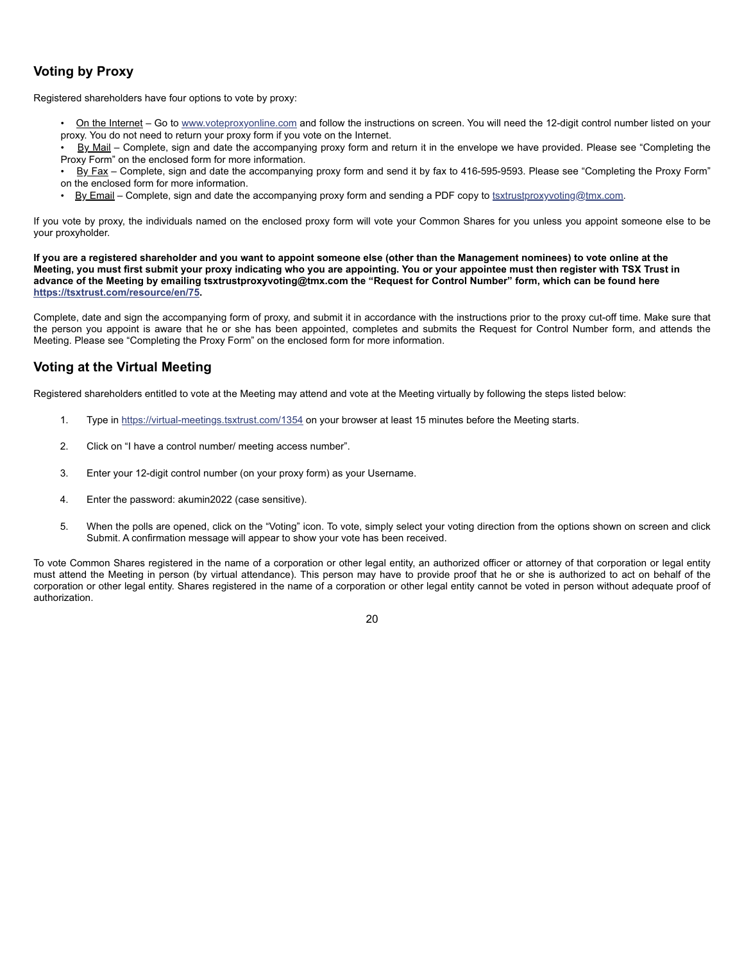## **Voting by Proxy**

Registered shareholders have four options to vote by proxy:

- On the Internet Go to www.voteproxyonline.com and follow the instructions on screen. You will need the 12-digit control number listed on your proxy. You do not need to return your proxy form if you vote on the Internet.
- By Mail Complete, sign and date the accompanying proxy form and return it in the envelope we have provided. Please see "Completing the Proxy Form" on the enclosed form for more information.
- By Fax Complete, sign and date the accompanying proxy form and send it by fax to 416-595-9593. Please see "Completing the Proxy Form" on the enclosed form for more information.
- By Email Complete, sign and date the accompanying proxy form and sending a PDF copy to tsxtrustproxyvoting@tmx.com.

If you vote by proxy, the individuals named on the enclosed proxy form will vote your Common Shares for you unless you appoint someone else to be your proxyholder.

**If you are a registered shareholder and you want to appoint someone else (other than the Management nominees) to vote online at the Meeting, you must first submit your proxy indicating who you are appointing. You or your appointee must then register with TSX Trust in advance of the Meeting by emailing tsxtrustproxyvoting@tmx.com the "Request for Control Number" form, which can be found here https://tsxtrust.com/resource/en/75.**

Complete, date and sign the accompanying form of proxy, and submit it in accordance with the instructions prior to the proxy cut-off time. Make sure that the person you appoint is aware that he or she has been appointed, completes and submits the Request for Control Number form, and attends the Meeting. Please see "Completing the Proxy Form" on the enclosed form for more information.

## **Voting at the Virtual Meeting**

Registered shareholders entitled to vote at the Meeting may attend and vote at the Meeting virtually by following the steps listed below:

- 1. Type in https://virtual-meetings.tsxtrust.com/1354 on your browser at least 15 minutes before the Meeting starts.
- 2. Click on "I have a control number/ meeting access number".
- 3. Enter your 12-digit control number (on your proxy form) as your Username.
- 4. Enter the password: akumin2022 (case sensitive).
- 5. When the polls are opened, click on the "Voting" icon. To vote, simply select your voting direction from the options shown on screen and click Submit. A confirmation message will appear to show your vote has been received.

To vote Common Shares registered in the name of a corporation or other legal entity, an authorized officer or attorney of that corporation or legal entity must attend the Meeting in person (by virtual attendance). This person may have to provide proof that he or she is authorized to act on behalf of the corporation or other legal entity. Shares registered in the name of a corporation or other legal entity cannot be voted in person without adequate proof of authorization.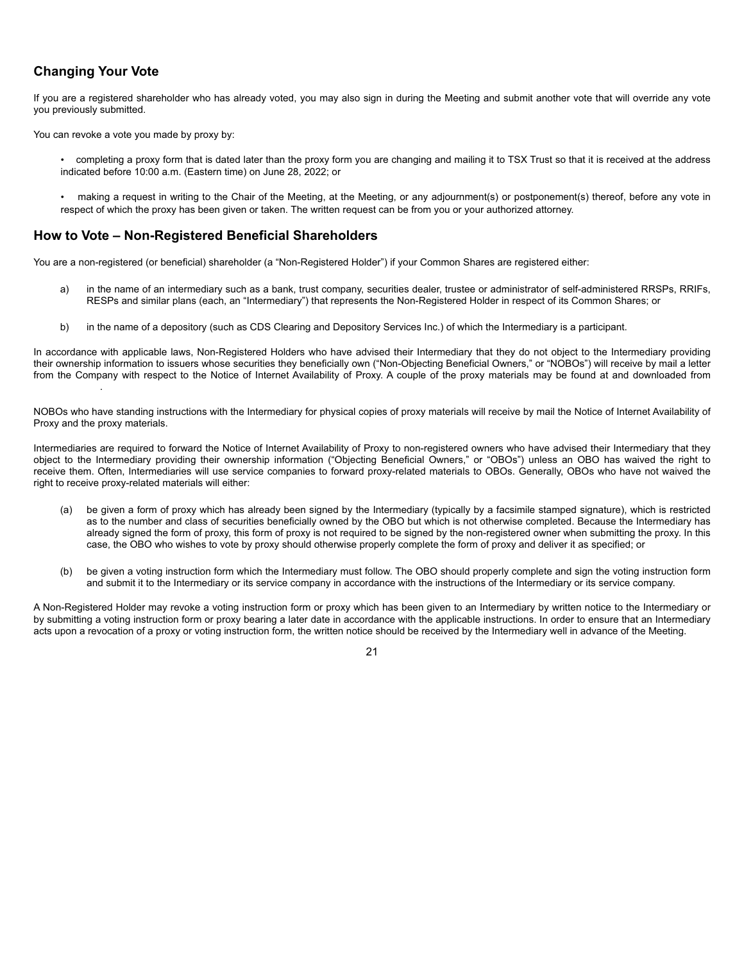## **Changing Your Vote**

If you are a registered shareholder who has already voted, you may also sign in during the Meeting and submit another vote that will override any vote you previously submitted.

You can revoke a vote you made by proxy by:

- completing a proxy form that is dated later than the proxy form you are changing and mailing it to TSX Trust so that it is received at the address indicated before 10:00 a.m. (Eastern time) on June 28, 2022; or
- making a request in writing to the Chair of the Meeting, at the Meeting, or any adjournment(s) or postponement(s) thereof, before any vote in respect of which the proxy has been given or taken. The written request can be from you or your authorized attorney.

## **How to Vote – Non-Registered Beneficial Shareholders**

You are a non-registered (or beneficial) shareholder (a "Non-Registered Holder") if your Common Shares are registered either:

- a) in the name of an intermediary such as a bank, trust company, securities dealer, trustee or administrator of self-administered RRSPs, RRIFs, RESPs and similar plans (each, an "Intermediary") that represents the Non-Registered Holder in respect of its Common Shares; or
- b) in the name of a depository (such as CDS Clearing and Depository Services Inc.) of which the Intermediary is a participant.

In accordance with applicable laws, Non-Registered Holders who have advised their Intermediary that they do not object to the Intermediary providing their ownership information to issuers whose securities they beneficially own ("Non-Objecting Beneficial Owners," or "NOBOs") will receive by mail a letter from the Company with respect to the Notice of Internet Availability of Proxy. A couple of the proxy materials may be found at and downloaded from .

NOBOs who have standing instructions with the Intermediary for physical copies of proxy materials will receive by mail the Notice of Internet Availability of Proxy and the proxy materials.

Intermediaries are required to forward the Notice of Internet Availability of Proxy to non-registered owners who have advised their Intermediary that they object to the Intermediary providing their ownership information ("Objecting Beneficial Owners," or "OBOs") unless an OBO has waived the right to receive them. Often, Intermediaries will use service companies to forward proxy-related materials to OBOs. Generally, OBOs who have not waived the right to receive proxy-related materials will either:

- (a) be given a form of proxy which has already been signed by the Intermediary (typically by a facsimile stamped signature), which is restricted as to the number and class of securities beneficially owned by the OBO but which is not otherwise completed. Because the Intermediary has already signed the form of proxy, this form of proxy is not required to be signed by the non-registered owner when submitting the proxy. In this case, the OBO who wishes to vote by proxy should otherwise properly complete the form of proxy and deliver it as specified; or
- (b) be given a voting instruction form which the Intermediary must follow. The OBO should properly complete and sign the voting instruction form and submit it to the Intermediary or its service company in accordance with the instructions of the Intermediary or its service company.

A Non-Registered Holder may revoke a voting instruction form or proxy which has been given to an Intermediary by written notice to the Intermediary or by submitting a voting instruction form or proxy bearing a later date in accordance with the applicable instructions. In order to ensure that an Intermediary acts upon a revocation of a proxy or voting instruction form, the written notice should be received by the Intermediary well in advance of the Meeting.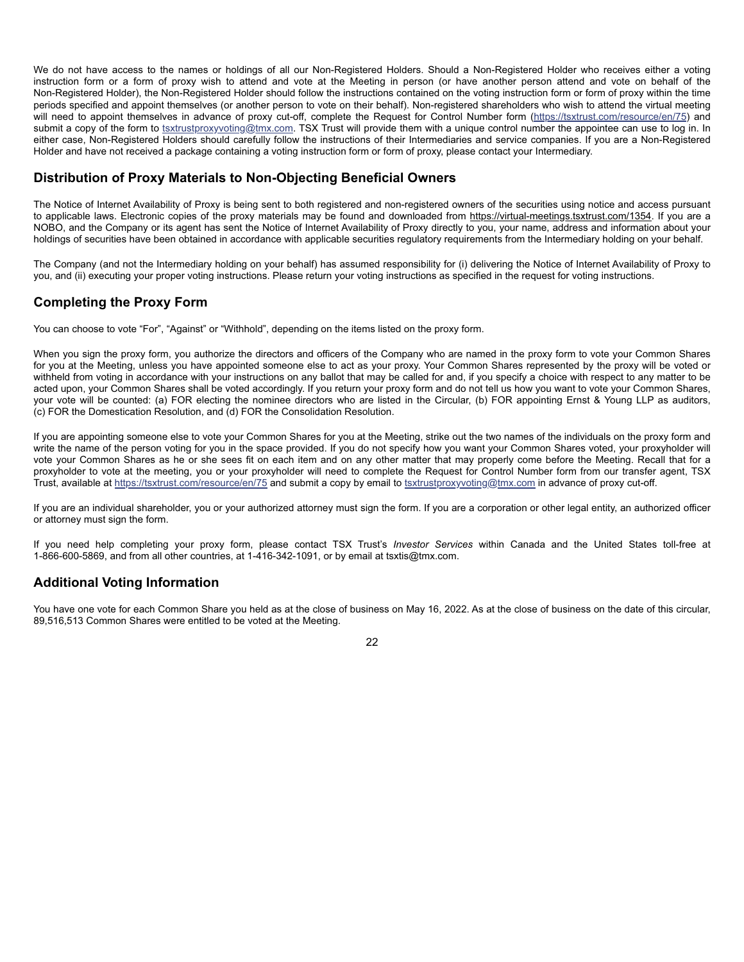We do not have access to the names or holdings of all our Non-Registered Holders. Should a Non-Registered Holder who receives either a voting instruction form or a form of proxy wish to attend and vote at the Meeting in person (or have another person attend and vote on behalf of the Non-Registered Holder), the Non-Registered Holder should follow the instructions contained on the voting instruction form or form of proxy within the time periods specified and appoint themselves (or another person to vote on their behalf). Non-registered shareholders who wish to attend the virtual meeting will need to appoint themselves in advance of proxy cut-off, complete the Request for Control Number form (https://tsxtrust.com/resource/en/75) and submit a copy of the form to tsxtrustproxyvoting@tmx.com. TSX Trust will provide them with a unique control number the appointee can use to log in. In either case, Non-Registered Holders should carefully follow the instructions of their Intermediaries and service companies. If you are a Non-Registered Holder and have not received a package containing a voting instruction form or form of proxy, please contact your Intermediary.

## **Distribution of Proxy Materials to Non-Objecting Beneficial Owners**

The Notice of Internet Availability of Proxy is being sent to both registered and non-registered owners of the securities using notice and access pursuant to applicable laws. Electronic copies of the proxy materials may be found and downloaded from https://virtual-meetings.tsxtrust.com/1354. If you are a NOBO, and the Company or its agent has sent the Notice of Internet Availability of Proxy directly to you, your name, address and information about your holdings of securities have been obtained in accordance with applicable securities regulatory requirements from the Intermediary holding on your behalf.

The Company (and not the Intermediary holding on your behalf) has assumed responsibility for (i) delivering the Notice of Internet Availability of Proxy to you, and (ii) executing your proper voting instructions. Please return your voting instructions as specified in the request for voting instructions.

## **Completing the Proxy Form**

You can choose to vote "For", "Against" or "Withhold", depending on the items listed on the proxy form.

When you sign the proxy form, you authorize the directors and officers of the Company who are named in the proxy form to vote your Common Shares for you at the Meeting, unless you have appointed someone else to act as your proxy. Your Common Shares represented by the proxy will be voted or withheld from voting in accordance with your instructions on any ballot that may be called for and, if you specify a choice with respect to any matter to be acted upon, your Common Shares shall be voted accordingly. If you return your proxy form and do not tell us how you want to vote your Common Shares, your vote will be counted: (a) FOR electing the nominee directors who are listed in the Circular, (b) FOR appointing Ernst & Young LLP as auditors, (c) FOR the Domestication Resolution, and (d) FOR the Consolidation Resolution.

If you are appointing someone else to vote your Common Shares for you at the Meeting, strike out the two names of the individuals on the proxy form and write the name of the person voting for you in the space provided. If you do not specify how you want your Common Shares voted, your proxyholder will vote your Common Shares as he or she sees fit on each item and on any other matter that may properly come before the Meeting. Recall that for a proxyholder to vote at the meeting, you or your proxyholder will need to complete the Request for Control Number form from our transfer agent, TSX Trust, available at https://tsxtrust.com/resource/en/75 and submit a copy by email to tsxtrustproxyvoting@tmx.com in advance of proxy cut-off.

If you are an individual shareholder, you or your authorized attorney must sign the form. If you are a corporation or other legal entity, an authorized officer or attorney must sign the form.

If you need help completing your proxy form, please contact TSX Trust's *Investor Services* within Canada and the United States toll-free at 1-866-600-5869, and from all other countries, at 1-416-342-1091, or by email at tsxtis@tmx.com.

## **Additional Voting Information**

You have one vote for each Common Share you held as at the close of business on May 16, 2022. As at the close of business on the date of this circular, 89,516,513 Common Shares were entitled to be voted at the Meeting.

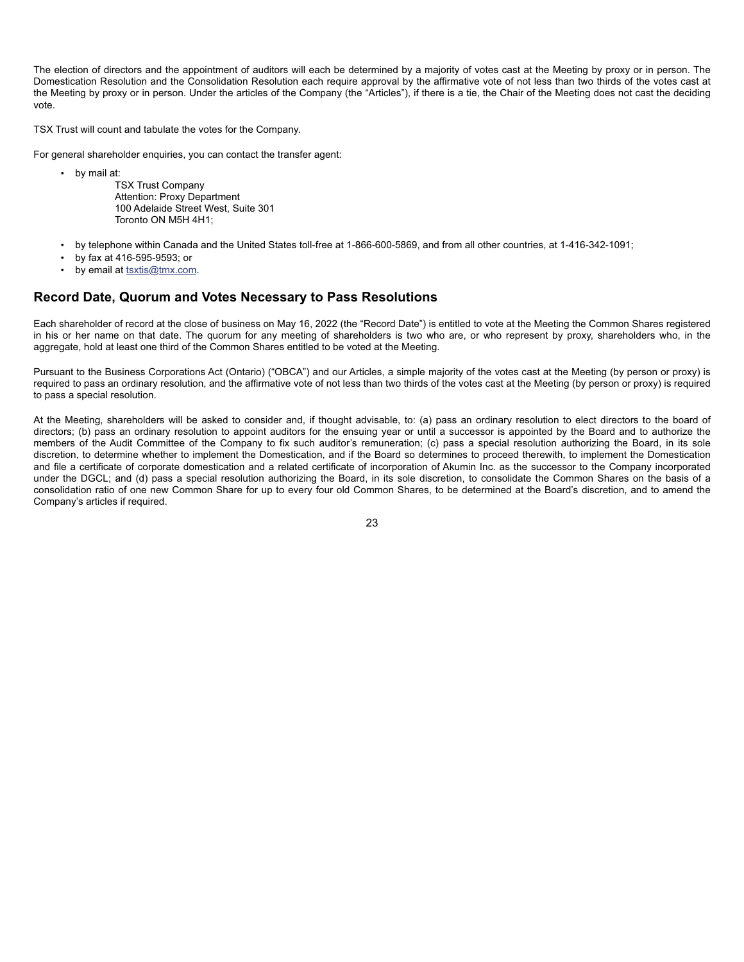The election of directors and the appointment of auditors will each be determined by a majority of votes cast at the Meeting by proxy or in person. The Domestication Resolution and the Consolidation Resolution each require approval by the affirmative vote of not less than two thirds of the votes cast at the Meeting by proxy or in person. Under the articles of the Company (the "Articles"), if there is a tie, the Chair of the Meeting does not cast the deciding vote.

TSX Trust will count and tabulate the votes for the Company.

For general shareholder enquiries, you can contact the transfer agent:

- by mail at:
	- TSX Trust Company Attention: Proxy Department 100 Adelaide Street West, Suite 301 Toronto ON M5H 4H1;
- by telephone within Canada and the United States toll-free at 1-866-600-5869, and from all other countries, at 1-416-342-1091;
- by fax at 416-595-9593; or
- by email at tsxtis@tmx.com.

## **Record Date, Quorum and Votes Necessary to Pass Resolutions**

Each shareholder of record at the close of business on May 16, 2022 (the "Record Date") is entitled to vote at the Meeting the Common Shares registered in his or her name on that date. The quorum for any meeting of shareholders is two who are, or who represent by proxy, shareholders who, in the aggregate, hold at least one third of the Common Shares entitled to be voted at the Meeting.

Pursuant to the Business Corporations Act (Ontario) ("OBCA") and our Articles, a simple majority of the votes cast at the Meeting (by person or proxy) is required to pass an ordinary resolution, and the affirmative vote of not less than two thirds of the votes cast at the Meeting (by person or proxy) is required to pass a special resolution.

At the Meeting, shareholders will be asked to consider and, if thought advisable, to: (a) pass an ordinary resolution to elect directors to the board of directors; (b) pass an ordinary resolution to appoint auditors for the ensuing year or until a successor is appointed by the Board and to authorize the members of the Audit Committee of the Company to fix such auditor's remuneration; (c) pass a special resolution authorizing the Board, in its sole discretion, to determine whether to implement the Domestication, and if the Board so determines to proceed therewith, to implement the Domestication and file a certificate of corporate domestication and a related certificate of incorporation of Akumin Inc. as the successor to the Company incorporated under the DGCL; and (d) pass a special resolution authorizing the Board, in its sole discretion, to consolidate the Common Shares on the basis of a consolidation ratio of one new Common Share for up to every four old Common Shares, to be determined at the Board's discretion, and to amend the Company's articles if required.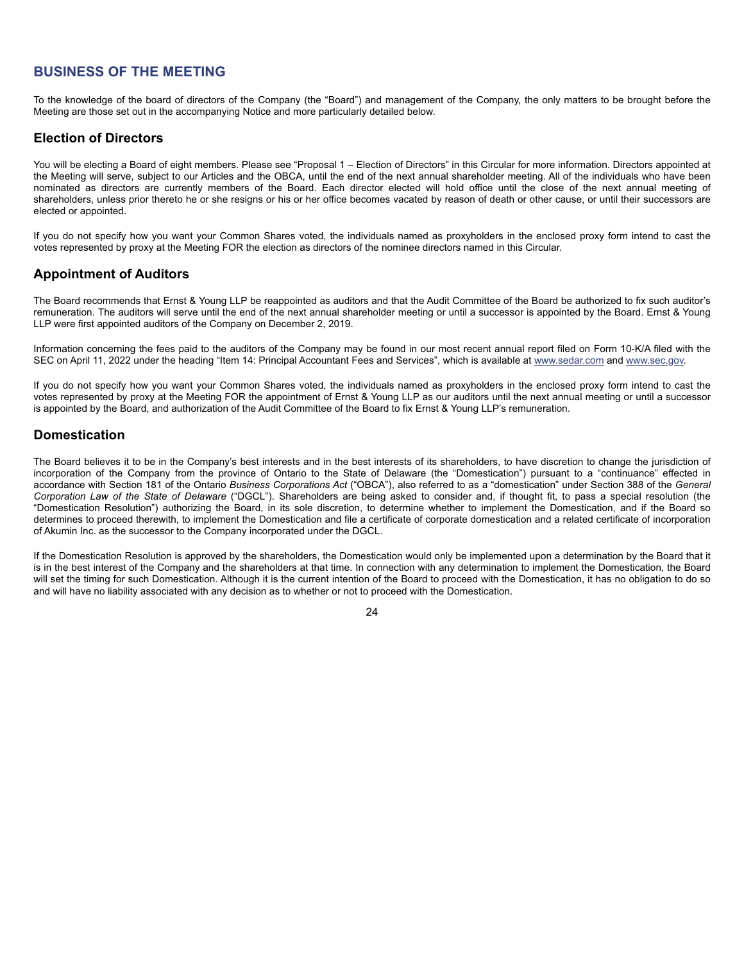## **BUSINESS OF THE MEETING**

To the knowledge of the board of directors of the Company (the "Board") and management of the Company, the only matters to be brought before the Meeting are those set out in the accompanying Notice and more particularly detailed below.

## **Election of Directors**

You will be electing a Board of eight members. Please see "Proposal 1 – Election of Directors" in this Circular for more information. Directors appointed at the Meeting will serve, subject to our Articles and the OBCA, until the end of the next annual shareholder meeting. All of the individuals who have been nominated as directors are currently members of the Board. Each director elected will hold office until the close of the next annual meeting of shareholders, unless prior thereto he or she resigns or his or her office becomes vacated by reason of death or other cause, or until their successors are elected or appointed.

If you do not specify how you want your Common Shares voted, the individuals named as proxyholders in the enclosed proxy form intend to cast the votes represented by proxy at the Meeting FOR the election as directors of the nominee directors named in this Circular.

## **Appointment of Auditors**

The Board recommends that Ernst & Young LLP be reappointed as auditors and that the Audit Committee of the Board be authorized to fix such auditor's remuneration. The auditors will serve until the end of the next annual shareholder meeting or until a successor is appointed by the Board. Ernst & Young LLP were first appointed auditors of the Company on December 2, 2019.

Information concerning the fees paid to the auditors of the Company may be found in our most recent annual report filed on Form 10-K/A filed with the SEC on April 11, 2022 under the heading "Item 14: Principal Accountant Fees and Services", which is available at www.sedar.com and www.sec.gov.

If you do not specify how you want your Common Shares voted, the individuals named as proxyholders in the enclosed proxy form intend to cast the votes represented by proxy at the Meeting FOR the appointment of Ernst & Young LLP as our auditors until the next annual meeting or until a successor is appointed by the Board, and authorization of the Audit Committee of the Board to fix Ernst & Young LLP's remuneration.

## **Domestication**

The Board believes it to be in the Company's best interests and in the best interests of its shareholders, to have discretion to change the jurisdiction of incorporation of the Company from the province of Ontario to the State of Delaware (the "Domestication") pursuant to a "continuance" effected in accordance with Section 181 of the Ontario *Business Corporations Act* ("OBCA"), also referred to as a "domestication" under Section 388 of the *General Corporation Law of the State of Delaware* ("DGCL"). Shareholders are being asked to consider and, if thought fit, to pass a special resolution (the "Domestication Resolution") authorizing the Board, in its sole discretion, to determine whether to implement the Domestication, and if the Board so determines to proceed therewith, to implement the Domestication and file a certificate of corporate domestication and a related certificate of incorporation of Akumin Inc. as the successor to the Company incorporated under the DGCL.

If the Domestication Resolution is approved by the shareholders, the Domestication would only be implemented upon a determination by the Board that it is in the best interest of the Company and the shareholders at that time. In connection with any determination to implement the Domestication, the Board will set the timing for such Domestication. Although it is the current intention of the Board to proceed with the Domestication, it has no obligation to do so and will have no liability associated with any decision as to whether or not to proceed with the Domestication.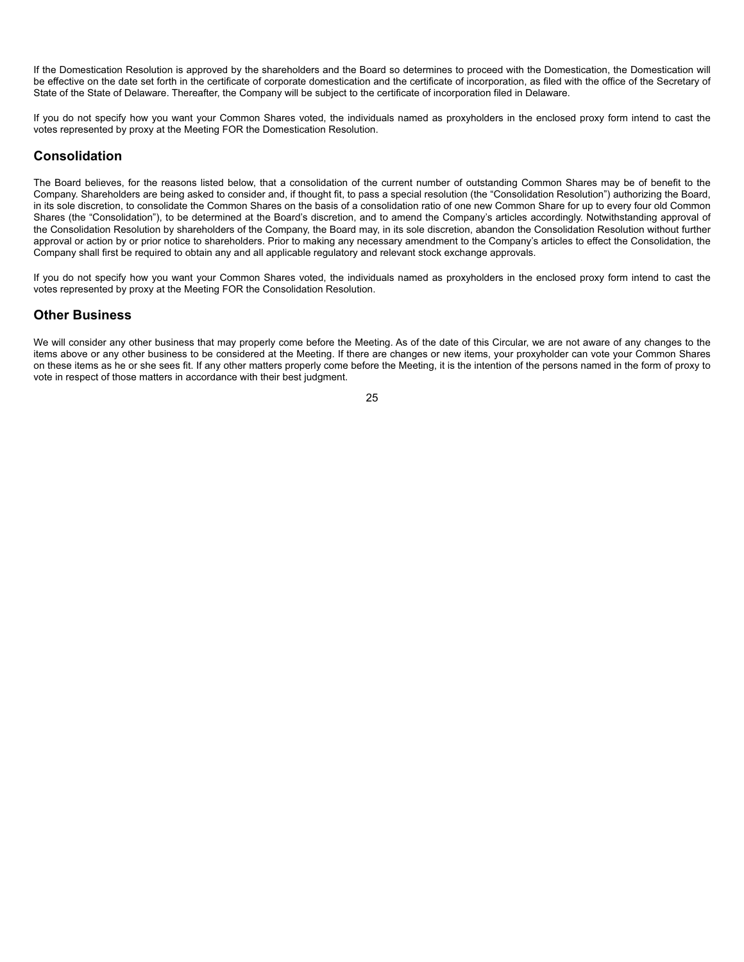If the Domestication Resolution is approved by the shareholders and the Board so determines to proceed with the Domestication, the Domestication will be effective on the date set forth in the certificate of corporate domestication and the certificate of incorporation, as filed with the office of the Secretary of State of the State of Delaware. Thereafter, the Company will be subject to the certificate of incorporation filed in Delaware.

If you do not specify how you want your Common Shares voted, the individuals named as proxyholders in the enclosed proxy form intend to cast the votes represented by proxy at the Meeting FOR the Domestication Resolution.

## **Consolidation**

The Board believes, for the reasons listed below, that a consolidation of the current number of outstanding Common Shares may be of benefit to the Company. Shareholders are being asked to consider and, if thought fit, to pass a special resolution (the "Consolidation Resolution") authorizing the Board, in its sole discretion, to consolidate the Common Shares on the basis of a consolidation ratio of one new Common Share for up to every four old Common Shares (the "Consolidation"), to be determined at the Board's discretion, and to amend the Company's articles accordingly. Notwithstanding approval of the Consolidation Resolution by shareholders of the Company, the Board may, in its sole discretion, abandon the Consolidation Resolution without further approval or action by or prior notice to shareholders. Prior to making any necessary amendment to the Company's articles to effect the Consolidation, the Company shall first be required to obtain any and all applicable regulatory and relevant stock exchange approvals.

If you do not specify how you want your Common Shares voted, the individuals named as proxyholders in the enclosed proxy form intend to cast the votes represented by proxy at the Meeting FOR the Consolidation Resolution.

## **Other Business**

We will consider any other business that may properly come before the Meeting. As of the date of this Circular, we are not aware of any changes to the items above or any other business to be considered at the Meeting. If there are changes or new items, your proxyholder can vote your Common Shares on these items as he or she sees fit. If any other matters properly come before the Meeting, it is the intention of the persons named in the form of proxy to vote in respect of those matters in accordance with their best judgment.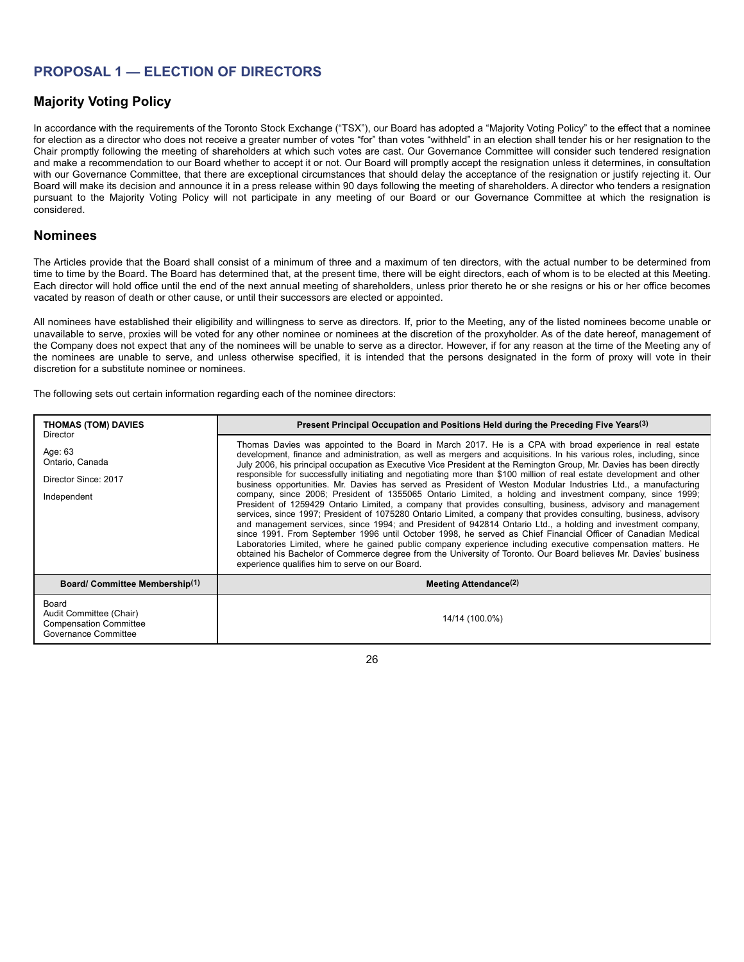## **PROPOSAL 1 — ELECTION OF DIRECTORS**

## **Majority Voting Policy**

In accordance with the requirements of the Toronto Stock Exchange ("TSX"), our Board has adopted a "Majority Voting Policy" to the effect that a nominee for election as a director who does not receive a greater number of votes "for" than votes "withheld" in an election shall tender his or her resignation to the Chair promptly following the meeting of shareholders at which such votes are cast. Our Governance Committee will consider such tendered resignation and make a recommendation to our Board whether to accept it or not. Our Board will promptly accept the resignation unless it determines, in consultation with our Governance Committee, that there are exceptional circumstances that should delay the acceptance of the resignation or justify rejecting it. Our Board will make its decision and announce it in a press release within 90 days following the meeting of shareholders. A director who tenders a resignation pursuant to the Majority Voting Policy will not participate in any meeting of our Board or our Governance Committee at which the resignation is considered.

## **Nominees**

The Articles provide that the Board shall consist of a minimum of three and a maximum of ten directors, with the actual number to be determined from time to time by the Board. The Board has determined that, at the present time, there will be eight directors, each of whom is to be elected at this Meeting. Each director will hold office until the end of the next annual meeting of shareholders, unless prior thereto he or she resigns or his or her office becomes vacated by reason of death or other cause, or until their successors are elected or appointed.

All nominees have established their eligibility and willingness to serve as directors. If, prior to the Meeting, any of the listed nominees become unable or unavailable to serve, proxies will be voted for any other nominee or nominees at the discretion of the proxyholder. As of the date hereof, management of the Company does not expect that any of the nominees will be unable to serve as a director. However, if for any reason at the time of the Meeting any of the nominees are unable to serve, and unless otherwise specified, it is intended that the persons designated in the form of proxy will vote in their discretion for a substitute nominee or nominees.

The following sets out certain information regarding each of the nominee directors:

| <b>THOMAS (TOM) DAVIES</b><br><b>Director</b>                                             | Present Principal Occupation and Positions Held during the Preceding Five Years(3)                                                                                                                                                                                                                                                                                                                                                                                                                                                                                                                                                                                                                                                                                                                                                                                                                                                                                                                                                                                                                                                                                                                                                                                                                                                                                                                                                                                        |
|-------------------------------------------------------------------------------------------|---------------------------------------------------------------------------------------------------------------------------------------------------------------------------------------------------------------------------------------------------------------------------------------------------------------------------------------------------------------------------------------------------------------------------------------------------------------------------------------------------------------------------------------------------------------------------------------------------------------------------------------------------------------------------------------------------------------------------------------------------------------------------------------------------------------------------------------------------------------------------------------------------------------------------------------------------------------------------------------------------------------------------------------------------------------------------------------------------------------------------------------------------------------------------------------------------------------------------------------------------------------------------------------------------------------------------------------------------------------------------------------------------------------------------------------------------------------------------|
| Age: 63<br>Ontario, Canada<br>Director Since: 2017<br>Independent                         | Thomas Davies was appointed to the Board in March 2017. He is a CPA with broad experience in real estate<br>development, finance and administration, as well as mergers and acquisitions. In his various roles, including, since<br>July 2006, his principal occupation as Executive Vice President at the Remington Group, Mr. Davies has been directly<br>responsible for successfully initiating and negotiating more than \$100 million of real estate development and other<br>business opportunities. Mr. Davies has served as President of Weston Modular Industries Ltd., a manufacturing<br>company, since 2006; President of 1355065 Ontario Limited, a holding and investment company, since 1999;<br>President of 1259429 Ontario Limited, a company that provides consulting, business, advisory and management<br>services, since 1997; President of 1075280 Ontario Limited, a company that provides consulting, business, advisory<br>and management services, since 1994; and President of 942814 Ontario Ltd., a holding and investment company,<br>since 1991. From September 1996 until October 1998, he served as Chief Financial Officer of Canadian Medical<br>Laboratories Limited, where he gained public company experience including executive compensation matters. He<br>obtained his Bachelor of Commerce degree from the University of Toronto. Our Board believes Mr. Davies' business<br>experience qualifies him to serve on our Board. |
| Board/ Committee Membership(1)                                                            | Meeting Attendance <sup>(2)</sup>                                                                                                                                                                                                                                                                                                                                                                                                                                                                                                                                                                                                                                                                                                                                                                                                                                                                                                                                                                                                                                                                                                                                                                                                                                                                                                                                                                                                                                         |
| Board<br>Audit Committee (Chair)<br><b>Compensation Committee</b><br>Governance Committee | 14/14 (100.0%)                                                                                                                                                                                                                                                                                                                                                                                                                                                                                                                                                                                                                                                                                                                                                                                                                                                                                                                                                                                                                                                                                                                                                                                                                                                                                                                                                                                                                                                            |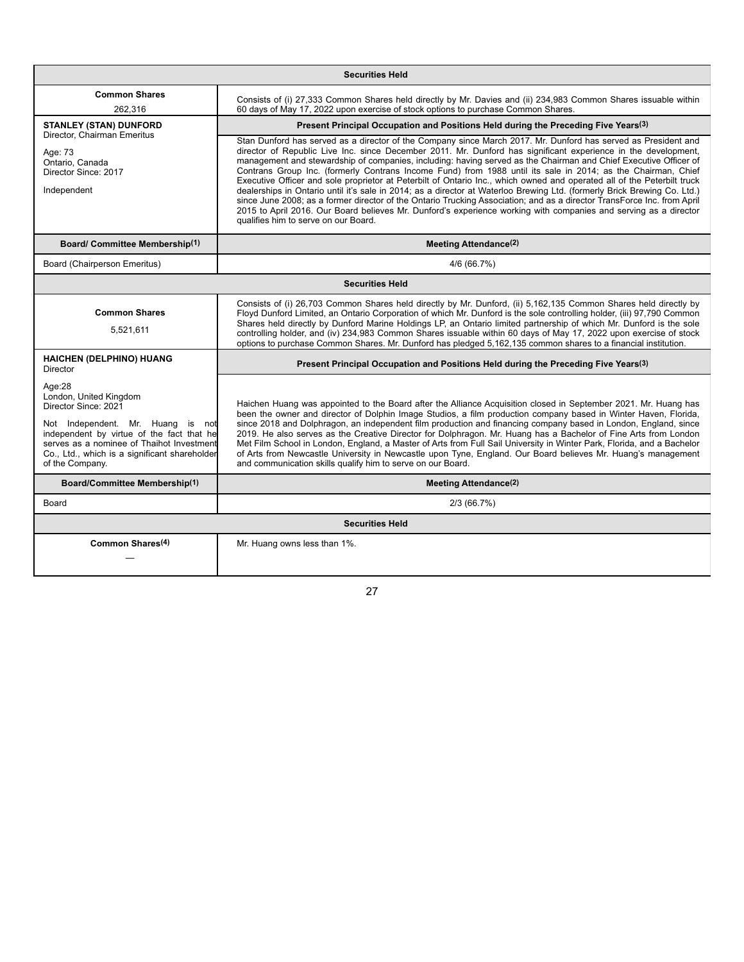| <b>Securities Held</b>                                                                                                                                                                                                                                      |                                                                                                                                                                                                                                                                                                                                                                                                                                                                                                                                                                                                                                                                                                                                                                                                                                                                                                                                                                                                                    |  |
|-------------------------------------------------------------------------------------------------------------------------------------------------------------------------------------------------------------------------------------------------------------|--------------------------------------------------------------------------------------------------------------------------------------------------------------------------------------------------------------------------------------------------------------------------------------------------------------------------------------------------------------------------------------------------------------------------------------------------------------------------------------------------------------------------------------------------------------------------------------------------------------------------------------------------------------------------------------------------------------------------------------------------------------------------------------------------------------------------------------------------------------------------------------------------------------------------------------------------------------------------------------------------------------------|--|
| <b>Common Shares</b><br>262.316                                                                                                                                                                                                                             | Consists of (i) 27,333 Common Shares held directly by Mr. Davies and (ii) 234,983 Common Shares issuable within<br>60 days of May 17, 2022 upon exercise of stock options to purchase Common Shares.                                                                                                                                                                                                                                                                                                                                                                                                                                                                                                                                                                                                                                                                                                                                                                                                               |  |
| <b>STANLEY (STAN) DUNFORD</b><br>Director. Chairman Emeritus<br>Age: 73<br>Ontario, Canada<br>Director Since: 2017<br>Independent                                                                                                                           | Present Principal Occupation and Positions Held during the Preceding Five Years(3)                                                                                                                                                                                                                                                                                                                                                                                                                                                                                                                                                                                                                                                                                                                                                                                                                                                                                                                                 |  |
|                                                                                                                                                                                                                                                             | Stan Dunford has served as a director of the Company since March 2017. Mr. Dunford has served as President and<br>director of Republic Live Inc. since December 2011. Mr. Dunford has significant experience in the development,<br>management and stewardship of companies, including: having served as the Chairman and Chief Executive Officer of<br>Contrans Group Inc. (formerly Contrans Income Fund) from 1988 until its sale in 2014; as the Chairman, Chief<br>Executive Officer and sole proprietor at Peterbilt of Ontario Inc., which owned and operated all of the Peterbilt truck<br>dealerships in Ontario until it's sale in 2014; as a director at Waterloo Brewing Ltd. (formerly Brick Brewing Co. Ltd.)<br>since June 2008; as a former director of the Ontario Trucking Association; and as a director TransForce Inc. from April<br>2015 to April 2016. Our Board believes Mr. Dunford's experience working with companies and serving as a director<br>qualifies him to serve on our Board. |  |
| <b>Board/ Committee Membership(1)</b>                                                                                                                                                                                                                       | <b>Meeting Attendance(2)</b>                                                                                                                                                                                                                                                                                                                                                                                                                                                                                                                                                                                                                                                                                                                                                                                                                                                                                                                                                                                       |  |
| Board (Chairperson Emeritus)                                                                                                                                                                                                                                | 4/6 (66.7%)                                                                                                                                                                                                                                                                                                                                                                                                                                                                                                                                                                                                                                                                                                                                                                                                                                                                                                                                                                                                        |  |
| <b>Securities Held</b>                                                                                                                                                                                                                                      |                                                                                                                                                                                                                                                                                                                                                                                                                                                                                                                                                                                                                                                                                                                                                                                                                                                                                                                                                                                                                    |  |
| <b>Common Shares</b><br>5,521,611                                                                                                                                                                                                                           | Consists of (i) 26,703 Common Shares held directly by Mr. Dunford, (ii) 5,162,135 Common Shares held directly by<br>Floyd Dunford Limited, an Ontario Corporation of which Mr. Dunford is the sole controlling holder, (iii) 97,790 Common<br>Shares held directly by Dunford Marine Holdings LP, an Ontario limited partnership of which Mr. Dunford is the sole<br>controlling holder, and (iv) 234,983 Common Shares issuable within 60 days of May 17, 2022 upon exercise of stock<br>options to purchase Common Shares. Mr. Dunford has pledged 5,162,135 common shares to a financial institution.                                                                                                                                                                                                                                                                                                                                                                                                           |  |
| HAICHEN (DELPHINO) HUANG<br>Director                                                                                                                                                                                                                        | Present Principal Occupation and Positions Held during the Preceding Five Years(3)                                                                                                                                                                                                                                                                                                                                                                                                                                                                                                                                                                                                                                                                                                                                                                                                                                                                                                                                 |  |
| Age:28<br>London, United Kingdom<br>Director Since: 2021<br>Not Independent. Mr. Huang is not<br>independent by virtue of the fact that he<br>serves as a nominee of Thaihot Investment<br>Co., Ltd., which is a significant shareholder<br>of the Company. | Haichen Huang was appointed to the Board after the Alliance Acquisition closed in September 2021. Mr. Huang has<br>been the owner and director of Dolphin Image Studios, a film production company based in Winter Haven, Florida,<br>since 2018 and Dolphragon, an independent film production and financing company based in London, England, since<br>2019. He also serves as the Creative Director for Dolphragon. Mr. Huang has a Bachelor of Fine Arts from London<br>Met Film School in London, England, a Master of Arts from Full Sail University in Winter Park, Florida, and a Bachelor<br>of Arts from Newcastle University in Newcastle upon Tyne, England. Our Board believes Mr. Huang's management<br>and communication skills qualify him to serve on our Board.                                                                                                                                                                                                                                  |  |
| Board/Committee Membership(1)                                                                                                                                                                                                                               | Meeting Attendance <sup>(2)</sup>                                                                                                                                                                                                                                                                                                                                                                                                                                                                                                                                                                                                                                                                                                                                                                                                                                                                                                                                                                                  |  |
| Board                                                                                                                                                                                                                                                       | 2/3(66.7%)                                                                                                                                                                                                                                                                                                                                                                                                                                                                                                                                                                                                                                                                                                                                                                                                                                                                                                                                                                                                         |  |
| <b>Securities Held</b>                                                                                                                                                                                                                                      |                                                                                                                                                                                                                                                                                                                                                                                                                                                                                                                                                                                                                                                                                                                                                                                                                                                                                                                                                                                                                    |  |
| Common Shares <sup>(4)</sup>                                                                                                                                                                                                                                | Mr. Huang owns less than 1%.                                                                                                                                                                                                                                                                                                                                                                                                                                                                                                                                                                                                                                                                                                                                                                                                                                                                                                                                                                                       |  |
|                                                                                                                                                                                                                                                             |                                                                                                                                                                                                                                                                                                                                                                                                                                                                                                                                                                                                                                                                                                                                                                                                                                                                                                                                                                                                                    |  |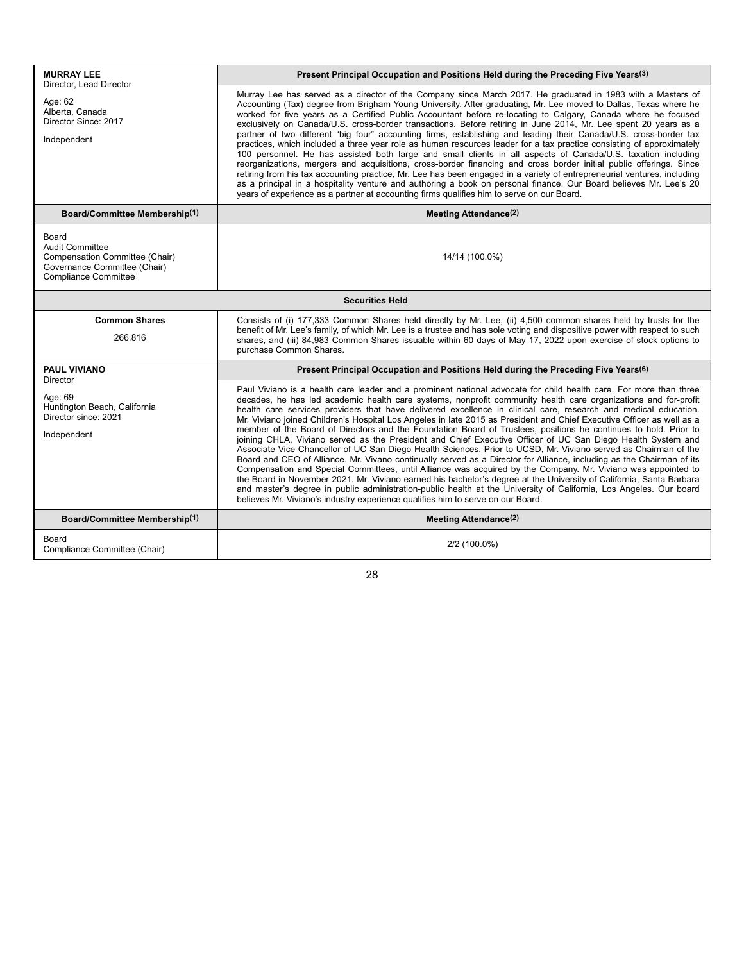| <b>MURRAY LEE</b><br>Director, Lead Director<br>Age: 62<br>Alberta, Canada<br>Director Since: 2017<br>Independent                | Present Principal Occupation and Positions Held during the Preceding Five Years(3)                                                                                                                                                                                                                                                                                                                                                                                                                                                                                                                                                                                                                                                                                                                                                                                                                                                                                                                                                                                                                                                                                                                                                                                                                                                                                                                             |  |
|----------------------------------------------------------------------------------------------------------------------------------|----------------------------------------------------------------------------------------------------------------------------------------------------------------------------------------------------------------------------------------------------------------------------------------------------------------------------------------------------------------------------------------------------------------------------------------------------------------------------------------------------------------------------------------------------------------------------------------------------------------------------------------------------------------------------------------------------------------------------------------------------------------------------------------------------------------------------------------------------------------------------------------------------------------------------------------------------------------------------------------------------------------------------------------------------------------------------------------------------------------------------------------------------------------------------------------------------------------------------------------------------------------------------------------------------------------------------------------------------------------------------------------------------------------|--|
|                                                                                                                                  | Murray Lee has served as a director of the Company since March 2017. He graduated in 1983 with a Masters of<br>Accounting (Tax) degree from Brigham Young University. After graduating, Mr. Lee moved to Dallas, Texas where he<br>worked for five years as a Certified Public Accountant before re-locating to Calgary, Canada where he focused<br>exclusively on Canada/U.S. cross-border transactions. Before retiring in June 2014, Mr. Lee spent 20 years as a<br>partner of two different "big four" accounting firms, establishing and leading their Canada/U.S. cross-border tax<br>practices, which included a three year role as human resources leader for a tax practice consisting of approximately<br>100 personnel. He has assisted both large and small clients in all aspects of Canada/U.S. taxation including<br>reorganizations, mergers and acquisitions, cross-border financing and cross border initial public offerings. Since<br>retiring from his tax accounting practice, Mr. Lee has been engaged in a variety of entrepreneurial ventures, including<br>as a principal in a hospitality venture and authoring a book on personal finance. Our Board believes Mr. Lee's 20<br>years of experience as a partner at accounting firms qualifies him to serve on our Board.                                                                                                            |  |
| Board/Committee Membership(1)                                                                                                    | Meeting Attendance <sup>(2)</sup>                                                                                                                                                                                                                                                                                                                                                                                                                                                                                                                                                                                                                                                                                                                                                                                                                                                                                                                                                                                                                                                                                                                                                                                                                                                                                                                                                                              |  |
| Board<br><b>Audit Committee</b><br>Compensation Committee (Chair)<br>Governance Committee (Chair)<br><b>Compliance Committee</b> | 14/14 (100.0%)                                                                                                                                                                                                                                                                                                                                                                                                                                                                                                                                                                                                                                                                                                                                                                                                                                                                                                                                                                                                                                                                                                                                                                                                                                                                                                                                                                                                 |  |
| <b>Securities Held</b>                                                                                                           |                                                                                                                                                                                                                                                                                                                                                                                                                                                                                                                                                                                                                                                                                                                                                                                                                                                                                                                                                                                                                                                                                                                                                                                                                                                                                                                                                                                                                |  |
| <b>Common Shares</b><br>266,816                                                                                                  | Consists of (i) 177,333 Common Shares held directly by Mr. Lee, (ii) 4,500 common shares held by trusts for the<br>benefit of Mr. Lee's family, of which Mr. Lee is a trustee and has sole voting and dispositive power with respect to such<br>shares, and (iii) 84,983 Common Shares issuable within 60 days of May 17, 2022 upon exercise of stock options to<br>purchase Common Shares.                                                                                                                                                                                                                                                                                                                                                                                                                                                                                                                                                                                                                                                                                                                                                                                                                                                                                                                                                                                                                    |  |
| <b>PAUL VIVIANO</b><br><b>Director</b>                                                                                           | Present Principal Occupation and Positions Held during the Preceding Five Years(6)                                                                                                                                                                                                                                                                                                                                                                                                                                                                                                                                                                                                                                                                                                                                                                                                                                                                                                                                                                                                                                                                                                                                                                                                                                                                                                                             |  |
| Age: 69<br>Huntington Beach, California<br>Director since: 2021<br>Independent                                                   | Paul Viviano is a health care leader and a prominent national advocate for child health care. For more than three<br>decades, he has led academic health care systems, nonprofit community health care organizations and for-profit<br>health care services providers that have delivered excellence in clinical care, research and medical education.<br>Mr. Viviano joined Children's Hospital Los Angeles in late 2015 as President and Chief Executive Officer as well as a<br>member of the Board of Directors and the Foundation Board of Trustees, positions he continues to hold. Prior to<br>joining CHLA, Viviano served as the President and Chief Executive Officer of UC San Diego Health System and<br>Associate Vice Chancellor of UC San Diego Health Sciences. Prior to UCSD, Mr. Viviano served as Chairman of the<br>Board and CEO of Alliance. Mr. Vivano continually served as a Director for Alliance, including as the Chairman of its<br>Compensation and Special Committees, until Alliance was acquired by the Company. Mr. Viviano was appointed to<br>the Board in November 2021. Mr. Viviano earned his bachelor's degree at the University of California, Santa Barbara<br>and master's degree in public administration-public health at the University of California, Los Angeles. Our board<br>believes Mr. Viviano's industry experience qualifies him to serve on our Board. |  |
| Board/Committee Membership(1)                                                                                                    | Meeting Attendance <sup>(2)</sup>                                                                                                                                                                                                                                                                                                                                                                                                                                                                                                                                                                                                                                                                                                                                                                                                                                                                                                                                                                                                                                                                                                                                                                                                                                                                                                                                                                              |  |
| Board<br>Compliance Committee (Chair)                                                                                            | 2/2 (100.0%)                                                                                                                                                                                                                                                                                                                                                                                                                                                                                                                                                                                                                                                                                                                                                                                                                                                                                                                                                                                                                                                                                                                                                                                                                                                                                                                                                                                                   |  |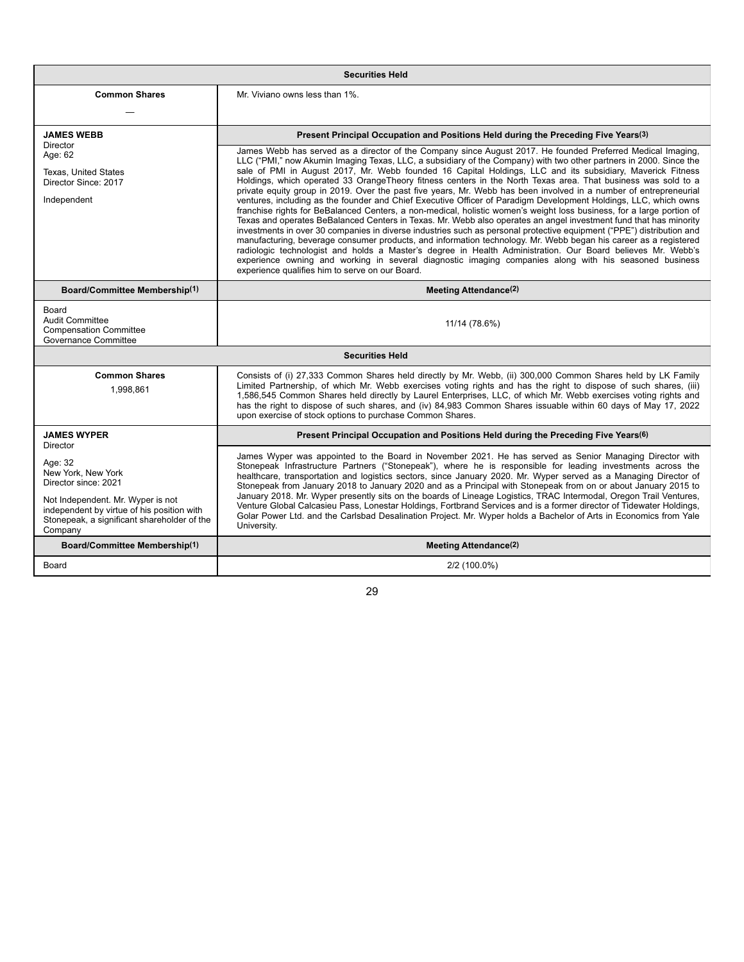| <b>Securities Held</b>                                                                                                                                                                             |                                                                                                                                                                                                                                                                                                                                                                                                                                                                                                                                                                                                                                                                                                                                                                                                                                                                                                                                                                                                                                                                                                                                                                                                                                                                                                                                                                                                                                                                                                                                                                        |  |  |  |
|----------------------------------------------------------------------------------------------------------------------------------------------------------------------------------------------------|------------------------------------------------------------------------------------------------------------------------------------------------------------------------------------------------------------------------------------------------------------------------------------------------------------------------------------------------------------------------------------------------------------------------------------------------------------------------------------------------------------------------------------------------------------------------------------------------------------------------------------------------------------------------------------------------------------------------------------------------------------------------------------------------------------------------------------------------------------------------------------------------------------------------------------------------------------------------------------------------------------------------------------------------------------------------------------------------------------------------------------------------------------------------------------------------------------------------------------------------------------------------------------------------------------------------------------------------------------------------------------------------------------------------------------------------------------------------------------------------------------------------------------------------------------------------|--|--|--|
| <b>Common Shares</b>                                                                                                                                                                               | Mr. Viviano owns less than 1%.                                                                                                                                                                                                                                                                                                                                                                                                                                                                                                                                                                                                                                                                                                                                                                                                                                                                                                                                                                                                                                                                                                                                                                                                                                                                                                                                                                                                                                                                                                                                         |  |  |  |
| <b>JAMES WEBB</b><br>Director<br>Age: 62<br><b>Texas. United States</b><br>Director Since: 2017<br>Independent                                                                                     | Present Principal Occupation and Positions Held during the Preceding Five Years(3)<br>James Webb has served as a director of the Company since August 2017. He founded Preferred Medical Imaging,<br>LLC ("PMI," now Akumin Imaging Texas, LLC, a subsidiary of the Company) with two other partners in 2000. Since the<br>sale of PMI in August 2017, Mr. Webb founded 16 Capital Holdings, LLC and its subsidiary, Maverick Fitness<br>Holdings, which operated 33 OrangeTheory fitness centers in the North Texas area. That business was sold to a<br>private equity group in 2019. Over the past five years, Mr. Webb has been involved in a number of entrepreneurial<br>ventures, including as the founder and Chief Executive Officer of Paradigm Development Holdings, LLC, which owns<br>franchise rights for BeBalanced Centers, a non-medical, holistic women's weight loss business, for a large portion of<br>Texas and operates BeBalanced Centers in Texas. Mr. Webb also operates an angel investment fund that has minority<br>investments in over 30 companies in diverse industries such as personal protective equipment ("PPE") distribution and<br>manufacturing, beverage consumer products, and information technology. Mr. Webb began his career as a registered<br>radiologic technologist and holds a Master's degree in Health Administration. Our Board believes Mr. Webb's<br>experience owning and working in several diagnostic imaging companies along with his seasoned business<br>experience qualifies him to serve on our Board. |  |  |  |
| Board/Committee Membership(1)                                                                                                                                                                      | <b>Meeting Attendance(2)</b>                                                                                                                                                                                                                                                                                                                                                                                                                                                                                                                                                                                                                                                                                                                                                                                                                                                                                                                                                                                                                                                                                                                                                                                                                                                                                                                                                                                                                                                                                                                                           |  |  |  |
| Board<br><b>Audit Committee</b><br><b>Compensation Committee</b><br>Governance Committee                                                                                                           | 11/14 (78.6%)                                                                                                                                                                                                                                                                                                                                                                                                                                                                                                                                                                                                                                                                                                                                                                                                                                                                                                                                                                                                                                                                                                                                                                                                                                                                                                                                                                                                                                                                                                                                                          |  |  |  |
|                                                                                                                                                                                                    | <b>Securities Held</b>                                                                                                                                                                                                                                                                                                                                                                                                                                                                                                                                                                                                                                                                                                                                                                                                                                                                                                                                                                                                                                                                                                                                                                                                                                                                                                                                                                                                                                                                                                                                                 |  |  |  |
| <b>Common Shares</b><br>1,998,861                                                                                                                                                                  | Consists of (i) 27,333 Common Shares held directly by Mr. Webb, (ii) 300,000 Common Shares held by LK Family<br>Limited Partnership, of which Mr. Webb exercises voting rights and has the right to dispose of such shares, (iii)<br>1,586,545 Common Shares held directly by Laurel Enterprises, LLC, of which Mr. Webb exercises voting rights and<br>has the right to dispose of such shares, and (iv) 84,983 Common Shares issuable within 60 days of May 17, 2022<br>upon exercise of stock options to purchase Common Shares.                                                                                                                                                                                                                                                                                                                                                                                                                                                                                                                                                                                                                                                                                                                                                                                                                                                                                                                                                                                                                                    |  |  |  |
| <b>JAMES WYPER</b><br>Director                                                                                                                                                                     | Present Principal Occupation and Positions Held during the Preceding Five Years(6)                                                                                                                                                                                                                                                                                                                                                                                                                                                                                                                                                                                                                                                                                                                                                                                                                                                                                                                                                                                                                                                                                                                                                                                                                                                                                                                                                                                                                                                                                     |  |  |  |
| Age: 32<br>New York, New York<br>Director since: 2021<br>Not Independent. Mr. Wyper is not<br>independent by virtue of his position with<br>Stonepeak, a significant shareholder of the<br>Company | James Wyper was appointed to the Board in November 2021. He has served as Senior Managing Director with<br>Stonepeak Infrastructure Partners ("Stonepeak"), where he is responsible for leading investments across the<br>healthcare, transportation and logistics sectors, since January 2020. Mr. Wyper served as a Managing Director of<br>Stonepeak from January 2018 to January 2020 and as a Principal with Stonepeak from on or about January 2015 to<br>January 2018. Mr. Wyper presently sits on the boards of Lineage Logistics, TRAC Intermodal, Oregon Trail Ventures,<br>Venture Global Calcasieu Pass, Lonestar Holdings, Fortbrand Services and is a former director of Tidewater Holdings,<br>Golar Power Ltd. and the Carlsbad Desalination Project. Mr. Wyper holds a Bachelor of Arts in Economics from Yale<br>University.                                                                                                                                                                                                                                                                                                                                                                                                                                                                                                                                                                                                                                                                                                                         |  |  |  |
| <b>Board/Committee Membership(1)</b>                                                                                                                                                               | <b>Meeting Attendance(2)</b>                                                                                                                                                                                                                                                                                                                                                                                                                                                                                                                                                                                                                                                                                                                                                                                                                                                                                                                                                                                                                                                                                                                                                                                                                                                                                                                                                                                                                                                                                                                                           |  |  |  |
| Board                                                                                                                                                                                              | 2/2 (100.0%)                                                                                                                                                                                                                                                                                                                                                                                                                                                                                                                                                                                                                                                                                                                                                                                                                                                                                                                                                                                                                                                                                                                                                                                                                                                                                                                                                                                                                                                                                                                                                           |  |  |  |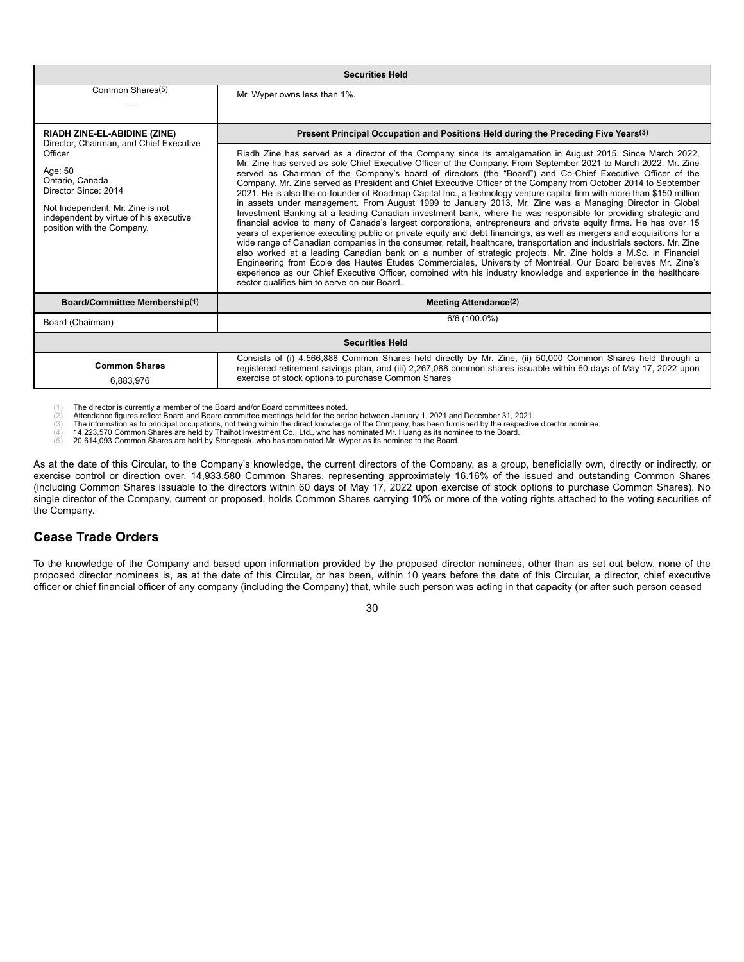| <b>Securities Held</b>                                                                                                                                                                                               |                                                                                                                                                                                                                                                                                                                                                                                                                                                                                                                                                                                                                                                                                                                                                                                                                                                                                                                                                                                                                                                                                                                                                                                                                                                                                                                                                                                                                                                                                                                                                                                                      |  |  |  |
|----------------------------------------------------------------------------------------------------------------------------------------------------------------------------------------------------------------------|------------------------------------------------------------------------------------------------------------------------------------------------------------------------------------------------------------------------------------------------------------------------------------------------------------------------------------------------------------------------------------------------------------------------------------------------------------------------------------------------------------------------------------------------------------------------------------------------------------------------------------------------------------------------------------------------------------------------------------------------------------------------------------------------------------------------------------------------------------------------------------------------------------------------------------------------------------------------------------------------------------------------------------------------------------------------------------------------------------------------------------------------------------------------------------------------------------------------------------------------------------------------------------------------------------------------------------------------------------------------------------------------------------------------------------------------------------------------------------------------------------------------------------------------------------------------------------------------------|--|--|--|
| Common Shares(5)                                                                                                                                                                                                     | Mr. Wyper owns less than 1%.                                                                                                                                                                                                                                                                                                                                                                                                                                                                                                                                                                                                                                                                                                                                                                                                                                                                                                                                                                                                                                                                                                                                                                                                                                                                                                                                                                                                                                                                                                                                                                         |  |  |  |
| <b>RIADH ZINE-EL-ABIDINE (ZINE)</b>                                                                                                                                                                                  | Present Principal Occupation and Positions Held during the Preceding Five Years <sup>(3)</sup>                                                                                                                                                                                                                                                                                                                                                                                                                                                                                                                                                                                                                                                                                                                                                                                                                                                                                                                                                                                                                                                                                                                                                                                                                                                                                                                                                                                                                                                                                                       |  |  |  |
| Director, Chairman, and Chief Executive<br>Officer<br>Age: 50<br>Ontario, Canada<br>Director Since: 2014<br>Not Independent. Mr. Zine is not<br>independent by virtue of his executive<br>position with the Company. | Riadh Zine has served as a director of the Company since its amalgamation in August 2015. Since March 2022,<br>Mr. Zine has served as sole Chief Executive Officer of the Company. From September 2021 to March 2022, Mr. Zine<br>served as Chairman of the Company's board of directors (the "Board") and Co-Chief Executive Officer of the<br>Company. Mr. Zine served as President and Chief Executive Officer of the Company from October 2014 to September<br>2021. He is also the co-founder of Roadmap Capital Inc., a technology venture capital firm with more than \$150 million<br>in assets under management. From August 1999 to January 2013, Mr. Zine was a Managing Director in Global<br>Investment Banking at a leading Canadian investment bank, where he was responsible for providing strategic and<br>financial advice to many of Canada's largest corporations, entrepreneurs and private equity firms. He has over 15<br>years of experience executing public or private equity and debt financings, as well as mergers and acquisitions for a<br>wide range of Canadian companies in the consumer, retail, healthcare, transportation and industrials sectors. Mr. Zine<br>also worked at a leading Canadian bank on a number of strategic projects. Mr. Zine holds a M.Sc. in Financial<br>Engineering from École des Hautes Études Commerciales, University of Montréal. Our Board believes Mr. Zine's<br>experience as our Chief Executive Officer, combined with his industry knowledge and experience in the healthcare<br>sector qualifies him to serve on our Board. |  |  |  |
| Board/Committee Membership(1)                                                                                                                                                                                        | Meeting Attendance <sup>(2)</sup>                                                                                                                                                                                                                                                                                                                                                                                                                                                                                                                                                                                                                                                                                                                                                                                                                                                                                                                                                                                                                                                                                                                                                                                                                                                                                                                                                                                                                                                                                                                                                                    |  |  |  |
| Board (Chairman)                                                                                                                                                                                                     | 6/6 (100.0%)                                                                                                                                                                                                                                                                                                                                                                                                                                                                                                                                                                                                                                                                                                                                                                                                                                                                                                                                                                                                                                                                                                                                                                                                                                                                                                                                                                                                                                                                                                                                                                                         |  |  |  |
| <b>Securities Held</b>                                                                                                                                                                                               |                                                                                                                                                                                                                                                                                                                                                                                                                                                                                                                                                                                                                                                                                                                                                                                                                                                                                                                                                                                                                                                                                                                                                                                                                                                                                                                                                                                                                                                                                                                                                                                                      |  |  |  |
| <b>Common Shares</b><br>6,883,976                                                                                                                                                                                    | Consists of (i) 4,566,888 Common Shares held directly by Mr. Zine, (ii) 50,000 Common Shares held through a<br>registered retirement savings plan, and (iii) 2,267,088 common shares issuable within 60 days of May 17, 2022 upon<br>exercise of stock options to purchase Common Shares                                                                                                                                                                                                                                                                                                                                                                                                                                                                                                                                                                                                                                                                                                                                                                                                                                                                                                                                                                                                                                                                                                                                                                                                                                                                                                             |  |  |  |

Attendance figures reflect Board and Board committee meetings held for the period between January 1, 2021 and December 31, 2021.

(3) The information as to principal occupations, not being within the direct knowledge of the Company, has been furnished by the respective director nominee.<br>(4) 14,223,570 Common Shares are held by Thaihot Investment C

(1) The director is currently a member of the Board and/or Board committees noted.<br>
(2) Attendance figures reflect Board and Board committee meetings held for the per<br>
(3) The information as to principal occupations, not

(5) 20,614,093 Common Shares are held by Stonepeak, who has nominated Mr. Wyper as its nominee to the Board.

As at the date of this Circular, to the Company's knowledge, the current directors of the Company, as a group, beneficially own, directly or indirectly, or exercise control or direction over, 14,933,580 Common Shares, representing approximately 16.16% of the issued and outstanding Common Shares (including Common Shares issuable to the directors within 60 days of May 17, 2022 upon exercise of stock options to purchase Common Shares). No single director of the Company, current or proposed, holds Common Shares carrying 10% or more of the voting rights attached to the voting securities of the Company.

## **Cease Trade Orders**

To the knowledge of the Company and based upon information provided by the proposed director nominees, other than as set out below, none of the proposed director nominees is, as at the date of this Circular, or has been, within 10 years before the date of this Circular, a director, chief executive officer or chief financial officer of any company (including the Company) that, while such person was acting in that capacity (or after such person ceased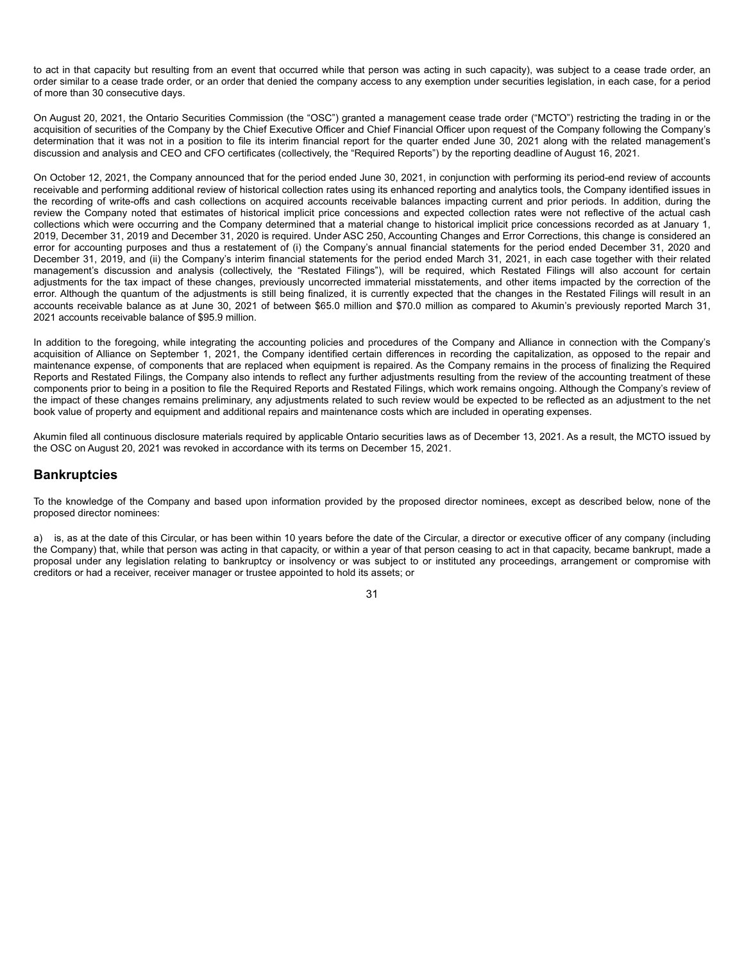to act in that capacity but resulting from an event that occurred while that person was acting in such capacity), was subject to a cease trade order, an order similar to a cease trade order, or an order that denied the company access to any exemption under securities legislation, in each case, for a period of more than 30 consecutive days.

On August 20, 2021, the Ontario Securities Commission (the "OSC") granted a management cease trade order ("MCTO") restricting the trading in or the acquisition of securities of the Company by the Chief Executive Officer and Chief Financial Officer upon request of the Company following the Company's determination that it was not in a position to file its interim financial report for the quarter ended June 30, 2021 along with the related management's discussion and analysis and CEO and CFO certificates (collectively, the "Required Reports") by the reporting deadline of August 16, 2021.

On October 12, 2021, the Company announced that for the period ended June 30, 2021, in conjunction with performing its period-end review of accounts receivable and performing additional review of historical collection rates using its enhanced reporting and analytics tools, the Company identified issues in the recording of write-offs and cash collections on acquired accounts receivable balances impacting current and prior periods. In addition, during the review the Company noted that estimates of historical implicit price concessions and expected collection rates were not reflective of the actual cash collections which were occurring and the Company determined that a material change to historical implicit price concessions recorded as at January 1, 2019, December 31, 2019 and December 31, 2020 is required. Under ASC 250, Accounting Changes and Error Corrections, this change is considered an error for accounting purposes and thus a restatement of (i) the Company's annual financial statements for the period ended December 31, 2020 and December 31, 2019, and (ii) the Company's interim financial statements for the period ended March 31, 2021, in each case together with their related management's discussion and analysis (collectively, the "Restated Filings"), will be required, which Restated Filings will also account for certain adjustments for the tax impact of these changes, previously uncorrected immaterial misstatements, and other items impacted by the correction of the error. Although the quantum of the adjustments is still being finalized, it is currently expected that the changes in the Restated Filings will result in an accounts receivable balance as at June 30, 2021 of between \$65.0 million and \$70.0 million as compared to Akumin's previously reported March 31, 2021 accounts receivable balance of \$95.9 million.

In addition to the foregoing, while integrating the accounting policies and procedures of the Company and Alliance in connection with the Company's acquisition of Alliance on September 1, 2021, the Company identified certain differences in recording the capitalization, as opposed to the repair and maintenance expense, of components that are replaced when equipment is repaired. As the Company remains in the process of finalizing the Required Reports and Restated Filings, the Company also intends to reflect any further adjustments resulting from the review of the accounting treatment of these components prior to being in a position to file the Required Reports and Restated Filings, which work remains ongoing. Although the Company's review of the impact of these changes remains preliminary, any adjustments related to such review would be expected to be reflected as an adjustment to the net book value of property and equipment and additional repairs and maintenance costs which are included in operating expenses.

Akumin filed all continuous disclosure materials required by applicable Ontario securities laws as of December 13, 2021. As a result, the MCTO issued by the OSC on August 20, 2021 was revoked in accordance with its terms on December 15, 2021.

## **Bankruptcies**

To the knowledge of the Company and based upon information provided by the proposed director nominees, except as described below, none of the proposed director nominees:

a) is, as at the date of this Circular, or has been within 10 years before the date of the Circular, a director or executive officer of any company (including the Company) that, while that person was acting in that capacity, or within a year of that person ceasing to act in that capacity, became bankrupt, made a proposal under any legislation relating to bankruptcy or insolvency or was subject to or instituted any proceedings, arrangement or compromise with creditors or had a receiver, receiver manager or trustee appointed to hold its assets; or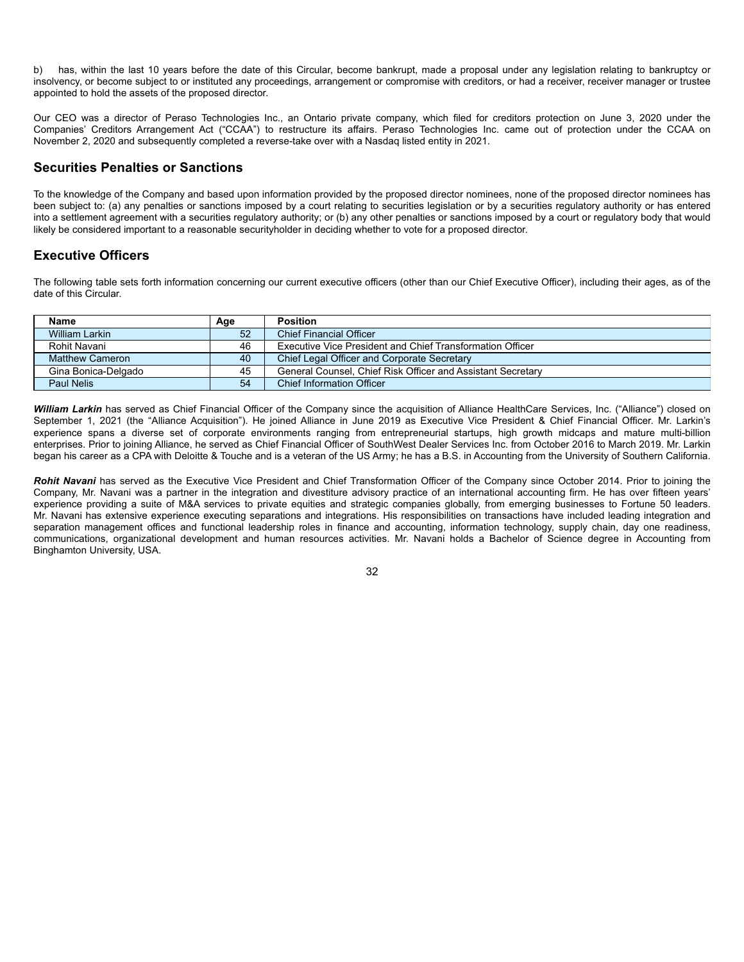b) has, within the last 10 years before the date of this Circular, become bankrupt, made a proposal under any legislation relating to bankruptcy or insolvency, or become subject to or instituted any proceedings, arrangement or compromise with creditors, or had a receiver, receiver manager or trustee appointed to hold the assets of the proposed director.

Our CEO was a director of Peraso Technologies Inc., an Ontario private company, which filed for creditors protection on June 3, 2020 under the Companies' Creditors Arrangement Act ("CCAA") to restructure its affairs. Peraso Technologies Inc. came out of protection under the CCAA on November 2, 2020 and subsequently completed a reverse-take over with a Nasdaq listed entity in 2021.

# **Securities Penalties or Sanctions**

To the knowledge of the Company and based upon information provided by the proposed director nominees, none of the proposed director nominees has been subject to: (a) any penalties or sanctions imposed by a court relating to securities legislation or by a securities regulatory authority or has entered into a settlement agreement with a securities regulatory authority; or (b) any other penalties or sanctions imposed by a court or regulatory body that would likely be considered important to a reasonable securityholder in deciding whether to vote for a proposed director.

# **Executive Officers**

The following table sets forth information concerning our current executive officers (other than our Chief Executive Officer), including their ages, as of the date of this Circular.

| <b>Name</b>         | Age | <b>Position</b>                                             |
|---------------------|-----|-------------------------------------------------------------|
| William Larkin      | 52  | <b>Chief Financial Officer</b>                              |
| Rohit Navani        | 46  | Executive Vice President and Chief Transformation Officer   |
| Matthew Cameron     | 40  | Chief Legal Officer and Corporate Secretary                 |
| Gina Bonica-Delgado | 45  | General Counsel, Chief Risk Officer and Assistant Secretary |
| <b>Paul Nelis</b>   | 54  | <b>Chief Information Officer</b>                            |

William Larkin has served as Chief Financial Officer of the Company since the acquisition of Alliance HealthCare Services, Inc. ("Alliance") closed on September 1, 2021 (the "Alliance Acquisition"). He joined Alliance in June 2019 as Executive Vice President & Chief Financial Officer. Mr. Larkin's experience spans a diverse set of corporate environments ranging from entrepreneurial startups, high growth midcaps and mature multi-billion enterprises. Prior to joining Alliance, he served as Chief Financial Officer of SouthWest Dealer Services Inc. from October 2016 to March 2019. Mr. Larkin began his career as a CPA with Deloitte & Touche and is a veteran of the US Army; he has a B.S. in Accounting from the University of Southern California.

Rohit Navani has served as the Executive Vice President and Chief Transformation Officer of the Company since October 2014. Prior to joining the Company, Mr. Navani was a partner in the integration and divestiture advisory practice of an international accounting firm. He has over fifteen years' experience providing a suite of M&A services to private equities and strategic companies globally, from emerging businesses to Fortune 50 leaders. Mr. Navani has extensive experience executing separations and integrations. His responsibilities on transactions have included leading integration and separation management offices and functional leadership roles in finance and accounting, information technology, supply chain, day one readiness, communications, organizational development and human resources activities. Mr. Navani holds a Bachelor of Science degree in Accounting from Binghamton University, USA.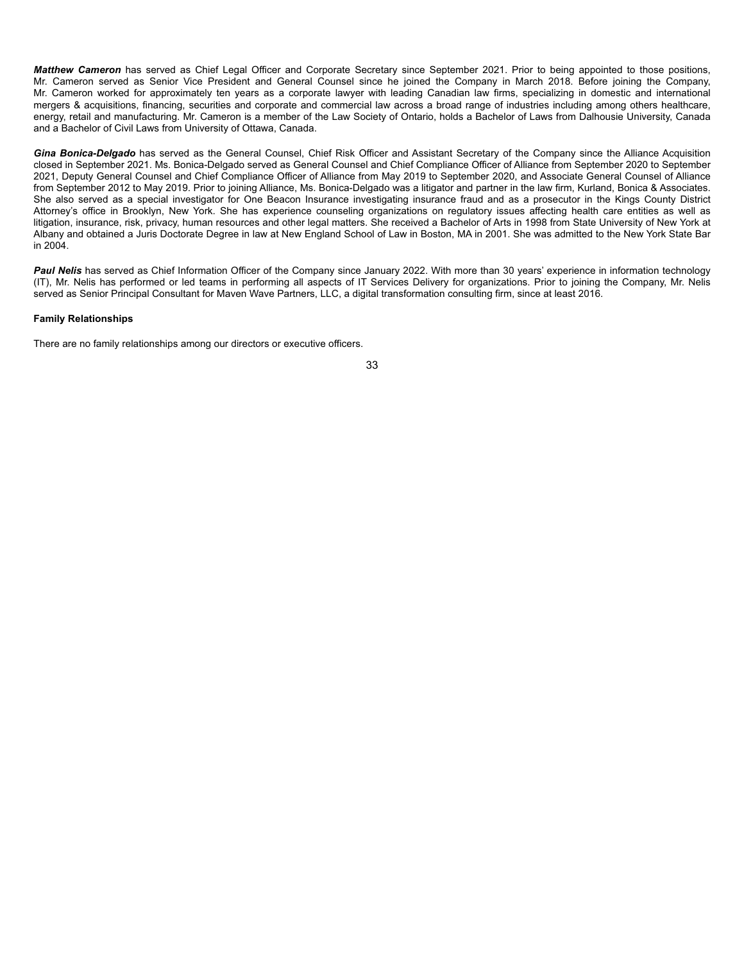*Matthew Cameron* has served as Chief Legal Officer and Corporate Secretary since September 2021. Prior to being appointed to those positions, Mr. Cameron served as Senior Vice President and General Counsel since he joined the Company in March 2018. Before joining the Company, Mr. Cameron worked for approximately ten years as a corporate lawyer with leading Canadian law firms, specializing in domestic and international mergers & acquisitions, financing, securities and corporate and commercial law across a broad range of industries including among others healthcare, energy, retail and manufacturing. Mr. Cameron is a member of the Law Society of Ontario, holds a Bachelor of Laws from Dalhousie University, Canada and a Bachelor of Civil Laws from University of Ottawa, Canada.

Gina Bonica-Delgado has served as the General Counsel, Chief Risk Officer and Assistant Secretary of the Company since the Alliance Acquisition closed in September 2021. Ms. Bonica-Delgado served as General Counsel and Chief Compliance Officer of Alliance from September 2020 to September 2021, Deputy General Counsel and Chief Compliance Officer of Alliance from May 2019 to September 2020, and Associate General Counsel of Alliance from September 2012 to May 2019. Prior to joining Alliance, Ms. Bonica-Delgado was a litigator and partner in the law firm, Kurland, Bonica & Associates. She also served as a special investigator for One Beacon Insurance investigating insurance fraud and as a prosecutor in the Kings County District Attorney's office in Brooklyn, New York. She has experience counseling organizations on regulatory issues affecting health care entities as well as litigation, insurance, risk, privacy, human resources and other legal matters. She received a Bachelor of Arts in 1998 from State University of New York at Albany and obtained a Juris Doctorate Degree in law at New England School of Law in Boston, MA in 2001. She was admitted to the New York State Bar in 2004.

Paul Nelis has served as Chief Information Officer of the Company since January 2022. With more than 30 years' experience in information technology (IT), Mr. Nelis has performed or led teams in performing all aspects of IT Services Delivery for organizations. Prior to joining the Company, Mr. Nelis served as Senior Principal Consultant for Maven Wave Partners, LLC, a digital transformation consulting firm, since at least 2016.

### **Family Relationships**

There are no family relationships among our directors or executive officers.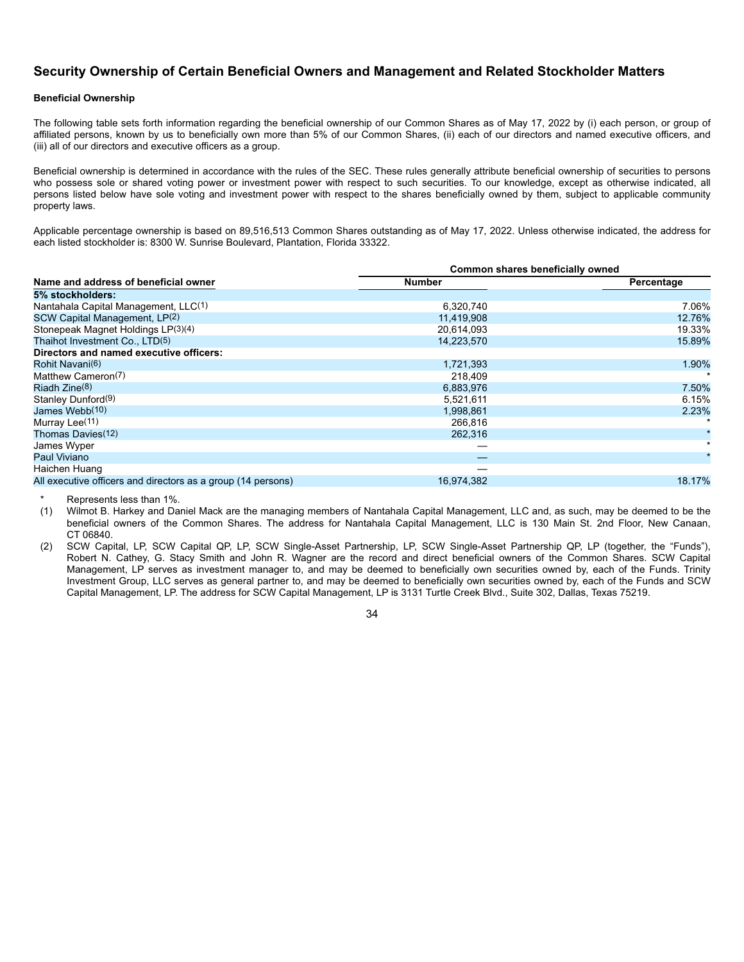## **Security Ownership of Certain Beneficial Owners and Management and Related Stockholder Matters**

## **Beneficial Ownership**

The following table sets forth information regarding the beneficial ownership of our Common Shares as of May 17, 2022 by (i) each person, or group of affiliated persons, known by us to beneficially own more than 5% of our Common Shares, (ii) each of our directors and named executive officers, and (iii) all of our directors and executive officers as a group.

Beneficial ownership is determined in accordance with the rules of the SEC. These rules generally attribute beneficial ownership of securities to persons who possess sole or shared voting power or investment power with respect to such securities. To our knowledge, except as otherwise indicated, all persons listed below have sole voting and investment power with respect to the shares beneficially owned by them, subject to applicable community property laws.

Applicable percentage ownership is based on 89,516,513 Common Shares outstanding as of May 17, 2022. Unless otherwise indicated, the address for each listed stockholder is: 8300 W. Sunrise Boulevard, Plantation, Florida 33322.

|                                                              | Common shares beneficially owned |            |
|--------------------------------------------------------------|----------------------------------|------------|
| Name and address of beneficial owner                         | Number                           | Percentage |
| 5% stockholders:                                             |                                  |            |
| Nantahala Capital Management, LLC(1)                         | 6,320,740                        | 7.06%      |
| SCW Capital Management, LP(2)                                | 11,419,908                       | 12.76%     |
| Stonepeak Magnet Holdings LP(3)(4)                           | 20.614.093                       | 19.33%     |
| Thaihot Investment Co., LTD(5)                               | 14,223,570                       | 15.89%     |
| Directors and named executive officers:                      |                                  |            |
| Rohit Navani(6)                                              | 1,721,393                        | 1.90%      |
| Matthew Cameron(7)                                           | 218,409                          |            |
| Riadh $Zine(8)$                                              | 6,883,976                        | 7.50%      |
| Stanley Dunford(9)                                           | 5,521,611                        | 6.15%      |
| James Webb(10)                                               | 1,998,861                        | 2.23%      |
| Murray Lee(11)                                               | 266,816                          |            |
| Thomas Davies(12)                                            | 262,316                          |            |
| James Wyper                                                  |                                  | $\star$    |
| Paul Viviano                                                 |                                  |            |
| Haichen Huang                                                |                                  |            |
| All executive officers and directors as a group (14 persons) | 16,974,382                       | 18.17%     |

Represents less than 1%.

(1) Wilmot B. Harkey and Daniel Mack are the managing members of Nantahala Capital Management, LLC and, as such, may be deemed to be the beneficial owners of the Common Shares. The address for Nantahala Capital Management, LLC is 130 Main St. 2nd Floor, New Canaan, CT 06840.

(2) SCW Capital, LP, SCW Capital QP, LP, SCW Single-Asset Partnership, LP, SCW Single-Asset Partnership QP, LP (together, the "Funds"), Robert N. Cathey, G. Stacy Smith and John R. Wagner are the record and direct beneficial owners of the Common Shares. SCW Capital Management, LP serves as investment manager to, and may be deemed to beneficially own securities owned by, each of the Funds. Trinity Investment Group, LLC serves as general partner to, and may be deemed to beneficially own securities owned by, each of the Funds and SCW Capital Management, LP. The address for SCW Capital Management, LP is 3131 Turtle Creek Blvd., Suite 302, Dallas, Texas 75219.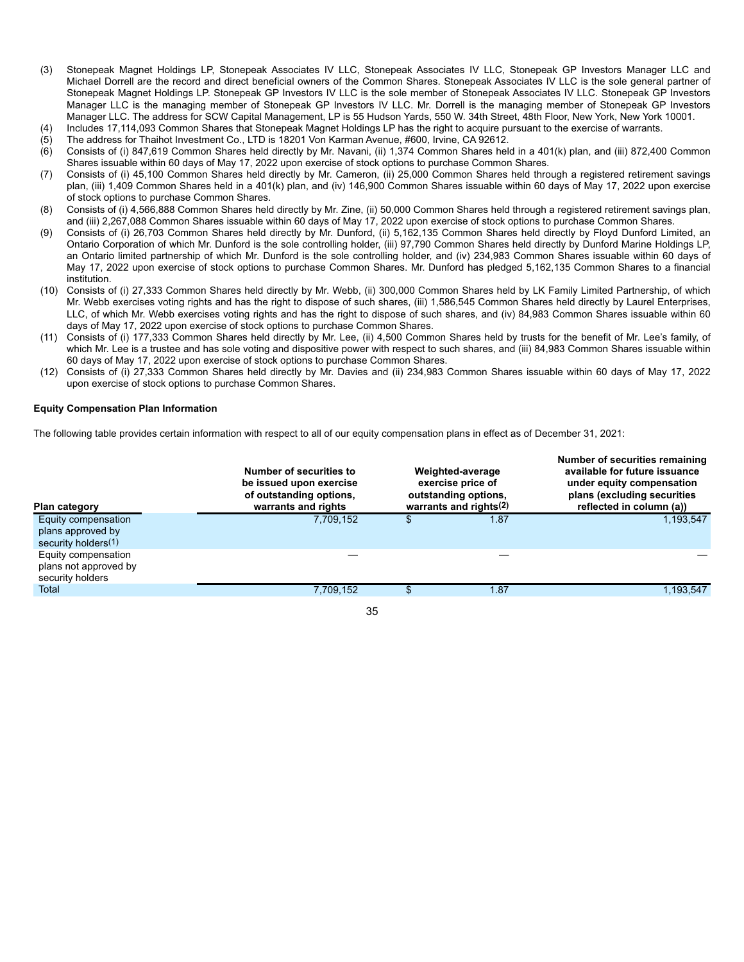- (3) Stonepeak Magnet Holdings LP, Stonepeak Associates IV LLC, Stonepeak Associates IV LLC, Stonepeak GP Investors Manager LLC and Michael Dorrell are the record and direct beneficial owners of the Common Shares. Stonepeak Associates IV LLC is the sole general partner of Stonepeak Magnet Holdings LP. Stonepeak GP Investors IV LLC is the sole member of Stonepeak Associates IV LLC. Stonepeak GP Investors Manager LLC is the managing member of Stonepeak GP Investors IV LLC. Mr. Dorrell is the managing member of Stonepeak GP Investors Manager LLC. The address for SCW Capital Management, LP is 55 Hudson Yards, 550 W. 34th Street, 48th Floor, New York, New York 10001.
- (4) Includes 17,114,093 Common Shares that Stonepeak Magnet Holdings LP has the right to acquire pursuant to the exercise of warrants.
- (5) The address for Thaihot Investment Co., LTD is 18201 Von Karman Avenue, #600, Irvine, CA 92612.
- (6) Consists of (i) 847,619 Common Shares held directly by Mr. Navani, (ii) 1,374 Common Shares held in a 401(k) plan, and (iii) 872,400 Common Shares issuable within 60 days of May 17, 2022 upon exercise of stock options to purchase Common Shares.
- (7) Consists of (i) 45,100 Common Shares held directly by Mr. Cameron, (ii) 25,000 Common Shares held through a registered retirement savings plan, (iii) 1,409 Common Shares held in a 401(k) plan, and (iv) 146,900 Common Shares issuable within 60 days of May 17, 2022 upon exercise of stock options to purchase Common Shares.
- (8) Consists of (i) 4,566,888 Common Shares held directly by Mr. Zine, (ii) 50,000 Common Shares held through a registered retirement savings plan, and (iii) 2,267,088 Common Shares issuable within 60 days of May 17, 2022 upon exercise of stock options to purchase Common Shares.
- (9) Consists of (i) 26,703 Common Shares held directly by Mr. Dunford, (ii) 5,162,135 Common Shares held directly by Floyd Dunford Limited, an Ontario Corporation of which Mr. Dunford is the sole controlling holder, (iii) 97,790 Common Shares held directly by Dunford Marine Holdings LP, an Ontario limited partnership of which Mr. Dunford is the sole controlling holder, and (iv) 234,983 Common Shares issuable within 60 days of May 17, 2022 upon exercise of stock options to purchase Common Shares. Mr. Dunford has pledged 5,162,135 Common Shares to a financial institution.
- (10) Consists of (i) 27,333 Common Shares held directly by Mr. Webb, (ii) 300,000 Common Shares held by LK Family Limited Partnership, of which Mr. Webb exercises voting rights and has the right to dispose of such shares, (iii) 1,586,545 Common Shares held directly by Laurel Enterprises, LLC, of which Mr. Webb exercises voting rights and has the right to dispose of such shares, and (iv) 84,983 Common Shares issuable within 60 days of May 17, 2022 upon exercise of stock options to purchase Common Shares.
- (11) Consists of (i) 177,333 Common Shares held directly by Mr. Lee, (ii) 4,500 Common Shares held by trusts for the benefit of Mr. Lee's family, of which Mr. Lee is a trustee and has sole voting and dispositive power with respect to such shares, and (iii) 84,983 Common Shares issuable within 60 days of May 17, 2022 upon exercise of stock options to purchase Common Shares.
- (12) Consists of (i) 27,333 Common Shares held directly by Mr. Davies and (ii) 234,983 Common Shares issuable within 60 days of May 17, 2022 upon exercise of stock options to purchase Common Shares.

### **Equity Compensation Plan Information**

The following table provides certain information with respect to all of our equity compensation plans in effect as of December 31, 2021:

| <b>Plan category</b>                                             | Number of securities to<br>be issued upon exercise<br>of outstanding options,<br>warrants and rights |    | Weighted-average<br>exercise price of<br>outstanding options,<br>warrants and rights $(2)$ | Number of securities remaining<br>available for future issuance<br>under equity compensation<br>plans (excluding securities<br>reflected in column (a)) |  |
|------------------------------------------------------------------|------------------------------------------------------------------------------------------------------|----|--------------------------------------------------------------------------------------------|---------------------------------------------------------------------------------------------------------------------------------------------------------|--|
| Equity compensation<br>plans approved by<br>security holders(1)  | 7.709.152                                                                                            | S  | 1.87                                                                                       | 1,193,547                                                                                                                                               |  |
| Equity compensation<br>plans not approved by<br>security holders |                                                                                                      |    |                                                                                            |                                                                                                                                                         |  |
| Total                                                            | 7,709,152                                                                                            | \$ | 1.87                                                                                       | 1,193,547                                                                                                                                               |  |
|                                                                  | 35                                                                                                   |    |                                                                                            |                                                                                                                                                         |  |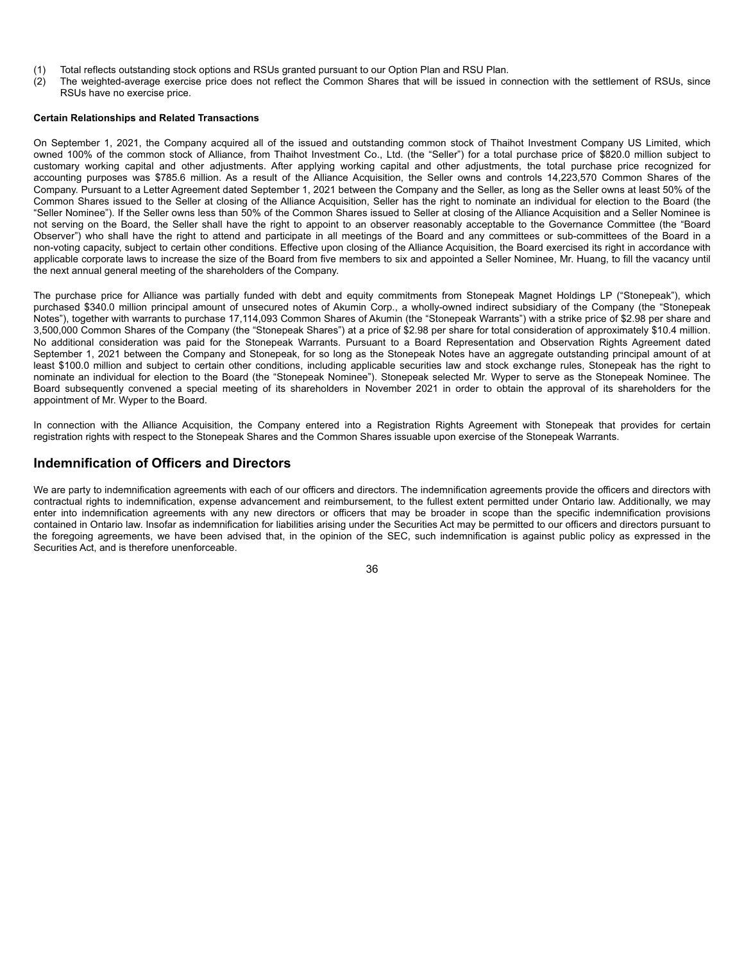- (1) Total reflects outstanding stock options and RSUs granted pursuant to our Option Plan and RSU Plan.
- (2) The weighted-average exercise price does not reflect the Common Shares that will be issued in connection with the settlement of RSUs, since RSUs have no exercise price.

### **Certain Relationships and Related Transactions**

On September 1, 2021, the Company acquired all of the issued and outstanding common stock of Thaihot Investment Company US Limited, which owned 100% of the common stock of Alliance, from Thaihot Investment Co., Ltd. (the "Seller") for a total purchase price of \$820.0 million subject to customary working capital and other adjustments. After applying working capital and other adjustments, the total purchase price recognized for accounting purposes was \$785.6 million. As a result of the Alliance Acquisition, the Seller owns and controls 14,223,570 Common Shares of the Company. Pursuant to a Letter Agreement dated September 1, 2021 between the Company and the Seller, as long as the Seller owns at least 50% of the Common Shares issued to the Seller at closing of the Alliance Acquisition, Seller has the right to nominate an individual for election to the Board (the "Seller Nominee"). If the Seller owns less than 50% of the Common Shares issued to Seller at closing of the Alliance Acquisition and a Seller Nominee is not serving on the Board, the Seller shall have the right to appoint to an observer reasonably acceptable to the Governance Committee (the "Board Observer") who shall have the right to attend and participate in all meetings of the Board and any committees or sub-committees of the Board in a non-voting capacity, subject to certain other conditions. Effective upon closing of the Alliance Acquisition, the Board exercised its right in accordance with applicable corporate laws to increase the size of the Board from five members to six and appointed a Seller Nominee, Mr. Huang, to fill the vacancy until the next annual general meeting of the shareholders of the Company.

The purchase price for Alliance was partially funded with debt and equity commitments from Stonepeak Magnet Holdings LP ("Stonepeak"), which purchased \$340.0 million principal amount of unsecured notes of Akumin Corp., a wholly-owned indirect subsidiary of the Company (the "Stonepeak Notes"), together with warrants to purchase 17,114,093 Common Shares of Akumin (the "Stonepeak Warrants") with a strike price of \$2.98 per share and 3,500,000 Common Shares of the Company (the "Stonepeak Shares") at a price of \$2.98 per share for total consideration of approximately \$10.4 million. No additional consideration was paid for the Stonepeak Warrants. Pursuant to a Board Representation and Observation Rights Agreement dated September 1, 2021 between the Company and Stonepeak, for so long as the Stonepeak Notes have an aggregate outstanding principal amount of at least \$100.0 million and subject to certain other conditions, including applicable securities law and stock exchange rules, Stonepeak has the right to nominate an individual for election to the Board (the "Stonepeak Nominee"). Stonepeak selected Mr. Wyper to serve as the Stonepeak Nominee. The Board subsequently convened a special meeting of its shareholders in November 2021 in order to obtain the approval of its shareholders for the appointment of Mr. Wyper to the Board.

In connection with the Alliance Acquisition, the Company entered into a Registration Rights Agreement with Stonepeak that provides for certain registration rights with respect to the Stonepeak Shares and the Common Shares issuable upon exercise of the Stonepeak Warrants.

## **Indemnification of Officers and Directors**

We are party to indemnification agreements with each of our officers and directors. The indemnification agreements provide the officers and directors with contractual rights to indemnification, expense advancement and reimbursement, to the fullest extent permitted under Ontario law. Additionally, we may enter into indemnification agreements with any new directors or officers that may be broader in scope than the specific indemnification provisions contained in Ontario law. Insofar as indemnification for liabilities arising under the Securities Act may be permitted to our officers and directors pursuant to the foregoing agreements, we have been advised that, in the opinion of the SEC, such indemnification is against public policy as expressed in the Securities Act, and is therefore unenforceable.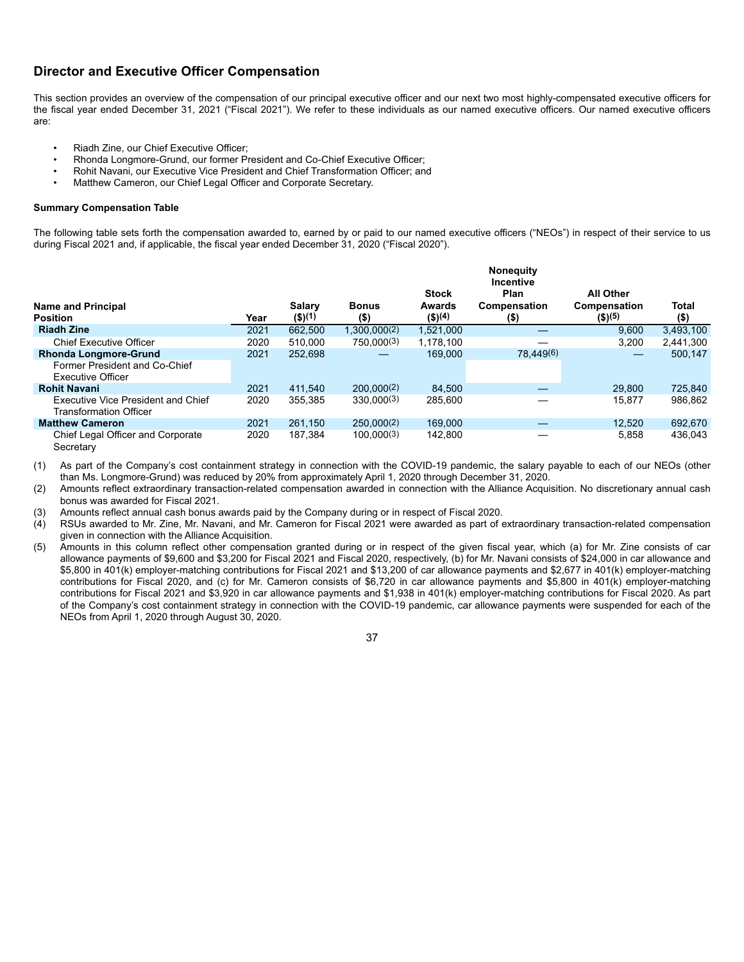## **Director and Executive Officer Compensation**

This section provides an overview of the compensation of our principal executive officer and our next two most highly-compensated executive officers for the fiscal year ended December 31, 2021 ("Fiscal 2021"). We refer to these individuals as our named executive officers. Our named executive officers are:

- Riadh Zine, our Chief Executive Officer;
- Rhonda Longmore-Grund, our former President and Co-Chief Executive Officer;
- Rohit Navani, our Executive Vice President and Chief Transformation Officer; and
- Matthew Cameron, our Chief Legal Officer and Corporate Secretary.

### **Summary Compensation Table**

The following table sets forth the compensation awarded to, earned by or paid to our named executive officers ("NEOs") in respect of their service to us during Fiscal 2021 and, if applicable, the fiscal year ended December 31, 2020 ("Fiscal 2020").

|                                                                                           |      |                      |                         |                                         | <b>Noneguity</b><br><b>Incentive</b> |                                                       |                  |
|-------------------------------------------------------------------------------------------|------|----------------------|-------------------------|-----------------------------------------|--------------------------------------|-------------------------------------------------------|------------------|
| <b>Name and Principal</b><br><b>Position</b>                                              | Year | Salary<br>$($ \$)(1) | <b>Bonus</b><br>$($ \$) | <b>Stock</b><br>Awards<br>$($ \$) $(4)$ | Plan<br>Compensation<br>$($ \$)      | <b>All Other</b><br><b>Compensation</b><br>$($ \$)(5) | Total<br>$($ \$) |
| <b>Riadh Zine</b>                                                                         | 2021 | 662,500              | 1.300.000(2)            | 1.521.000                               |                                      | 9.600                                                 | 3,493,100        |
| <b>Chief Executive Officer</b>                                                            | 2020 | 510,000              | 750,000(3)              | 1.178.100                               |                                      | 3.200                                                 | 2,441,300        |
| <b>Rhonda Longmore-Grund</b><br>Former President and Co-Chief<br><b>Executive Officer</b> | 2021 | 252.698              |                         | 169.000                                 | 78,449(6)                            |                                                       | 500,147          |
| <b>Rohit Navani</b>                                                                       | 2021 | 411.540              | 200.000(2)              | 84,500                                  |                                      | 29,800                                                | 725,840          |
| Executive Vice President and Chief<br><b>Transformation Officer</b>                       | 2020 | 355.385              | 330.000(3)              | 285,600                                 |                                      | 15.877                                                | 986.862          |
| <b>Matthew Cameron</b>                                                                    | 2021 | 261.150              | 250.000(2)              | 169,000                                 |                                      | 12.520                                                | 692,670          |
| Chief Legal Officer and Corporate<br>Secretary                                            | 2020 | 187.384              | 100.000(3)              | 142.800                                 |                                      | 5.858                                                 | 436.043          |

(1) As part of the Company's cost containment strategy in connection with the COVID-19 pandemic, the salary payable to each of our NEOs (other than Ms. Longmore-Grund) was reduced by 20% from approximately April 1, 2020 through December 31, 2020.

(2) Amounts reflect extraordinary transaction-related compensation awarded in connection with the Alliance Acquisition. No discretionary annual cash bonus was awarded for Fiscal 2021.

(3) Amounts reflect annual cash bonus awards paid by the Company during or in respect of Fiscal 2020.

(4) RSUs awarded to Mr. Zine, Mr. Navani, and Mr. Cameron for Fiscal 2021 were awarded as part of extraordinary transaction-related compensation given in connection with the Alliance Acquisition.

(5) Amounts in this column reflect other compensation granted during or in respect of the given fiscal year, which (a) for Mr. Zine consists of car allowance payments of \$9,600 and \$3,200 for Fiscal 2021 and Fiscal 2020, respectively, (b) for Mr. Navani consists of \$24,000 in car allowance and \$5,800 in 401(k) employer-matching contributions for Fiscal 2021 and \$13,200 of car allowance payments and \$2,677 in 401(k) employer-matching contributions for Fiscal 2020, and (c) for Mr. Cameron consists of \$6,720 in car allowance payments and \$5,800 in 401(k) employer-matching contributions for Fiscal 2021 and \$3,920 in car allowance payments and \$1,938 in 401(k) employer-matching contributions for Fiscal 2020. As part of the Company's cost containment strategy in connection with the COVID-19 pandemic, car allowance payments were suspended for each of the NEOs from April 1, 2020 through August 30, 2020.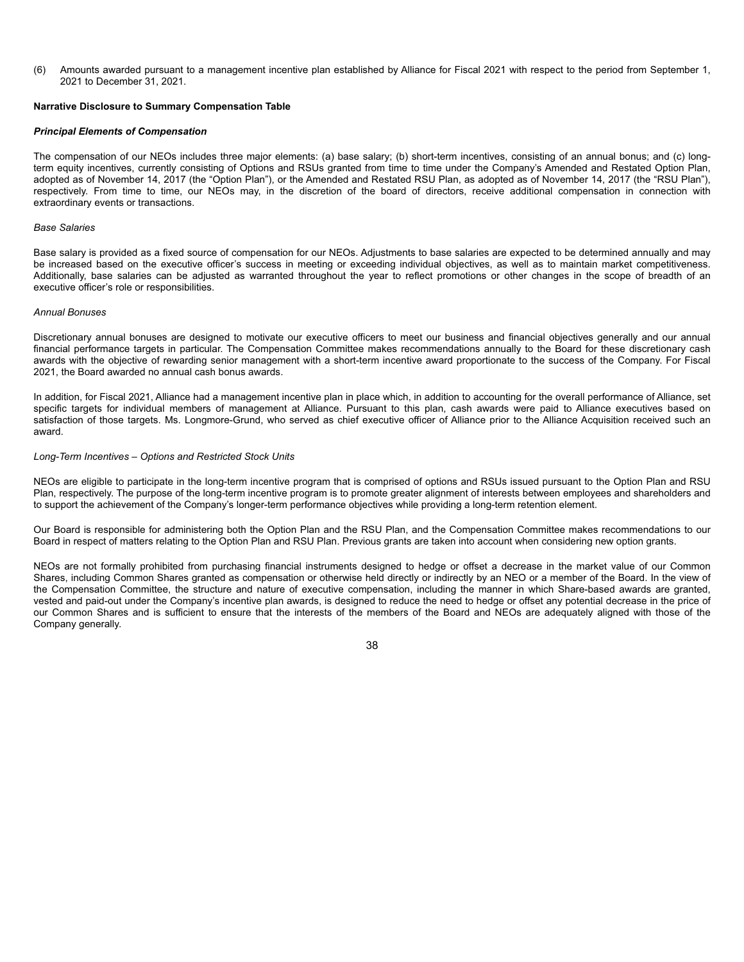(6) Amounts awarded pursuant to a management incentive plan established by Alliance for Fiscal 2021 with respect to the period from September 1, 2021 to December 31, 2021.

### **Narrative Disclosure to Summary Compensation Table**

#### *Principal Elements of Compensation*

The compensation of our NEOs includes three major elements: (a) base salary; (b) short-term incentives, consisting of an annual bonus; and (c) longterm equity incentives, currently consisting of Options and RSUs granted from time to time under the Company's Amended and Restated Option Plan, adopted as of November 14, 2017 (the "Option Plan"), or the Amended and Restated RSU Plan, as adopted as of November 14, 2017 (the "RSU Plan"), respectively. From time to time, our NEOs may, in the discretion of the board of directors, receive additional compensation in connection with extraordinary events or transactions.

#### *Base Salaries*

Base salary is provided as a fixed source of compensation for our NEOs. Adjustments to base salaries are expected to be determined annually and may be increased based on the executive officer's success in meeting or exceeding individual objectives, as well as to maintain market competitiveness. Additionally, base salaries can be adjusted as warranted throughout the year to reflect promotions or other changes in the scope of breadth of an executive officer's role or responsibilities.

#### *Annual Bonuses*

Discretionary annual bonuses are designed to motivate our executive officers to meet our business and financial objectives generally and our annual financial performance targets in particular. The Compensation Committee makes recommendations annually to the Board for these discretionary cash awards with the objective of rewarding senior management with a short-term incentive award proportionate to the success of the Company. For Fiscal 2021, the Board awarded no annual cash bonus awards.

In addition, for Fiscal 2021, Alliance had a management incentive plan in place which, in addition to accounting for the overall performance of Alliance, set specific targets for individual members of management at Alliance. Pursuant to this plan, cash awards were paid to Alliance executives based on satisfaction of those targets. Ms. Longmore-Grund, who served as chief executive officer of Alliance prior to the Alliance Acquisition received such an award.

#### *Long-Term Incentives – Options and Restricted Stock Units*

NEOs are eligible to participate in the long-term incentive program that is comprised of options and RSUs issued pursuant to the Option Plan and RSU Plan, respectively. The purpose of the long-term incentive program is to promote greater alignment of interests between employees and shareholders and to support the achievement of the Company's longer-term performance objectives while providing a long-term retention element.

Our Board is responsible for administering both the Option Plan and the RSU Plan, and the Compensation Committee makes recommendations to our Board in respect of matters relating to the Option Plan and RSU Plan. Previous grants are taken into account when considering new option grants.

NEOs are not formally prohibited from purchasing financial instruments designed to hedge or offset a decrease in the market value of our Common Shares, including Common Shares granted as compensation or otherwise held directly or indirectly by an NEO or a member of the Board. In the view of the Compensation Committee, the structure and nature of executive compensation, including the manner in which Share-based awards are granted, vested and paid-out under the Company's incentive plan awards, is designed to reduce the need to hedge or offset any potential decrease in the price of our Common Shares and is sufficient to ensure that the interests of the members of the Board and NEOs are adequately aligned with those of the Company generally.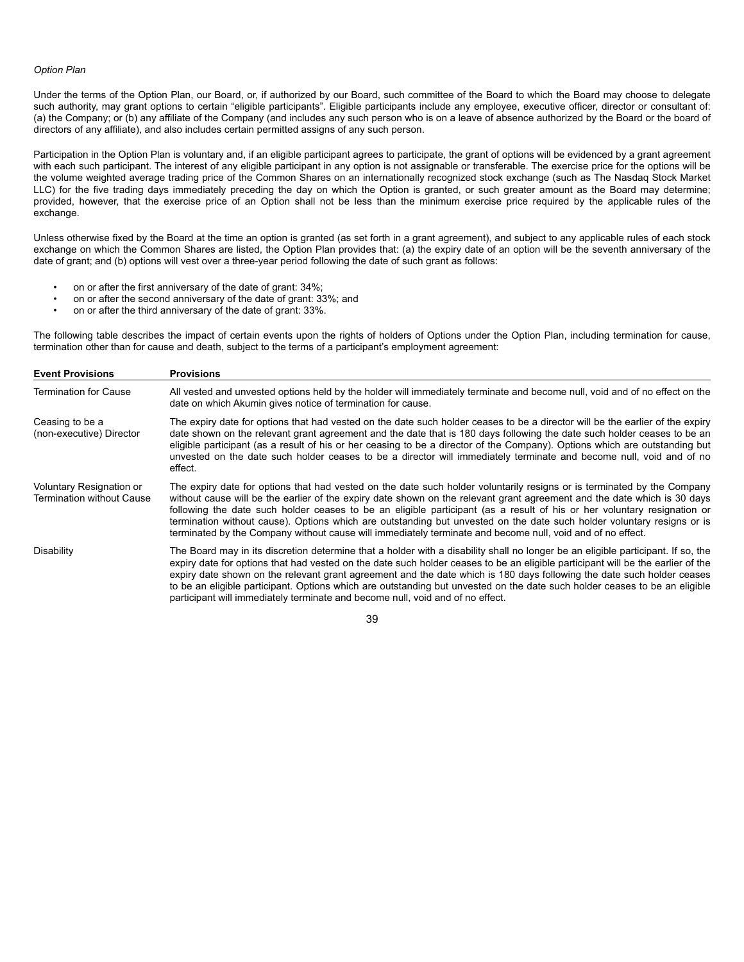#### *Option Plan*

Under the terms of the Option Plan, our Board, or, if authorized by our Board, such committee of the Board to which the Board may choose to delegate such authority, may grant options to certain "eligible participants". Eligible participants include any employee, executive officer, director or consultant of: (a) the Company; or (b) any affiliate of the Company (and includes any such person who is on a leave of absence authorized by the Board or the board of directors of any affiliate), and also includes certain permitted assigns of any such person.

Participation in the Option Plan is voluntary and, if an eligible participant agrees to participate, the grant of options will be evidenced by a grant agreement with each such participant. The interest of any eligible participant in any option is not assignable or transferable. The exercise price for the options will be the volume weighted average trading price of the Common Shares on an internationally recognized stock exchange (such as The Nasdaq Stock Market LLC) for the five trading days immediately preceding the day on which the Option is granted, or such greater amount as the Board may determine; provided, however, that the exercise price of an Option shall not be less than the minimum exercise price required by the applicable rules of the exchange.

Unless otherwise fixed by the Board at the time an option is granted (as set forth in a grant agreement), and subject to any applicable rules of each stock exchange on which the Common Shares are listed, the Option Plan provides that: (a) the expiry date of an option will be the seventh anniversary of the date of grant; and (b) options will vest over a three-year period following the date of such grant as follows:

- on or after the first anniversary of the date of grant: 34%;
- on or after the second anniversary of the date of grant: 33%; and
- on or after the third anniversary of the date of grant: 33%.

The following table describes the impact of certain events upon the rights of holders of Options under the Option Plan, including termination for cause, termination other than for cause and death, subject to the terms of a participant's employment agreement:

| <b>Event Provisions</b>                                      | <b>Provisions</b>                                                                                                                                                                                                                                                                                                                                                                                                                                                                                                                                                                                                      |
|--------------------------------------------------------------|------------------------------------------------------------------------------------------------------------------------------------------------------------------------------------------------------------------------------------------------------------------------------------------------------------------------------------------------------------------------------------------------------------------------------------------------------------------------------------------------------------------------------------------------------------------------------------------------------------------------|
| <b>Termination for Cause</b>                                 | All vested and unvested options held by the holder will immediately terminate and become null, void and of no effect on the<br>date on which Akumin gives notice of termination for cause.                                                                                                                                                                                                                                                                                                                                                                                                                             |
| Ceasing to be a<br>(non-executive) Director                  | The expiry date for options that had vested on the date such holder ceases to be a director will be the earlier of the expiry<br>date shown on the relevant grant agreement and the date that is 180 days following the date such holder ceases to be an<br>eligible participant (as a result of his or her ceasing to be a director of the Company). Options which are outstanding but<br>unvested on the date such holder ceases to be a director will immediately terminate and become null, void and of no<br>effect.                                                                                              |
| Voluntary Resignation or<br><b>Termination without Cause</b> | The expiry date for options that had vested on the date such holder voluntarily resigns or is terminated by the Company<br>without cause will be the earlier of the expiry date shown on the relevant grant agreement and the date which is 30 days<br>following the date such holder ceases to be an eligible participant (as a result of his or her voluntary resignation or<br>termination without cause). Options which are outstanding but unvested on the date such holder voluntary resigns or is<br>terminated by the Company without cause will immediately terminate and become null, void and of no effect. |
| Disability                                                   | The Board may in its discretion determine that a holder with a disability shall no longer be an eligible participant. If so, the<br>expiry date for options that had vested on the date such holder ceases to be an eligible participant will be the earlier of the<br>expiry date shown on the relevant grant agreement and the date which is 180 days following the date such holder ceases<br>to be an eligible participant. Options which are outstanding but unvested on the date such holder ceases to be an eligible<br>participant will immediately terminate and become null, void and of no effect.          |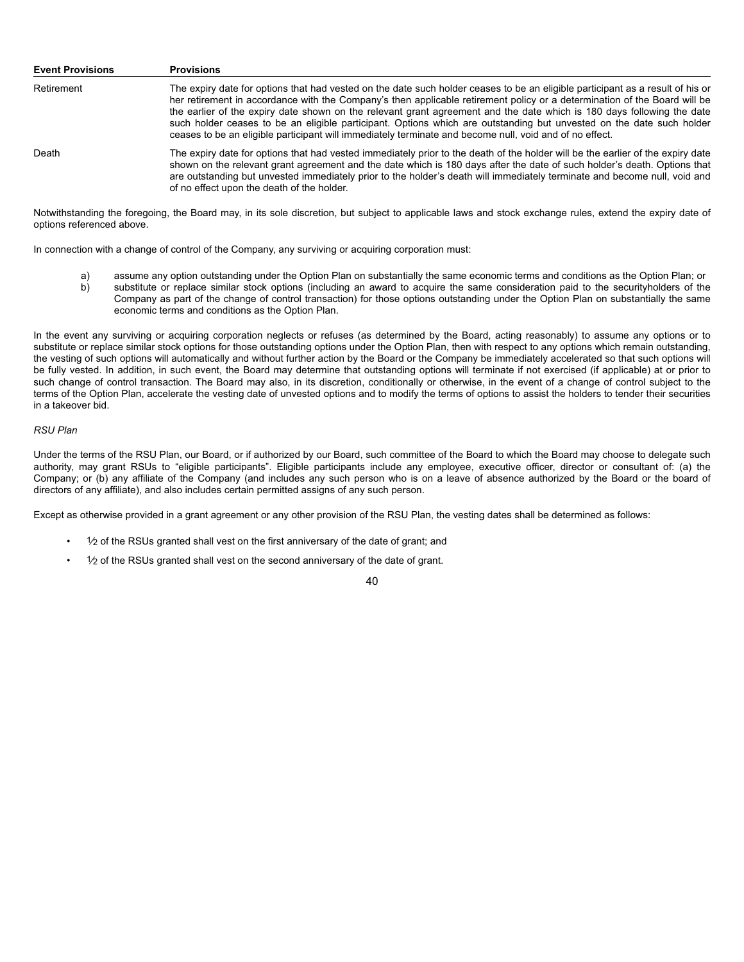| <b>Event Provisions</b> | <b>Provisions</b>                                                                                                                                                                                                                                                                                                                                                                                                                                                                                                                                                                                                        |
|-------------------------|--------------------------------------------------------------------------------------------------------------------------------------------------------------------------------------------------------------------------------------------------------------------------------------------------------------------------------------------------------------------------------------------------------------------------------------------------------------------------------------------------------------------------------------------------------------------------------------------------------------------------|
| Retirement              | The expiry date for options that had vested on the date such holder ceases to be an eligible participant as a result of his or<br>her retirement in accordance with the Company's then applicable retirement policy or a determination of the Board will be<br>the earlier of the expiry date shown on the relevant grant agreement and the date which is 180 days following the date<br>such holder ceases to be an eligible participant. Options which are outstanding but unvested on the date such holder<br>ceases to be an eligible participant will immediately terminate and become null, void and of no effect. |
| Death                   | The expiry date for options that had vested immediately prior to the death of the holder will be the earlier of the expiry date<br>shown on the relevant grant agreement and the date which is 180 days after the date of such holder's death. Options that<br>are outstanding but unvested immediately prior to the holder's death will immediately terminate and become null, void and<br>of no effect upon the death of the holder.                                                                                                                                                                                   |

Notwithstanding the foregoing, the Board may, in its sole discretion, but subject to applicable laws and stock exchange rules, extend the expiry date of options referenced above.

In connection with a change of control of the Company, any surviving or acquiring corporation must:

- a) assume any option outstanding under the Option Plan on substantially the same economic terms and conditions as the Option Plan; or<br>b) substitute or replace similar stock options (including an award to acquire the same c substitute or replace similar stock options (including an award to acquire the same consideration paid to the securityholders of the Company as part of the change of control transaction) for those options outstanding under the Option Plan on substantially the same
- economic terms and conditions as the Option Plan. In the event any surviving or acquiring corporation neglects or refuses (as determined by the Board, acting reasonably) to assume any options or to substitute or replace similar stock options for those outstanding options under the Option Plan, then with respect to any options which remain outstanding, the vesting of such options will automatically and without further action by the Board or the Company be immediately accelerated so that such options will be fully vested. In addition, in such event, the Board may determine that outstanding options will terminate if not exercised (if applicable) at or prior to such change of control transaction. The Board may also, in its discretion, conditionally or otherwise, in the event of a change of control subject to the terms of the Option Plan, accelerate the vesting date of unvested options and to modify the terms of options to assist the holders to tender their securities

#### *RSU Plan*

in a takeover bid.

Under the terms of the RSU Plan, our Board, or if authorized by our Board, such committee of the Board to which the Board may choose to delegate such authority, may grant RSUs to "eligible participants". Eligible participants include any employee, executive officer, director or consultant of: (a) the Company; or (b) any affiliate of the Company (and includes any such person who is on a leave of absence authorized by the Board or the board of directors of any affiliate), and also includes certain permitted assigns of any such person.

Except as otherwise provided in a grant agreement or any other provision of the RSU Plan, the vesting dates shall be determined as follows:

- $\frac{1}{2}$  of the RSUs granted shall vest on the first anniversary of the date of grant; and
- 1⁄2 of the RSUs granted shall vest on the second anniversary of the date of grant.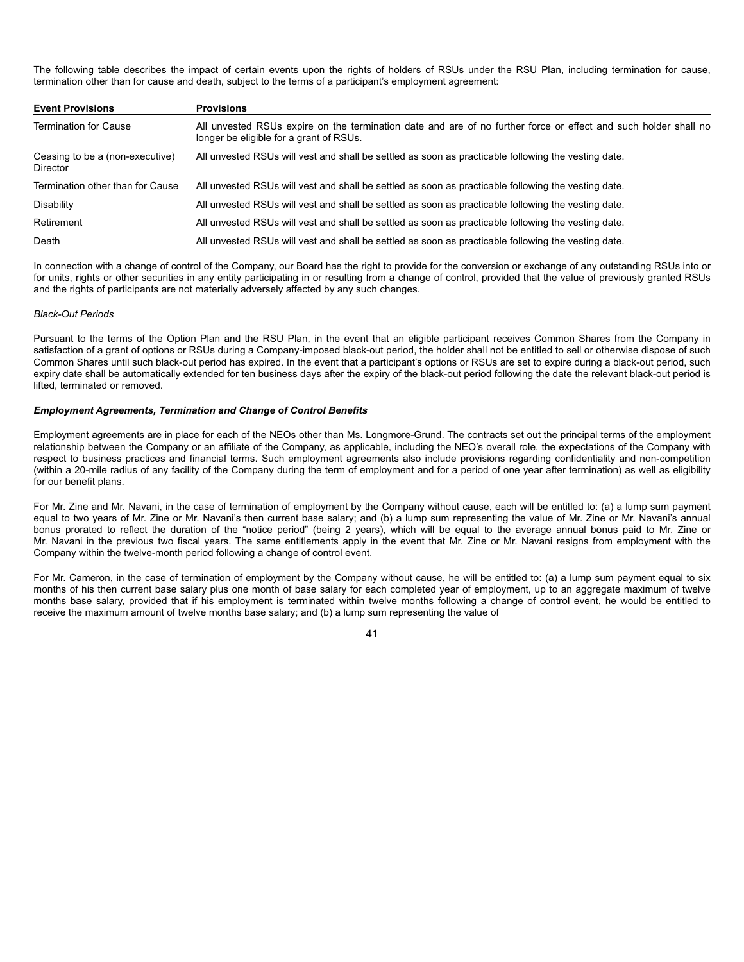The following table describes the impact of certain events upon the rights of holders of RSUs under the RSU Plan, including termination for cause, termination other than for cause and death, subject to the terms of a participant's employment agreement:

| <b>Event Provisions</b>                            | <b>Provisions</b>                                                                                                                                          |
|----------------------------------------------------|------------------------------------------------------------------------------------------------------------------------------------------------------------|
| <b>Termination for Cause</b>                       | All unvested RSUs expire on the termination date and are of no further force or effect and such holder shall no<br>longer be eligible for a grant of RSUs. |
| Ceasing to be a (non-executive)<br><b>Director</b> | All unvested RSUs will vest and shall be settled as soon as practicable following the vesting date.                                                        |
| Termination other than for Cause                   | All unvested RSUs will vest and shall be settled as soon as practicable following the vesting date.                                                        |
| Disability                                         | All unvested RSUs will vest and shall be settled as soon as practicable following the vesting date.                                                        |
| Retirement                                         | All unvested RSUs will vest and shall be settled as soon as practicable following the vesting date.                                                        |
| Death                                              | All unvested RSUs will vest and shall be settled as soon as practicable following the vesting date.                                                        |

In connection with a change of control of the Company, our Board has the right to provide for the conversion or exchange of any outstanding RSUs into or for units, rights or other securities in any entity participating in or resulting from a change of control, provided that the value of previously granted RSUs and the rights of participants are not materially adversely affected by any such changes.

## *Black-Out Periods*

Pursuant to the terms of the Option Plan and the RSU Plan, in the event that an eligible participant receives Common Shares from the Company in satisfaction of a grant of options or RSUs during a Company-imposed black-out period, the holder shall not be entitled to sell or otherwise dispose of such Common Shares until such black-out period has expired. In the event that a participant's options or RSUs are set to expire during a black-out period, such expiry date shall be automatically extended for ten business days after the expiry of the black-out period following the date the relevant black-out period is lifted, terminated or removed.

#### *Employment Agreements, Termination and Change of Control Benefits*

Employment agreements are in place for each of the NEOs other than Ms. Longmore-Grund. The contracts set out the principal terms of the employment relationship between the Company or an affiliate of the Company, as applicable, including the NEO's overall role, the expectations of the Company with respect to business practices and financial terms. Such employment agreements also include provisions regarding confidentiality and non-competition (within a 20-mile radius of any facility of the Company during the term of employment and for a period of one year after termination) as well as eligibility for our benefit plans.

For Mr. Zine and Mr. Navani, in the case of termination of employment by the Company without cause, each will be entitled to: (a) a lump sum payment equal to two years of Mr. Zine or Mr. Navani's then current base salary; and (b) a lump sum representing the value of Mr. Zine or Mr. Navani's annual bonus prorated to reflect the duration of the "notice period" (being 2 years), which will be equal to the average annual bonus paid to Mr. Zine or Mr. Navani in the previous two fiscal years. The same entitlements apply in the event that Mr. Zine or Mr. Navani resigns from employment with the Company within the twelve-month period following a change of control event.

For Mr. Cameron, in the case of termination of employment by the Company without cause, he will be entitled to: (a) a lump sum payment equal to six months of his then current base salary plus one month of base salary for each completed year of employment, up to an aggregate maximum of twelve months base salary, provided that if his employment is terminated within twelve months following a change of control event, he would be entitled to receive the maximum amount of twelve months base salary; and (b) a lump sum representing the value of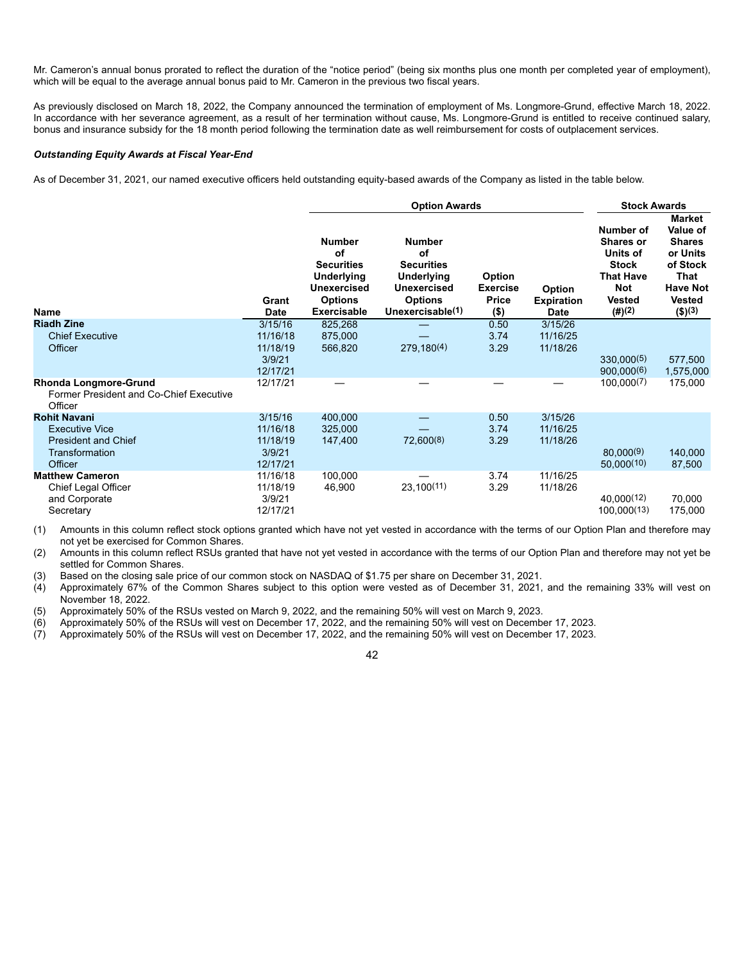Mr. Cameron's annual bonus prorated to reflect the duration of the "notice period" (being six months plus one month per completed year of employment), which will be equal to the average annual bonus paid to Mr. Cameron in the previous two fiscal years.

As previously disclosed on March 18, 2022, the Company announced the termination of employment of Ms. Longmore-Grund, effective March 18, 2022. In accordance with her severance agreement, as a result of her termination without cause, Ms. Longmore-Grund is entitled to receive continued salary, bonus and insurance subsidy for the 18 month period following the termination date as well reimbursement for costs of outplacement services.

### *Outstanding Equity Awards at Fiscal Year-End*

As of December 31, 2021, our named executive officers held outstanding equity-based awards of the Company as listed in the table below.

|                                                                                                         |                                                       | <b>Option Awards</b>                                                                                                 |                                                                                                                    |                                               |                                                   |                                                                                                             | <b>Stock Awards</b>                                                                                                             |  |
|---------------------------------------------------------------------------------------------------------|-------------------------------------------------------|----------------------------------------------------------------------------------------------------------------------|--------------------------------------------------------------------------------------------------------------------|-----------------------------------------------|---------------------------------------------------|-------------------------------------------------------------------------------------------------------------|---------------------------------------------------------------------------------------------------------------------------------|--|
| <b>Name</b>                                                                                             | Grant<br><b>Date</b>                                  | <b>Number</b><br>оf<br><b>Securities</b><br><b>Underlying</b><br>Unexercised<br><b>Options</b><br><b>Exercisable</b> | <b>Number</b><br>οf<br><b>Securities</b><br><b>Underlying</b><br>Unexercised<br><b>Options</b><br>Unexercisable(1) | Option<br><b>Exercise</b><br>Price<br>$($ \$) | <b>Option</b><br><b>Expiration</b><br><b>Date</b> | Number of<br>Shares or<br>Units of<br><b>Stock</b><br><b>That Have</b><br><b>Not</b><br>Vested<br>$(\#)(2)$ | <b>Market</b><br>Value of<br><b>Shares</b><br>or Units<br>of Stock<br>That<br><b>Have Not</b><br><b>Vested</b><br>$($ \$) $(3)$ |  |
| <b>Riadh Zine</b><br><b>Chief Executive</b><br>Officer                                                  | 3/15/16<br>11/16/18<br>11/18/19<br>3/9/21             | 825,268<br>875,000<br>566,820                                                                                        | 279,180(4)                                                                                                         | 0.50<br>3.74<br>3.29                          | 3/15/26<br>11/16/25<br>11/18/26                   | 330,000(5)                                                                                                  | 577,500                                                                                                                         |  |
| <b>Rhonda Longmore-Grund</b><br>Former President and Co-Chief Executive<br>Officer                      | 12/17/21<br>12/17/21                                  |                                                                                                                      |                                                                                                                    |                                               |                                                   | 900,000(6)<br>100,000(7)                                                                                    | 1,575,000<br>175,000                                                                                                            |  |
| <b>Rohit Navani</b><br><b>Executive Vice</b><br><b>President and Chief</b><br>Transformation<br>Officer | 3/15/16<br>11/16/18<br>11/18/19<br>3/9/21<br>12/17/21 | 400,000<br>325,000<br>147,400                                                                                        | 72,600(8)                                                                                                          | 0.50<br>3.74<br>3.29                          | 3/15/26<br>11/16/25<br>11/18/26                   | 80,000(9)<br>50,000(10)                                                                                     | 140,000<br>87,500                                                                                                               |  |
| <b>Matthew Cameron</b><br>Chief Legal Officer<br>and Corporate<br>Secretary                             | 11/16/18<br>11/18/19<br>3/9/21<br>12/17/21            | 100,000<br>46,900                                                                                                    | 23,100(11)                                                                                                         | 3.74<br>3.29                                  | 11/16/25<br>11/18/26                              | 40,000(12)<br>100.000(13)                                                                                   | 70,000<br>175,000                                                                                                               |  |

(1) Amounts in this column reflect stock options granted which have not yet vested in accordance with the terms of our Option Plan and therefore may not yet be exercised for Common Shares.

(2) Amounts in this column reflect RSUs granted that have not yet vested in accordance with the terms of our Option Plan and therefore may not yet be settled for Common Shares.

(3) Based on the closing sale price of our common stock on NASDAQ of \$1.75 per share on December 31, 2021.<br>(4) Approximately 67% of the Common Shares subject to this option were vested as of December 31, 2021, (4) Approximately 67% of the Common Shares subject to this option were vested as of December 31, 2021, and the remaining 33% will vest on November 18, 2022.

(5) Approximately 50% of the RSUs vested on March 9, 2022, and the remaining 50% will vest on March 9, 2023.

(6) Approximately 50% of the RSUs will vest on December 17, 2022, and the remaining 50% will vest on December 17, 2023.

(7) Approximately 50% of the RSUs will vest on December 17, 2022, and the remaining 50% will vest on December 17, 2023.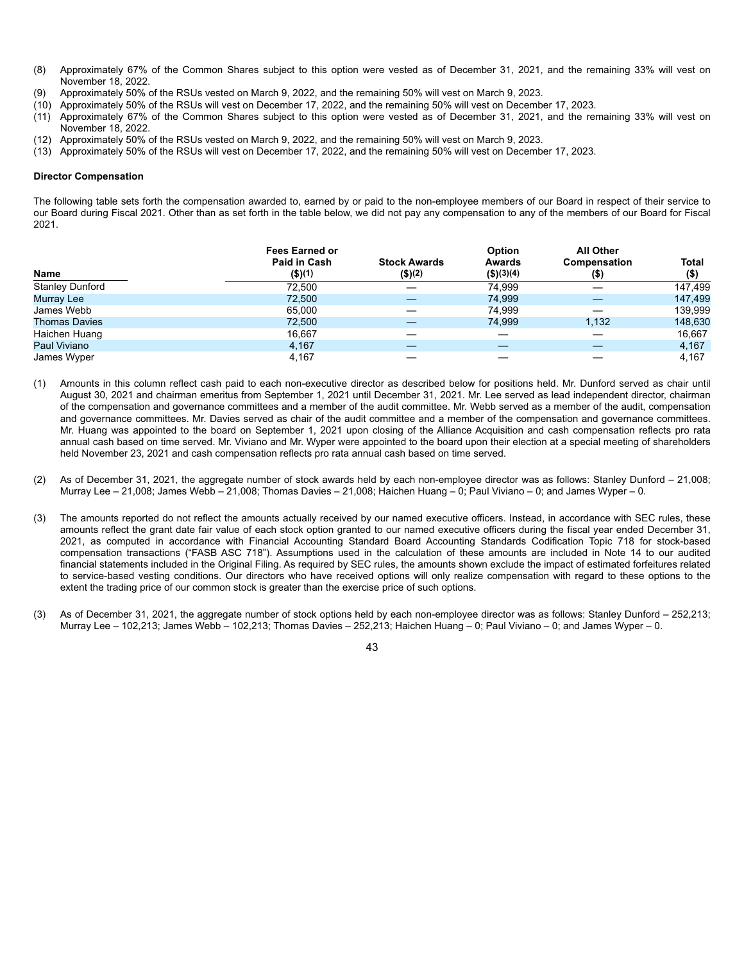- (8) Approximately 67% of the Common Shares subject to this option were vested as of December 31, 2021, and the remaining 33% will vest on November 18, 2022.
- (9) Approximately 50% of the RSUs vested on March 9, 2022, and the remaining 50% will vest on March 9, 2023.
- (10) Approximately 50% of the RSUs will vest on December 17, 2022, and the remaining 50% will vest on December 17, 2023.
- (11) Approximately 67% of the Common Shares subject to this option were vested as of December 31, 2021, and the remaining 33% will vest on November 18, 2022.
- (12) Approximately 50% of the RSUs vested on March 9, 2022, and the remaining 50% will vest on March 9, 2023.
- (13) Approximately 50% of the RSUs will vest on December 17, 2022, and the remaining 50% will vest on December 17, 2023.

#### **Director Compensation**

The following table sets forth the compensation awarded to, earned by or paid to the non-employee members of our Board in respect of their service to our Board during Fiscal 2021. Other than as set forth in the table below, we did not pay any compensation to any of the members of our Board for Fiscal 2021.

| Name                   | <b>Fees Earned or</b><br>Paid in Cash<br>$($ \$)(1) | <b>Stock Awards</b><br>$($ \$) $(2)$ | <b>Option</b><br>Awards<br>(\$)(3)(4) | <b>All Other</b><br>Compensation<br>(5) | Total<br>$($ \$) |
|------------------------|-----------------------------------------------------|--------------------------------------|---------------------------------------|-----------------------------------------|------------------|
| <b>Stanley Dunford</b> | 72.500                                              |                                      | 74.999                                |                                         | 147,499          |
| Murray Lee             | 72,500                                              |                                      | 74.999                                |                                         | 147,499          |
| James Webb             | 65.000                                              |                                      | 74.999                                |                                         | 139,999          |
| <b>Thomas Davies</b>   | 72,500                                              |                                      | 74.999                                | 1.132                                   | 148,630          |
| Haichen Huang          | 16,667                                              |                                      |                                       |                                         | 16,667           |
| Paul Viviano           | 4.167                                               |                                      |                                       |                                         | 4,167            |
| James Wyper            | 4,167                                               |                                      |                                       |                                         | 4.167            |

- (1) Amounts in this column reflect cash paid to each non-executive director as described below for positions held. Mr. Dunford served as chair until August 30, 2021 and chairman emeritus from September 1, 2021 until December 31, 2021. Mr. Lee served as lead independent director, chairman of the compensation and governance committees and a member of the audit committee. Mr. Webb served as a member of the audit, compensation and governance committees. Mr. Davies served as chair of the audit committee and a member of the compensation and governance committees. Mr. Huang was appointed to the board on September 1, 2021 upon closing of the Alliance Acquisition and cash compensation reflects pro rata annual cash based on time served. Mr. Viviano and Mr. Wyper were appointed to the board upon their election at a special meeting of shareholders held November 23, 2021 and cash compensation reflects pro rata annual cash based on time served.
- (2) As of December 31, 2021, the aggregate number of stock awards held by each non-employee director was as follows: Stanley Dunford 21,008; Murray Lee – 21,008; James Webb – 21,008; Thomas Davies – 21,008; Haichen Huang – 0; Paul Viviano – 0; and James Wyper – 0.
- (3) The amounts reported do not reflect the amounts actually received by our named executive officers. Instead, in accordance with SEC rules, these amounts reflect the grant date fair value of each stock option granted to our named executive officers during the fiscal year ended December 31, 2021, as computed in accordance with Financial Accounting Standard Board Accounting Standards Codification Topic 718 for stock-based compensation transactions ("FASB ASC 718"). Assumptions used in the calculation of these amounts are included in Note 14 to our audited financial statements included in the Original Filing. As required by SEC rules, the amounts shown exclude the impact of estimated forfeitures related to service-based vesting conditions. Our directors who have received options will only realize compensation with regard to these options to the extent the trading price of our common stock is greater than the exercise price of such options.
- (3) As of December 31, 2021, the aggregate number of stock options held by each non-employee director was as follows: Stanley Dunford 252,213; Murray Lee – 102,213; James Webb – 102,213; Thomas Davies – 252,213; Haichen Huang – 0; Paul Viviano – 0; and James Wyper – 0.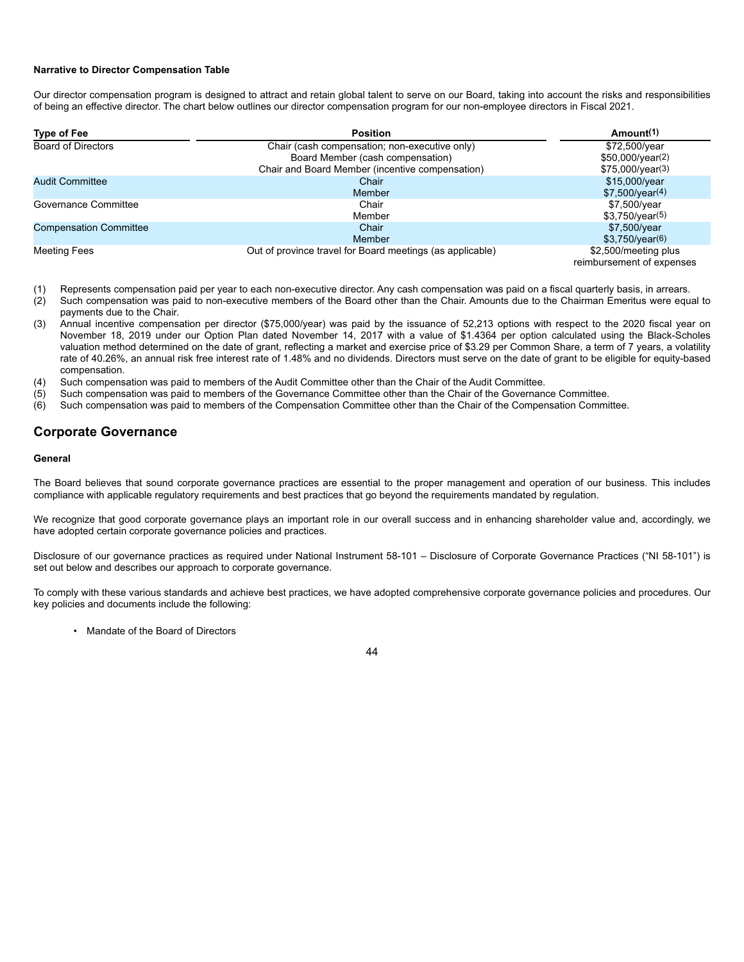#### **Narrative to Director Compensation Table**

Our director compensation program is designed to attract and retain global talent to serve on our Board, taking into account the risks and responsibilities of being an effective director. The chart below outlines our director compensation program for our non-employee directors in Fiscal 2021.

| <b>Type of Fee</b>            | <b>Position</b>                                           | Amount <sup>(1)</sup>                             |
|-------------------------------|-----------------------------------------------------------|---------------------------------------------------|
| <b>Board of Directors</b>     | Chair (cash compensation; non-executive only)             | \$72,500/year                                     |
|                               | Board Member (cash compensation)                          | $$50,000/\text{year}(2)$                          |
|                               | Chair and Board Member (incentive compensation)           | \$75,000/year(3)                                  |
| <b>Audit Committee</b>        | Chair                                                     | \$15,000/year                                     |
|                               | <b>Member</b>                                             | \$7,500/year(4)                                   |
| Governance Committee          | Chair                                                     | \$7,500/year                                      |
|                               | Member                                                    | \$3,750/year(5)                                   |
| <b>Compensation Committee</b> | Chair                                                     | \$7,500/year                                      |
|                               | Member                                                    | \$3,750/year(6)                                   |
| <b>Meeting Fees</b>           | Out of province travel for Board meetings (as applicable) | \$2,500/meeting plus<br>reimbursement of expenses |

- (1) Represents compensation paid per year to each non-executive director. Any cash compensation was paid on a fiscal quarterly basis, in arrears.
- (2) Such compensation was paid to non-executive members of the Board other than the Chair. Amounts due to the Chairman Emeritus were equal to payments due to the Chair.
- (3) Annual incentive compensation per director (\$75,000/year) was paid by the issuance of 52,213 options with respect to the 2020 fiscal year on November 18, 2019 under our Option Plan dated November 14, 2017 with a value of \$1.4364 per option calculated using the Black-Scholes valuation method determined on the date of grant, reflecting a market and exercise price of \$3.29 per Common Share, a term of 7 years, a volatility rate of 40.26%, an annual risk free interest rate of 1.48% and no dividends. Directors must serve on the date of grant to be eligible for equity-based compensation.
- (4) Such compensation was paid to members of the Audit Committee other than the Chair of the Audit Committee.
- (5) Such compensation was paid to members of the Governance Committee other than the Chair of the Governance Committee.
- (6) Such compensation was paid to members of the Compensation Committee other than the Chair of the Compensation Committee.

## **Corporate Governance**

#### **General**

The Board believes that sound corporate governance practices are essential to the proper management and operation of our business. This includes compliance with applicable regulatory requirements and best practices that go beyond the requirements mandated by regulation.

We recognize that good corporate governance plays an important role in our overall success and in enhancing shareholder value and, accordingly, we have adopted certain corporate governance policies and practices.

Disclosure of our governance practices as required under National Instrument 58-101 – Disclosure of Corporate Governance Practices ("NI 58-101") is set out below and describes our approach to corporate governance.

To comply with these various standards and achieve best practices, we have adopted comprehensive corporate governance policies and procedures. Our key policies and documents include the following:

• Mandate of the Board of Directors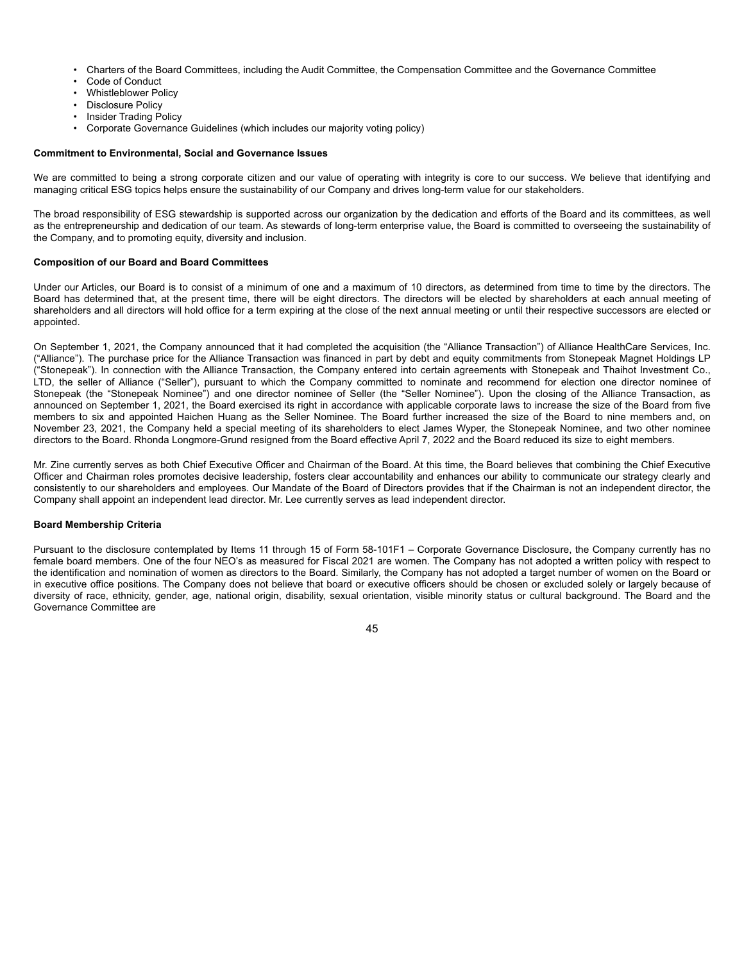- Charters of the Board Committees, including the Audit Committee, the Compensation Committee and the Governance Committee
- Code of Conduct
- Whistleblower Policy
- Disclosure Policy
- Insider Trading Policy
- Corporate Governance Guidelines (which includes our majority voting policy)

#### **Commitment to Environmental, Social and Governance Issues**

We are committed to being a strong corporate citizen and our value of operating with integrity is core to our success. We believe that identifying and managing critical ESG topics helps ensure the sustainability of our Company and drives long-term value for our stakeholders.

The broad responsibility of ESG stewardship is supported across our organization by the dedication and efforts of the Board and its committees, as well as the entrepreneurship and dedication of our team. As stewards of long-term enterprise value, the Board is committed to overseeing the sustainability of the Company, and to promoting equity, diversity and inclusion.

#### **Composition of our Board and Board Committees**

Under our Articles, our Board is to consist of a minimum of one and a maximum of 10 directors, as determined from time to time by the directors. The Board has determined that, at the present time, there will be eight directors. The directors will be elected by shareholders at each annual meeting of shareholders and all directors will hold office for a term expiring at the close of the next annual meeting or until their respective successors are elected or appointed.

On September 1, 2021, the Company announced that it had completed the acquisition (the "Alliance Transaction") of Alliance HealthCare Services, Inc. ("Alliance"). The purchase price for the Alliance Transaction was financed in part by debt and equity commitments from Stonepeak Magnet Holdings LP ("Stonepeak"). In connection with the Alliance Transaction, the Company entered into certain agreements with Stonepeak and Thaihot Investment Co., LTD, the seller of Alliance ("Seller"), pursuant to which the Company committed to nominate and recommend for election one director nominee of Stonepeak (the "Stonepeak Nominee") and one director nominee of Seller (the "Seller Nominee"). Upon the closing of the Alliance Transaction, as announced on September 1, 2021, the Board exercised its right in accordance with applicable corporate laws to increase the size of the Board from five members to six and appointed Haichen Huang as the Seller Nominee. The Board further increased the size of the Board to nine members and, on November 23, 2021, the Company held a special meeting of its shareholders to elect James Wyper, the Stonepeak Nominee, and two other nominee directors to the Board. Rhonda Longmore-Grund resigned from the Board effective April 7, 2022 and the Board reduced its size to eight members.

Mr. Zine currently serves as both Chief Executive Officer and Chairman of the Board. At this time, the Board believes that combining the Chief Executive Officer and Chairman roles promotes decisive leadership, fosters clear accountability and enhances our ability to communicate our strategy clearly and consistently to our shareholders and employees. Our Mandate of the Board of Directors provides that if the Chairman is not an independent director, the Company shall appoint an independent lead director. Mr. Lee currently serves as lead independent director.

#### **Board Membership Criteria**

Pursuant to the disclosure contemplated by Items 11 through 15 of Form 58-101F1 – Corporate Governance Disclosure, the Company currently has no female board members. One of the four NEO's as measured for Fiscal 2021 are women. The Company has not adopted a written policy with respect to the identification and nomination of women as directors to the Board. Similarly, the Company has not adopted a target number of women on the Board or in executive office positions. The Company does not believe that board or executive officers should be chosen or excluded solely or largely because of diversity of race, ethnicity, gender, age, national origin, disability, sexual orientation, visible minority status or cultural background. The Board and the Governance Committee are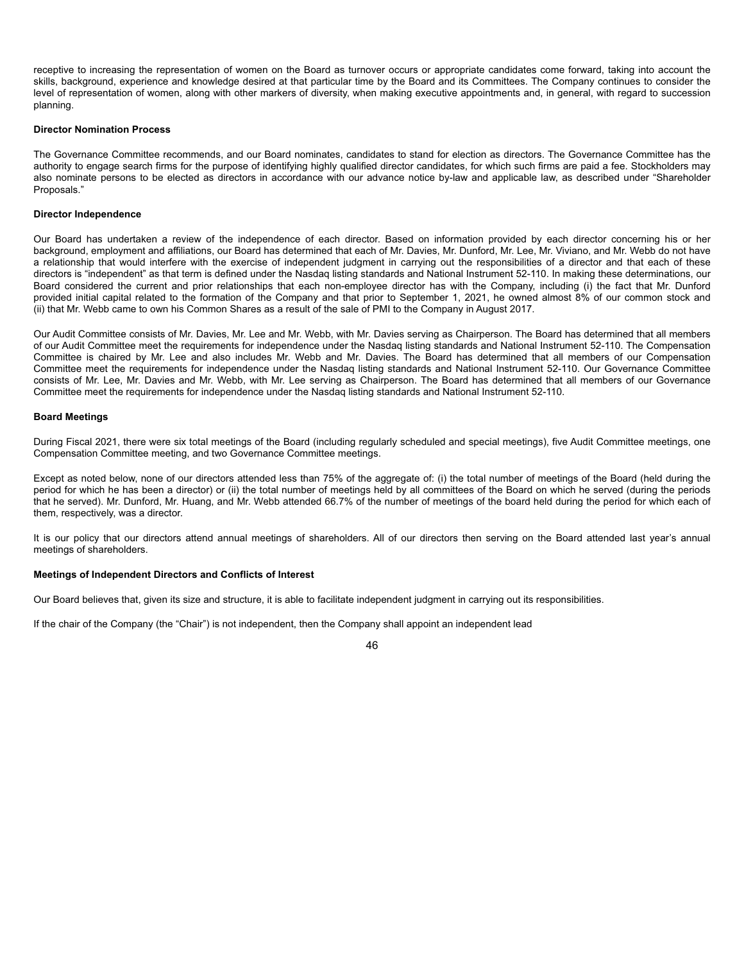receptive to increasing the representation of women on the Board as turnover occurs or appropriate candidates come forward, taking into account the skills, background, experience and knowledge desired at that particular time by the Board and its Committees. The Company continues to consider the level of representation of women, along with other markers of diversity, when making executive appointments and, in general, with regard to succession planning.

#### **Director Nomination Process**

The Governance Committee recommends, and our Board nominates, candidates to stand for election as directors. The Governance Committee has the authority to engage search firms for the purpose of identifying highly qualified director candidates, for which such firms are paid a fee. Stockholders may also nominate persons to be elected as directors in accordance with our advance notice by-law and applicable law, as described under "Shareholder Proposals."

#### **Director Independence**

Our Board has undertaken a review of the independence of each director. Based on information provided by each director concerning his or her background, employment and affiliations, our Board has determined that each of Mr. Davies, Mr. Dunford, Mr. Lee, Mr. Viviano, and Mr. Webb do not have a relationship that would interfere with the exercise of independent judgment in carrying out the responsibilities of a director and that each of these directors is "independent" as that term is defined under the Nasdaq listing standards and National Instrument 52-110. In making these determinations, our Board considered the current and prior relationships that each non-employee director has with the Company, including (i) the fact that Mr. Dunford provided initial capital related to the formation of the Company and that prior to September 1, 2021, he owned almost 8% of our common stock and (ii) that Mr. Webb came to own his Common Shares as a result of the sale of PMI to the Company in August 2017.

Our Audit Committee consists of Mr. Davies, Mr. Lee and Mr. Webb, with Mr. Davies serving as Chairperson. The Board has determined that all members of our Audit Committee meet the requirements for independence under the Nasdaq listing standards and National Instrument 52-110. The Compensation Committee is chaired by Mr. Lee and also includes Mr. Webb and Mr. Davies. The Board has determined that all members of our Compensation Committee meet the requirements for independence under the Nasdaq listing standards and National Instrument 52-110. Our Governance Committee consists of Mr. Lee, Mr. Davies and Mr. Webb, with Mr. Lee serving as Chairperson. The Board has determined that all members of our Governance Committee meet the requirements for independence under the Nasdaq listing standards and National Instrument 52-110.

#### **Board Meetings**

During Fiscal 2021, there were six total meetings of the Board (including regularly scheduled and special meetings), five Audit Committee meetings, one Compensation Committee meeting, and two Governance Committee meetings.

Except as noted below, none of our directors attended less than 75% of the aggregate of: (i) the total number of meetings of the Board (held during the period for which he has been a director) or (ii) the total number of meetings held by all committees of the Board on which he served (during the periods that he served). Mr. Dunford, Mr. Huang, and Mr. Webb attended 66.7% of the number of meetings of the board held during the period for which each of them, respectively, was a director.

It is our policy that our directors attend annual meetings of shareholders. All of our directors then serving on the Board attended last year's annual meetings of shareholders.

#### **Meetings of Independent Directors and Conflicts of Interest**

Our Board believes that, given its size and structure, it is able to facilitate independent judgment in carrying out its responsibilities.

If the chair of the Company (the "Chair") is not independent, then the Company shall appoint an independent lead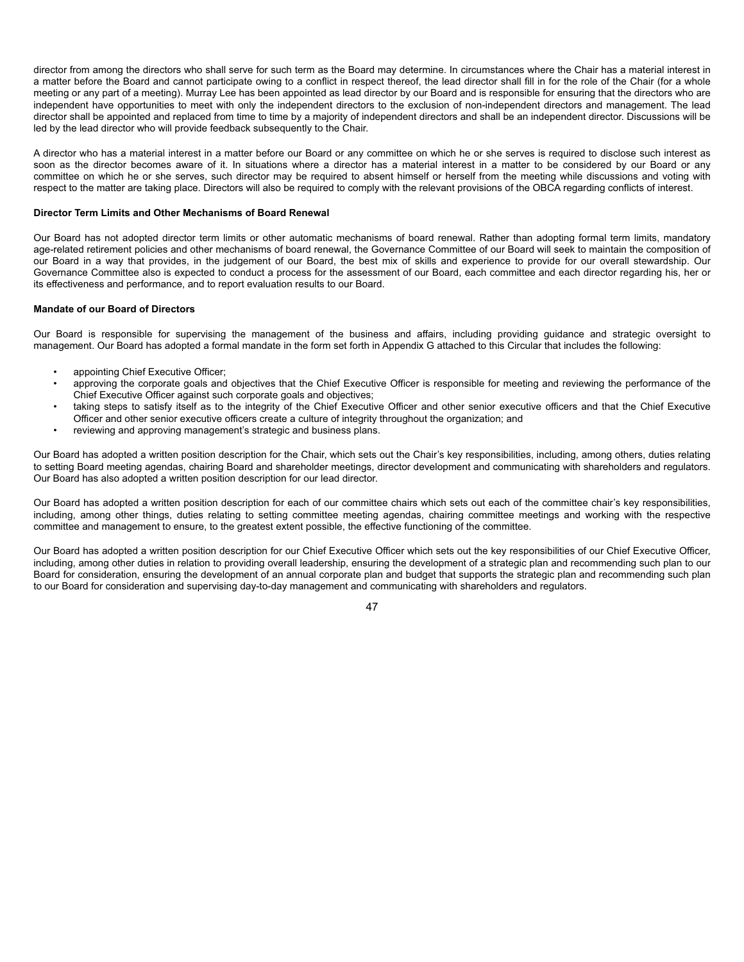director from among the directors who shall serve for such term as the Board may determine. In circumstances where the Chair has a material interest in a matter before the Board and cannot participate owing to a conflict in respect thereof, the lead director shall fill in for the role of the Chair (for a whole meeting or any part of a meeting). Murray Lee has been appointed as lead director by our Board and is responsible for ensuring that the directors who are independent have opportunities to meet with only the independent directors to the exclusion of non-independent directors and management. The lead director shall be appointed and replaced from time to time by a majority of independent directors and shall be an independent director. Discussions will be led by the lead director who will provide feedback subsequently to the Chair.

A director who has a material interest in a matter before our Board or any committee on which he or she serves is required to disclose such interest as soon as the director becomes aware of it. In situations where a director has a material interest in a matter to be considered by our Board or any committee on which he or she serves, such director may be required to absent himself or herself from the meeting while discussions and voting with respect to the matter are taking place. Directors will also be required to comply with the relevant provisions of the OBCA regarding conflicts of interest.

#### **Director Term Limits and Other Mechanisms of Board Renewal**

Our Board has not adopted director term limits or other automatic mechanisms of board renewal. Rather than adopting formal term limits, mandatory age-related retirement policies and other mechanisms of board renewal, the Governance Committee of our Board will seek to maintain the composition of our Board in a way that provides, in the judgement of our Board, the best mix of skills and experience to provide for our overall stewardship. Our Governance Committee also is expected to conduct a process for the assessment of our Board, each committee and each director regarding his, her or its effectiveness and performance, and to report evaluation results to our Board.

#### **Mandate of our Board of Directors**

Our Board is responsible for supervising the management of the business and affairs, including providing guidance and strategic oversight to management. Our Board has adopted a formal mandate in the form set forth in Appendix G attached to this Circular that includes the following:

- appointing Chief Executive Officer;
- approving the corporate goals and objectives that the Chief Executive Officer is responsible for meeting and reviewing the performance of the Chief Executive Officer against such corporate goals and objectives;
- taking steps to satisfy itself as to the integrity of the Chief Executive Officer and other senior executive officers and that the Chief Executive Officer and other senior executive officers create a culture of integrity throughout the organization; and
- reviewing and approving management's strategic and business plans.

Our Board has adopted a written position description for the Chair, which sets out the Chair's key responsibilities, including, among others, duties relating to setting Board meeting agendas, chairing Board and shareholder meetings, director development and communicating with shareholders and regulators. Our Board has also adopted a written position description for our lead director.

Our Board has adopted a written position description for each of our committee chairs which sets out each of the committee chair's key responsibilities, including, among other things, duties relating to setting committee meeting agendas, chairing committee meetings and working with the respective committee and management to ensure, to the greatest extent possible, the effective functioning of the committee.

Our Board has adopted a written position description for our Chief Executive Officer which sets out the key responsibilities of our Chief Executive Officer, including, among other duties in relation to providing overall leadership, ensuring the development of a strategic plan and recommending such plan to our Board for consideration, ensuring the development of an annual corporate plan and budget that supports the strategic plan and recommending such plan to our Board for consideration and supervising day-to-day management and communicating with shareholders and regulators.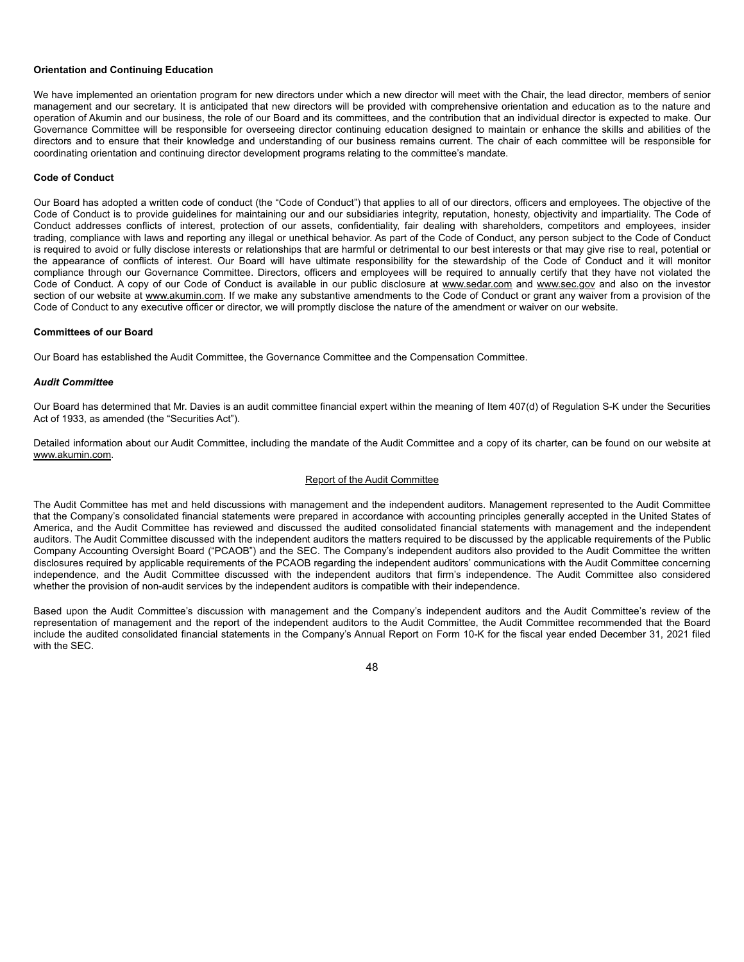#### **Orientation and Continuing Education**

We have implemented an orientation program for new directors under which a new director will meet with the Chair, the lead director, members of senior management and our secretary. It is anticipated that new directors will be provided with comprehensive orientation and education as to the nature and operation of Akumin and our business, the role of our Board and its committees, and the contribution that an individual director is expected to make. Our Governance Committee will be responsible for overseeing director continuing education designed to maintain or enhance the skills and abilities of the directors and to ensure that their knowledge and understanding of our business remains current. The chair of each committee will be responsible for coordinating orientation and continuing director development programs relating to the committee's mandate.

#### **Code of Conduct**

Our Board has adopted a written code of conduct (the "Code of Conduct") that applies to all of our directors, officers and employees. The objective of the Code of Conduct is to provide guidelines for maintaining our and our subsidiaries integrity, reputation, honesty, objectivity and impartiality. The Code of Conduct addresses conflicts of interest, protection of our assets, confidentiality, fair dealing with shareholders, competitors and employees, insider trading, compliance with laws and reporting any illegal or unethical behavior. As part of the Code of Conduct, any person subject to the Code of Conduct is required to avoid or fully disclose interests or relationships that are harmful or detrimental to our best interests or that may give rise to real, potential or the appearance of conflicts of interest. Our Board will have ultimate responsibility for the stewardship of the Code of Conduct and it will monitor compliance through our Governance Committee. Directors, officers and employees will be required to annually certify that they have not violated the Code of Conduct. A copy of our Code of Conduct is available in our public disclosure at www.sedar.com and www.sec.gov and also on the investor section of our website at www.akumin.com. If we make any substantive amendments to the Code of Conduct or grant any waiver from a provision of the Code of Conduct to any executive officer or director, we will promptly disclose the nature of the amendment or waiver on our website.

#### **Committees of our Board**

Our Board has established the Audit Committee, the Governance Committee and the Compensation Committee.

#### *Audit Committee*

Our Board has determined that Mr. Davies is an audit committee financial expert within the meaning of Item 407(d) of Regulation S-K under the Securities Act of 1933, as amended (the "Securities Act").

Detailed information about our Audit Committee, including the mandate of the Audit Committee and a copy of its charter, can be found on our website at www.akumin.com.

#### Report of the Audit Committee

The Audit Committee has met and held discussions with management and the independent auditors. Management represented to the Audit Committee that the Company's consolidated financial statements were prepared in accordance with accounting principles generally accepted in the United States of America, and the Audit Committee has reviewed and discussed the audited consolidated financial statements with management and the independent auditors. The Audit Committee discussed with the independent auditors the matters required to be discussed by the applicable requirements of the Public Company Accounting Oversight Board ("PCAOB") and the SEC. The Company's independent auditors also provided to the Audit Committee the written disclosures required by applicable requirements of the PCAOB regarding the independent auditors' communications with the Audit Committee concerning independence, and the Audit Committee discussed with the independent auditors that firm's independence. The Audit Committee also considered whether the provision of non-audit services by the independent auditors is compatible with their independence.

Based upon the Audit Committee's discussion with management and the Company's independent auditors and the Audit Committee's review of the representation of management and the report of the independent auditors to the Audit Committee, the Audit Committee recommended that the Board include the audited consolidated financial statements in the Company's Annual Report on Form 10-K for the fiscal year ended December 31, 2021 filed with the SEC.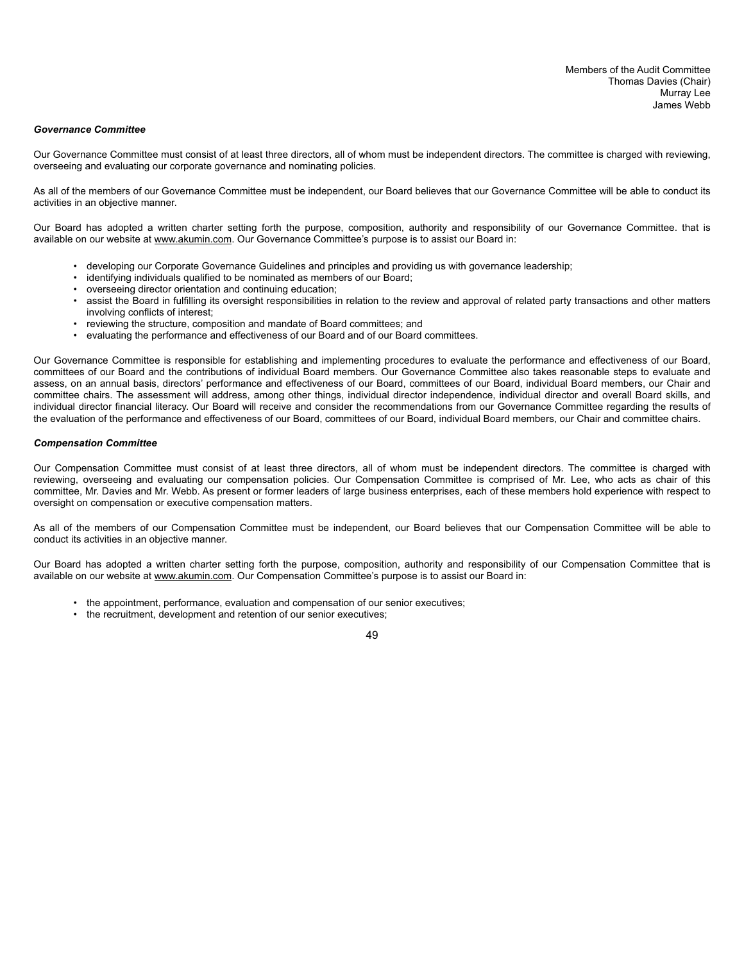#### *Governance Committee*

Our Governance Committee must consist of at least three directors, all of whom must be independent directors. The committee is charged with reviewing, overseeing and evaluating our corporate governance and nominating policies.

As all of the members of our Governance Committee must be independent, our Board believes that our Governance Committee will be able to conduct its activities in an objective manner.

Our Board has adopted a written charter setting forth the purpose, composition, authority and responsibility of our Governance Committee. that is available on our website at www.akumin.com. Our Governance Committee's purpose is to assist our Board in:

- developing our Corporate Governance Guidelines and principles and providing us with governance leadership;
- identifying individuals qualified to be nominated as members of our Board;
- overseeing director orientation and continuing education;
- assist the Board in fulfilling its oversight responsibilities in relation to the review and approval of related party transactions and other matters involving conflicts of interest;
- reviewing the structure, composition and mandate of Board committees; and
- evaluating the performance and effectiveness of our Board and of our Board committees.

Our Governance Committee is responsible for establishing and implementing procedures to evaluate the performance and effectiveness of our Board, committees of our Board and the contributions of individual Board members. Our Governance Committee also takes reasonable steps to evaluate and assess, on an annual basis, directors' performance and effectiveness of our Board, committees of our Board, individual Board members, our Chair and committee chairs. The assessment will address, among other things, individual director independence, individual director and overall Board skills, and individual director financial literacy. Our Board will receive and consider the recommendations from our Governance Committee regarding the results of the evaluation of the performance and effectiveness of our Board, committees of our Board, individual Board members, our Chair and committee chairs.

#### *Compensation Committee*

Our Compensation Committee must consist of at least three directors, all of whom must be independent directors. The committee is charged with reviewing, overseeing and evaluating our compensation policies. Our Compensation Committee is comprised of Mr. Lee, who acts as chair of this committee, Mr. Davies and Mr. Webb. As present or former leaders of large business enterprises, each of these members hold experience with respect to oversight on compensation or executive compensation matters.

As all of the members of our Compensation Committee must be independent, our Board believes that our Compensation Committee will be able to conduct its activities in an objective manner.

Our Board has adopted a written charter setting forth the purpose, composition, authority and responsibility of our Compensation Committee that is available on our website at www.akumin.com. Our Compensation Committee's purpose is to assist our Board in:

- the appointment, performance, evaluation and compensation of our senior executives;
- the recruitment, development and retention of our senior executives;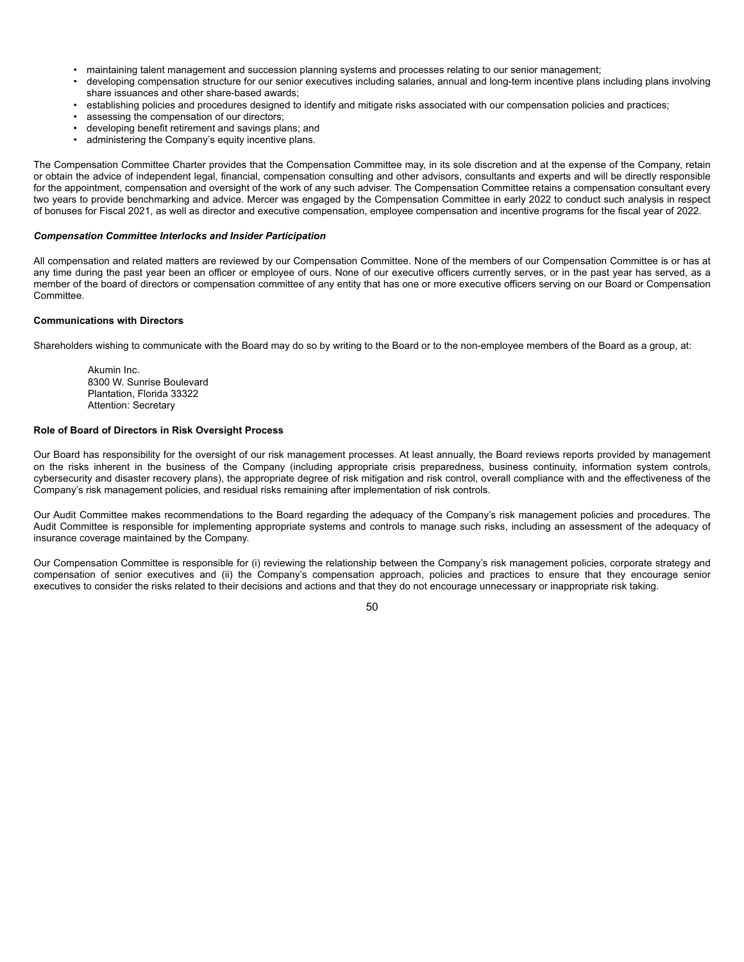- maintaining talent management and succession planning systems and processes relating to our senior management;
- developing compensation structure for our senior executives including salaries, annual and long-term incentive plans including plans involving share issuances and other share-based awards;
- establishing policies and procedures designed to identify and mitigate risks associated with our compensation policies and practices;
- assessing the compensation of our directors:
- developing benefit retirement and savings plans; and
- administering the Company's equity incentive plans.

The Compensation Committee Charter provides that the Compensation Committee may, in its sole discretion and at the expense of the Company, retain or obtain the advice of independent legal, financial, compensation consulting and other advisors, consultants and experts and will be directly responsible for the appointment, compensation and oversight of the work of any such adviser. The Compensation Committee retains a compensation consultant every two years to provide benchmarking and advice. Mercer was engaged by the Compensation Committee in early 2022 to conduct such analysis in respect of bonuses for Fiscal 2021, as well as director and executive compensation, employee compensation and incentive programs for the fiscal year of 2022.

#### *Compensation Committee Interlocks and Insider Participation*

All compensation and related matters are reviewed by our Compensation Committee. None of the members of our Compensation Committee is or has at any time during the past year been an officer or employee of ours. None of our executive officers currently serves, or in the past year has served, as a member of the board of directors or compensation committee of any entity that has one or more executive officers serving on our Board or Compensation **Committee** 

### **Communications with Directors**

Shareholders wishing to communicate with the Board may do so by writing to the Board or to the non-employee members of the Board as a group, at:

Akumin Inc. 8300 W. Sunrise Boulevard Plantation, Florida 33322 Attention: Secretary

### **Role of Board of Directors in Risk Oversight Process**

Our Board has responsibility for the oversight of our risk management processes. At least annually, the Board reviews reports provided by management on the risks inherent in the business of the Company (including appropriate crisis preparedness, business continuity, information system controls, cybersecurity and disaster recovery plans), the appropriate degree of risk mitigation and risk control, overall compliance with and the effectiveness of the Company's risk management policies, and residual risks remaining after implementation of risk controls.

Our Audit Committee makes recommendations to the Board regarding the adequacy of the Company's risk management policies and procedures. The Audit Committee is responsible for implementing appropriate systems and controls to manage such risks, including an assessment of the adequacy of insurance coverage maintained by the Company.

Our Compensation Committee is responsible for (i) reviewing the relationship between the Company's risk management policies, corporate strategy and compensation of senior executives and (ii) the Company's compensation approach, policies and practices to ensure that they encourage senior executives to consider the risks related to their decisions and actions and that they do not encourage unnecessary or inappropriate risk taking.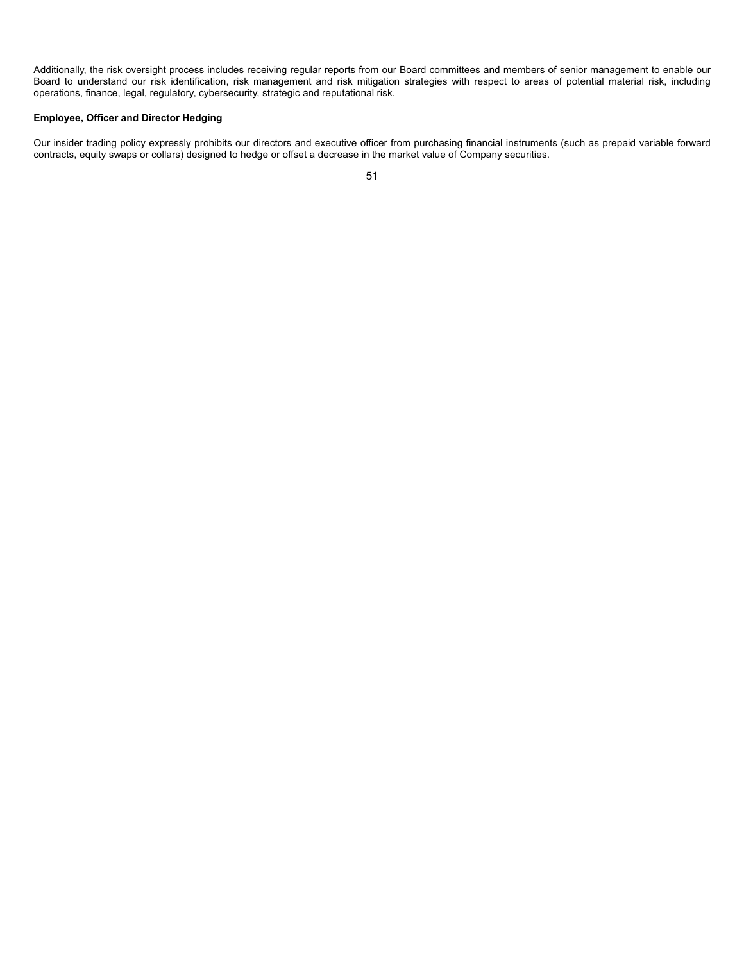Additionally, the risk oversight process includes receiving regular reports from our Board committees and members of senior management to enable our Board to understand our risk identification, risk management and risk mitigation strategies with respect to areas of potential material risk, including operations, finance, legal, regulatory, cybersecurity, strategic and reputational risk.

#### **Employee, Officer and Director Hedging**

Our insider trading policy expressly prohibits our directors and executive officer from purchasing financial instruments (such as prepaid variable forward contracts, equity swaps or collars) designed to hedge or offset a decrease in the market value of Company securities.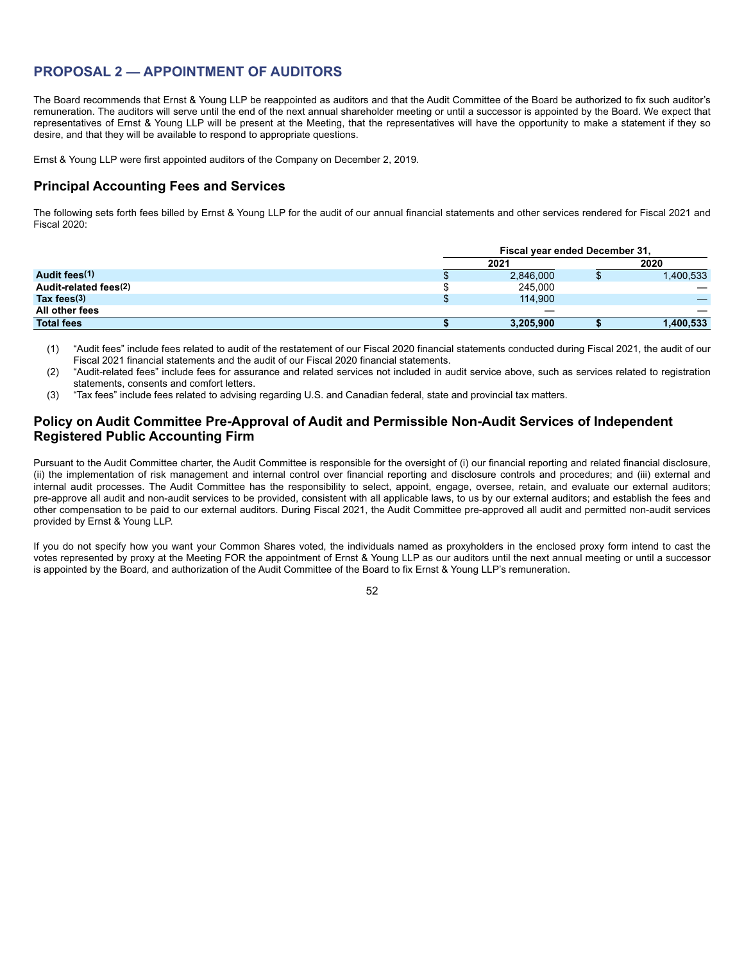# **PROPOSAL 2 — APPOINTMENT OF AUDITORS**

The Board recommends that Ernst & Young LLP be reappointed as auditors and that the Audit Committee of the Board be authorized to fix such auditor's remuneration. The auditors will serve until the end of the next annual shareholder meeting or until a successor is appointed by the Board. We expect that representatives of Ernst & Young LLP will be present at the Meeting, that the representatives will have the opportunity to make a statement if they so desire, and that they will be available to respond to appropriate questions.

Ernst & Young LLP were first appointed auditors of the Company on December 2, 2019.

## **Principal Accounting Fees and Services**

The following sets forth fees billed by Ernst & Young LLP for the audit of our annual financial statements and other services rendered for Fiscal 2021 and Fiscal 2020:

|                       | Fiscal year ended December 31, |  |           |
|-----------------------|--------------------------------|--|-----------|
|                       | 2021                           |  | 2020      |
| Audit fees(1)         | 2,846,000                      |  | 1,400,533 |
| Audit-related fees(2) | 245,000                        |  |           |
| Tax fees $(3)$        | 114.900                        |  |           |
| All other fees        |                                |  |           |
| <b>Total fees</b>     | 3,205,900                      |  | 1,400,533 |

(1) "Audit fees" include fees related to audit of the restatement of our Fiscal 2020 financial statements conducted during Fiscal 2021, the audit of our Fiscal 2021 financial statements and the audit of our Fiscal 2020 financial statements.

- (2) "Audit-related fees" include fees for assurance and related services not included in audit service above, such as services related to registration statements, consents and comfort letters.
- (3) "Tax fees" include fees related to advising regarding U.S. and Canadian federal, state and provincial tax matters.

## **Policy on Audit Committee Pre-Approval of Audit and Permissible Non-Audit Services of Independent Registered Public Accounting Firm**

Pursuant to the Audit Committee charter, the Audit Committee is responsible for the oversight of (i) our financial reporting and related financial disclosure, (ii) the implementation of risk management and internal control over financial reporting and disclosure controls and procedures; and (iii) external and internal audit processes. The Audit Committee has the responsibility to select, appoint, engage, oversee, retain, and evaluate our external auditors; pre-approve all audit and non-audit services to be provided, consistent with all applicable laws, to us by our external auditors; and establish the fees and other compensation to be paid to our external auditors. During Fiscal 2021, the Audit Committee pre-approved all audit and permitted non-audit services provided by Ernst & Young LLP.

If you do not specify how you want your Common Shares voted, the individuals named as proxyholders in the enclosed proxy form intend to cast the votes represented by proxy at the Meeting FOR the appointment of Ernst & Young LLP as our auditors until the next annual meeting or until a successor is appointed by the Board, and authorization of the Audit Committee of the Board to fix Ernst & Young LLP's remuneration.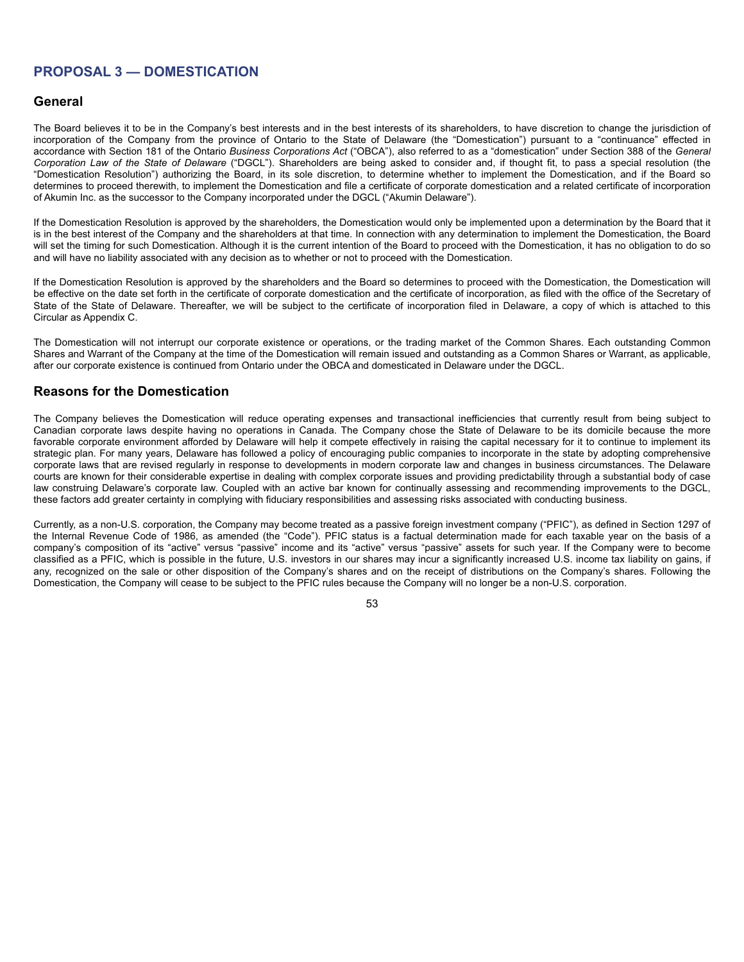# **PROPOSAL 3 — DOMESTICATION**

## **General**

The Board believes it to be in the Company's best interests and in the best interests of its shareholders, to have discretion to change the jurisdiction of incorporation of the Company from the province of Ontario to the State of Delaware (the "Domestication") pursuant to a "continuance" effected in accordance with Section 181 of the Ontario *Business Corporations Act* ("OBCA"), also referred to as a "domestication" under Section 388 of the *General Corporation Law of the State of Delaware* ("DGCL"). Shareholders are being asked to consider and, if thought fit, to pass a special resolution (the "Domestication Resolution") authorizing the Board, in its sole discretion, to determine whether to implement the Domestication, and if the Board so determines to proceed therewith, to implement the Domestication and file a certificate of corporate domestication and a related certificate of incorporation of Akumin Inc. as the successor to the Company incorporated under the DGCL ("Akumin Delaware").

If the Domestication Resolution is approved by the shareholders, the Domestication would only be implemented upon a determination by the Board that it is in the best interest of the Company and the shareholders at that time. In connection with any determination to implement the Domestication, the Board will set the timing for such Domestication. Although it is the current intention of the Board to proceed with the Domestication, it has no obligation to do so and will have no liability associated with any decision as to whether or not to proceed with the Domestication.

If the Domestication Resolution is approved by the shareholders and the Board so determines to proceed with the Domestication, the Domestication will be effective on the date set forth in the certificate of corporate domestication and the certificate of incorporation, as filed with the office of the Secretary of State of the State of Delaware. Thereafter, we will be subject to the certificate of incorporation filed in Delaware, a copy of which is attached to this Circular as Appendix C.

The Domestication will not interrupt our corporate existence or operations, or the trading market of the Common Shares. Each outstanding Common Shares and Warrant of the Company at the time of the Domestication will remain issued and outstanding as a Common Shares or Warrant, as applicable, after our corporate existence is continued from Ontario under the OBCA and domesticated in Delaware under the DGCL.

## **Reasons for the Domestication**

The Company believes the Domestication will reduce operating expenses and transactional inefficiencies that currently result from being subject to Canadian corporate laws despite having no operations in Canada. The Company chose the State of Delaware to be its domicile because the more favorable corporate environment afforded by Delaware will help it compete effectively in raising the capital necessary for it to continue to implement its strategic plan. For many years, Delaware has followed a policy of encouraging public companies to incorporate in the state by adopting comprehensive corporate laws that are revised regularly in response to developments in modern corporate law and changes in business circumstances. The Delaware courts are known for their considerable expertise in dealing with complex corporate issues and providing predictability through a substantial body of case law construing Delaware's corporate law. Coupled with an active bar known for continually assessing and recommending improvements to the DGCL, these factors add greater certainty in complying with fiduciary responsibilities and assessing risks associated with conducting business.

Currently, as a non-U.S. corporation, the Company may become treated as a passive foreign investment company ("PFIC"), as defined in Section 1297 of the Internal Revenue Code of 1986, as amended (the "Code"). PFIC status is a factual determination made for each taxable year on the basis of a company's composition of its "active" versus "passive" income and its "active" versus "passive" assets for such year. If the Company were to become classified as a PFIC, which is possible in the future, U.S. investors in our shares may incur a significantly increased U.S. income tax liability on gains, if any, recognized on the sale or other disposition of the Company's shares and on the receipt of distributions on the Company's shares. Following the Domestication, the Company will cease to be subject to the PFIC rules because the Company will no longer be a non-U.S. corporation.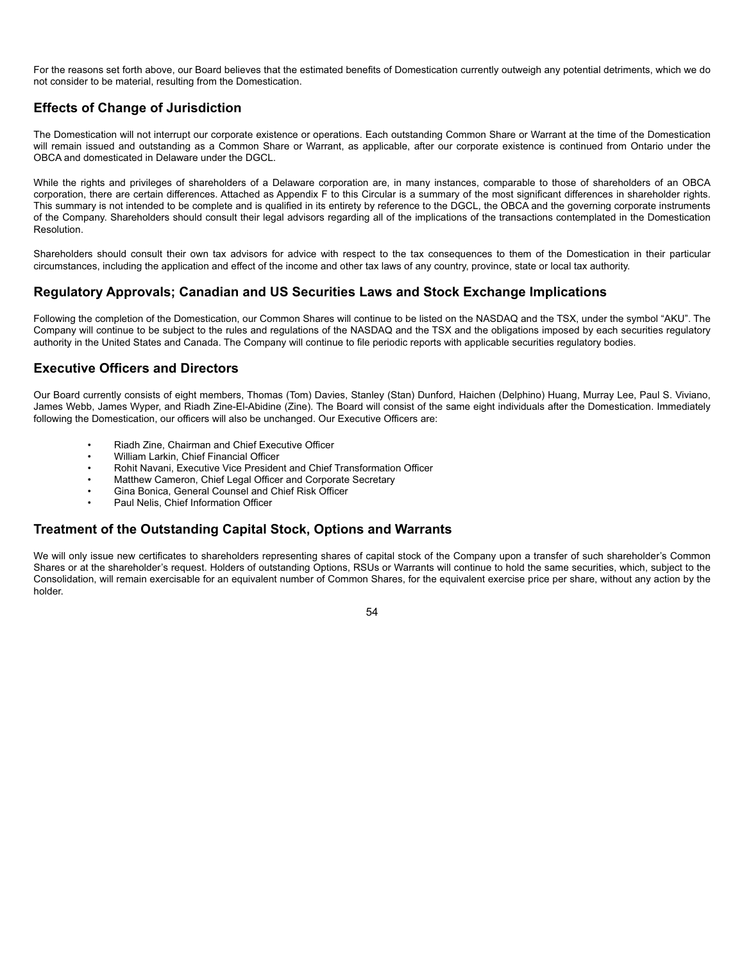For the reasons set forth above, our Board believes that the estimated benefits of Domestication currently outweigh any potential detriments, which we do not consider to be material, resulting from the Domestication.

# **Effects of Change of Jurisdiction**

The Domestication will not interrupt our corporate existence or operations. Each outstanding Common Share or Warrant at the time of the Domestication will remain issued and outstanding as a Common Share or Warrant, as applicable, after our corporate existence is continued from Ontario under the OBCA and domesticated in Delaware under the DGCL.

While the rights and privileges of shareholders of a Delaware corporation are, in many instances, comparable to those of shareholders of an OBCA corporation, there are certain differences. Attached as Appendix F to this Circular is a summary of the most significant differences in shareholder rights. This summary is not intended to be complete and is qualified in its entirety by reference to the DGCL, the OBCA and the governing corporate instruments of the Company. Shareholders should consult their legal advisors regarding all of the implications of the transactions contemplated in the Domestication Resolution.

Shareholders should consult their own tax advisors for advice with respect to the tax consequences to them of the Domestication in their particular circumstances, including the application and effect of the income and other tax laws of any country, province, state or local tax authority.

## **Regulatory Approvals; Canadian and US Securities Laws and Stock Exchange Implications**

Following the completion of the Domestication, our Common Shares will continue to be listed on the NASDAQ and the TSX, under the symbol "AKU". The Company will continue to be subject to the rules and regulations of the NASDAQ and the TSX and the obligations imposed by each securities regulatory authority in the United States and Canada. The Company will continue to file periodic reports with applicable securities regulatory bodies.

# **Executive Officers and Directors**

Our Board currently consists of eight members, Thomas (Tom) Davies, Stanley (Stan) Dunford, Haichen (Delphino) Huang, Murray Lee, Paul S. Viviano, James Webb, James Wyper, and Riadh Zine-El-Abidine (Zine). The Board will consist of the same eight individuals after the Domestication. Immediately following the Domestication, our officers will also be unchanged. Our Executive Officers are:

- Riadh Zine, Chairman and Chief Executive Officer
- William Larkin, Chief Financial Officer
- Rohit Navani, Executive Vice President and Chief Transformation Officer
- Matthew Cameron, Chief Legal Officer and Corporate Secretary
- Gina Bonica, General Counsel and Chief Risk Officer
- Paul Nelis, Chief Information Officer

# **Treatment of the Outstanding Capital Stock, Options and Warrants**

We will only issue new certificates to shareholders representing shares of capital stock of the Company upon a transfer of such shareholder's Common Shares or at the shareholder's request. Holders of outstanding Options, RSUs or Warrants will continue to hold the same securities, which, subject to the Consolidation, will remain exercisable for an equivalent number of Common Shares, for the equivalent exercise price per share, without any action by the holder.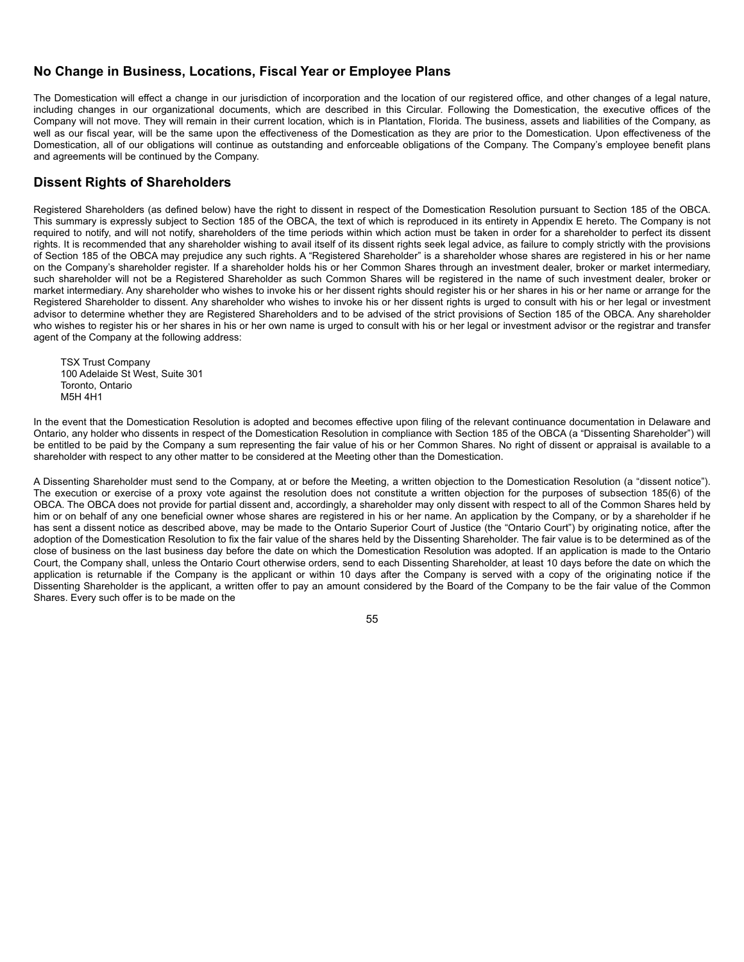## **No Change in Business, Locations, Fiscal Year or Employee Plans**

The Domestication will effect a change in our jurisdiction of incorporation and the location of our registered office, and other changes of a legal nature, including changes in our organizational documents, which are described in this Circular. Following the Domestication, the executive offices of the Company will not move. They will remain in their current location, which is in Plantation, Florida. The business, assets and liabilities of the Company, as well as our fiscal year, will be the same upon the effectiveness of the Domestication as they are prior to the Domestication. Upon effectiveness of the Domestication, all of our obligations will continue as outstanding and enforceable obligations of the Company. The Company's employee benefit plans and agreements will be continued by the Company.

## **Dissent Rights of Shareholders**

Registered Shareholders (as defined below) have the right to dissent in respect of the Domestication Resolution pursuant to Section 185 of the OBCA. This summary is expressly subject to Section 185 of the OBCA, the text of which is reproduced in its entirety in Appendix E hereto. The Company is not required to notify, and will not notify, shareholders of the time periods within which action must be taken in order for a shareholder to perfect its dissent rights. It is recommended that any shareholder wishing to avail itself of its dissent rights seek legal advice, as failure to comply strictly with the provisions of Section 185 of the OBCA may prejudice any such rights. A "Registered Shareholder" is a shareholder whose shares are registered in his or her name on the Company's shareholder register. If a shareholder holds his or her Common Shares through an investment dealer, broker or market intermediary, such shareholder will not be a Registered Shareholder as such Common Shares will be registered in the name of such investment dealer, broker or market intermediary. Any shareholder who wishes to invoke his or her dissent rights should register his or her shares in his or her name or arrange for the Registered Shareholder to dissent. Any shareholder who wishes to invoke his or her dissent rights is urged to consult with his or her legal or investment advisor to determine whether they are Registered Shareholders and to be advised of the strict provisions of Section 185 of the OBCA. Any shareholder who wishes to register his or her shares in his or her own name is urged to consult with his or her legal or investment advisor or the registrar and transfer agent of the Company at the following address:

TSX Trust Company 100 Adelaide St West, Suite 301 Toronto, Ontario M5H 4H1

In the event that the Domestication Resolution is adopted and becomes effective upon filing of the relevant continuance documentation in Delaware and Ontario, any holder who dissents in respect of the Domestication Resolution in compliance with Section 185 of the OBCA (a "Dissenting Shareholder") will be entitled to be paid by the Company a sum representing the fair value of his or her Common Shares. No right of dissent or appraisal is available to a shareholder with respect to any other matter to be considered at the Meeting other than the Domestication.

A Dissenting Shareholder must send to the Company, at or before the Meeting, a written objection to the Domestication Resolution (a "dissent notice"). The execution or exercise of a proxy vote against the resolution does not constitute a written objection for the purposes of subsection 185(6) of the OBCA. The OBCA does not provide for partial dissent and, accordingly, a shareholder may only dissent with respect to all of the Common Shares held by him or on behalf of any one beneficial owner whose shares are registered in his or her name. An application by the Company, or by a shareholder if he has sent a dissent notice as described above, may be made to the Ontario Superior Court of Justice (the "Ontario Court") by originating notice, after the adoption of the Domestication Resolution to fix the fair value of the shares held by the Dissenting Shareholder. The fair value is to be determined as of the close of business on the last business day before the date on which the Domestication Resolution was adopted. If an application is made to the Ontario Court, the Company shall, unless the Ontario Court otherwise orders, send to each Dissenting Shareholder, at least 10 days before the date on which the application is returnable if the Company is the applicant or within 10 days after the Company is served with a copy of the originating notice if the Dissenting Shareholder is the applicant, a written offer to pay an amount considered by the Board of the Company to be the fair value of the Common Shares. Every such offer is to be made on the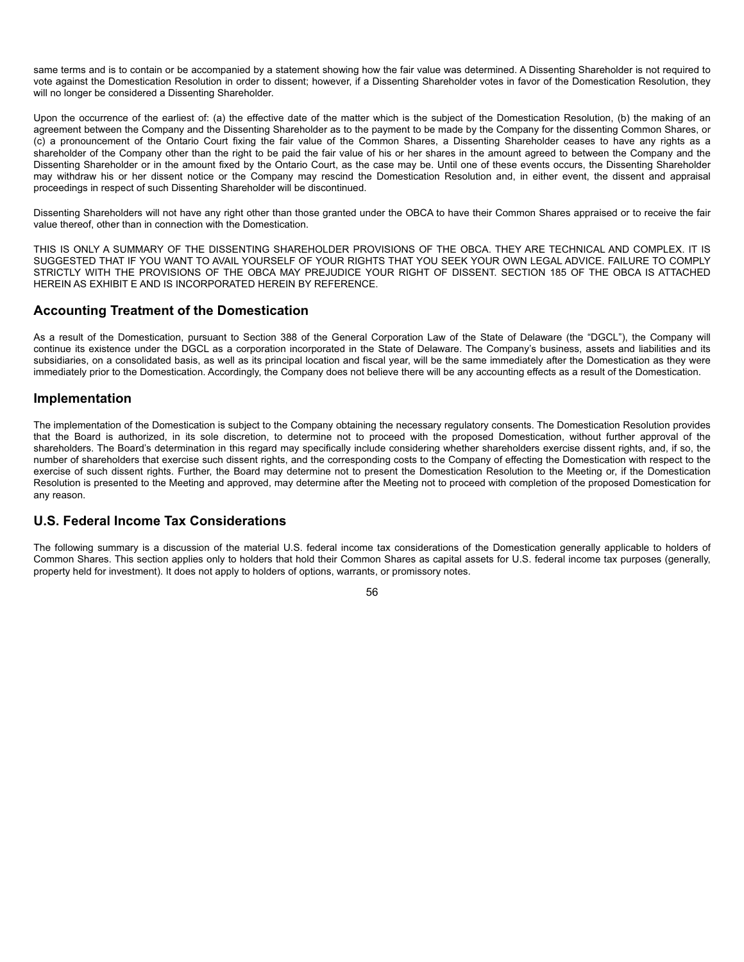same terms and is to contain or be accompanied by a statement showing how the fair value was determined. A Dissenting Shareholder is not required to vote against the Domestication Resolution in order to dissent; however, if a Dissenting Shareholder votes in favor of the Domestication Resolution, they will no longer be considered a Dissenting Shareholder.

Upon the occurrence of the earliest of: (a) the effective date of the matter which is the subject of the Domestication Resolution, (b) the making of an agreement between the Company and the Dissenting Shareholder as to the payment to be made by the Company for the dissenting Common Shares, or (c) a pronouncement of the Ontario Court fixing the fair value of the Common Shares, a Dissenting Shareholder ceases to have any rights as a shareholder of the Company other than the right to be paid the fair value of his or her shares in the amount agreed to between the Company and the Dissenting Shareholder or in the amount fixed by the Ontario Court, as the case may be. Until one of these events occurs, the Dissenting Shareholder may withdraw his or her dissent notice or the Company may rescind the Domestication Resolution and, in either event, the dissent and appraisal proceedings in respect of such Dissenting Shareholder will be discontinued.

Dissenting Shareholders will not have any right other than those granted under the OBCA to have their Common Shares appraised or to receive the fair value thereof, other than in connection with the Domestication.

THIS IS ONLY A SUMMARY OF THE DISSENTING SHAREHOLDER PROVISIONS OF THE OBCA. THEY ARE TECHNICAL AND COMPLEX. IT IS SUGGESTED THAT IF YOU WANT TO AVAIL YOURSELF OF YOUR RIGHTS THAT YOU SEEK YOUR OWN LEGAL ADVICE. FAILURE TO COMPLY STRICTLY WITH THE PROVISIONS OF THE OBCA MAY PREJUDICE YOUR RIGHT OF DISSENT. SECTION 185 OF THE OBCA IS ATTACHED HEREIN AS EXHIBIT E AND IS INCORPORATED HEREIN BY REFERENCE.

## **Accounting Treatment of the Domestication**

As a result of the Domestication, pursuant to Section 388 of the General Corporation Law of the State of Delaware (the "DGCL"), the Company will continue its existence under the DGCL as a corporation incorporated in the State of Delaware. The Company's business, assets and liabilities and its subsidiaries, on a consolidated basis, as well as its principal location and fiscal year, will be the same immediately after the Domestication as they were immediately prior to the Domestication. Accordingly, the Company does not believe there will be any accounting effects as a result of the Domestication.

## **Implementation**

The implementation of the Domestication is subject to the Company obtaining the necessary regulatory consents. The Domestication Resolution provides that the Board is authorized, in its sole discretion, to determine not to proceed with the proposed Domestication, without further approval of the shareholders. The Board's determination in this regard may specifically include considering whether shareholders exercise dissent rights, and, if so, the number of shareholders that exercise such dissent rights, and the corresponding costs to the Company of effecting the Domestication with respect to the exercise of such dissent rights. Further, the Board may determine not to present the Domestication Resolution to the Meeting or, if the Domestication Resolution is presented to the Meeting and approved, may determine after the Meeting not to proceed with completion of the proposed Domestication for any reason.

# **U.S. Federal Income Tax Considerations**

The following summary is a discussion of the material U.S. federal income tax considerations of the Domestication generally applicable to holders of Common Shares. This section applies only to holders that hold their Common Shares as capital assets for U.S. federal income tax purposes (generally, property held for investment). It does not apply to holders of options, warrants, or promissory notes.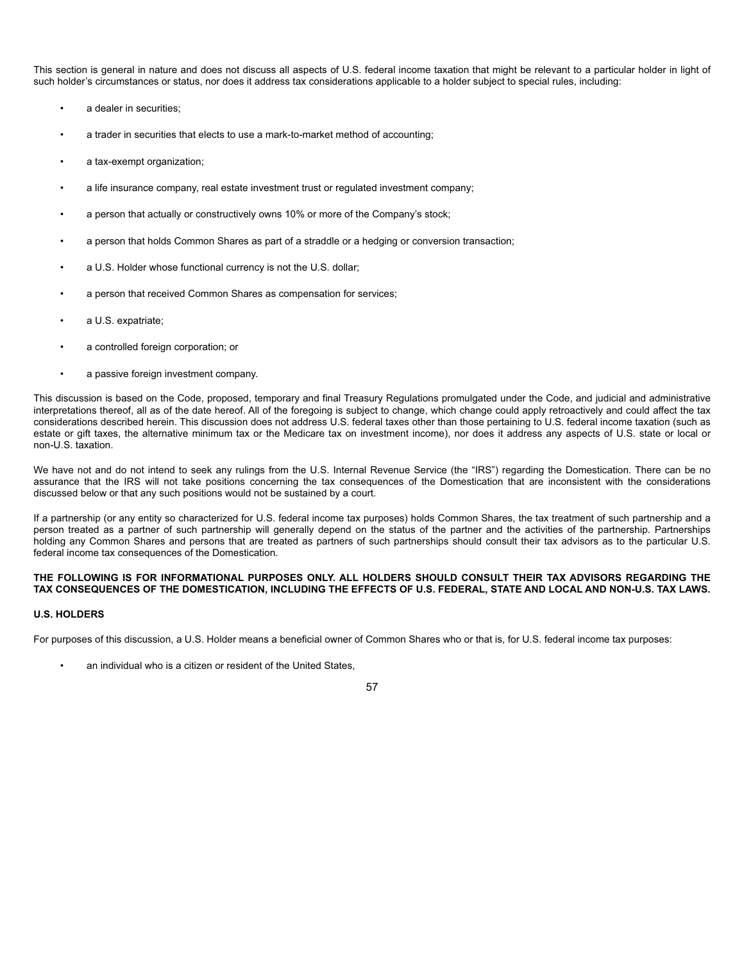This section is general in nature and does not discuss all aspects of U.S. federal income taxation that might be relevant to a particular holder in light of such holder's circumstances or status, nor does it address tax considerations applicable to a holder subject to special rules, including:

- a dealer in securities;
- a trader in securities that elects to use a mark-to-market method of accounting;
- a tax-exempt organization;
- a life insurance company, real estate investment trust or regulated investment company;
- a person that actually or constructively owns 10% or more of the Company's stock;
- a person that holds Common Shares as part of a straddle or a hedging or conversion transaction;
- a U.S. Holder whose functional currency is not the U.S. dollar;
- a person that received Common Shares as compensation for services;
- a U.S. expatriate;
- a controlled foreign corporation; or
- a passive foreign investment company.

This discussion is based on the Code, proposed, temporary and final Treasury Regulations promulgated under the Code, and judicial and administrative interpretations thereof, all as of the date hereof. All of the foregoing is subject to change, which change could apply retroactively and could affect the tax considerations described herein. This discussion does not address U.S. federal taxes other than those pertaining to U.S. federal income taxation (such as estate or gift taxes, the alternative minimum tax or the Medicare tax on investment income), nor does it address any aspects of U.S. state or local or non-U.S. taxation.

We have not and do not intend to seek any rulings from the U.S. Internal Revenue Service (the "IRS") regarding the Domestication. There can be no assurance that the IRS will not take positions concerning the tax consequences of the Domestication that are inconsistent with the considerations discussed below or that any such positions would not be sustained by a court.

If a partnership (or any entity so characterized for U.S. federal income tax purposes) holds Common Shares, the tax treatment of such partnership and a person treated as a partner of such partnership will generally depend on the status of the partner and the activities of the partnership. Partnerships holding any Common Shares and persons that are treated as partners of such partnerships should consult their tax advisors as to the particular U.S. federal income tax consequences of the Domestication.

### **THE FOLLOWING IS FOR INFORMATIONAL PURPOSES ONLY. ALL HOLDERS SHOULD CONSULT THEIR TAX ADVISORS REGARDING THE TAX CONSEQUENCES OF THE DOMESTICATION, INCLUDING THE EFFECTS OF U.S. FEDERAL, STATE AND LOCAL AND NON-U.S. TAX LAWS.**

#### **U.S. HOLDERS**

For purposes of this discussion, a U.S. Holder means a beneficial owner of Common Shares who or that is, for U.S. federal income tax purposes:

an individual who is a citizen or resident of the United States,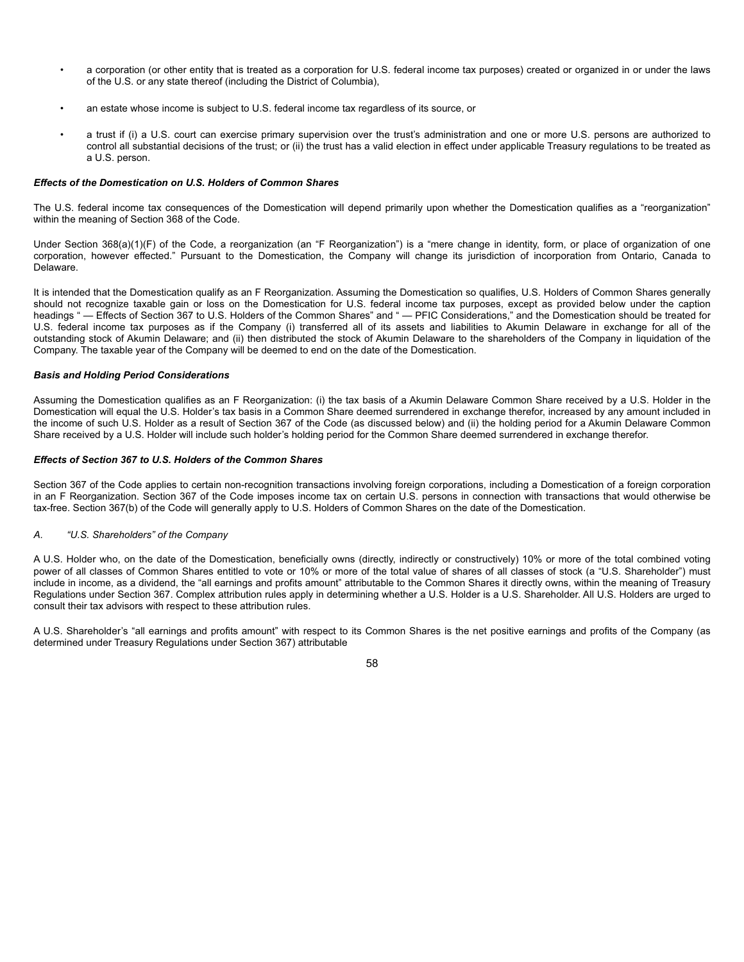- a corporation (or other entity that is treated as a corporation for U.S. federal income tax purposes) created or organized in or under the laws of the U.S. or any state thereof (including the District of Columbia),
- an estate whose income is subject to U.S. federal income tax regardless of its source, or
- a trust if (i) a U.S. court can exercise primary supervision over the trust's administration and one or more U.S. persons are authorized to control all substantial decisions of the trust; or (ii) the trust has a valid election in effect under applicable Treasury regulations to be treated as a U.S. person.

#### *Effects of the Domestication on U.S. Holders of Common Shares*

The U.S. federal income tax consequences of the Domestication will depend primarily upon whether the Domestication qualifies as a "reorganization" within the meaning of Section 368 of the Code.

Under Section 368(a)(1)(F) of the Code, a reorganization (an "F Reorganization") is a "mere change in identity, form, or place of organization of one corporation, however effected." Pursuant to the Domestication, the Company will change its jurisdiction of incorporation from Ontario, Canada to Delaware.

It is intended that the Domestication qualify as an F Reorganization. Assuming the Domestication so qualifies, U.S. Holders of Common Shares generally should not recognize taxable gain or loss on the Domestication for U.S. federal income tax purposes, except as provided below under the caption headings " — Effects of Section 367 to U.S. Holders of the Common Shares" and " — PFIC Considerations," and the Domestication should be treated for U.S. federal income tax purposes as if the Company (i) transferred all of its assets and liabilities to Akumin Delaware in exchange for all of the outstanding stock of Akumin Delaware; and (ii) then distributed the stock of Akumin Delaware to the shareholders of the Company in liquidation of the Company. The taxable year of the Company will be deemed to end on the date of the Domestication.

### *Basis and Holding Period Considerations*

Assuming the Domestication qualifies as an F Reorganization: (i) the tax basis of a Akumin Delaware Common Share received by a U.S. Holder in the Domestication will equal the U.S. Holder's tax basis in a Common Share deemed surrendered in exchange therefor, increased by any amount included in the income of such U.S. Holder as a result of Section 367 of the Code (as discussed below) and (ii) the holding period for a Akumin Delaware Common Share received by a U.S. Holder will include such holder's holding period for the Common Share deemed surrendered in exchange therefor.

#### *Effects of Section 367 to U.S. Holders of the Common Shares*

Section 367 of the Code applies to certain non-recognition transactions involving foreign corporations, including a Domestication of a foreign corporation in an F Reorganization. Section 367 of the Code imposes income tax on certain U.S. persons in connection with transactions that would otherwise be tax-free. Section 367(b) of the Code will generally apply to U.S. Holders of Common Shares on the date of the Domestication.

### *A. "U.S. Shareholders" of the Company*

A U.S. Holder who, on the date of the Domestication, beneficially owns (directly, indirectly or constructively) 10% or more of the total combined voting power of all classes of Common Shares entitled to vote or 10% or more of the total value of shares of all classes of stock (a "U.S. Shareholder") must include in income, as a dividend, the "all earnings and profits amount" attributable to the Common Shares it directly owns, within the meaning of Treasury Regulations under Section 367. Complex attribution rules apply in determining whether a U.S. Holder is a U.S. Shareholder. All U.S. Holders are urged to consult their tax advisors with respect to these attribution rules.

A U.S. Shareholder's "all earnings and profits amount" with respect to its Common Shares is the net positive earnings and profits of the Company (as determined under Treasury Regulations under Section 367) attributable

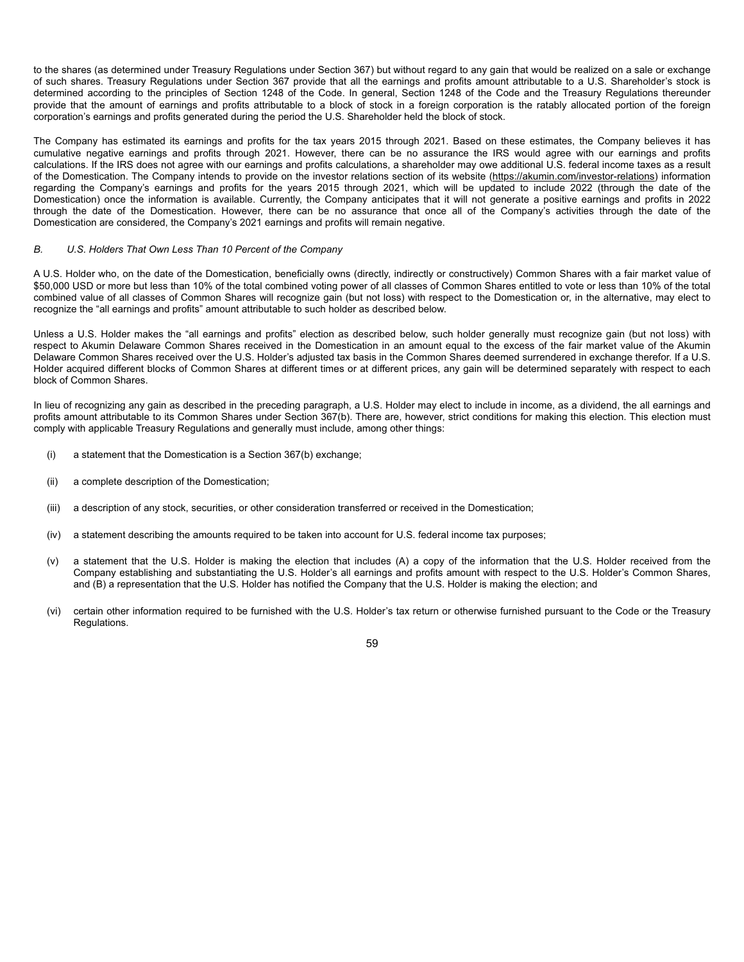to the shares (as determined under Treasury Regulations under Section 367) but without regard to any gain that would be realized on a sale or exchange of such shares. Treasury Regulations under Section 367 provide that all the earnings and profits amount attributable to a U.S. Shareholder's stock is determined according to the principles of Section 1248 of the Code. In general, Section 1248 of the Code and the Treasury Regulations thereunder provide that the amount of earnings and profits attributable to a block of stock in a foreign corporation is the ratably allocated portion of the foreign corporation's earnings and profits generated during the period the U.S. Shareholder held the block of stock.

The Company has estimated its earnings and profits for the tax years 2015 through 2021. Based on these estimates, the Company believes it has cumulative negative earnings and profits through 2021. However, there can be no assurance the IRS would agree with our earnings and profits calculations. If the IRS does not agree with our earnings and profits calculations, a shareholder may owe additional U.S. federal income taxes as a result of the Domestication. The Company intends to provide on the investor relations section of its website (https://akumin.com/investor-relations) information regarding the Company's earnings and profits for the years 2015 through 2021, which will be updated to include 2022 (through the date of the Domestication) once the information is available. Currently, the Company anticipates that it will not generate a positive earnings and profits in 2022 through the date of the Domestication. However, there can be no assurance that once all of the Company's activities through the date of the Domestication are considered, the Company's 2021 earnings and profits will remain negative.

#### *B. U.S. Holders That Own Less Than 10 Percent of the Company*

A U.S. Holder who, on the date of the Domestication, beneficially owns (directly, indirectly or constructively) Common Shares with a fair market value of \$50,000 USD or more but less than 10% of the total combined voting power of all classes of Common Shares entitled to vote or less than 10% of the total combined value of all classes of Common Shares will recognize gain (but not loss) with respect to the Domestication or, in the alternative, may elect to recognize the "all earnings and profits" amount attributable to such holder as described below.

Unless a U.S. Holder makes the "all earnings and profits" election as described below, such holder generally must recognize gain (but not loss) with respect to Akumin Delaware Common Shares received in the Domestication in an amount equal to the excess of the fair market value of the Akumin Delaware Common Shares received over the U.S. Holder's adjusted tax basis in the Common Shares deemed surrendered in exchange therefor. If a U.S. Holder acquired different blocks of Common Shares at different times or at different prices, any gain will be determined separately with respect to each block of Common Shares.

In lieu of recognizing any gain as described in the preceding paragraph, a U.S. Holder may elect to include in income, as a dividend, the all earnings and profits amount attributable to its Common Shares under Section 367(b). There are, however, strict conditions for making this election. This election must comply with applicable Treasury Regulations and generally must include, among other things:

- (i) a statement that the Domestication is a Section 367(b) exchange;
- (ii) a complete description of the Domestication;
- (iii) a description of any stock, securities, or other consideration transferred or received in the Domestication;
- (iv) a statement describing the amounts required to be taken into account for U.S. federal income tax purposes;
- (v) a statement that the U.S. Holder is making the election that includes (A) a copy of the information that the U.S. Holder received from the Company establishing and substantiating the U.S. Holder's all earnings and profits amount with respect to the U.S. Holder's Common Shares, and (B) a representation that the U.S. Holder has notified the Company that the U.S. Holder is making the election; and
- (vi) certain other information required to be furnished with the U.S. Holder's tax return or otherwise furnished pursuant to the Code or the Treasury Regulations.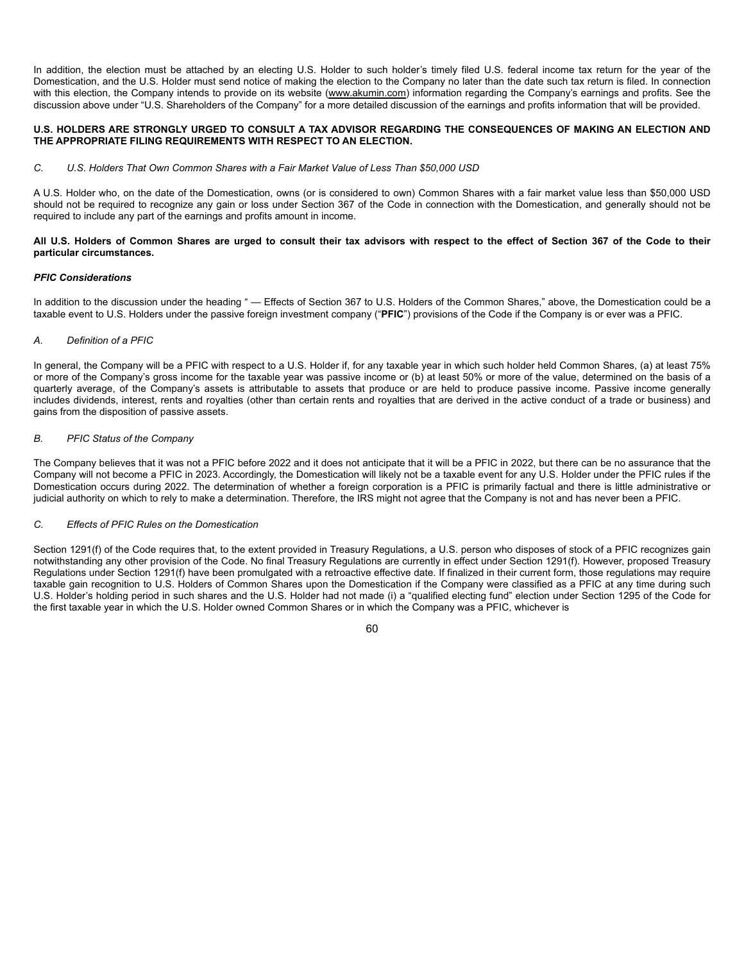In addition, the election must be attached by an electing U.S. Holder to such holder's timely filed U.S. federal income tax return for the year of the Domestication, and the U.S. Holder must send notice of making the election to the Company no later than the date such tax return is filed. In connection with this election, the Company intends to provide on its website (www.akumin.com) information regarding the Company's earnings and profits. See the discussion above under "U.S. Shareholders of the Company" for a more detailed discussion of the earnings and profits information that will be provided.

### **U.S. HOLDERS ARE STRONGLY URGED TO CONSULT A TAX ADVISOR REGARDING THE CONSEQUENCES OF MAKING AN ELECTION AND THE APPROPRIATE FILING REQUIREMENTS WITH RESPECT TO AN ELECTION.**

### *C. U.S. Holders That Own Common Shares with a Fair Market Value of Less Than \$50,000 USD*

A U.S. Holder who, on the date of the Domestication, owns (or is considered to own) Common Shares with a fair market value less than \$50,000 USD should not be required to recognize any gain or loss under Section 367 of the Code in connection with the Domestication, and generally should not be required to include any part of the earnings and profits amount in income.

### **All U.S. Holders of Common Shares are urged to consult their tax advisors with respect to the effect of Section 367 of the Code to their particular circumstances.**

#### *PFIC Considerations*

In addition to the discussion under the heading " — Effects of Section 367 to U.S. Holders of the Common Shares," above, the Domestication could be a taxable event to U.S. Holders under the passive foreign investment company ("**PFIC**") provisions of the Code if the Company is or ever was a PFIC.

### *A. Definition of a PFIC*

In general, the Company will be a PFIC with respect to a U.S. Holder if, for any taxable year in which such holder held Common Shares, (a) at least 75% or more of the Company's gross income for the taxable year was passive income or (b) at least 50% or more of the value, determined on the basis of a quarterly average, of the Company's assets is attributable to assets that produce or are held to produce passive income. Passive income generally includes dividends, interest, rents and royalties (other than certain rents and royalties that are derived in the active conduct of a trade or business) and gains from the disposition of passive assets.

#### *B. PFIC Status of the Company*

The Company believes that it was not a PFIC before 2022 and it does not anticipate that it will be a PFIC in 2022, but there can be no assurance that the Company will not become a PFIC in 2023. Accordingly, the Domestication will likely not be a taxable event for any U.S. Holder under the PFIC rules if the Domestication occurs during 2022. The determination of whether a foreign corporation is a PFIC is primarily factual and there is little administrative or judicial authority on which to rely to make a determination. Therefore, the IRS might not agree that the Company is not and has never been a PFIC.

## *C. Effects of PFIC Rules on the Domestication*

Section 1291(f) of the Code requires that, to the extent provided in Treasury Regulations, a U.S. person who disposes of stock of a PFIC recognizes gain notwithstanding any other provision of the Code. No final Treasury Regulations are currently in effect under Section 1291(f). However, proposed Treasury Regulations under Section 1291(f) have been promulgated with a retroactive effective date. If finalized in their current form, those regulations may require taxable gain recognition to U.S. Holders of Common Shares upon the Domestication if the Company were classified as a PFIC at any time during such U.S. Holder's holding period in such shares and the U.S. Holder had not made (i) a "qualified electing fund" election under Section 1295 of the Code for the first taxable year in which the U.S. Holder owned Common Shares or in which the Company was a PFIC, whichever is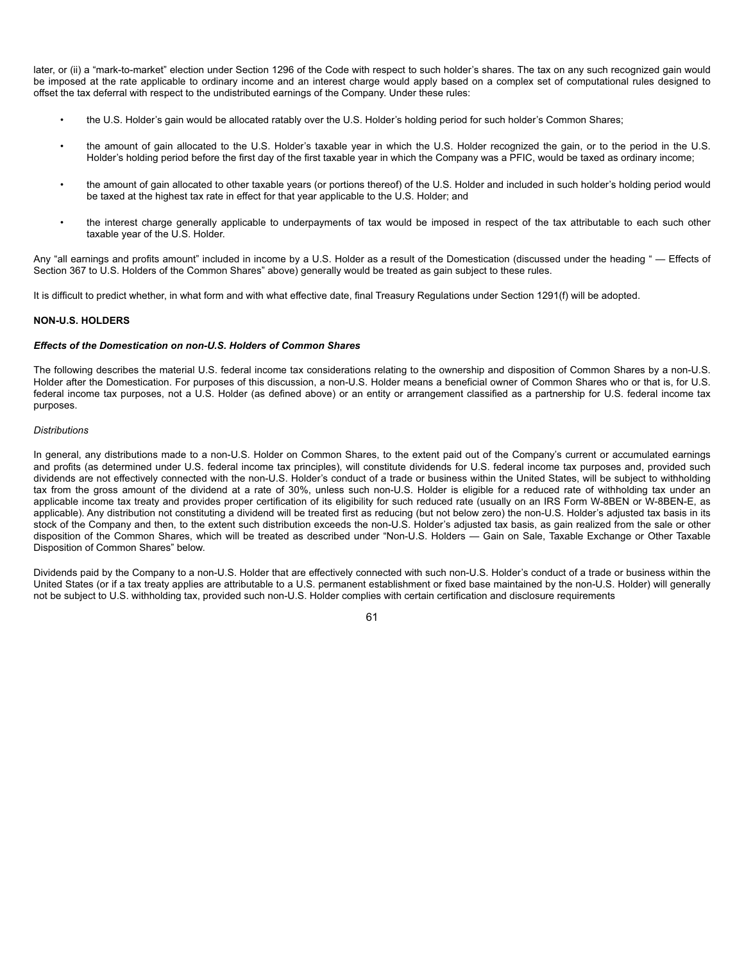later, or (ii) a "mark-to-market" election under Section 1296 of the Code with respect to such holder's shares. The tax on any such recognized gain would be imposed at the rate applicable to ordinary income and an interest charge would apply based on a complex set of computational rules designed to offset the tax deferral with respect to the undistributed earnings of the Company. Under these rules:

- the U.S. Holder's gain would be allocated ratably over the U.S. Holder's holding period for such holder's Common Shares;
- the amount of gain allocated to the U.S. Holder's taxable year in which the U.S. Holder recognized the gain, or to the period in the U.S. Holder's holding period before the first day of the first taxable year in which the Company was a PFIC, would be taxed as ordinary income;
- the amount of gain allocated to other taxable years (or portions thereof) of the U.S. Holder and included in such holder's holding period would be taxed at the highest tax rate in effect for that year applicable to the U.S. Holder; and
- the interest charge generally applicable to underpayments of tax would be imposed in respect of the tax attributable to each such other taxable year of the U.S. Holder.

Any "all earnings and profits amount" included in income by a U.S. Holder as a result of the Domestication (discussed under the heading " - Effects of Section 367 to U.S. Holders of the Common Shares" above) generally would be treated as gain subject to these rules.

It is difficult to predict whether, in what form and with what effective date, final Treasury Regulations under Section 1291(f) will be adopted.

### **NON-U.S. HOLDERS**

#### *Effects of the Domestication on non-U.S. Holders of Common Shares*

The following describes the material U.S. federal income tax considerations relating to the ownership and disposition of Common Shares by a non-U.S. Holder after the Domestication. For purposes of this discussion, a non-U.S. Holder means a beneficial owner of Common Shares who or that is, for U.S. federal income tax purposes, not a U.S. Holder (as defined above) or an entity or arrangement classified as a partnership for U.S. federal income tax purposes.

### *Distributions*

In general, any distributions made to a non-U.S. Holder on Common Shares, to the extent paid out of the Company's current or accumulated earnings and profits (as determined under U.S. federal income tax principles), will constitute dividends for U.S. federal income tax purposes and, provided such dividends are not effectively connected with the non-U.S. Holder's conduct of a trade or business within the United States, will be subject to withholding tax from the gross amount of the dividend at a rate of 30%, unless such non-U.S. Holder is eligible for a reduced rate of withholding tax under an applicable income tax treaty and provides proper certification of its eligibility for such reduced rate (usually on an IRS Form W-8BEN or W-8BEN-E, as applicable). Any distribution not constituting a dividend will be treated first as reducing (but not below zero) the non-U.S. Holder's adjusted tax basis in its stock of the Company and then, to the extent such distribution exceeds the non-U.S. Holder's adjusted tax basis, as gain realized from the sale or other disposition of the Common Shares, which will be treated as described under "Non-U.S. Holders — Gain on Sale, Taxable Exchange or Other Taxable Disposition of Common Shares" below.

Dividends paid by the Company to a non-U.S. Holder that are effectively connected with such non-U.S. Holder's conduct of a trade or business within the United States (or if a tax treaty applies are attributable to a U.S. permanent establishment or fixed base maintained by the non-U.S. Holder) will generally not be subject to U.S. withholding tax, provided such non-U.S. Holder complies with certain certification and disclosure requirements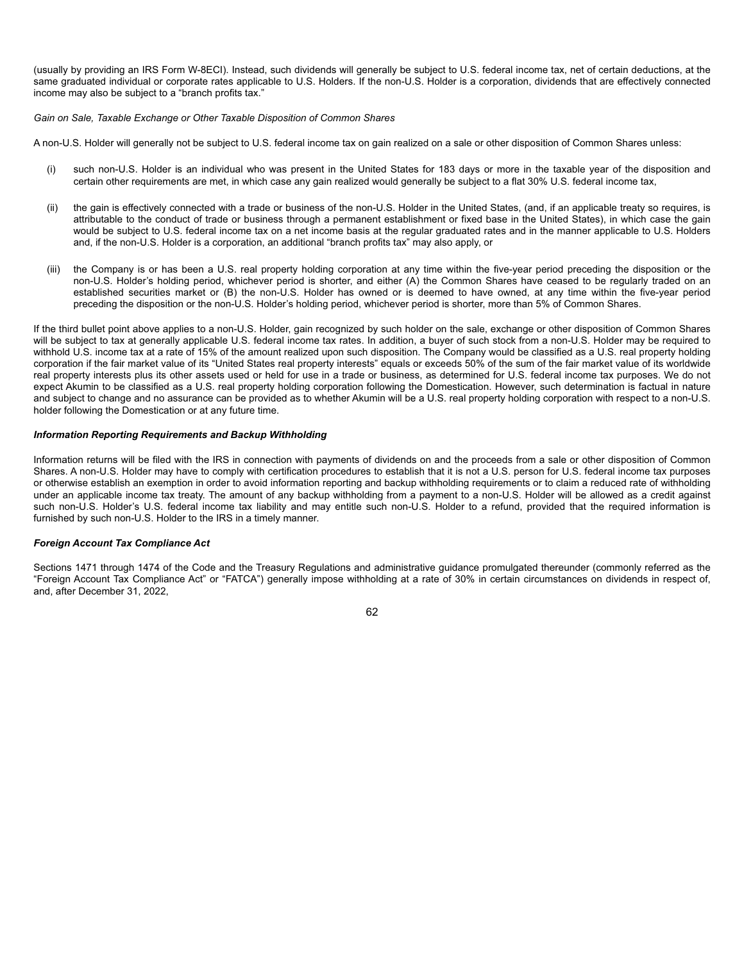(usually by providing an IRS Form W-8ECI). Instead, such dividends will generally be subject to U.S. federal income tax, net of certain deductions, at the same graduated individual or corporate rates applicable to U.S. Holders. If the non-U.S. Holder is a corporation, dividends that are effectively connected income may also be subject to a "branch profits tax."

*Gain on Sale, Taxable Exchange or Other Taxable Disposition of Common Shares*

A non-U.S. Holder will generally not be subject to U.S. federal income tax on gain realized on a sale or other disposition of Common Shares unless:

- (i) such non-U.S. Holder is an individual who was present in the United States for 183 days or more in the taxable year of the disposition and certain other requirements are met, in which case any gain realized would generally be subject to a flat 30% U.S. federal income tax,
- (ii) the gain is effectively connected with a trade or business of the non-U.S. Holder in the United States, (and, if an applicable treaty so requires, is attributable to the conduct of trade or business through a permanent establishment or fixed base in the United States), in which case the gain would be subject to U.S. federal income tax on a net income basis at the regular graduated rates and in the manner applicable to U.S. Holders and, if the non-U.S. Holder is a corporation, an additional "branch profits tax" may also apply, or
- (iii) the Company is or has been a U.S. real property holding corporation at any time within the five-year period preceding the disposition or the non-U.S. Holder's holding period, whichever period is shorter, and either (A) the Common Shares have ceased to be regularly traded on an established securities market or (B) the non-U.S. Holder has owned or is deemed to have owned, at any time within the five-year period preceding the disposition or the non-U.S. Holder's holding period, whichever period is shorter, more than 5% of Common Shares.

If the third bullet point above applies to a non-U.S. Holder, gain recognized by such holder on the sale, exchange or other disposition of Common Shares will be subject to tax at generally applicable U.S. federal income tax rates. In addition, a buyer of such stock from a non-U.S. Holder may be required to withhold U.S. income tax at a rate of 15% of the amount realized upon such disposition. The Company would be classified as a U.S. real property holding corporation if the fair market value of its "United States real property interests" equals or exceeds 50% of the sum of the fair market value of its worldwide real property interests plus its other assets used or held for use in a trade or business, as determined for U.S. federal income tax purposes. We do not expect Akumin to be classified as a U.S. real property holding corporation following the Domestication. However, such determination is factual in nature and subject to change and no assurance can be provided as to whether Akumin will be a U.S. real property holding corporation with respect to a non-U.S. holder following the Domestication or at any future time.

#### *Information Reporting Requirements and Backup Withholding*

Information returns will be filed with the IRS in connection with payments of dividends on and the proceeds from a sale or other disposition of Common Shares. A non-U.S. Holder may have to comply with certification procedures to establish that it is not a U.S. person for U.S. federal income tax purposes or otherwise establish an exemption in order to avoid information reporting and backup withholding requirements or to claim a reduced rate of withholding under an applicable income tax treaty. The amount of any backup withholding from a payment to a non-U.S. Holder will be allowed as a credit against such non-U.S. Holder's U.S. federal income tax liability and may entitle such non-U.S. Holder to a refund, provided that the required information is furnished by such non-U.S. Holder to the IRS in a timely manner.

### *Foreign Account Tax Compliance Act*

Sections 1471 through 1474 of the Code and the Treasury Regulations and administrative guidance promulgated thereunder (commonly referred as the "Foreign Account Tax Compliance Act" or "FATCA") generally impose withholding at a rate of 30% in certain circumstances on dividends in respect of, and, after December 31, 2022,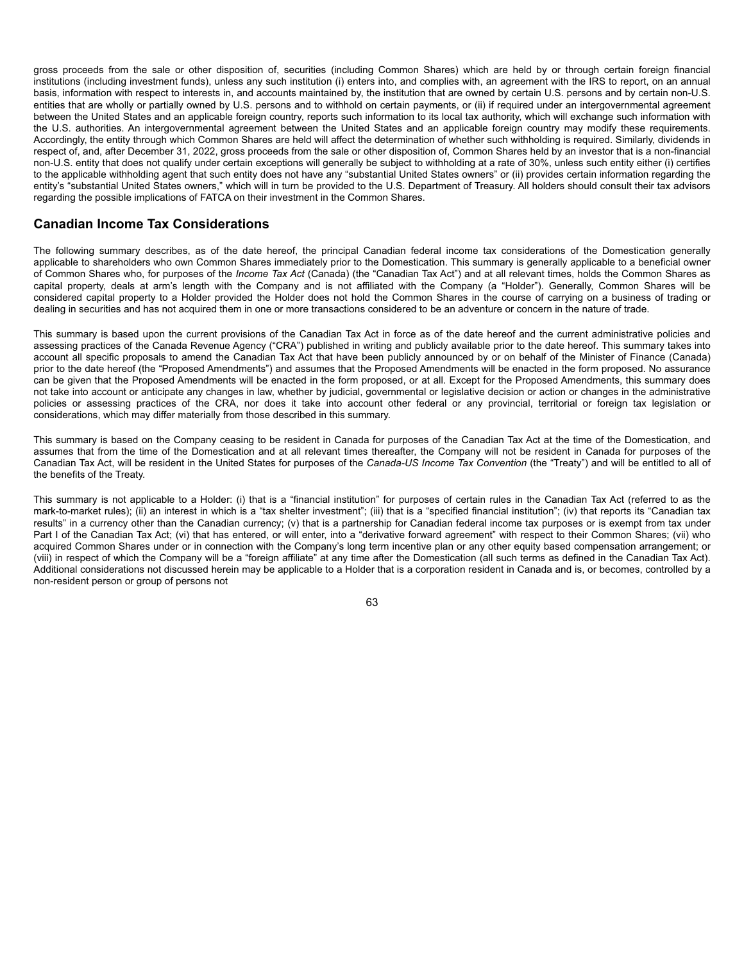gross proceeds from the sale or other disposition of, securities (including Common Shares) which are held by or through certain foreign financial institutions (including investment funds), unless any such institution (i) enters into, and complies with, an agreement with the IRS to report, on an annual basis, information with respect to interests in, and accounts maintained by, the institution that are owned by certain U.S. persons and by certain non-U.S. entities that are wholly or partially owned by U.S. persons and to withhold on certain payments, or (ii) if required under an intergovernmental agreement between the United States and an applicable foreign country, reports such information to its local tax authority, which will exchange such information with the U.S. authorities. An intergovernmental agreement between the United States and an applicable foreign country may modify these requirements. Accordingly, the entity through which Common Shares are held will affect the determination of whether such withholding is required. Similarly, dividends in respect of, and, after December 31, 2022, gross proceeds from the sale or other disposition of, Common Shares held by an investor that is a non-financial non-U.S. entity that does not qualify under certain exceptions will generally be subject to withholding at a rate of 30%, unless such entity either (i) certifies to the applicable withholding agent that such entity does not have any "substantial United States owners" or (ii) provides certain information regarding the entity's "substantial United States owners," which will in turn be provided to the U.S. Department of Treasury. All holders should consult their tax advisors regarding the possible implications of FATCA on their investment in the Common Shares.

# **Canadian Income Tax Considerations**

The following summary describes, as of the date hereof, the principal Canadian federal income tax considerations of the Domestication generally applicable to shareholders who own Common Shares immediately prior to the Domestication. This summary is generally applicable to a beneficial owner of Common Shares who, for purposes of the *Income Tax Act* (Canada) (the "Canadian Tax Act") and at all relevant times, holds the Common Shares as capital property, deals at arm's length with the Company and is not affiliated with the Company (a "Holder"). Generally, Common Shares will be considered capital property to a Holder provided the Holder does not hold the Common Shares in the course of carrying on a business of trading or dealing in securities and has not acquired them in one or more transactions considered to be an adventure or concern in the nature of trade.

This summary is based upon the current provisions of the Canadian Tax Act in force as of the date hereof and the current administrative policies and assessing practices of the Canada Revenue Agency ("CRA") published in writing and publicly available prior to the date hereof. This summary takes into account all specific proposals to amend the Canadian Tax Act that have been publicly announced by or on behalf of the Minister of Finance (Canada) prior to the date hereof (the "Proposed Amendments") and assumes that the Proposed Amendments will be enacted in the form proposed. No assurance can be given that the Proposed Amendments will be enacted in the form proposed, or at all. Except for the Proposed Amendments, this summary does not take into account or anticipate any changes in law, whether by judicial, governmental or legislative decision or action or changes in the administrative policies or assessing practices of the CRA, nor does it take into account other federal or any provincial, territorial or foreign tax legislation or considerations, which may differ materially from those described in this summary.

This summary is based on the Company ceasing to be resident in Canada for purposes of the Canadian Tax Act at the time of the Domestication, and assumes that from the time of the Domestication and at all relevant times thereafter, the Company will not be resident in Canada for purposes of the Canadian Tax Act, will be resident in the United States for purposes of the *Canada-US Income Tax Convention* (the "Treaty") and will be entitled to all of the benefits of the Treaty.

This summary is not applicable to a Holder: (i) that is a "financial institution" for purposes of certain rules in the Canadian Tax Act (referred to as the mark-to-market rules); (ii) an interest in which is a "tax shelter investment"; (iii) that is a "specified financial institution"; (iv) that reports its "Canadian tax results" in a currency other than the Canadian currency; (v) that is a partnership for Canadian federal income tax purposes or is exempt from tax under Part I of the Canadian Tax Act; (vi) that has entered, or will enter, into a "derivative forward agreement" with respect to their Common Shares; (vii) who acquired Common Shares under or in connection with the Company's long term incentive plan or any other equity based compensation arrangement; or (viii) in respect of which the Company will be a "foreign affiliate" at any time after the Domestication (all such terms as defined in the Canadian Tax Act). Additional considerations not discussed herein may be applicable to a Holder that is a corporation resident in Canada and is, or becomes, controlled by a non-resident person or group of persons not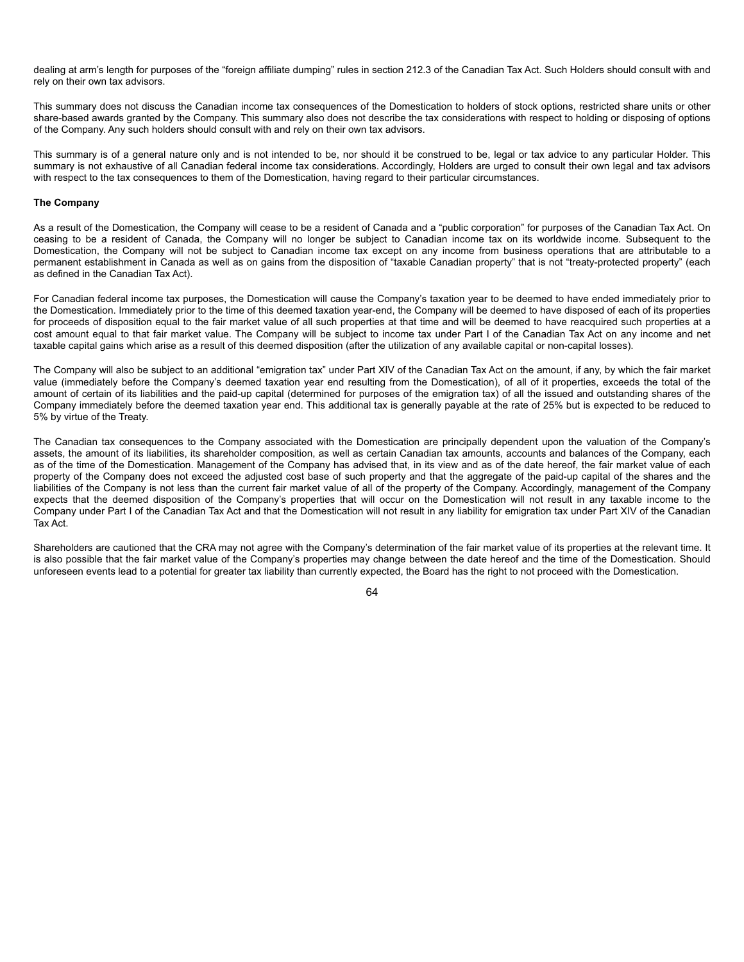dealing at arm's length for purposes of the "foreign affiliate dumping" rules in section 212.3 of the Canadian Tax Act. Such Holders should consult with and rely on their own tax advisors.

This summary does not discuss the Canadian income tax consequences of the Domestication to holders of stock options, restricted share units or other share-based awards granted by the Company. This summary also does not describe the tax considerations with respect to holding or disposing of options of the Company. Any such holders should consult with and rely on their own tax advisors.

This summary is of a general nature only and is not intended to be, nor should it be construed to be, legal or tax advice to any particular Holder. This summary is not exhaustive of all Canadian federal income tax considerations. Accordingly, Holders are urged to consult their own legal and tax advisors with respect to the tax consequences to them of the Domestication, having regard to their particular circumstances.

### **The Company**

As a result of the Domestication, the Company will cease to be a resident of Canada and a "public corporation" for purposes of the Canadian Tax Act. On ceasing to be a resident of Canada, the Company will no longer be subject to Canadian income tax on its worldwide income. Subsequent to the Domestication, the Company will not be subject to Canadian income tax except on any income from business operations that are attributable to a permanent establishment in Canada as well as on gains from the disposition of "taxable Canadian property" that is not "treaty-protected property" (each as defined in the Canadian Tax Act).

For Canadian federal income tax purposes, the Domestication will cause the Company's taxation year to be deemed to have ended immediately prior to the Domestication. Immediately prior to the time of this deemed taxation year-end, the Company will be deemed to have disposed of each of its properties for proceeds of disposition equal to the fair market value of all such properties at that time and will be deemed to have reacquired such properties at a cost amount equal to that fair market value. The Company will be subject to income tax under Part I of the Canadian Tax Act on any income and net taxable capital gains which arise as a result of this deemed disposition (after the utilization of any available capital or non-capital losses).

The Company will also be subject to an additional "emigration tax" under Part XIV of the Canadian Tax Act on the amount, if any, by which the fair market value (immediately before the Company's deemed taxation year end resulting from the Domestication), of all of it properties, exceeds the total of the amount of certain of its liabilities and the paid-up capital (determined for purposes of the emigration tax) of all the issued and outstanding shares of the Company immediately before the deemed taxation year end. This additional tax is generally payable at the rate of 25% but is expected to be reduced to 5% by virtue of the Treaty.

The Canadian tax consequences to the Company associated with the Domestication are principally dependent upon the valuation of the Company's assets, the amount of its liabilities, its shareholder composition, as well as certain Canadian tax amounts, accounts and balances of the Company, each as of the time of the Domestication. Management of the Company has advised that, in its view and as of the date hereof, the fair market value of each property of the Company does not exceed the adjusted cost base of such property and that the aggregate of the paid-up capital of the shares and the liabilities of the Company is not less than the current fair market value of all of the property of the Company. Accordingly, management of the Company expects that the deemed disposition of the Company's properties that will occur on the Domestication will not result in any taxable income to the Company under Part I of the Canadian Tax Act and that the Domestication will not result in any liability for emigration tax under Part XIV of the Canadian Tax Act.

Shareholders are cautioned that the CRA may not agree with the Company's determination of the fair market value of its properties at the relevant time. It is also possible that the fair market value of the Company's properties may change between the date hereof and the time of the Domestication. Should unforeseen events lead to a potential for greater tax liability than currently expected, the Board has the right to not proceed with the Domestication.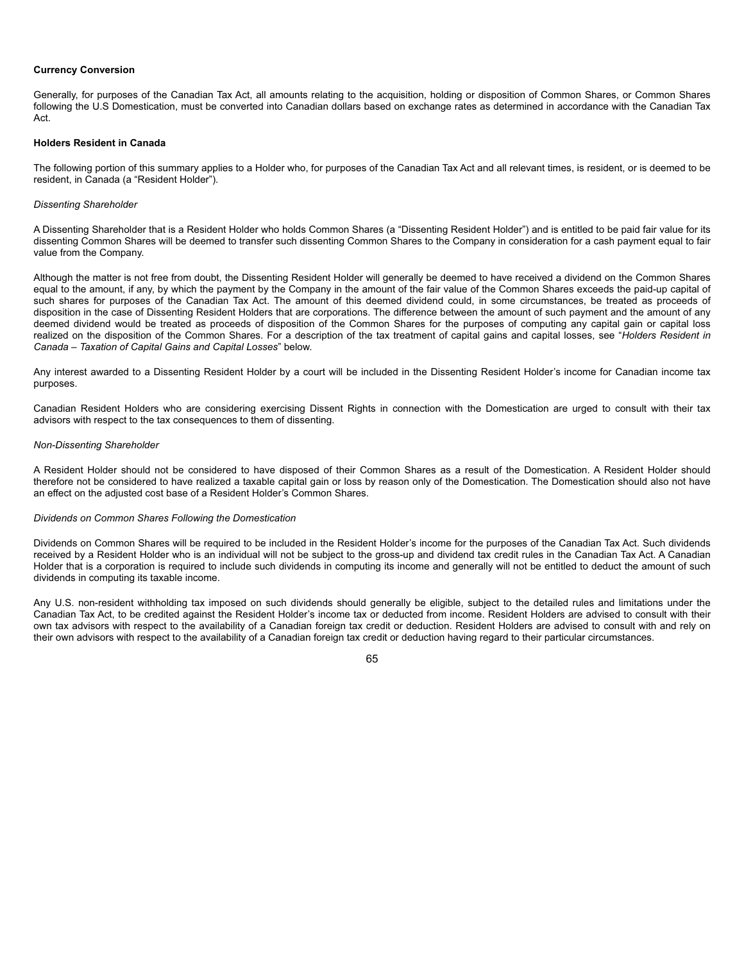### **Currency Conversion**

Generally, for purposes of the Canadian Tax Act, all amounts relating to the acquisition, holding or disposition of Common Shares, or Common Shares following the U.S Domestication, must be converted into Canadian dollars based on exchange rates as determined in accordance with the Canadian Tax Act.

#### **Holders Resident in Canada**

The following portion of this summary applies to a Holder who, for purposes of the Canadian Tax Act and all relevant times, is resident, or is deemed to be resident, in Canada (a "Resident Holder").

### *Dissenting Shareholder*

A Dissenting Shareholder that is a Resident Holder who holds Common Shares (a "Dissenting Resident Holder") and is entitled to be paid fair value for its dissenting Common Shares will be deemed to transfer such dissenting Common Shares to the Company in consideration for a cash payment equal to fair value from the Company.

Although the matter is not free from doubt, the Dissenting Resident Holder will generally be deemed to have received a dividend on the Common Shares equal to the amount, if any, by which the payment by the Company in the amount of the fair value of the Common Shares exceeds the paid-up capital of such shares for purposes of the Canadian Tax Act. The amount of this deemed dividend could, in some circumstances, be treated as proceeds of disposition in the case of Dissenting Resident Holders that are corporations. The difference between the amount of such payment and the amount of any deemed dividend would be treated as proceeds of disposition of the Common Shares for the purposes of computing any capital gain or capital loss realized on the disposition of the Common Shares. For a description of the tax treatment of capital gains and capital losses, see "*Holders Resident in Canada – Taxation of Capital Gains and Capital Losses*" below.

Any interest awarded to a Dissenting Resident Holder by a court will be included in the Dissenting Resident Holder's income for Canadian income tax purposes.

Canadian Resident Holders who are considering exercising Dissent Rights in connection with the Domestication are urged to consult with their tax advisors with respect to the tax consequences to them of dissenting.

## *Non-Dissenting Shareholder*

A Resident Holder should not be considered to have disposed of their Common Shares as a result of the Domestication. A Resident Holder should therefore not be considered to have realized a taxable capital gain or loss by reason only of the Domestication. The Domestication should also not have an effect on the adjusted cost base of a Resident Holder's Common Shares.

## *Dividends on Common Shares Following the Domestication*

Dividends on Common Shares will be required to be included in the Resident Holder's income for the purposes of the Canadian Tax Act. Such dividends received by a Resident Holder who is an individual will not be subject to the gross-up and dividend tax credit rules in the Canadian Tax Act. A Canadian Holder that is a corporation is required to include such dividends in computing its income and generally will not be entitled to deduct the amount of such dividends in computing its taxable income.

Any U.S. non-resident withholding tax imposed on such dividends should generally be eligible, subject to the detailed rules and limitations under the Canadian Tax Act, to be credited against the Resident Holder's income tax or deducted from income. Resident Holders are advised to consult with their own tax advisors with respect to the availability of a Canadian foreign tax credit or deduction. Resident Holders are advised to consult with and rely on their own advisors with respect to the availability of a Canadian foreign tax credit or deduction having regard to their particular circumstances.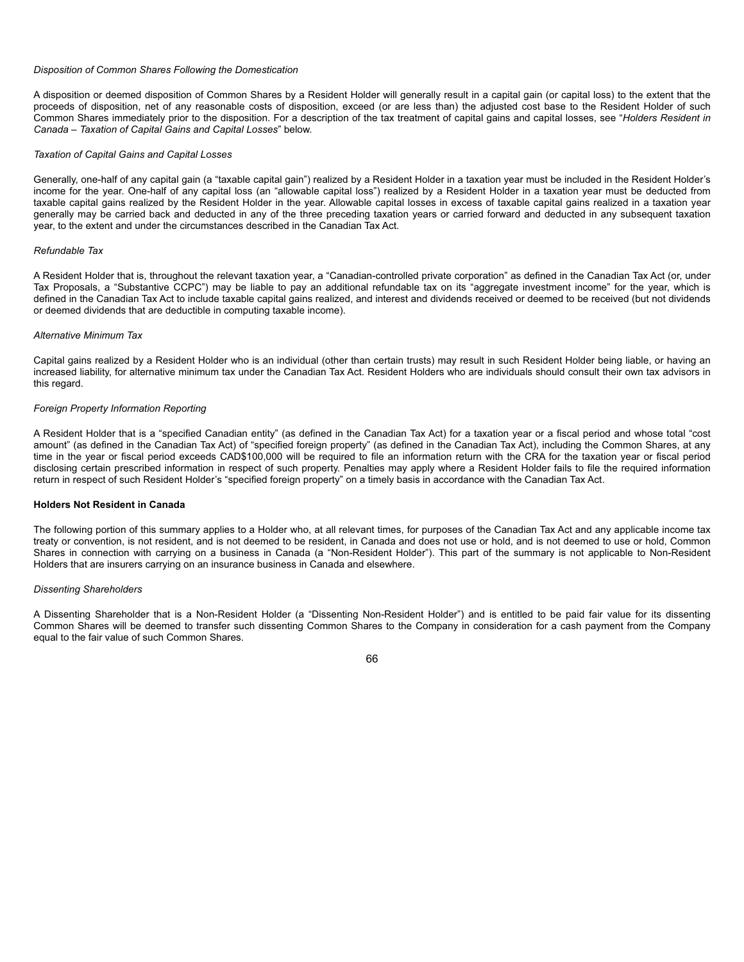### *Disposition of Common Shares Following the Domestication*

A disposition or deemed disposition of Common Shares by a Resident Holder will generally result in a capital gain (or capital loss) to the extent that the proceeds of disposition, net of any reasonable costs of disposition, exceed (or are less than) the adjusted cost base to the Resident Holder of such Common Shares immediately prior to the disposition. For a description of the tax treatment of capital gains and capital losses, see "*Holders Resident in Canada – Taxation of Capital Gains and Capital Losses*" below.

#### *Taxation of Capital Gains and Capital Losses*

Generally, one-half of any capital gain (a "taxable capital gain") realized by a Resident Holder in a taxation year must be included in the Resident Holder's income for the year. One-half of any capital loss (an "allowable capital loss") realized by a Resident Holder in a taxation year must be deducted from taxable capital gains realized by the Resident Holder in the year. Allowable capital losses in excess of taxable capital gains realized in a taxation year generally may be carried back and deducted in any of the three preceding taxation years or carried forward and deducted in any subsequent taxation year, to the extent and under the circumstances described in the Canadian Tax Act.

#### *Refundable Tax*

A Resident Holder that is, throughout the relevant taxation year, a "Canadian-controlled private corporation" as defined in the Canadian Tax Act (or, under Tax Proposals, a "Substantive CCPC") may be liable to pay an additional refundable tax on its "aggregate investment income" for the year, which is defined in the Canadian Tax Act to include taxable capital gains realized, and interest and dividends received or deemed to be received (but not dividends or deemed dividends that are deductible in computing taxable income).

#### *Alternative Minimum Tax*

Capital gains realized by a Resident Holder who is an individual (other than certain trusts) may result in such Resident Holder being liable, or having an increased liability, for alternative minimum tax under the Canadian Tax Act. Resident Holders who are individuals should consult their own tax advisors in this regard.

## *Foreign Property Information Reporting*

A Resident Holder that is a "specified Canadian entity" (as defined in the Canadian Tax Act) for a taxation year or a fiscal period and whose total "cost amount" (as defined in the Canadian Tax Act) of "specified foreign property" (as defined in the Canadian Tax Act), including the Common Shares, at any time in the year or fiscal period exceeds CAD\$100,000 will be required to file an information return with the CRA for the taxation year or fiscal period disclosing certain prescribed information in respect of such property. Penalties may apply where a Resident Holder fails to file the required information return in respect of such Resident Holder's "specified foreign property" on a timely basis in accordance with the Canadian Tax Act.

### **Holders Not Resident in Canada**

The following portion of this summary applies to a Holder who, at all relevant times, for purposes of the Canadian Tax Act and any applicable income tax treaty or convention, is not resident, and is not deemed to be resident, in Canada and does not use or hold, and is not deemed to use or hold, Common Shares in connection with carrying on a business in Canada (a "Non-Resident Holder"). This part of the summary is not applicable to Non-Resident Holders that are insurers carrying on an insurance business in Canada and elsewhere.

#### *Dissenting Shareholders*

A Dissenting Shareholder that is a Non-Resident Holder (a "Dissenting Non-Resident Holder") and is entitled to be paid fair value for its dissenting Common Shares will be deemed to transfer such dissenting Common Shares to the Company in consideration for a cash payment from the Company equal to the fair value of such Common Shares.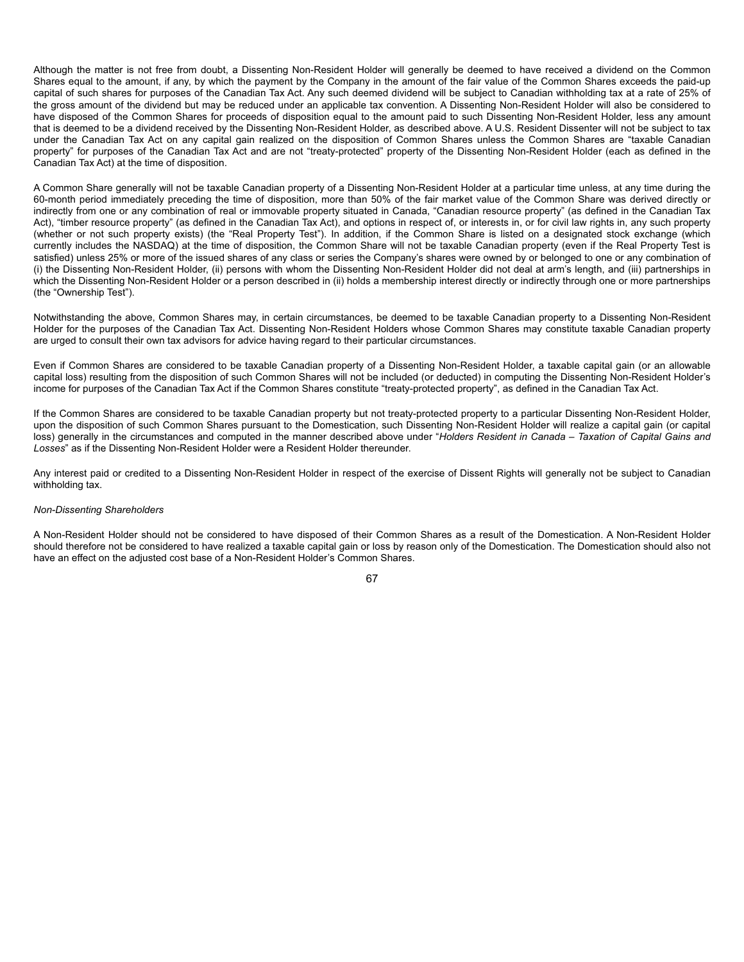Although the matter is not free from doubt, a Dissenting Non-Resident Holder will generally be deemed to have received a dividend on the Common Shares equal to the amount, if any, by which the payment by the Company in the amount of the fair value of the Common Shares exceeds the paid-up capital of such shares for purposes of the Canadian Tax Act. Any such deemed dividend will be subject to Canadian withholding tax at a rate of 25% of the gross amount of the dividend but may be reduced under an applicable tax convention. A Dissenting Non-Resident Holder will also be considered to have disposed of the Common Shares for proceeds of disposition equal to the amount paid to such Dissenting Non-Resident Holder, less any amount that is deemed to be a dividend received by the Dissenting Non-Resident Holder, as described above. A U.S. Resident Dissenter will not be subject to tax under the Canadian Tax Act on any capital gain realized on the disposition of Common Shares unless the Common Shares are "taxable Canadian property" for purposes of the Canadian Tax Act and are not "treaty-protected" property of the Dissenting Non-Resident Holder (each as defined in the Canadian Tax Act) at the time of disposition.

A Common Share generally will not be taxable Canadian property of a Dissenting Non-Resident Holder at a particular time unless, at any time during the 60-month period immediately preceding the time of disposition, more than 50% of the fair market value of the Common Share was derived directly or indirectly from one or any combination of real or immovable property situated in Canada, "Canadian resource property" (as defined in the Canadian Tax Act), "timber resource property" (as defined in the Canadian Tax Act), and options in respect of, or interests in, or for civil law rights in, any such property (whether or not such property exists) (the "Real Property Test"). In addition, if the Common Share is listed on a designated stock exchange (which currently includes the NASDAQ) at the time of disposition, the Common Share will not be taxable Canadian property (even if the Real Property Test is satisfied) unless 25% or more of the issued shares of any class or series the Company's shares were owned by or belonged to one or any combination of (i) the Dissenting Non-Resident Holder, (ii) persons with whom the Dissenting Non-Resident Holder did not deal at arm's length, and (iii) partnerships in which the Dissenting Non-Resident Holder or a person described in (ii) holds a membership interest directly or indirectly through one or more partnerships (the "Ownership Test").

Notwithstanding the above, Common Shares may, in certain circumstances, be deemed to be taxable Canadian property to a Dissenting Non-Resident Holder for the purposes of the Canadian Tax Act. Dissenting Non-Resident Holders whose Common Shares may constitute taxable Canadian property are urged to consult their own tax advisors for advice having regard to their particular circumstances.

Even if Common Shares are considered to be taxable Canadian property of a Dissenting Non-Resident Holder, a taxable capital gain (or an allowable capital loss) resulting from the disposition of such Common Shares will not be included (or deducted) in computing the Dissenting Non-Resident Holder's income for purposes of the Canadian Tax Act if the Common Shares constitute "treaty-protected property", as defined in the Canadian Tax Act.

If the Common Shares are considered to be taxable Canadian property but not treaty-protected property to a particular Dissenting Non-Resident Holder, upon the disposition of such Common Shares pursuant to the Domestication, such Dissenting Non-Resident Holder will realize a capital gain (or capital loss) generally in the circumstances and computed in the manner described above under "*Holders Resident in Canada – Taxation of Capital Gains and Losses*" as if the Dissenting Non-Resident Holder were a Resident Holder thereunder.

Any interest paid or credited to a Dissenting Non-Resident Holder in respect of the exercise of Dissent Rights will generally not be subject to Canadian withholding tax.

#### *Non-Dissenting Shareholders*

A Non-Resident Holder should not be considered to have disposed of their Common Shares as a result of the Domestication. A Non-Resident Holder should therefore not be considered to have realized a taxable capital gain or loss by reason only of the Domestication. The Domestication should also not have an effect on the adjusted cost base of a Non-Resident Holder's Common Shares.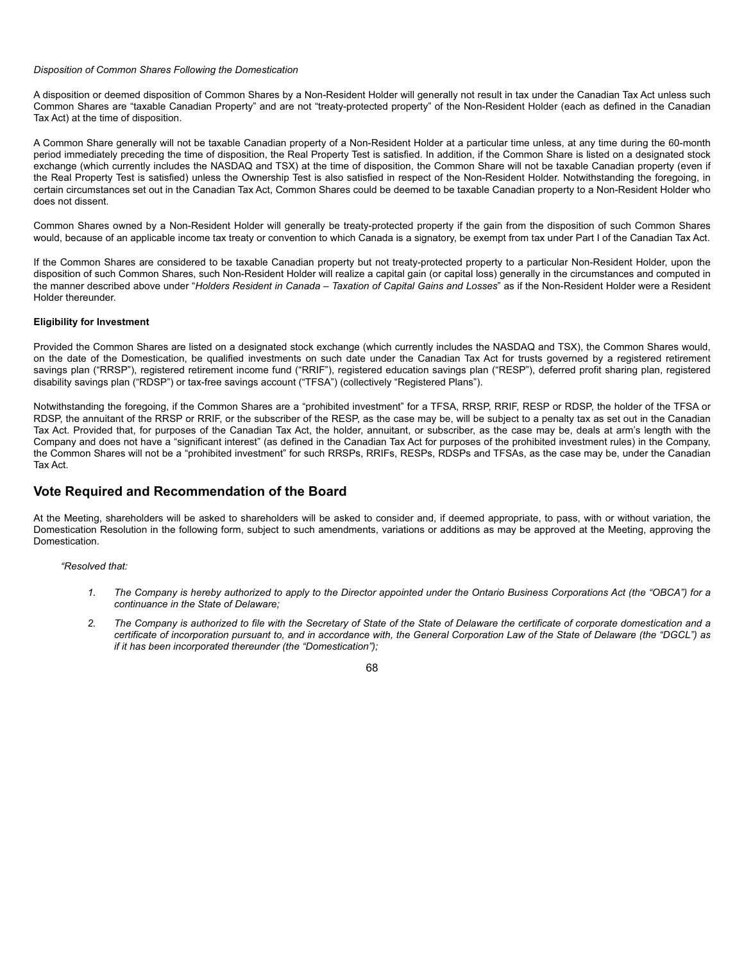## *Disposition of Common Shares Following the Domestication*

A disposition or deemed disposition of Common Shares by a Non-Resident Holder will generally not result in tax under the Canadian Tax Act unless such Common Shares are "taxable Canadian Property" and are not "treaty-protected property" of the Non-Resident Holder (each as defined in the Canadian Tax Act) at the time of disposition.

A Common Share generally will not be taxable Canadian property of a Non-Resident Holder at a particular time unless, at any time during the 60-month period immediately preceding the time of disposition, the Real Property Test is satisfied. In addition, if the Common Share is listed on a designated stock exchange (which currently includes the NASDAQ and TSX) at the time of disposition, the Common Share will not be taxable Canadian property (even if the Real Property Test is satisfied) unless the Ownership Test is also satisfied in respect of the Non-Resident Holder. Notwithstanding the foregoing, in certain circumstances set out in the Canadian Tax Act, Common Shares could be deemed to be taxable Canadian property to a Non-Resident Holder who does not dissent.

Common Shares owned by a Non-Resident Holder will generally be treaty-protected property if the gain from the disposition of such Common Shares would, because of an applicable income tax treaty or convention to which Canada is a signatory, be exempt from tax under Part I of the Canadian Tax Act.

If the Common Shares are considered to be taxable Canadian property but not treaty-protected property to a particular Non-Resident Holder, upon the disposition of such Common Shares, such Non-Resident Holder will realize a capital gain (or capital loss) generally in the circumstances and computed in the manner described above under "*Holders Resident in Canada – Taxation of Capital Gains and Losses*" as if the Non-Resident Holder were a Resident Holder thereunder.

## **Eligibility for Investment**

Provided the Common Shares are listed on a designated stock exchange (which currently includes the NASDAQ and TSX), the Common Shares would, on the date of the Domestication, be qualified investments on such date under the Canadian Tax Act for trusts governed by a registered retirement savings plan ("RRSP"), registered retirement income fund ("RRIF"), registered education savings plan ("RESP"), deferred profit sharing plan, registered disability savings plan ("RDSP") or tax-free savings account ("TFSA") (collectively "Registered Plans").

Notwithstanding the foregoing, if the Common Shares are a "prohibited investment" for a TFSA, RRSP, RRIF, RESP or RDSP, the holder of the TFSA or RDSP, the annuitant of the RRSP or RRIF, or the subscriber of the RESP, as the case may be, will be subject to a penalty tax as set out in the Canadian Tax Act. Provided that, for purposes of the Canadian Tax Act, the holder, annuitant, or subscriber, as the case may be, deals at arm's length with the Company and does not have a "significant interest" (as defined in the Canadian Tax Act for purposes of the prohibited investment rules) in the Company, the Common Shares will not be a "prohibited investment" for such RRSPs, RRIFs, RESPs, RDSPs and TFSAs, as the case may be, under the Canadian Tax Act.

# **Vote Required and Recommendation of the Board**

At the Meeting, shareholders will be asked to shareholders will be asked to consider and, if deemed appropriate, to pass, with or without variation, the Domestication Resolution in the following form, subject to such amendments, variations or additions as may be approved at the Meeting, approving the Domestication.

#### *"Resolved that:*

- *1. The Company is hereby authorized to apply to the Director appointed under the Ontario Business Corporations Act (the "OBCA") for a continuance in the State of Delaware;*
- *2. The Company is authorized to file with the Secretary of State of the State of Delaware the certificate of corporate domestication and a certificate of incorporation pursuant to, and in accordance with, the General Corporation Law of the State of Delaware (the "DGCL") as if it has been incorporated thereunder (the "Domestication");*

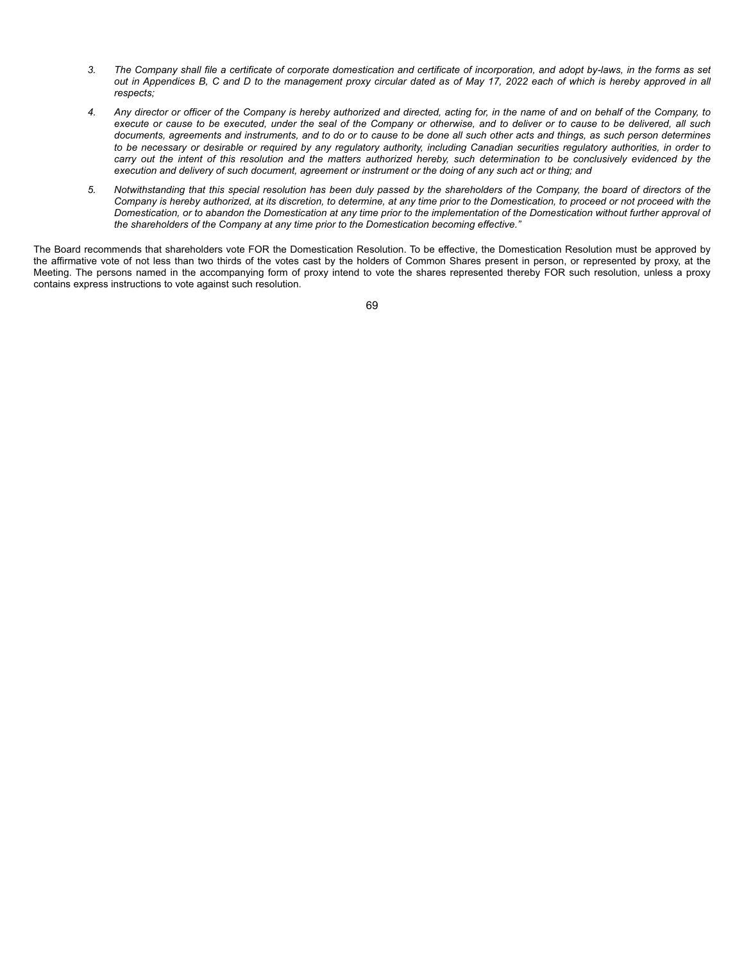- *3. The Company shall file a certificate of corporate domestication and certificate of incorporation, and adopt by-laws, in the forms as set out in Appendices B, C and D to the management proxy circular dated as of May 17, 2022 each of which is hereby approved in all respects;*
- *4. Any director or officer of the Company is hereby authorized and directed, acting for, in the name of and on behalf of the Company, to execute or cause to be executed, under the seal of the Company or otherwise, and to deliver or to cause to be delivered, all such documents, agreements and instruments, and to do or to cause to be done all such other acts and things, as such person determines to be necessary or desirable or required by any regulatory authority, including Canadian securities regulatory authorities, in order to carry out the intent of this resolution and the matters authorized hereby, such determination to be conclusively evidenced by the execution and delivery of such document, agreement or instrument or the doing of any such act or thing; and*
- *5. Notwithstanding that this special resolution has been duly passed by the shareholders of the Company, the board of directors of the Company is hereby authorized, at its discretion, to determine, at any time prior to the Domestication, to proceed or not proceed with the Domestication, or to abandon the Domestication at any time prior to the implementation of the Domestication without further approval of the shareholders of the Company at any time prior to the Domestication becoming effective."*

The Board recommends that shareholders vote FOR the Domestication Resolution. To be effective, the Domestication Resolution must be approved by the affirmative vote of not less than two thirds of the votes cast by the holders of Common Shares present in person, or represented by proxy, at the Meeting. The persons named in the accompanying form of proxy intend to vote the shares represented thereby FOR such resolution, unless a proxy contains express instructions to vote against such resolution.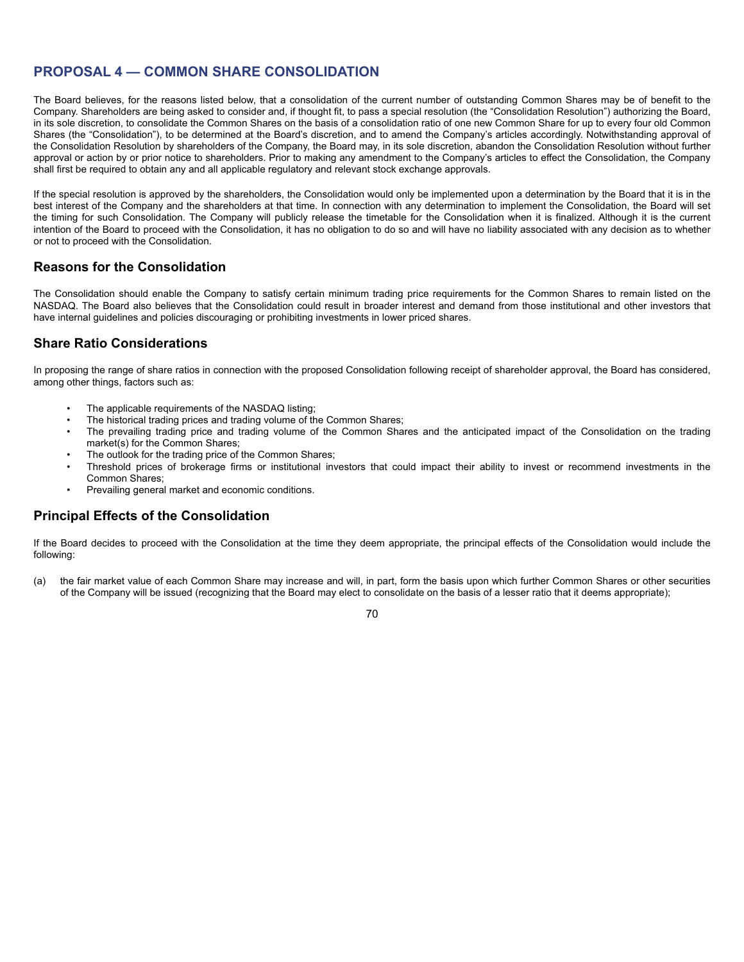# **PROPOSAL 4 — COMMON SHARE CONSOLIDATION**

The Board believes, for the reasons listed below, that a consolidation of the current number of outstanding Common Shares may be of benefit to the Company. Shareholders are being asked to consider and, if thought fit, to pass a special resolution (the "Consolidation Resolution") authorizing the Board, in its sole discretion, to consolidate the Common Shares on the basis of a consolidation ratio of one new Common Share for up to every four old Common Shares (the "Consolidation"), to be determined at the Board's discretion, and to amend the Company's articles accordingly. Notwithstanding approval of the Consolidation Resolution by shareholders of the Company, the Board may, in its sole discretion, abandon the Consolidation Resolution without further approval or action by or prior notice to shareholders. Prior to making any amendment to the Company's articles to effect the Consolidation, the Company shall first be required to obtain any and all applicable regulatory and relevant stock exchange approvals.

If the special resolution is approved by the shareholders, the Consolidation would only be implemented upon a determination by the Board that it is in the best interest of the Company and the shareholders at that time. In connection with any determination to implement the Consolidation, the Board will set the timing for such Consolidation. The Company will publicly release the timetable for the Consolidation when it is finalized. Although it is the current intention of the Board to proceed with the Consolidation, it has no obligation to do so and will have no liability associated with any decision as to whether or not to proceed with the Consolidation.

# **Reasons for the Consolidation**

The Consolidation should enable the Company to satisfy certain minimum trading price requirements for the Common Shares to remain listed on the NASDAQ. The Board also believes that the Consolidation could result in broader interest and demand from those institutional and other investors that have internal guidelines and policies discouraging or prohibiting investments in lower priced shares.

# **Share Ratio Considerations**

In proposing the range of share ratios in connection with the proposed Consolidation following receipt of shareholder approval, the Board has considered, among other things, factors such as:

- The applicable requirements of the NASDAQ listing;
- The historical trading prices and trading volume of the Common Shares;
- The prevailing trading price and trading volume of the Common Shares and the anticipated impact of the Consolidation on the trading market(s) for the Common Shares;
- The outlook for the trading price of the Common Shares;
- Threshold prices of brokerage firms or institutional investors that could impact their ability to invest or recommend investments in the Common Shares;
- Prevailing general market and economic conditions.

# **Principal Effects of the Consolidation**

If the Board decides to proceed with the Consolidation at the time they deem appropriate, the principal effects of the Consolidation would include the following:

(a) the fair market value of each Common Share may increase and will, in part, form the basis upon which further Common Shares or other securities of the Company will be issued (recognizing that the Board may elect to consolidate on the basis of a lesser ratio that it deems appropriate);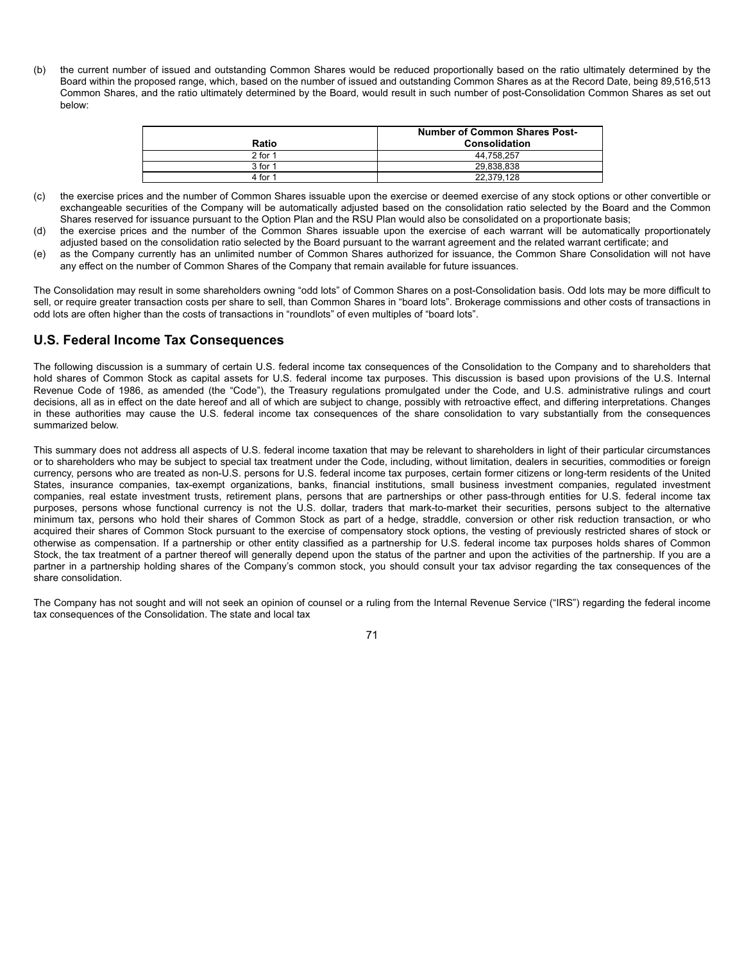(b) the current number of issued and outstanding Common Shares would be reduced proportionally based on the ratio ultimately determined by the Board within the proposed range, which, based on the number of issued and outstanding Common Shares as at the Record Date, being 89,516,513 Common Shares, and the ratio ultimately determined by the Board, would result in such number of post-Consolidation Common Shares as set out below:

|           | <b>Number of Common Shares Post-</b> |
|-----------|--------------------------------------|
| Ratio     | Consolidation                        |
| $2$ for 1 | 44.758.257                           |
| $3$ for 1 | 29.838.838                           |
| 4 for 1   | 22.379.128                           |

- (c) the exercise prices and the number of Common Shares issuable upon the exercise or deemed exercise of any stock options or other convertible or exchangeable securities of the Company will be automatically adjusted based on the consolidation ratio selected by the Board and the Common Shares reserved for issuance pursuant to the Option Plan and the RSU Plan would also be consolidated on a proportionate basis;
- (d) the exercise prices and the number of the Common Shares issuable upon the exercise of each warrant will be automatically proportionately adjusted based on the consolidation ratio selected by the Board pursuant to the warrant agreement and the related warrant certificate; and
- (e) as the Company currently has an unlimited number of Common Shares authorized for issuance, the Common Share Consolidation will not have any effect on the number of Common Shares of the Company that remain available for future issuances.

The Consolidation may result in some shareholders owning "odd lots" of Common Shares on a post-Consolidation basis. Odd lots may be more difficult to sell, or require greater transaction costs per share to sell, than Common Shares in "board lots". Brokerage commissions and other costs of transactions in odd lots are often higher than the costs of transactions in "roundlots" of even multiples of "board lots".

# **U.S. Federal Income Tax Consequences**

The following discussion is a summary of certain U.S. federal income tax consequences of the Consolidation to the Company and to shareholders that hold shares of Common Stock as capital assets for U.S. federal income tax purposes. This discussion is based upon provisions of the U.S. Internal Revenue Code of 1986, as amended (the "Code"), the Treasury regulations promulgated under the Code, and U.S. administrative rulings and court decisions, all as in effect on the date hereof and all of which are subject to change, possibly with retroactive effect, and differing interpretations. Changes in these authorities may cause the U.S. federal income tax consequences of the share consolidation to vary substantially from the consequences summarized below.

This summary does not address all aspects of U.S. federal income taxation that may be relevant to shareholders in light of their particular circumstances or to shareholders who may be subject to special tax treatment under the Code, including, without limitation, dealers in securities, commodities or foreign currency, persons who are treated as non-U.S. persons for U.S. federal income tax purposes, certain former citizens or long-term residents of the United States, insurance companies, tax-exempt organizations, banks, financial institutions, small business investment companies, regulated investment companies, real estate investment trusts, retirement plans, persons that are partnerships or other pass-through entities for U.S. federal income tax purposes, persons whose functional currency is not the U.S. dollar, traders that mark-to-market their securities, persons subject to the alternative minimum tax, persons who hold their shares of Common Stock as part of a hedge, straddle, conversion or other risk reduction transaction, or who acquired their shares of Common Stock pursuant to the exercise of compensatory stock options, the vesting of previously restricted shares of stock or otherwise as compensation. If a partnership or other entity classified as a partnership for U.S. federal income tax purposes holds shares of Common Stock, the tax treatment of a partner thereof will generally depend upon the status of the partner and upon the activities of the partnership. If you are a partner in a partnership holding shares of the Company's common stock, you should consult your tax advisor regarding the tax consequences of the share consolidation.

The Company has not sought and will not seek an opinion of counsel or a ruling from the Internal Revenue Service ("IRS") regarding the federal income tax consequences of the Consolidation. The state and local tax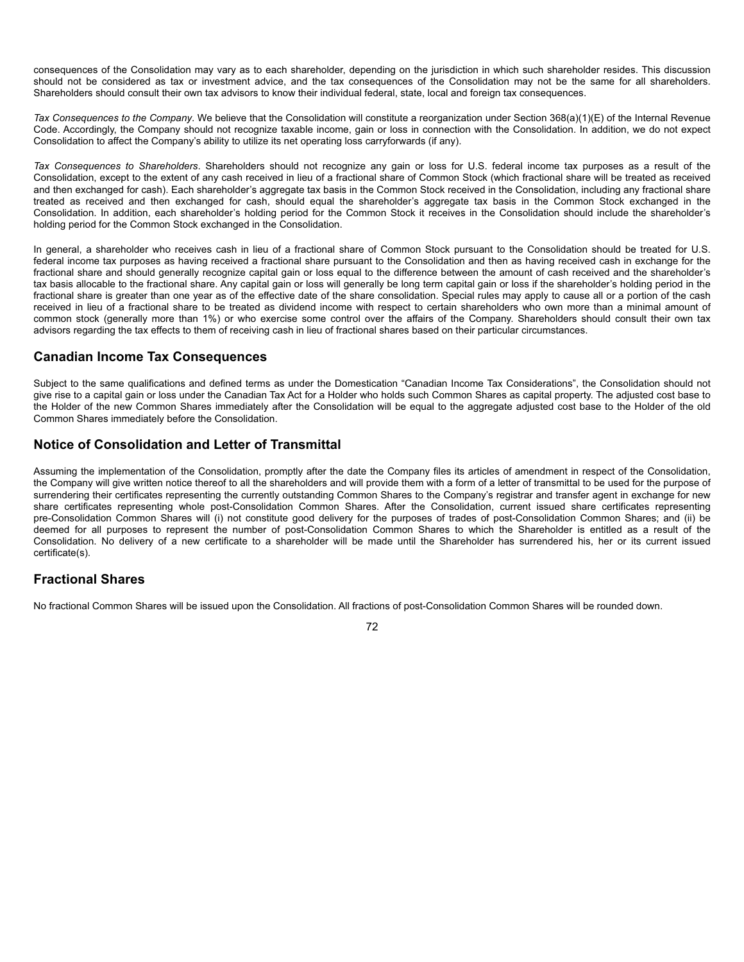consequences of the Consolidation may vary as to each shareholder, depending on the jurisdiction in which such shareholder resides. This discussion should not be considered as tax or investment advice, and the tax consequences of the Consolidation may not be the same for all shareholders. Shareholders should consult their own tax advisors to know their individual federal, state, local and foreign tax consequences.

*Tax Consequences to the Company*. We believe that the Consolidation will constitute a reorganization under Section 368(a)(1)(E) of the Internal Revenue Code. Accordingly, the Company should not recognize taxable income, gain or loss in connection with the Consolidation. In addition, we do not expect Consolidation to affect the Company's ability to utilize its net operating loss carryforwards (if any).

*Tax Consequences to Shareholders*. Shareholders should not recognize any gain or loss for U.S. federal income tax purposes as a result of the Consolidation, except to the extent of any cash received in lieu of a fractional share of Common Stock (which fractional share will be treated as received and then exchanged for cash). Each shareholder's aggregate tax basis in the Common Stock received in the Consolidation, including any fractional share treated as received and then exchanged for cash, should equal the shareholder's aggregate tax basis in the Common Stock exchanged in the Consolidation. In addition, each shareholder's holding period for the Common Stock it receives in the Consolidation should include the shareholder's holding period for the Common Stock exchanged in the Consolidation.

In general, a shareholder who receives cash in lieu of a fractional share of Common Stock pursuant to the Consolidation should be treated for U.S. federal income tax purposes as having received a fractional share pursuant to the Consolidation and then as having received cash in exchange for the fractional share and should generally recognize capital gain or loss equal to the difference between the amount of cash received and the shareholder's tax basis allocable to the fractional share. Any capital gain or loss will generally be long term capital gain or loss if the shareholder's holding period in the fractional share is greater than one year as of the effective date of the share consolidation. Special rules may apply to cause all or a portion of the cash received in lieu of a fractional share to be treated as dividend income with respect to certain shareholders who own more than a minimal amount of common stock (generally more than 1%) or who exercise some control over the affairs of the Company. Shareholders should consult their own tax advisors regarding the tax effects to them of receiving cash in lieu of fractional shares based on their particular circumstances.

# **Canadian Income Tax Consequences**

Subject to the same qualifications and defined terms as under the Domestication "Canadian Income Tax Considerations", the Consolidation should not give rise to a capital gain or loss under the Canadian Tax Act for a Holder who holds such Common Shares as capital property. The adjusted cost base to the Holder of the new Common Shares immediately after the Consolidation will be equal to the aggregate adjusted cost base to the Holder of the old Common Shares immediately before the Consolidation.

# **Notice of Consolidation and Letter of Transmittal**

Assuming the implementation of the Consolidation, promptly after the date the Company files its articles of amendment in respect of the Consolidation, the Company will give written notice thereof to all the shareholders and will provide them with a form of a letter of transmittal to be used for the purpose of surrendering their certificates representing the currently outstanding Common Shares to the Company's registrar and transfer agent in exchange for new share certificates representing whole post-Consolidation Common Shares. After the Consolidation, current issued share certificates representing pre-Consolidation Common Shares will (i) not constitute good delivery for the purposes of trades of post-Consolidation Common Shares; and (ii) be deemed for all purposes to represent the number of post-Consolidation Common Shares to which the Shareholder is entitled as a result of the Consolidation. No delivery of a new certificate to a shareholder will be made until the Shareholder has surrendered his, her or its current issued certificate(s).

# **Fractional Shares**

No fractional Common Shares will be issued upon the Consolidation. All fractions of post-Consolidation Common Shares will be rounded down.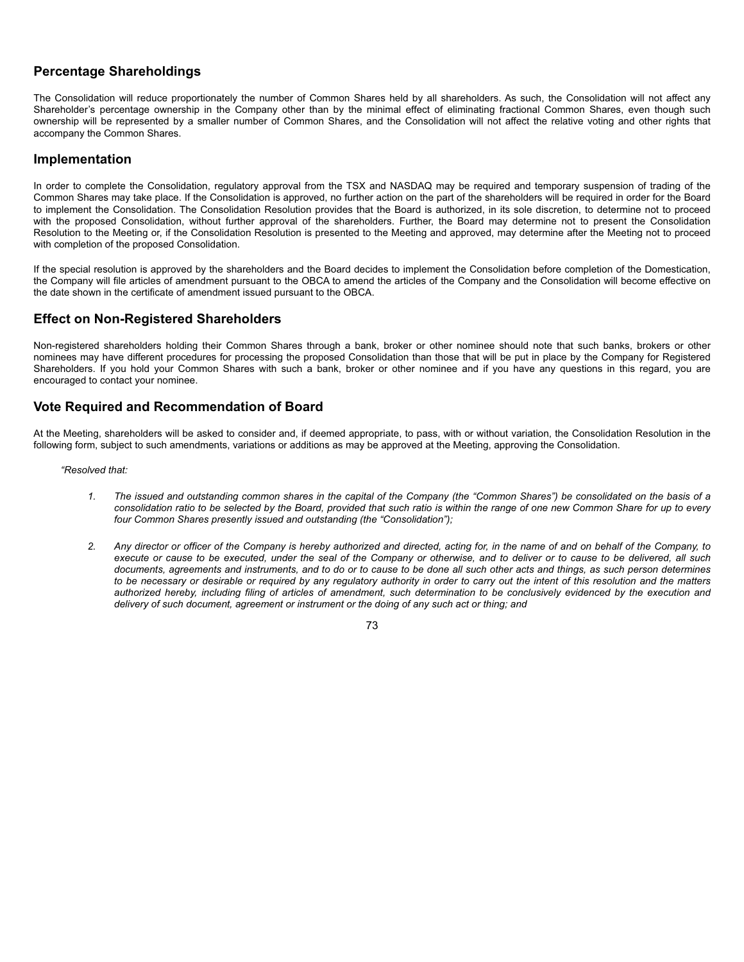# **Percentage Shareholdings**

The Consolidation will reduce proportionately the number of Common Shares held by all shareholders. As such, the Consolidation will not affect any Shareholder's percentage ownership in the Company other than by the minimal effect of eliminating fractional Common Shares, even though such ownership will be represented by a smaller number of Common Shares, and the Consolidation will not affect the relative voting and other rights that accompany the Common Shares.

# **Implementation**

In order to complete the Consolidation, regulatory approval from the TSX and NASDAQ may be required and temporary suspension of trading of the Common Shares may take place. If the Consolidation is approved, no further action on the part of the shareholders will be required in order for the Board to implement the Consolidation. The Consolidation Resolution provides that the Board is authorized, in its sole discretion, to determine not to proceed with the proposed Consolidation, without further approval of the shareholders. Further, the Board may determine not to present the Consolidation Resolution to the Meeting or, if the Consolidation Resolution is presented to the Meeting and approved, may determine after the Meeting not to proceed with completion of the proposed Consolidation.

If the special resolution is approved by the shareholders and the Board decides to implement the Consolidation before completion of the Domestication, the Company will file articles of amendment pursuant to the OBCA to amend the articles of the Company and the Consolidation will become effective on the date shown in the certificate of amendment issued pursuant to the OBCA.

# **Effect on Non-Registered Shareholders**

Non-registered shareholders holding their Common Shares through a bank, broker or other nominee should note that such banks, brokers or other nominees may have different procedures for processing the proposed Consolidation than those that will be put in place by the Company for Registered Shareholders. If you hold your Common Shares with such a bank, broker or other nominee and if you have any questions in this regard, you are encouraged to contact your nominee.

# **Vote Required and Recommendation of Board**

At the Meeting, shareholders will be asked to consider and, if deemed appropriate, to pass, with or without variation, the Consolidation Resolution in the following form, subject to such amendments, variations or additions as may be approved at the Meeting, approving the Consolidation.

# *"Resolved that:*

- *1. The issued and outstanding common shares in the capital of the Company (the "Common Shares") be consolidated on the basis of a consolidation ratio to be selected by the Board, provided that such ratio is within the range of one new Common Share for up to every four Common Shares presently issued and outstanding (the "Consolidation");*
- *2. Any director or officer of the Company is hereby authorized and directed, acting for, in the name of and on behalf of the Company, to execute or cause to be executed, under the seal of the Company or otherwise, and to deliver or to cause to be delivered, all such documents, agreements and instruments, and to do or to cause to be done all such other acts and things, as such person determines to be necessary or desirable or required by any regulatory authority in order to carry out the intent of this resolution and the matters authorized hereby, including filing of articles of amendment, such determination to be conclusively evidenced by the execution and delivery of such document, agreement or instrument or the doing of any such act or thing; and*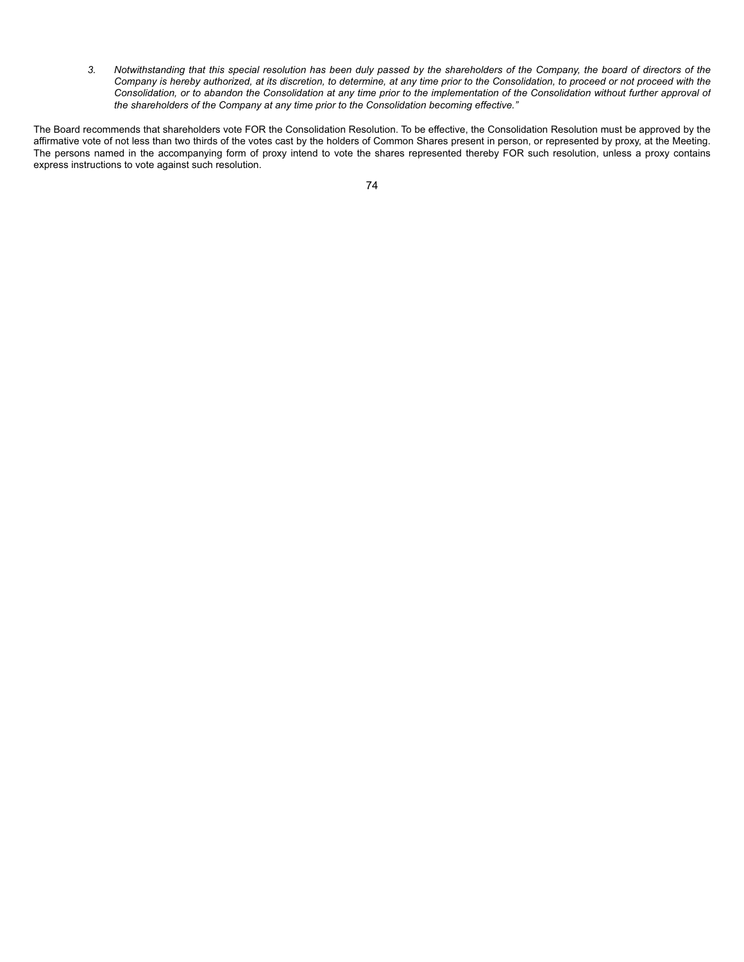*3. Notwithstanding that this special resolution has been duly passed by the shareholders of the Company, the board of directors of the Company is hereby authorized, at its discretion, to determine, at any time prior to the Consolidation, to proceed or not proceed with the Consolidation, or to abandon the Consolidation at any time prior to the implementation of the Consolidation without further approval of the shareholders of the Company at any time prior to the Consolidation becoming effective."*

The Board recommends that shareholders vote FOR the Consolidation Resolution. To be effective, the Consolidation Resolution must be approved by the affirmative vote of not less than two thirds of the votes cast by the holders of Common Shares present in person, or represented by proxy, at the Meeting. The persons named in the accompanying form of proxy intend to vote the shares represented thereby FOR such resolution, unless a proxy contains express instructions to vote against such resolution.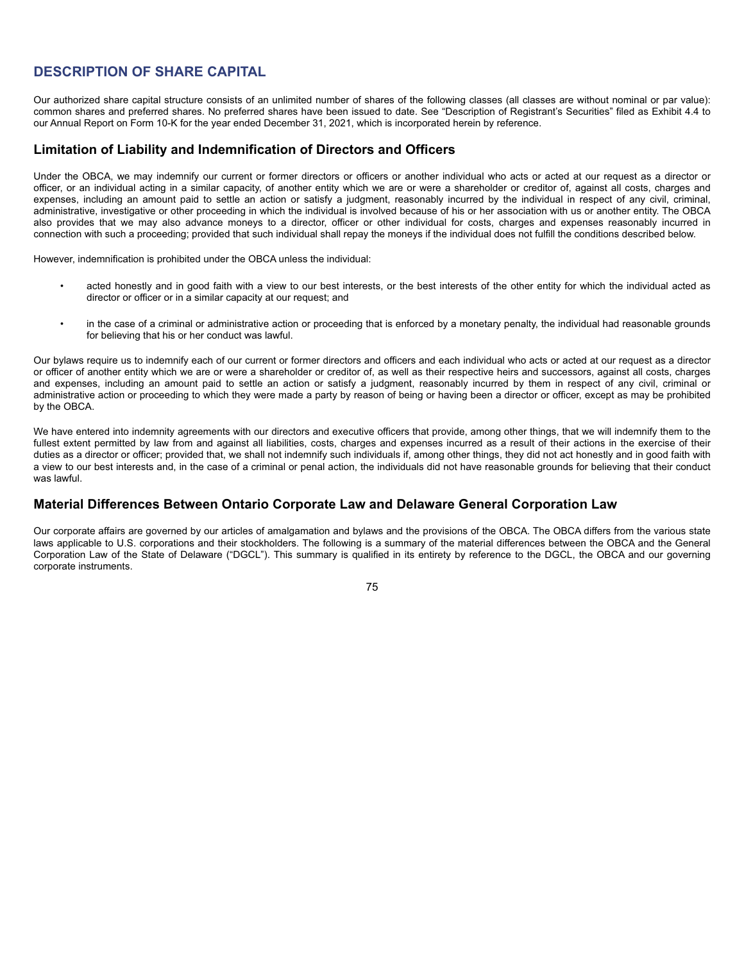# **DESCRIPTION OF SHARE CAPITAL**

Our authorized share capital structure consists of an unlimited number of shares of the following classes (all classes are without nominal or par value): common shares and preferred shares. No preferred shares have been issued to date. See "Description of Registrant's Securities" filed as Exhibit 4.4 to our Annual Report on Form 10-K for the year ended December 31, 2021, which is incorporated herein by reference.

# **Limitation of Liability and Indemnification of Directors and Officers**

Under the OBCA, we may indemnify our current or former directors or officers or another individual who acts or acted at our request as a director or officer, or an individual acting in a similar capacity, of another entity which we are or were a shareholder or creditor of, against all costs, charges and expenses, including an amount paid to settle an action or satisfy a judgment, reasonably incurred by the individual in respect of any civil, criminal, administrative, investigative or other proceeding in which the individual is involved because of his or her association with us or another entity. The OBCA also provides that we may also advance moneys to a director, officer or other individual for costs, charges and expenses reasonably incurred in connection with such a proceeding; provided that such individual shall repay the moneys if the individual does not fulfill the conditions described below.

However, indemnification is prohibited under the OBCA unless the individual:

- acted honestly and in good faith with a view to our best interests, or the best interests of the other entity for which the individual acted as director or officer or in a similar capacity at our request; and
- in the case of a criminal or administrative action or proceeding that is enforced by a monetary penalty, the individual had reasonable grounds for believing that his or her conduct was lawful.

Our bylaws require us to indemnify each of our current or former directors and officers and each individual who acts or acted at our request as a director or officer of another entity which we are or were a shareholder or creditor of, as well as their respective heirs and successors, against all costs, charges and expenses, including an amount paid to settle an action or satisfy a judgment, reasonably incurred by them in respect of any civil, criminal or administrative action or proceeding to which they were made a party by reason of being or having been a director or officer, except as may be prohibited by the OBCA.

We have entered into indemnity agreements with our directors and executive officers that provide, among other things, that we will indemnify them to the fullest extent permitted by law from and against all liabilities, costs, charges and expenses incurred as a result of their actions in the exercise of their duties as a director or officer; provided that, we shall not indemnify such individuals if, among other things, they did not act honestly and in good faith with a view to our best interests and, in the case of a criminal or penal action, the individuals did not have reasonable grounds for believing that their conduct was lawful.

# **Material Differences Between Ontario Corporate Law and Delaware General Corporation Law**

Our corporate affairs are governed by our articles of amalgamation and bylaws and the provisions of the OBCA. The OBCA differs from the various state laws applicable to U.S. corporations and their stockholders. The following is a summary of the material differences between the OBCA and the General Corporation Law of the State of Delaware ("DGCL"). This summary is qualified in its entirety by reference to the DGCL, the OBCA and our governing corporate instruments.

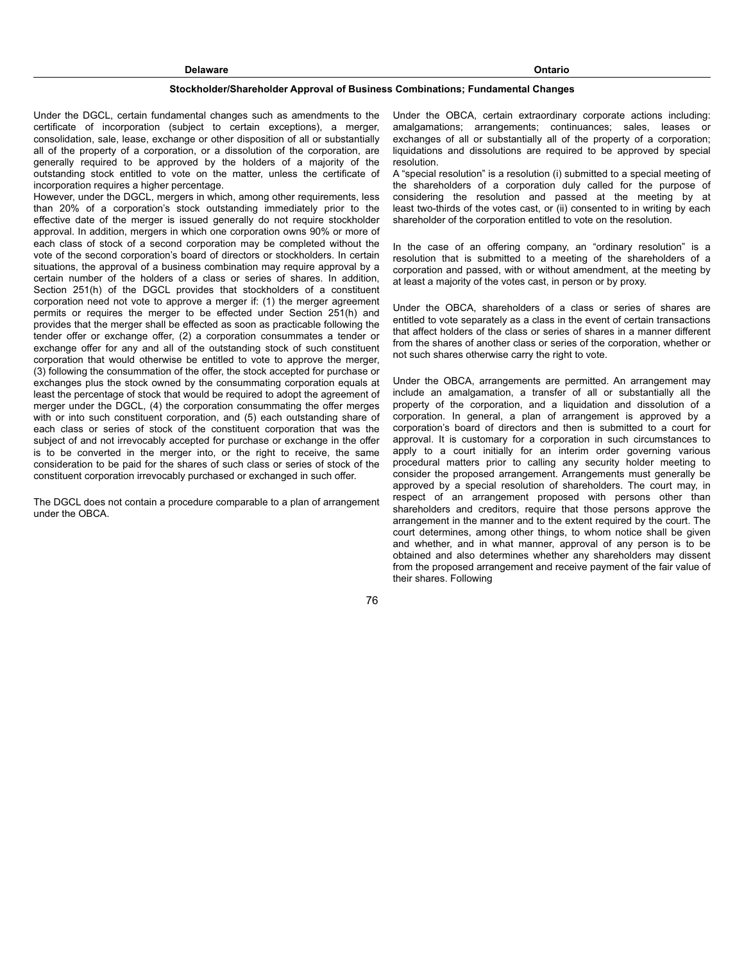#### **Stockholder/Shareholder Approval of Business Combinations; Fundamental Changes**

Under the DGCL, certain fundamental changes such as amendments to the certificate of incorporation (subject to certain exceptions), a merger, consolidation, sale, lease, exchange or other disposition of all or substantially all of the property of a corporation, or a dissolution of the corporation, are generally required to be approved by the holders of a majority of the outstanding stock entitled to vote on the matter, unless the certificate of incorporation requires a higher percentage.

However, under the DGCL, mergers in which, among other requirements, less than 20% of a corporation's stock outstanding immediately prior to the effective date of the merger is issued generally do not require stockholder approval. In addition, mergers in which one corporation owns 90% or more of each class of stock of a second corporation may be completed without the vote of the second corporation's board of directors or stockholders. In certain situations, the approval of a business combination may require approval by a certain number of the holders of a class or series of shares. In addition, Section 251(h) of the DGCL provides that stockholders of a constituent corporation need not vote to approve a merger if: (1) the merger agreement permits or requires the merger to be effected under Section 251(h) and provides that the merger shall be effected as soon as practicable following the tender offer or exchange offer, (2) a corporation consummates a tender or exchange offer for any and all of the outstanding stock of such constituent corporation that would otherwise be entitled to vote to approve the merger, (3) following the consummation of the offer, the stock accepted for purchase or exchanges plus the stock owned by the consummating corporation equals at least the percentage of stock that would be required to adopt the agreement of merger under the DGCL, (4) the corporation consummating the offer merges with or into such constituent corporation, and (5) each outstanding share of each class or series of stock of the constituent corporation that was the subject of and not irrevocably accepted for purchase or exchange in the offer is to be converted in the merger into, or the right to receive, the same consideration to be paid for the shares of such class or series of stock of the constituent corporation irrevocably purchased or exchanged in such offer.

The DGCL does not contain a procedure comparable to a plan of arrangement under the OBCA.

Under the OBCA, certain extraordinary corporate actions including: amalgamations; arrangements; continuances; sales, leases or exchanges of all or substantially all of the property of a corporation; liquidations and dissolutions are required to be approved by special resolution.

A "special resolution" is a resolution (i) submitted to a special meeting of the shareholders of a corporation duly called for the purpose of considering the resolution and passed at the meeting by at least two-thirds of the votes cast, or (ii) consented to in writing by each shareholder of the corporation entitled to vote on the resolution.

In the case of an offering company, an "ordinary resolution" is a resolution that is submitted to a meeting of the shareholders of a corporation and passed, with or without amendment, at the meeting by at least a majority of the votes cast, in person or by proxy.

Under the OBCA, shareholders of a class or series of shares are entitled to vote separately as a class in the event of certain transactions that affect holders of the class or series of shares in a manner different from the shares of another class or series of the corporation, whether or not such shares otherwise carry the right to vote.

Under the OBCA, arrangements are permitted. An arrangement may include an amalgamation, a transfer of all or substantially all the property of the corporation, and a liquidation and dissolution of a corporation. In general, a plan of arrangement is approved by a corporation's board of directors and then is submitted to a court for approval. It is customary for a corporation in such circumstances to apply to a court initially for an interim order governing various procedural matters prior to calling any security holder meeting to consider the proposed arrangement. Arrangements must generally be approved by a special resolution of shareholders. The court may, in respect of an arrangement proposed with persons other than shareholders and creditors, require that those persons approve the arrangement in the manner and to the extent required by the court. The court determines, among other things, to whom notice shall be given and whether, and in what manner, approval of any person is to be obtained and also determines whether any shareholders may dissent from the proposed arrangement and receive payment of the fair value of their shares. Following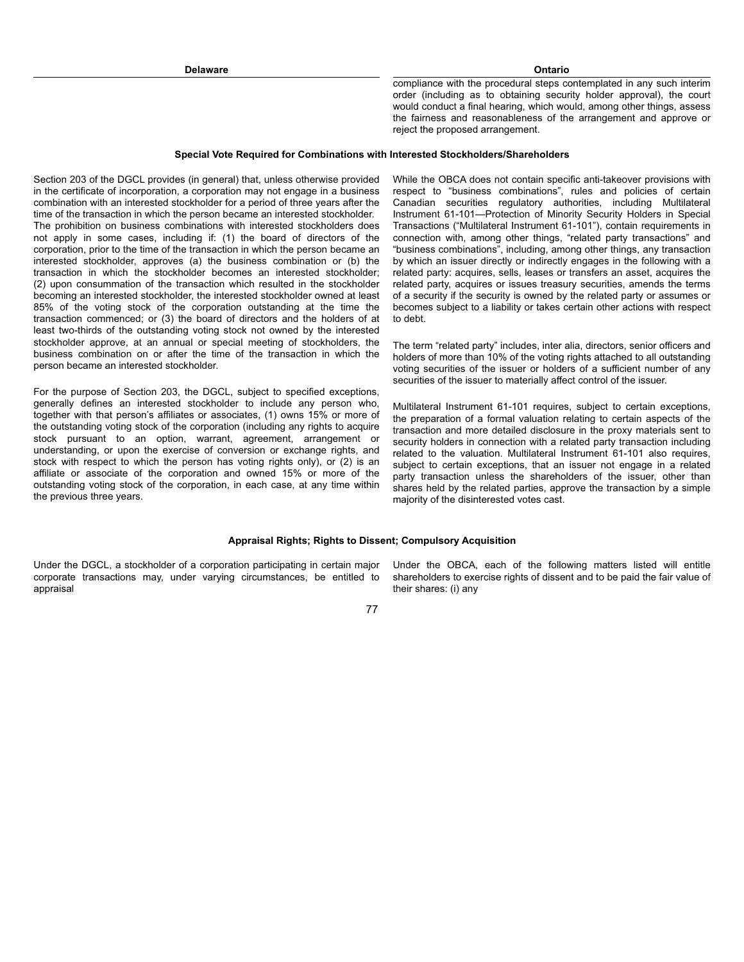compliance with the procedural steps contemplated in any such interim order (including as to obtaining security holder approval), the court would conduct a final hearing, which would, among other things, assess the fairness and reasonableness of the arrangement and approve or reject the proposed arrangement.

## **Special Vote Required for Combinations with Interested Stockholders/Shareholders**

Section 203 of the DGCL provides (in general) that, unless otherwise provided in the certificate of incorporation, a corporation may not engage in a business combination with an interested stockholder for a period of three years after the time of the transaction in which the person became an interested stockholder. The prohibition on business combinations with interested stockholders does not apply in some cases, including if: (1) the board of directors of the corporation, prior to the time of the transaction in which the person became an interested stockholder, approves (a) the business combination or (b) the transaction in which the stockholder becomes an interested stockholder; (2) upon consummation of the transaction which resulted in the stockholder becoming an interested stockholder, the interested stockholder owned at least 85% of the voting stock of the corporation outstanding at the time the transaction commenced; or (3) the board of directors and the holders of at least two-thirds of the outstanding voting stock not owned by the interested stockholder approve, at an annual or special meeting of stockholders, the business combination on or after the time of the transaction in which the person became an interested stockholder.

For the purpose of Section 203, the DGCL, subject to specified exceptions, generally defines an interested stockholder to include any person who, together with that person's affiliates or associates, (1) owns 15% or more of the outstanding voting stock of the corporation (including any rights to acquire stock pursuant to an option, warrant, agreement, arrangement or understanding, or upon the exercise of conversion or exchange rights, and stock with respect to which the person has voting rights only), or (2) is an affiliate or associate of the corporation and owned 15% or more of the outstanding voting stock of the corporation, in each case, at any time within the previous three years.

While the OBCA does not contain specific anti-takeover provisions with respect to "business combinations", rules and policies of certain Canadian securities regulatory authorities, including Multilateral Instrument 61-101—Protection of Minority Security Holders in Special Transactions ("Multilateral Instrument 61-101"), contain requirements in connection with, among other things, "related party transactions" and "business combinations", including, among other things, any transaction by which an issuer directly or indirectly engages in the following with a related party: acquires, sells, leases or transfers an asset, acquires the related party, acquires or issues treasury securities, amends the terms of a security if the security is owned by the related party or assumes or becomes subject to a liability or takes certain other actions with respect to debt.

The term "related party" includes, inter alia, directors, senior officers and holders of more than 10% of the voting rights attached to all outstanding voting securities of the issuer or holders of a sufficient number of any securities of the issuer to materially affect control of the issuer.

Multilateral Instrument 61-101 requires, subject to certain exceptions, the preparation of a formal valuation relating to certain aspects of the transaction and more detailed disclosure in the proxy materials sent to security holders in connection with a related party transaction including related to the valuation. Multilateral Instrument 61-101 also requires, subject to certain exceptions, that an issuer not engage in a related party transaction unless the shareholders of the issuer, other than shares held by the related parties, approve the transaction by a simple majority of the disinterested votes cast.

## **Appraisal Rights; Rights to Dissent; Compulsory Acquisition**

Under the DGCL, a stockholder of a corporation participating in certain major corporate transactions may, under varying circumstances, be entitled to appraisal

Under the OBCA, each of the following matters listed will entitle shareholders to exercise rights of dissent and to be paid the fair value of their shares: (i) any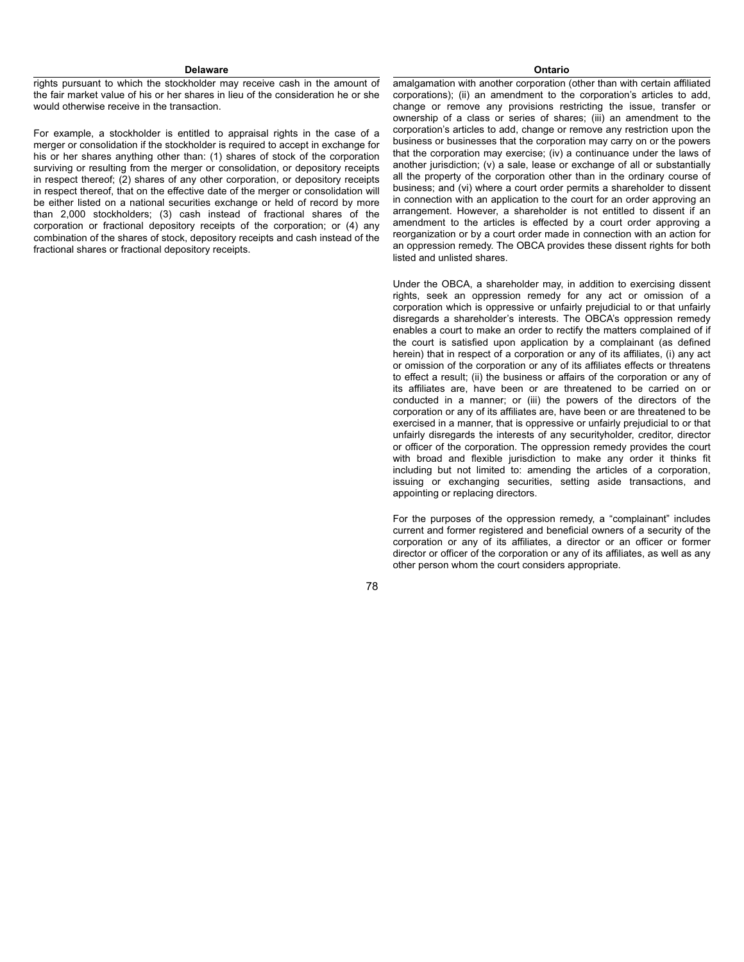rights pursuant to which the stockholder may receive cash in the amount of the fair market value of his or her shares in lieu of the consideration he or she would otherwise receive in the transaction.

For example, a stockholder is entitled to appraisal rights in the case of a merger or consolidation if the stockholder is required to accept in exchange for his or her shares anything other than: (1) shares of stock of the corporation surviving or resulting from the merger or consolidation, or depository receipts in respect thereof; (2) shares of any other corporation, or depository receipts in respect thereof, that on the effective date of the merger or consolidation will be either listed on a national securities exchange or held of record by more than 2,000 stockholders; (3) cash instead of fractional shares of the corporation or fractional depository receipts of the corporation; or (4) any combination of the shares of stock, depository receipts and cash instead of the fractional shares or fractional depository receipts.

amalgamation with another corporation (other than with certain affiliated corporations); (ii) an amendment to the corporation's articles to add, change or remove any provisions restricting the issue, transfer or ownership of a class or series of shares; (iii) an amendment to the corporation's articles to add, change or remove any restriction upon the business or businesses that the corporation may carry on or the powers that the corporation may exercise; (iv) a continuance under the laws of another jurisdiction; (v) a sale, lease or exchange of all or substantially all the property of the corporation other than in the ordinary course of business; and (vi) where a court order permits a shareholder to dissent in connection with an application to the court for an order approving an arrangement. However, a shareholder is not entitled to dissent if an amendment to the articles is effected by a court order approving a reorganization or by a court order made in connection with an action for an oppression remedy. The OBCA provides these dissent rights for both listed and unlisted shares.

Under the OBCA, a shareholder may, in addition to exercising dissent rights, seek an oppression remedy for any act or omission of a corporation which is oppressive or unfairly prejudicial to or that unfairly disregards a shareholder's interests. The OBCA's oppression remedy enables a court to make an order to rectify the matters complained of if the court is satisfied upon application by a complainant (as defined herein) that in respect of a corporation or any of its affiliates, (i) any act or omission of the corporation or any of its affiliates effects or threatens to effect a result; (ii) the business or affairs of the corporation or any of its affiliates are, have been or are threatened to be carried on or conducted in a manner; or (iii) the powers of the directors of the corporation or any of its affiliates are, have been or are threatened to be exercised in a manner, that is oppressive or unfairly prejudicial to or that unfairly disregards the interests of any securityholder, creditor, director or officer of the corporation. The oppression remedy provides the court with broad and flexible jurisdiction to make any order it thinks fit including but not limited to: amending the articles of a corporation, issuing or exchanging securities, setting aside transactions, and appointing or replacing directors.

For the purposes of the oppression remedy, a "complainant" includes current and former registered and beneficial owners of a security of the corporation or any of its affiliates, a director or an officer or former director or officer of the corporation or any of its affiliates, as well as any other person whom the court considers appropriate.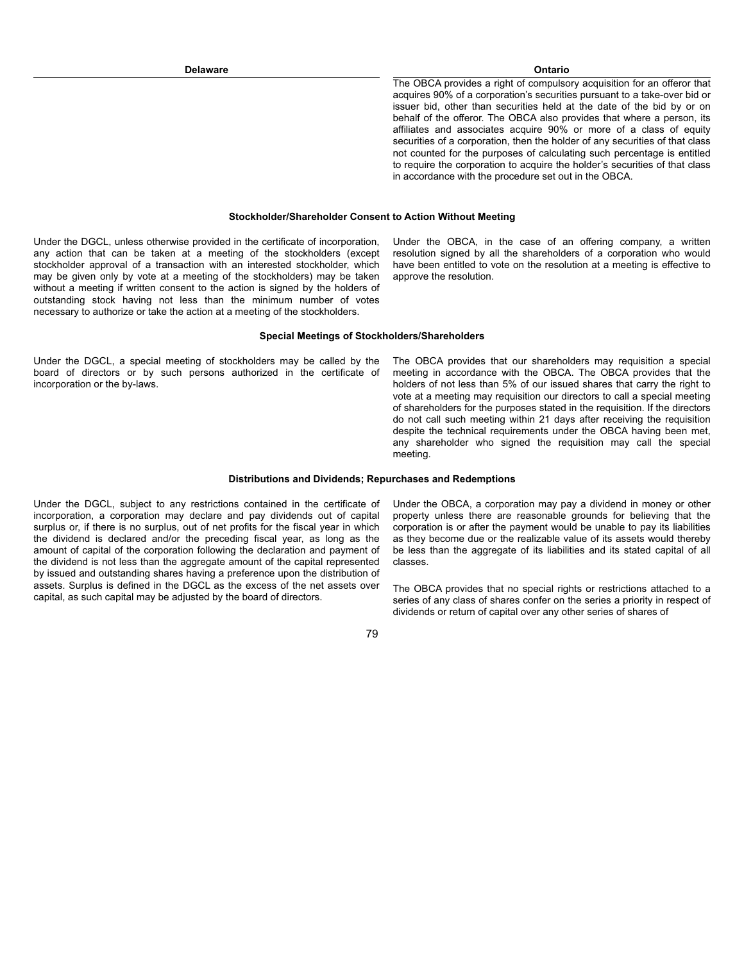The OBCA provides a right of compulsory acquisition for an offeror that acquires 90% of a corporation's securities pursuant to a take-over bid or issuer bid, other than securities held at the date of the bid by or on behalf of the offeror. The OBCA also provides that where a person, its affiliates and associates acquire 90% or more of a class of equity securities of a corporation, then the holder of any securities of that class not counted for the purposes of calculating such percentage is entitled to require the corporation to acquire the holder's securities of that class in accordance with the procedure set out in the OBCA.

#### **Stockholder/Shareholder Consent to Action Without Meeting**

Under the DGCL, unless otherwise provided in the certificate of incorporation, any action that can be taken at a meeting of the stockholders (except stockholder approval of a transaction with an interested stockholder, which may be given only by vote at a meeting of the stockholders) may be taken without a meeting if written consent to the action is signed by the holders of outstanding stock having not less than the minimum number of votes necessary to authorize or take the action at a meeting of the stockholders.

Under the OBCA, in the case of an offering company, a written resolution signed by all the shareholders of a corporation who would have been entitled to vote on the resolution at a meeting is effective to approve the resolution.

#### **Special Meetings of Stockholders/Shareholders**

Under the DGCL, a special meeting of stockholders may be called by the board of directors or by such persons authorized in the certificate of incorporation or the by-laws.

The OBCA provides that our shareholders may requisition a special meeting in accordance with the OBCA. The OBCA provides that the holders of not less than 5% of our issued shares that carry the right to vote at a meeting may requisition our directors to call a special meeting of shareholders for the purposes stated in the requisition. If the directors do not call such meeting within 21 days after receiving the requisition despite the technical requirements under the OBCA having been met, any shareholder who signed the requisition may call the special meeting.

### **Distributions and Dividends; Repurchases and Redemptions**

Under the DGCL, subject to any restrictions contained in the certificate of incorporation, a corporation may declare and pay dividends out of capital surplus or, if there is no surplus, out of net profits for the fiscal year in which the dividend is declared and/or the preceding fiscal year, as long as the amount of capital of the corporation following the declaration and payment of the dividend is not less than the aggregate amount of the capital represented by issued and outstanding shares having a preference upon the distribution of assets. Surplus is defined in the DGCL as the excess of the net assets over capital, as such capital may be adjusted by the board of directors.

Under the OBCA, a corporation may pay a dividend in money or other property unless there are reasonable grounds for believing that the corporation is or after the payment would be unable to pay its liabilities as they become due or the realizable value of its assets would thereby be less than the aggregate of its liabilities and its stated capital of all classes.

The OBCA provides that no special rights or restrictions attached to a series of any class of shares confer on the series a priority in respect of dividends or return of capital over any other series of shares of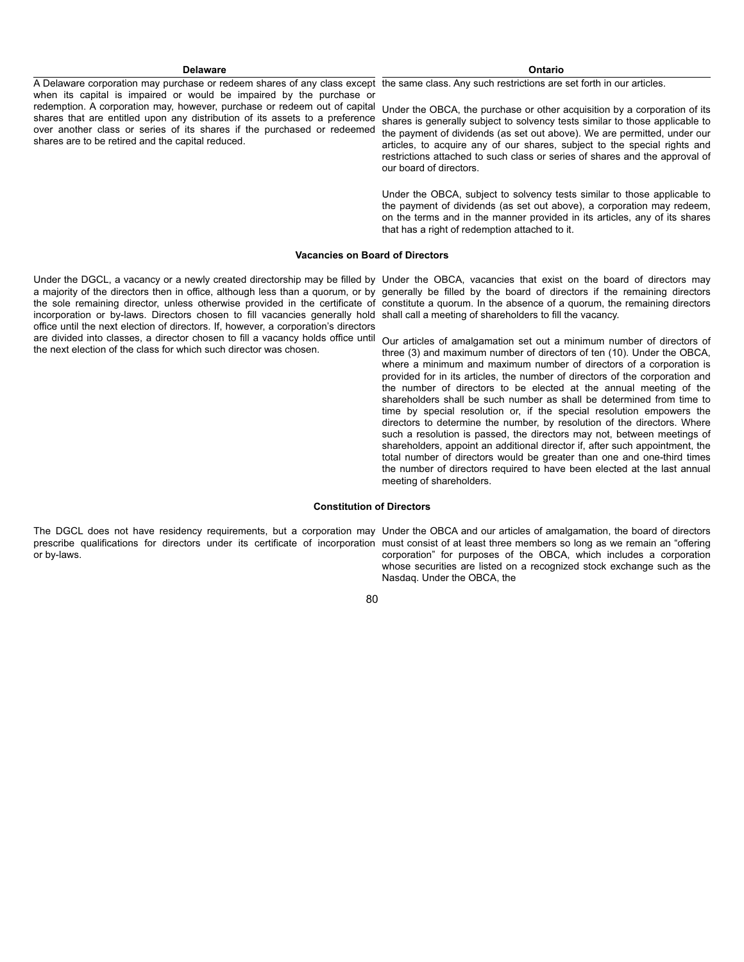A Delaware corporation may purchase or redeem shares of any class except the same class. Any such restrictions are set forth in our articles. when its capital is impaired or would be impaired by the purchase or redemption. A corporation may, however, purchase or redeem out of capital shares that are entitled upon any distribution of its assets to a preference over another class or series of its shares if the purchased or redeemed shares are to be retired and the capital reduced.

Under the OBCA, the purchase or other acquisition by a corporation of its shares is generally subject to solvency tests similar to those applicable to the payment of dividends (as set out above). We are permitted, under our articles, to acquire any of our shares, subject to the special rights and restrictions attached to such class or series of shares and the approval of our board of directors.

Under the OBCA, subject to solvency tests similar to those applicable to the payment of dividends (as set out above), a corporation may redeem, on the terms and in the manner provided in its articles, any of its shares that has a right of redemption attached to it.

#### **Vacancies on Board of Directors**

a majority of the directors then in office, although less than a quorum, or by generally be filled by the board of directors if the remaining directors the sole remaining director, unless otherwise provided in the certificate of constitute a quorum. In the absence of a quorum, the remaining directors incorporation or by-laws. Directors chosen to fill vacancies generally hold shall call a meeting of shareholders to fill the vacancy. office until the next election of directors. If, however, a corporation's directors are divided into classes, a director chosen to fill a vacancy holds office until Our articles of amalgamation set out a minimum number of directors of the next election of the class for which such director was chosen.

Under the DGCL, a vacancy or a newly created directorship may be filled by Under the OBCA, vacancies that exist on the board of directors may

three (3) and maximum number of directors of ten (10). Under the OBCA, where a minimum and maximum number of directors of a corporation is provided for in its articles, the number of directors of the corporation and the number of directors to be elected at the annual meeting of the shareholders shall be such number as shall be determined from time to time by special resolution or, if the special resolution empowers the directors to determine the number, by resolution of the directors. Where such a resolution is passed, the directors may not, between meetings of shareholders, appoint an additional director if, after such appointment, the total number of directors would be greater than one and one-third times the number of directors required to have been elected at the last annual meeting of shareholders.

## **Constitution of Directors**

The DGCL does not have residency requirements, but a corporation may Under the OBCA and our articles of amalgamation, the board of directors prescribe qualifications for directors under its certificate of incorporation must consist of at least three members so long as we remain an "offering or by-laws.

corporation" for purposes of the OBCA, which includes a corporation whose securities are listed on a recognized stock exchange such as the Nasdaq. Under the OBCA, the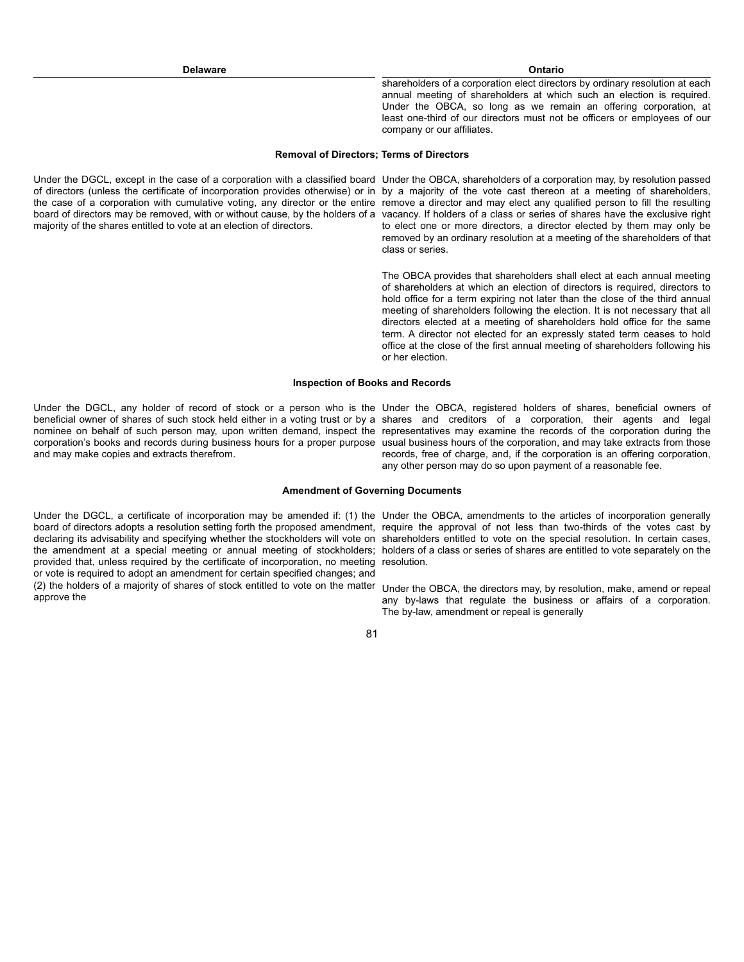shareholders of a corporation elect directors by ordinary resolution at each annual meeting of shareholders at which such an election is required. Under the OBCA, so long as we remain an offering corporation, at least one-third of our directors must not be officers or employees of our company or our affiliates.

# **Removal of Directors; Terms of Directors**

Under the DGCL, except in the case of a corporation with a classified board Under the OBCA, shareholders of a corporation may, by resolution passed of directors (unless the certificate of incorporation provides otherwise) or in by a majority of the vote cast thereon at a meeting of shareholders, the case of a corporation with cumulative voting, any director or the entire remove a director and may elect any qualified person to fill the resulting board of directors may be removed, with or without cause, by the holders of a vacancy. If holders of a class or series of shares have the exclusive right majority of the shares entitled to vote at an election of directors.

to elect one or more directors, a director elected by them may only be removed by an ordinary resolution at a meeting of the shareholders of that class or series.

The OBCA provides that shareholders shall elect at each annual meeting of shareholders at which an election of directors is required, directors to hold office for a term expiring not later than the close of the third annual meeting of shareholders following the election. It is not necessary that all directors elected at a meeting of shareholders hold office for the same term. A director not elected for an expressly stated term ceases to hold office at the close of the first annual meeting of shareholders following his or her election.

## **Inspection of Books and Records**

Under the DGCL, any holder of record of stock or a person who is the Under the OBCA, registered holders of shares, beneficial owners of beneficial owner of shares of such stock held either in a voting trust or by a shares and creditors of a corporation, their agents and legal nominee on behalf of such person may, upon written demand, inspect the representatives may examine the records of the corporation during the corporation's books and records during business hours for a proper purpose usual business hours of the corporation, and may take extracts from those and may make copies and extracts therefrom.

records, free of charge, and, if the corporation is an offering corporation, any other person may do so upon payment of a reasonable fee.

#### **Amendment of Governing Documents**

Under the DGCL, a certificate of incorporation may be amended if: (1) the Under the OBCA, amendments to the articles of incorporation generally board of directors adopts a resolution setting forth the proposed amendment, require the approval of not less than two-thirds of the votes cast by declaring its advisability and specifying whether the stockholders will vote on shareholders entitled to vote on the special resolution. In certain cases, the amendment at a special meeting or annual meeting of stockholders; holders of a class or series of shares are entitled to vote separately on the provided that, unless required by the certificate of incorporation, no meeting resolution. or vote is required to adopt an amendment for certain specified changes; and (2) the holders of a majority of shares of stock entitled to vote on the matter Under the OBCA, the directors may, by resolution, make, amend or repeal approve the

any by-laws that regulate the business or affairs of a corporation. The by-law, amendment or repeal is generally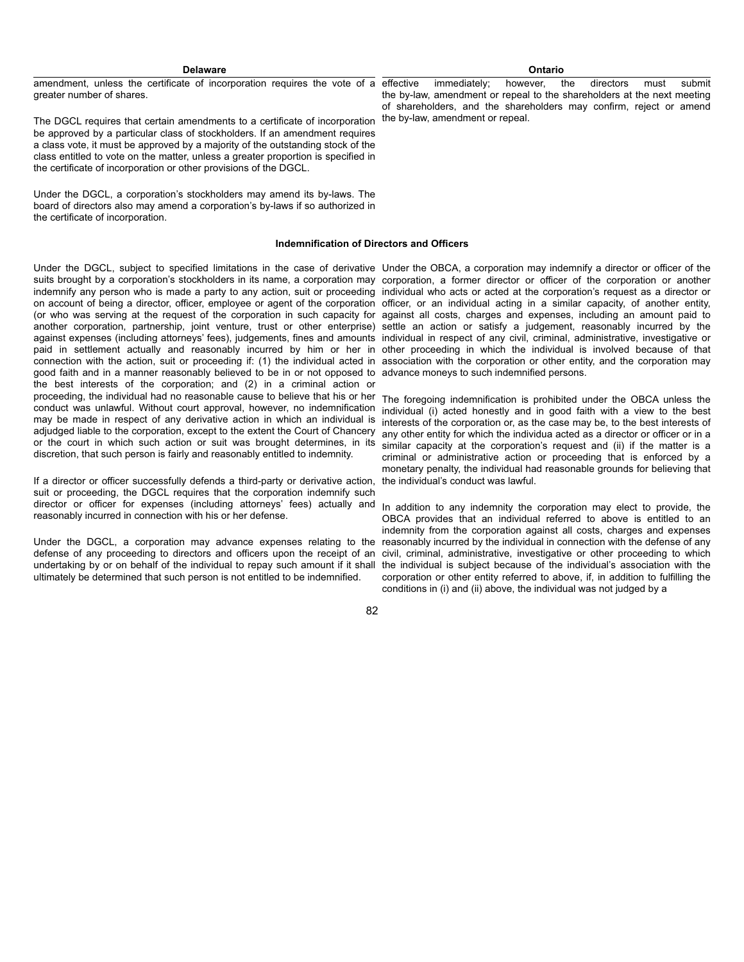amendment, unless the certificate of incorporation requires the vote of a greater number of shares.

The DGCL requires that certain amendments to a certificate of incorporation the by-law, amendment or repeal. be approved by a particular class of stockholders. If an amendment requires a class vote, it must be approved by a majority of the outstanding stock of the class entitled to vote on the matter, unless a greater proportion is specified in the certificate of incorporation or other provisions of the DGCL.

Under the DGCL, a corporation's stockholders may amend its by-laws. The board of directors also may amend a corporation's by-laws if so authorized in the certificate of incorporation.

#### **Indemnification of Directors and Officers**

Under the DGCL, subject to specified limitations in the case of derivative Under the OBCA, a corporation may indemnify a director or officer of the suits brought by a corporation's stockholders in its name, a corporation may corporation, a former director or officer of the corporation or another indemnify any person who is made a party to any action, suit or proceeding individual who acts or acted at the corporation's request as a director or on account of being a director, officer, employee or agent of the corporation officer, or an individual acting in a similar capacity, of another entity, (or who was serving at the request of the corporation in such capacity for against all costs, charges and expenses, including an amount paid to another corporation, partnership, joint venture, trust or other enterprise) settle an action or satisfy a judgement, reasonably incurred by the against expenses (including attorneys' fees), judgements, fines and amounts individual in respect of any civil, criminal, administrative, investigative or paid in settlement actually and reasonably incurred by him or her in other proceeding in which the individual is involved because of that connection with the action, suit or proceeding if: (1) the individual acted in association with the corporation or other entity, and the corporation may good faith and in a manner reasonably believed to be in or not opposed to advance moneys to such indemnified persons. the best interests of the corporation; and (2) in a criminal action or proceeding, the individual had no reasonable cause to believe that his or her conduct was unlawful. Without court approval, however, no indemnification may be made in respect of any derivative action in which an individual is adjudged liable to the corporation, except to the extent the Court of Chancery or the court in which such action or suit was brought determines, in its discretion, that such person is fairly and reasonably entitled to indemnity.

If a director or officer successfully defends a third-party or derivative action, suit or proceeding, the DGCL requires that the corporation indemnify such director or officer for expenses (including attorneys' fees) actually and <sub>In addition</sub> to any indemnity the corporation may elect to provide, the reasonably incurred in connection with his or her defense.

Under the DGCL, a corporation may advance expenses relating to the defense of any proceeding to directors and officers upon the receipt of an undertaking by or on behalf of the individual to repay such amount if it shall ultimately be determined that such person is not entitled to be indemnified.

The foregoing indemnification is prohibited under the OBCA unless the individual (i) acted honestly and in good faith with a view to the best interests of the corporation or, as the case may be, to the best interests of any other entity for which the individua acted as a director or officer or in a similar capacity at the corporation's request and (ii) if the matter is a criminal or administrative action or proceeding that is enforced by a monetary penalty, the individual had reasonable grounds for believing that the individual's conduct was lawful.

OBCA provides that an individual referred to above is entitled to an indemnity from the corporation against all costs, charges and expenses reasonably incurred by the individual in connection with the defense of any civil, criminal, administrative, investigative or other proceeding to which the individual is subject because of the individual's association with the corporation or other entity referred to above, if, in addition to fulfilling the conditions in (i) and (ii) above, the individual was not judged by a

82

immediately; however, the directors must submit the by-law, amendment or repeal to the shareholders at the next meeting of shareholders, and the shareholders may confirm, reject or amend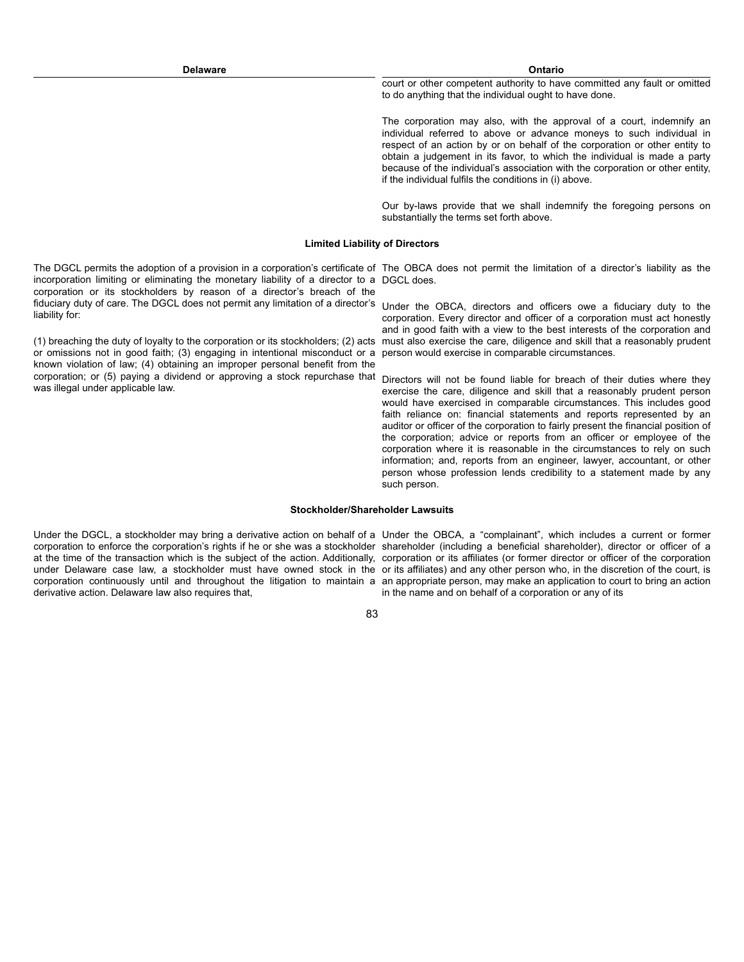court or other competent authority to have committed any fault or omitted to do anything that the individual ought to have done.

The corporation may also, with the approval of a court, indemnify an individual referred to above or advance moneys to such individual in respect of an action by or on behalf of the corporation or other entity to obtain a judgement in its favor, to which the individual is made a party because of the individual's association with the corporation or other entity, if the individual fulfils the conditions in (i) above.

Our by-laws provide that we shall indemnify the foregoing persons on substantially the terms set forth above.

#### **Limited Liability of Directors**

The DGCL permits the adoption of a provision in a corporation's certificate of The OBCA does not permit the limitation of a director's liability as the incorporation limiting or eliminating the monetary liability of a director to a DGCL does. corporation or its stockholders by reason of a director's breach of the fiduciary duty of care. The DGCL does not permit any limitation of a director's Under the OBCA, directors and officers owe a fiduciary duty to the liability for:

(1) breaching the duty of loyalty to the corporation or its stockholders; (2) acts or omissions not in good faith; (3) engaging in intentional misconduct or a known violation of law; (4) obtaining an improper personal benefit from the corporation; or (5) paying a dividend or approving a stock repurchase that Directors will not be found liable for breach of their duties where they was illegal under applicable law.

corporation. Every director and officer of a corporation must act honestly and in good faith with a view to the best interests of the corporation and must also exercise the care, diligence and skill that a reasonably prudent person would exercise in comparable circumstances.

exercise the care, diligence and skill that a reasonably prudent person would have exercised in comparable circumstances. This includes good faith reliance on: financial statements and reports represented by an auditor or officer of the corporation to fairly present the financial position of the corporation; advice or reports from an officer or employee of the corporation where it is reasonable in the circumstances to rely on such information; and, reports from an engineer, lawyer, accountant, or other person whose profession lends credibility to a statement made by any such person.

### **Stockholder/Shareholder Lawsuits**

Under the DGCL, a stockholder may bring a derivative action on behalf of a Under the OBCA, a "complainant", which includes a current or former corporation to enforce the corporation's rights if he or she was a stockholder shareholder (including a beneficial shareholder), director or officer of a at the time of the transaction which is the subject of the action. Additionally, corporation or its affiliates (or former director or officer of the corporation under Delaware case law, a stockholder must have owned stock in the or its affiliates) and any other person who, in the discretion of the court, is corporation continuously until and throughout the litigation to maintain a an appropriate person, may make an application to court to bring an action derivative action. Delaware law also requires that,

in the name and on behalf of a corporation or any of its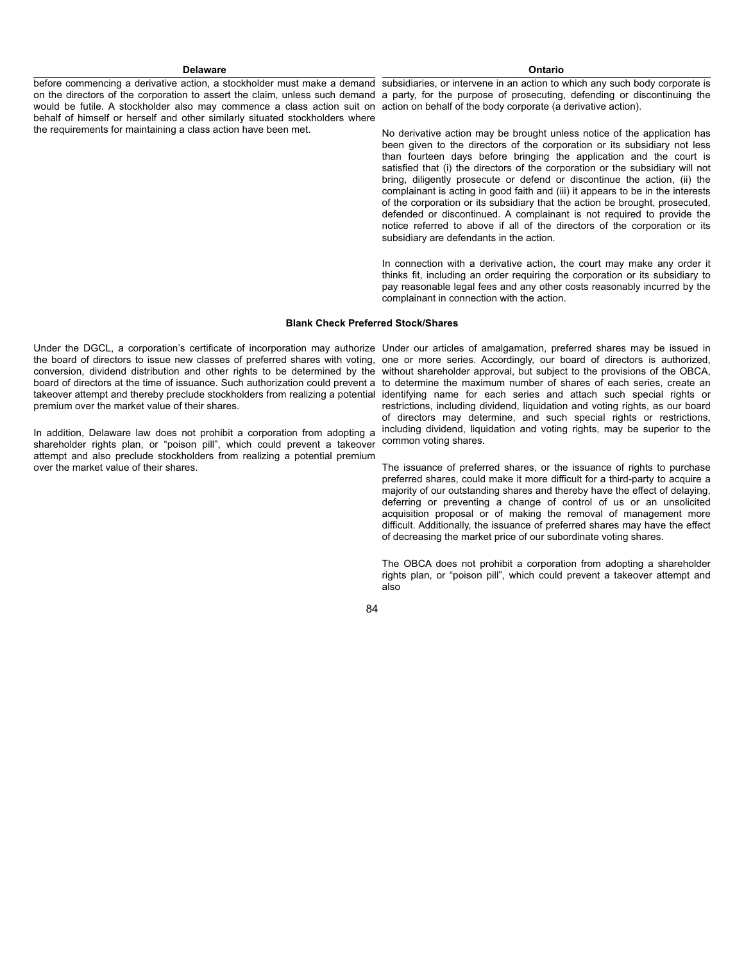before commencing a derivative action, a stockholder must make a demand subsidiaries, or intervene in an action to which any such body corporate is on the directors of the corporation to assert the claim, unless such demand a party, for the purpose of prosecuting, defending or discontinuing the would be futile. A stockholder also may commence a class action suit on action on behalf of the body corporate (a derivative action). behalf of himself or herself and other similarly situated stockholders where the requirements for maintaining a class action have been met.

No derivative action may be brought unless notice of the application has been given to the directors of the corporation or its subsidiary not less than fourteen days before bringing the application and the court is satisfied that (i) the directors of the corporation or the subsidiary will not bring, diligently prosecute or defend or discontinue the action, (ii) the complainant is acting in good faith and (iii) it appears to be in the interests of the corporation or its subsidiary that the action be brought, prosecuted, defended or discontinued. A complainant is not required to provide the notice referred to above if all of the directors of the corporation or its subsidiary are defendants in the action.

In connection with a derivative action, the court may make any order it thinks fit, including an order requiring the corporation or its subsidiary to pay reasonable legal fees and any other costs reasonably incurred by the complainant in connection with the action.

#### **Blank Check Preferred Stock/Shares**

Under the DGCL, a corporation's certificate of incorporation may authorize Under our articles of amalgamation, preferred shares may be issued in the board of directors to issue new classes of preferred shares with voting, one or more series. Accordingly, our board of directors is authorized, conversion, dividend distribution and other rights to be determined by the without shareholder approval, but subject to the provisions of the OBCA, board of directors at the time of issuance. Such authorization could prevent a to determine the maximum number of shares of each series, create an takeover attempt and thereby preclude stockholders from realizing a potential identifying name for each series and attach such special rights or premium over the market value of their shares.

shareholder rights plan, or "poison pill", which could prevent a takeover common voting shares. attempt and also preclude stockholders from realizing a potential premium over the market value of their shares.

In addition, Delaware law does not prohibit a corporation from adopting a including dividend, liquidation and voting rights, may be superior to the restrictions, including dividend, liquidation and voting rights, as our board of directors may determine, and such special rights or restrictions,

> The issuance of preferred shares, or the issuance of rights to purchase preferred shares, could make it more difficult for a third-party to acquire a majority of our outstanding shares and thereby have the effect of delaying, deferring or preventing a change of control of us or an unsolicited acquisition proposal or of making the removal of management more difficult. Additionally, the issuance of preferred shares may have the effect of decreasing the market price of our subordinate voting shares.

> The OBCA does not prohibit a corporation from adopting a shareholder rights plan, or "poison pill", which could prevent a takeover attempt and also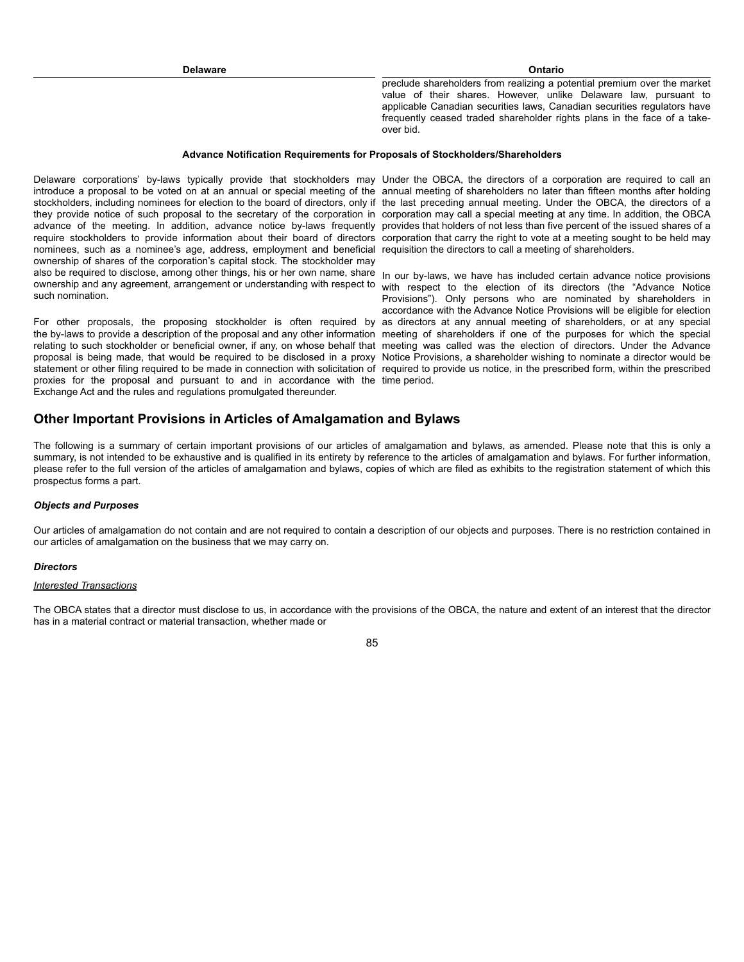preclude shareholders from realizing a potential premium over the market value of their shares. However, unlike Delaware law, pursuant to applicable Canadian securities laws, Canadian securities regulators have frequently ceased traded shareholder rights plans in the face of a takeover bid.

## **Advance Notification Requirements for Proposals of Stockholders/Shareholders**

Delaware corporations' by-laws typically provide that stockholders may Under the OBCA, the directors of a corporation are required to call an introduce a proposal to be voted on at an annual or special meeting of the annual meeting of shareholders no later than fifteen months after holding stockholders, including nominees for election to the board of directors, only if the last preceding annual meeting. Under the OBCA, the directors of a they provide notice of such proposal to the secretary of the corporation in corporation may call a special meeting at any time. In addition, the OBCA advance of the meeting. In addition, advance notice by-laws frequently provides that holders of not less than five percent of the issued shares of a require stockholders to provide information about their board of directors nominees, such as a nominee's age, address, employment and beneficial requisition the directors to call a meeting of shareholders. ownership of shares of the corporation's capital stock. The stockholder may also be required to disclose, among other things, his or her own name, share In our by-laws, we have has included certain advance notice provisions ownership and any agreement, arrangement or understanding with respect to with respect to the election of its directors (the "Advance Notice such nomination.

For other proposals, the proposing stockholder is often required by as directors at any annual meeting of shareholders, or at any special the by-laws to provide a description of the proposal and any other information meeting of shareholders if one of the purposes for which the special relating to such stockholder or beneficial owner, if any, on whose behalf that meeting was called was the election of directors. Under the Advance proposal is being made, that would be required to be disclosed in a proxy Notice Provisions, a shareholder wishing to nominate a director would be statement or other filing required to be made in connection with solicitation of required to provide us notice, in the prescribed form, within the prescribed proxies for the proposal and pursuant to and in accordance with the time period. Exchange Act and the rules and regulations promulgated thereunder.

corporation that carry the right to vote at a meeting sought to be held may

Provisions"). Only persons who are nominated by shareholders in accordance with the Advance Notice Provisions will be eligible for election

# **Other Important Provisions in Articles of Amalgamation and Bylaws**

The following is a summary of certain important provisions of our articles of amalgamation and bylaws, as amended. Please note that this is only a summary, is not intended to be exhaustive and is qualified in its entirety by reference to the articles of amalgamation and bylaws. For further information, please refer to the full version of the articles of amalgamation and bylaws, copies of which are filed as exhibits to the registration statement of which this prospectus forms a part.

#### *Objects and Purposes*

Our articles of amalgamation do not contain and are not required to contain a description of our objects and purposes. There is no restriction contained in our articles of amalgamation on the business that we may carry on.

#### *Directors*

### *Interested Transactions*

The OBCA states that a director must disclose to us, in accordance with the provisions of the OBCA, the nature and extent of an interest that the director has in a material contract or material transaction, whether made or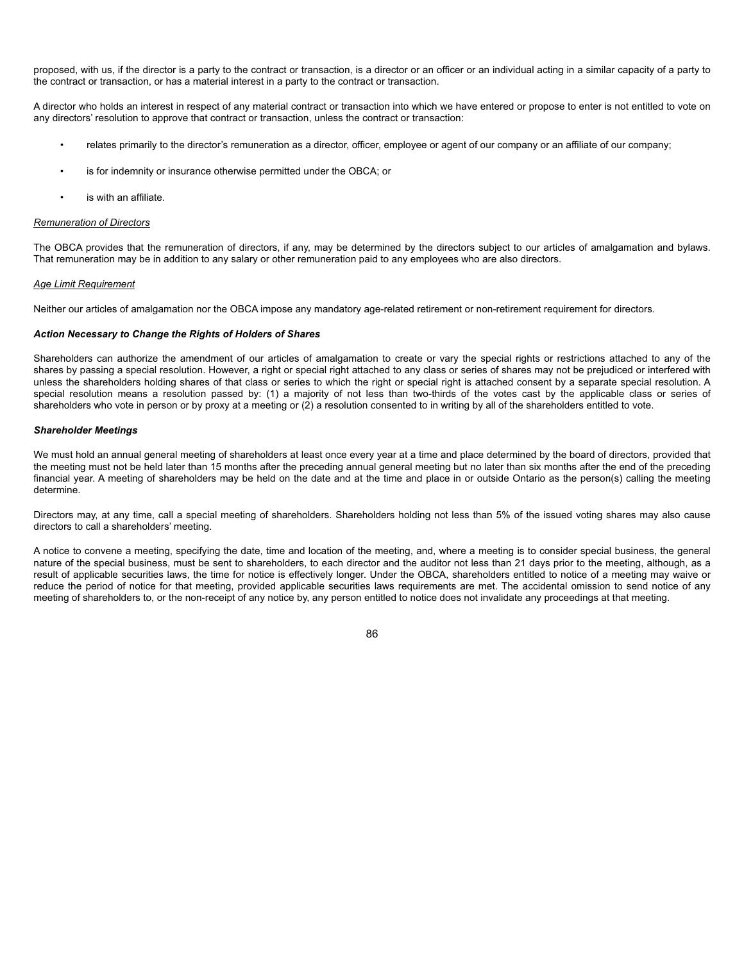proposed, with us, if the director is a party to the contract or transaction, is a director or an officer or an individual acting in a similar capacity of a party to the contract or transaction, or has a material interest in a party to the contract or transaction.

A director who holds an interest in respect of any material contract or transaction into which we have entered or propose to enter is not entitled to vote on any directors' resolution to approve that contract or transaction, unless the contract or transaction:

- relates primarily to the director's remuneration as a director, officer, employee or agent of our company or an affiliate of our company;
- is for indemnity or insurance otherwise permitted under the OBCA; or
- is with an affiliate.

## *Remuneration of Directors*

The OBCA provides that the remuneration of directors, if any, may be determined by the directors subject to our articles of amalgamation and bylaws. That remuneration may be in addition to any salary or other remuneration paid to any employees who are also directors.

## *Age Limit Requirement*

Neither our articles of amalgamation nor the OBCA impose any mandatory age-related retirement or non-retirement requirement for directors.

## *Action Necessary to Change the Rights of Holders of Shares*

Shareholders can authorize the amendment of our articles of amalgamation to create or vary the special rights or restrictions attached to any of the shares by passing a special resolution. However, a right or special right attached to any class or series of shares may not be prejudiced or interfered with unless the shareholders holding shares of that class or series to which the right or special right is attached consent by a separate special resolution. A special resolution means a resolution passed by: (1) a majority of not less than two-thirds of the votes cast by the applicable class or series of shareholders who vote in person or by proxy at a meeting or (2) a resolution consented to in writing by all of the shareholders entitled to vote.

## *Shareholder Meetings*

We must hold an annual general meeting of shareholders at least once every year at a time and place determined by the board of directors, provided that the meeting must not be held later than 15 months after the preceding annual general meeting but no later than six months after the end of the preceding financial year. A meeting of shareholders may be held on the date and at the time and place in or outside Ontario as the person(s) calling the meeting determine.

Directors may, at any time, call a special meeting of shareholders. Shareholders holding not less than 5% of the issued voting shares may also cause directors to call a shareholders' meeting.

A notice to convene a meeting, specifying the date, time and location of the meeting, and, where a meeting is to consider special business, the general nature of the special business, must be sent to shareholders, to each director and the auditor not less than 21 days prior to the meeting, although, as a result of applicable securities laws, the time for notice is effectively longer. Under the OBCA, shareholders entitled to notice of a meeting may waive or reduce the period of notice for that meeting, provided applicable securities laws requirements are met. The accidental omission to send notice of any meeting of shareholders to, or the non-receipt of any notice by, any person entitled to notice does not invalidate any proceedings at that meeting.

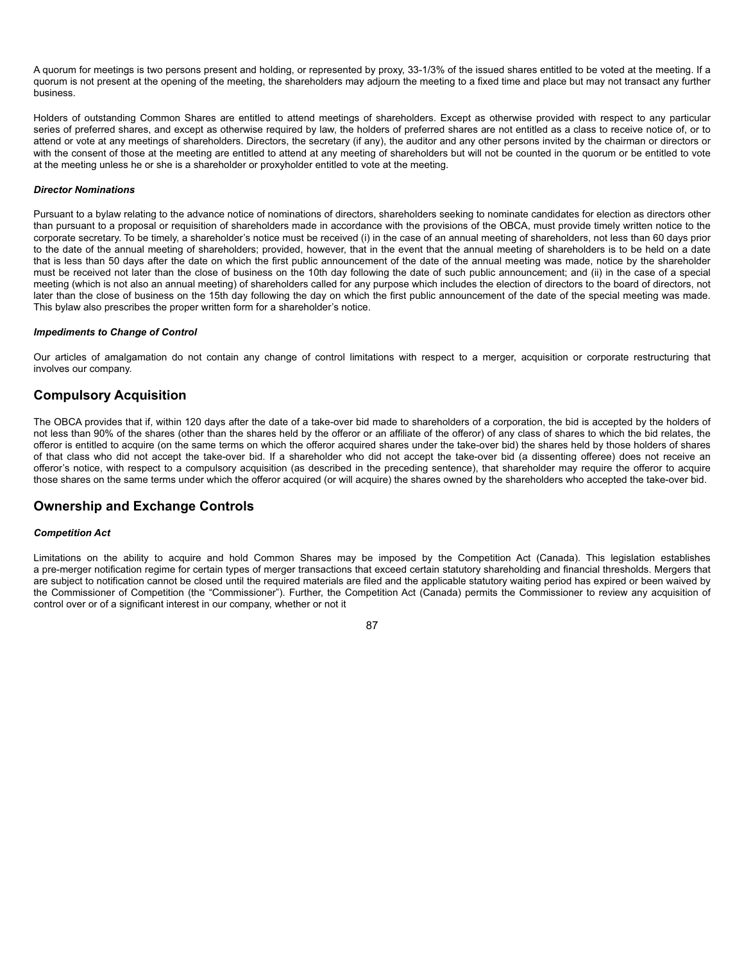A quorum for meetings is two persons present and holding, or represented by proxy, 33-1/3% of the issued shares entitled to be voted at the meeting. If a quorum is not present at the opening of the meeting, the shareholders may adjourn the meeting to a fixed time and place but may not transact any further business.

Holders of outstanding Common Shares are entitled to attend meetings of shareholders. Except as otherwise provided with respect to any particular series of preferred shares, and except as otherwise required by law, the holders of preferred shares are not entitled as a class to receive notice of, or to attend or vote at any meetings of shareholders. Directors, the secretary (if any), the auditor and any other persons invited by the chairman or directors or with the consent of those at the meeting are entitled to attend at any meeting of shareholders but will not be counted in the quorum or be entitled to vote at the meeting unless he or she is a shareholder or proxyholder entitled to vote at the meeting.

## *Director Nominations*

Pursuant to a bylaw relating to the advance notice of nominations of directors, shareholders seeking to nominate candidates for election as directors other than pursuant to a proposal or requisition of shareholders made in accordance with the provisions of the OBCA, must provide timely written notice to the corporate secretary. To be timely, a shareholder's notice must be received (i) in the case of an annual meeting of shareholders, not less than 60 days prior to the date of the annual meeting of shareholders; provided, however, that in the event that the annual meeting of shareholders is to be held on a date that is less than 50 days after the date on which the first public announcement of the date of the annual meeting was made, notice by the shareholder must be received not later than the close of business on the 10th day following the date of such public announcement; and (ii) in the case of a special meeting (which is not also an annual meeting) of shareholders called for any purpose which includes the election of directors to the board of directors, not later than the close of business on the 15th day following the day on which the first public announcement of the date of the special meeting was made. This bylaw also prescribes the proper written form for a shareholder's notice.

## *Impediments to Change of Control*

Our articles of amalgamation do not contain any change of control limitations with respect to a merger, acquisition or corporate restructuring that involves our company.

# **Compulsory Acquisition**

The OBCA provides that if, within 120 days after the date of a take-over bid made to shareholders of a corporation, the bid is accepted by the holders of not less than 90% of the shares (other than the shares held by the offeror or an affiliate of the offeror) of any class of shares to which the bid relates, the offeror is entitled to acquire (on the same terms on which the offeror acquired shares under the take-over bid) the shares held by those holders of shares of that class who did not accept the take-over bid. If a shareholder who did not accept the take-over bid (a dissenting offeree) does not receive an offeror's notice, with respect to a compulsory acquisition (as described in the preceding sentence), that shareholder may require the offeror to acquire those shares on the same terms under which the offeror acquired (or will acquire) the shares owned by the shareholders who accepted the take-over bid.

# **Ownership and Exchange Controls**

## *Competition Act*

Limitations on the ability to acquire and hold Common Shares may be imposed by the Competition Act (Canada). This legislation establishes a pre-merger notification regime for certain types of merger transactions that exceed certain statutory shareholding and financial thresholds. Mergers that are subject to notification cannot be closed until the required materials are filed and the applicable statutory waiting period has expired or been waived by the Commissioner of Competition (the "Commissioner"). Further, the Competition Act (Canada) permits the Commissioner to review any acquisition of control over or of a significant interest in our company, whether or not it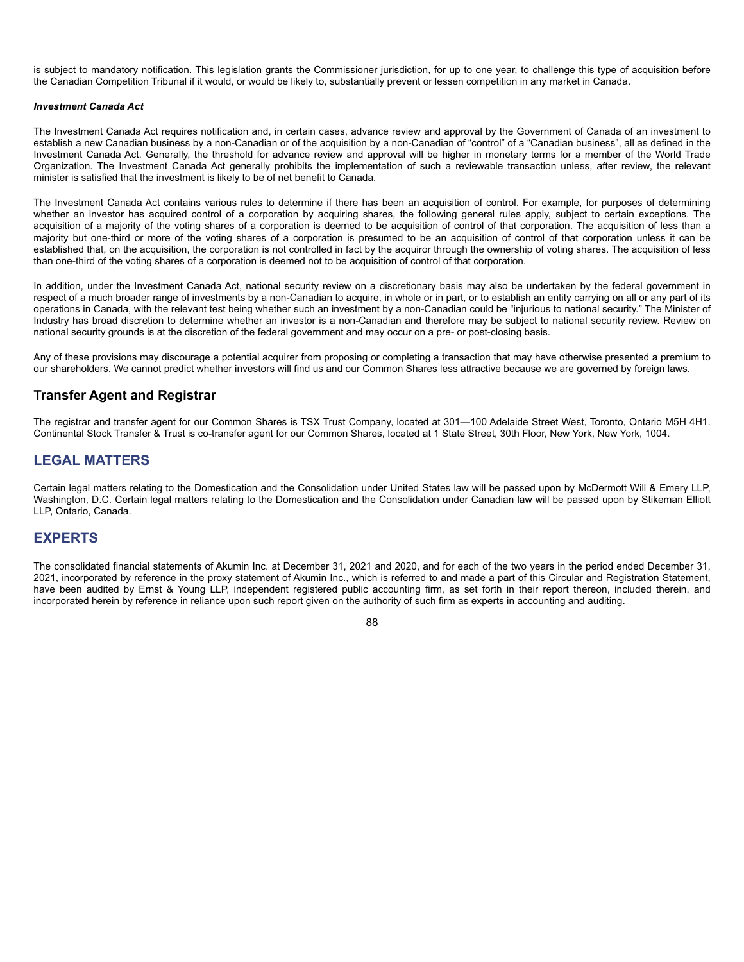is subject to mandatory notification. This legislation grants the Commissioner jurisdiction, for up to one year, to challenge this type of acquisition before the Canadian Competition Tribunal if it would, or would be likely to, substantially prevent or lessen competition in any market in Canada.

## *Investment Canada Act*

The Investment Canada Act requires notification and, in certain cases, advance review and approval by the Government of Canada of an investment to establish a new Canadian business by a non-Canadian or of the acquisition by a non-Canadian of "control" of a "Canadian business", all as defined in the Investment Canada Act. Generally, the threshold for advance review and approval will be higher in monetary terms for a member of the World Trade Organization. The Investment Canada Act generally prohibits the implementation of such a reviewable transaction unless, after review, the relevant minister is satisfied that the investment is likely to be of net benefit to Canada.

The Investment Canada Act contains various rules to determine if there has been an acquisition of control. For example, for purposes of determining whether an investor has acquired control of a corporation by acquiring shares, the following general rules apply, subject to certain exceptions. The acquisition of a majority of the voting shares of a corporation is deemed to be acquisition of control of that corporation. The acquisition of less than a majority but one-third or more of the voting shares of a corporation is presumed to be an acquisition of control of that corporation unless it can be established that, on the acquisition, the corporation is not controlled in fact by the acquiror through the ownership of voting shares. The acquisition of less than one-third of the voting shares of a corporation is deemed not to be acquisition of control of that corporation.

In addition, under the Investment Canada Act, national security review on a discretionary basis may also be undertaken by the federal government in respect of a much broader range of investments by a non-Canadian to acquire, in whole or in part, or to establish an entity carrying on all or any part of its operations in Canada, with the relevant test being whether such an investment by a non-Canadian could be "injurious to national security." The Minister of Industry has broad discretion to determine whether an investor is a non-Canadian and therefore may be subject to national security review. Review on national security grounds is at the discretion of the federal government and may occur on a pre- or post-closing basis.

Any of these provisions may discourage a potential acquirer from proposing or completing a transaction that may have otherwise presented a premium to our shareholders. We cannot predict whether investors will find us and our Common Shares less attractive because we are governed by foreign laws.

# **Transfer Agent and Registrar**

The registrar and transfer agent for our Common Shares is TSX Trust Company, located at 301—100 Adelaide Street West, Toronto, Ontario M5H 4H1. Continental Stock Transfer & Trust is co-transfer agent for our Common Shares, located at 1 State Street, 30th Floor, New York, New York, 1004.

# **LEGAL MATTERS**

Certain legal matters relating to the Domestication and the Consolidation under United States law will be passed upon by McDermott Will & Emery LLP, Washington, D.C. Certain legal matters relating to the Domestication and the Consolidation under Canadian law will be passed upon by Stikeman Elliott LLP, Ontario, Canada.

# **EXPERTS**

The consolidated financial statements of Akumin Inc. at December 31, 2021 and 2020, and for each of the two years in the period ended December 31, 2021, incorporated by reference in the proxy statement of Akumin Inc., which is referred to and made a part of this Circular and Registration Statement, have been audited by Ernst & Young LLP, independent registered public accounting firm, as set forth in their report thereon, included therein, and incorporated herein by reference in reliance upon such report given on the authority of such firm as experts in accounting and auditing.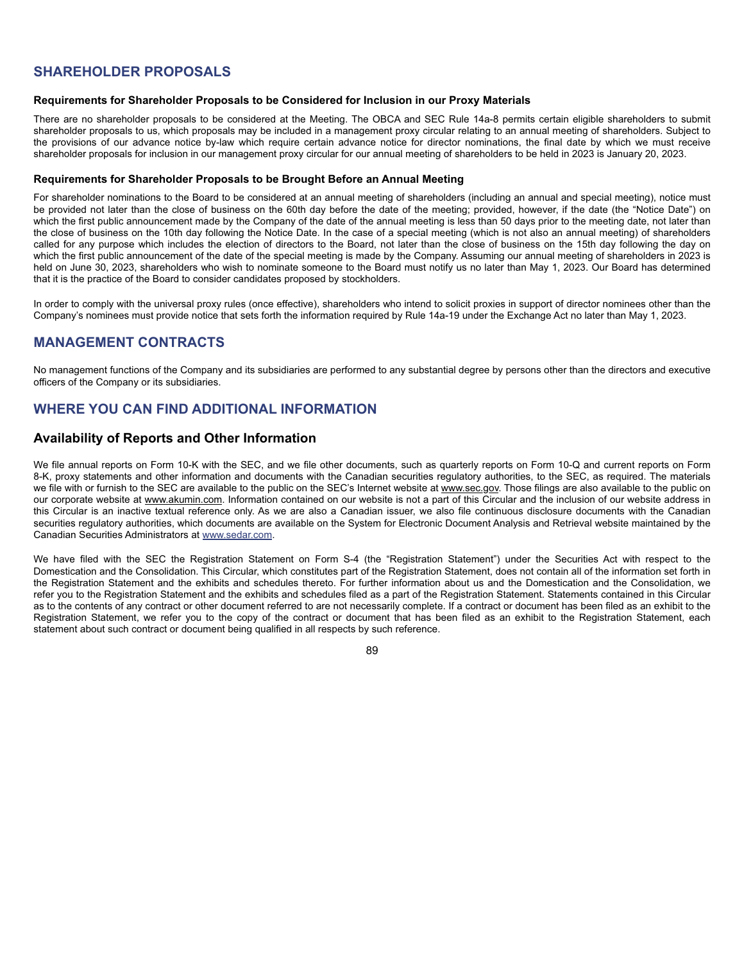# **SHAREHOLDER PROPOSALS**

## **Requirements for Shareholder Proposals to be Considered for Inclusion in our Proxy Materials**

There are no shareholder proposals to be considered at the Meeting. The OBCA and SEC Rule 14a-8 permits certain eligible shareholders to submit shareholder proposals to us, which proposals may be included in a management proxy circular relating to an annual meeting of shareholders. Subject to the provisions of our advance notice by-law which require certain advance notice for director nominations, the final date by which we must receive shareholder proposals for inclusion in our management proxy circular for our annual meeting of shareholders to be held in 2023 is January 20, 2023.

## **Requirements for Shareholder Proposals to be Brought Before an Annual Meeting**

For shareholder nominations to the Board to be considered at an annual meeting of shareholders (including an annual and special meeting), notice must be provided not later than the close of business on the 60th day before the date of the meeting; provided, however, if the date (the "Notice Date") on which the first public announcement made by the Company of the date of the annual meeting is less than 50 days prior to the meeting date, not later than the close of business on the 10th day following the Notice Date. In the case of a special meeting (which is not also an annual meeting) of shareholders called for any purpose which includes the election of directors to the Board, not later than the close of business on the 15th day following the day on which the first public announcement of the date of the special meeting is made by the Company. Assuming our annual meeting of shareholders in 2023 is held on June 30, 2023, shareholders who wish to nominate someone to the Board must notify us no later than May 1, 2023. Our Board has determined that it is the practice of the Board to consider candidates proposed by stockholders.

In order to comply with the universal proxy rules (once effective), shareholders who intend to solicit proxies in support of director nominees other than the Company's nominees must provide notice that sets forth the information required by Rule 14a-19 under the Exchange Act no later than May 1, 2023.

# **MANAGEMENT CONTRACTS**

No management functions of the Company and its subsidiaries are performed to any substantial degree by persons other than the directors and executive officers of the Company or its subsidiaries.

# **WHERE YOU CAN FIND ADDITIONAL INFORMATION**

# **Availability of Reports and Other Information**

We file annual reports on Form 10-K with the SEC, and we file other documents, such as quarterly reports on Form 10-Q and current reports on Form 8-K, proxy statements and other information and documents with the Canadian securities regulatory authorities, to the SEC, as required. The materials we file with or furnish to the SEC are available to the public on the SEC's Internet website at www.sec.gov. Those filings are also available to the public on our corporate website at www.akumin.com. Information contained on our website is not a part of this Circular and the inclusion of our website address in this Circular is an inactive textual reference only. As we are also a Canadian issuer, we also file continuous disclosure documents with the Canadian securities regulatory authorities, which documents are available on the System for Electronic Document Analysis and Retrieval website maintained by the Canadian Securities Administrators at www.sedar.com.

We have filed with the SEC the Registration Statement on Form S-4 (the "Registration Statement") under the Securities Act with respect to the Domestication and the Consolidation. This Circular, which constitutes part of the Registration Statement, does not contain all of the information set forth in the Registration Statement and the exhibits and schedules thereto. For further information about us and the Domestication and the Consolidation, we refer you to the Registration Statement and the exhibits and schedules filed as a part of the Registration Statement. Statements contained in this Circular as to the contents of any contract or other document referred to are not necessarily complete. If a contract or document has been filed as an exhibit to the Registration Statement, we refer you to the copy of the contract or document that has been filed as an exhibit to the Registration Statement, each statement about such contract or document being qualified in all respects by such reference.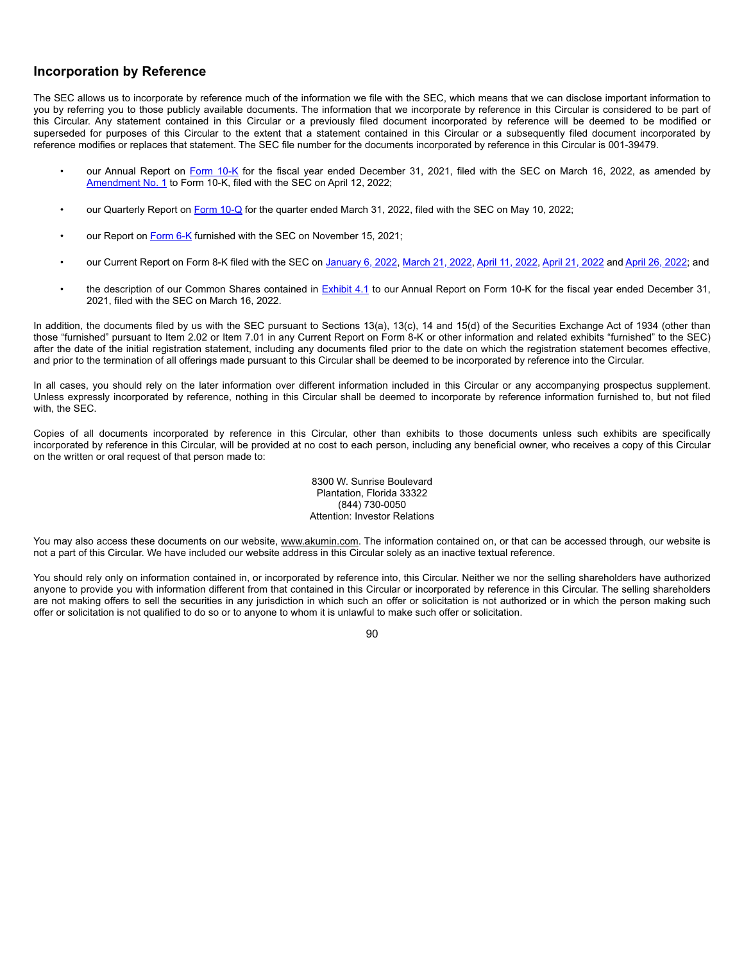# **Incorporation by Reference**

The SEC allows us to incorporate by reference much of the information we file with the SEC, which means that we can disclose important information to you by referring you to those publicly available documents. The information that we incorporate by reference in this Circular is considered to be part of this Circular. Any statement contained in this Circular or a previously filed document incorporated by reference will be deemed to be modified or superseded for purposes of this Circular to the extent that a statement contained in this Circular or a subsequently filed document incorporated by reference modifies or replaces that statement. The SEC file number for the documents incorporated by reference in this Circular is 001-39479.

- our Annual Report on Form 10-K for the fiscal year ended December 31, 2021, filed with the SEC on March 16, 2022, as amended by Amendment No. 1 to Form 10-K, filed with the SEC on April 12, 2022;
- our Quarterly Report on Form 10-Q for the quarter ended March 31, 2022, filed with the SEC on May 10, 2022;
- our Report on Form 6-K furnished with the SEC on November 15, 2021;
- our Current Report on Form 8-K filed with the SEC on January 6, 2022, March 21, 2022, April 11, 2022, April 21, 2022 and April 26, 2022; and
- the description of our Common Shares contained in Exhibit 4.1 to our Annual Report on Form 10-K for the fiscal year ended December 31, 2021, filed with the SEC on March 16, 2022.

In addition, the documents filed by us with the SEC pursuant to Sections 13(a), 13(c), 14 and 15(d) of the Securities Exchange Act of 1934 (other than those "furnished" pursuant to Item 2.02 or Item 7.01 in any Current Report on Form 8-K or other information and related exhibits "furnished" to the SEC) after the date of the initial registration statement, including any documents filed prior to the date on which the registration statement becomes effective, and prior to the termination of all offerings made pursuant to this Circular shall be deemed to be incorporated by reference into the Circular.

In all cases, you should rely on the later information over different information included in this Circular or any accompanying prospectus supplement. Unless expressly incorporated by reference, nothing in this Circular shall be deemed to incorporate by reference information furnished to, but not filed with, the SEC.

Copies of all documents incorporated by reference in this Circular, other than exhibits to those documents unless such exhibits are specifically incorporated by reference in this Circular, will be provided at no cost to each person, including any beneficial owner, who receives a copy of this Circular on the written or oral request of that person made to:

> 8300 W. Sunrise Boulevard Plantation, Florida 33322 (844) 730-0050 Attention: Investor Relations

You may also access these documents on our website, www.akumin.com. The information contained on, or that can be accessed through, our website is not a part of this Circular. We have included our website address in this Circular solely as an inactive textual reference.

You should rely only on information contained in, or incorporated by reference into, this Circular. Neither we nor the selling shareholders have authorized anyone to provide you with information different from that contained in this Circular or incorporated by reference in this Circular. The selling shareholders are not making offers to sell the securities in any jurisdiction in which such an offer or solicitation is not authorized or in which the person making such offer or solicitation is not qualified to do so or to anyone to whom it is unlawful to make such offer or solicitation.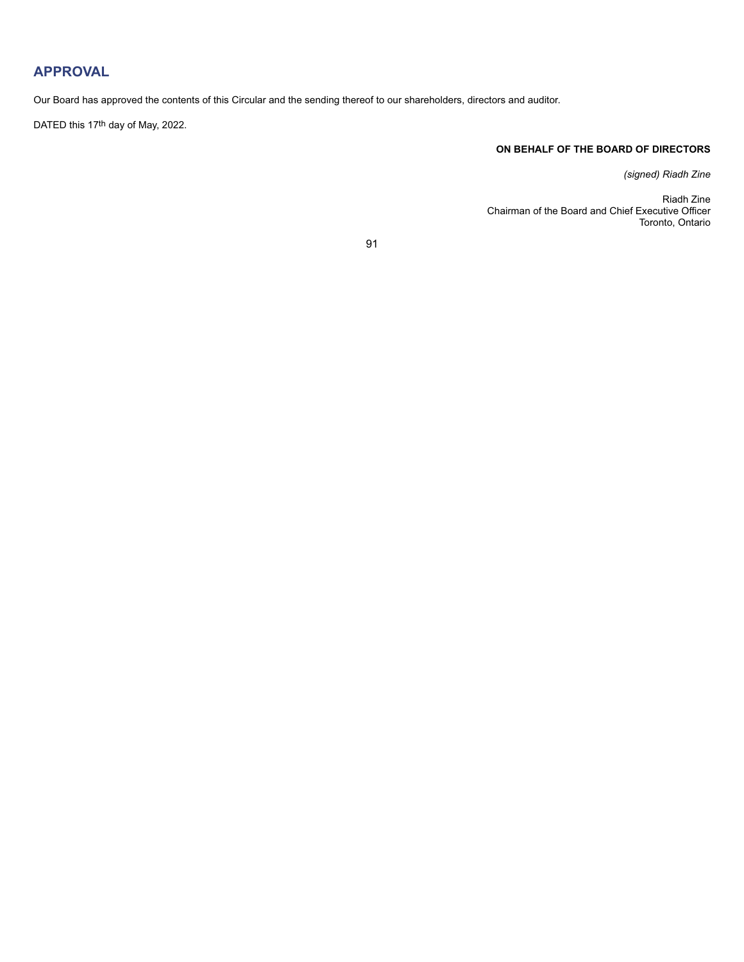# **APPROVAL**

Our Board has approved the contents of this Circular and the sending thereof to our shareholders, directors and auditor.

DATED this 17th day of May, 2022.

# **ON BEHALF OF THE BOARD OF DIRECTORS**

*(signed) Riadh Zine*

Riadh Zine Chairman of the Board and Chief Executive Officer Toronto, Ontario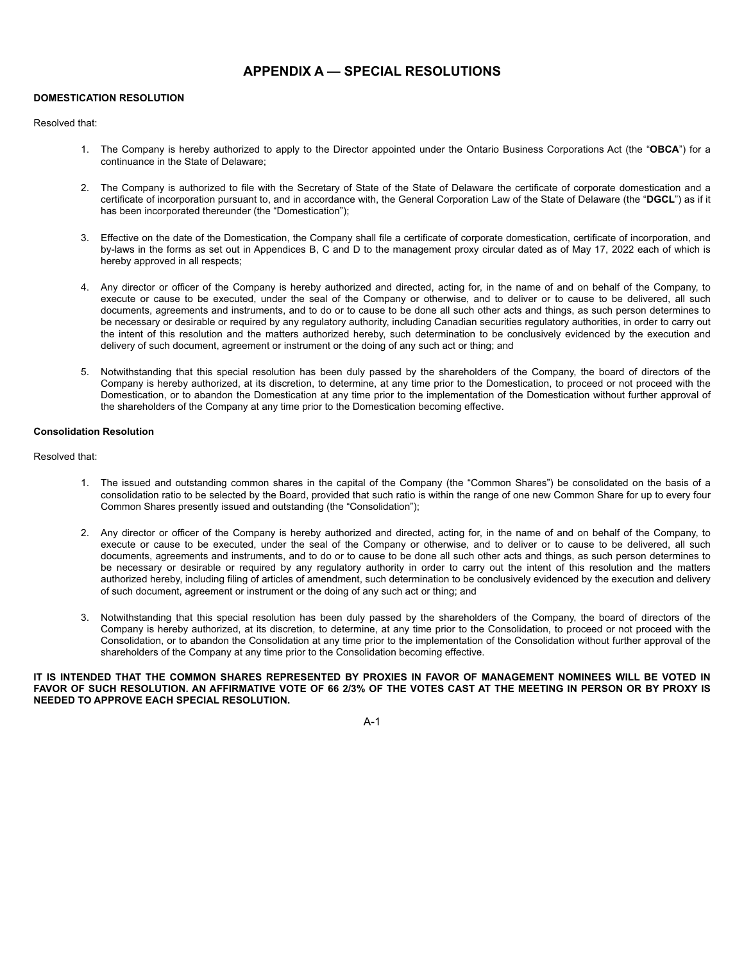# **APPENDIX A — SPECIAL RESOLUTIONS**

## **DOMESTICATION RESOLUTION**

## Resolved that:

- 1. The Company is hereby authorized to apply to the Director appointed under the Ontario Business Corporations Act (the "**OBCA**") for a continuance in the State of Delaware;
- 2. The Company is authorized to file with the Secretary of State of the State of Delaware the certificate of corporate domestication and a certificate of incorporation pursuant to, and in accordance with, the General Corporation Law of the State of Delaware (the "**DGCL**") as if it has been incorporated thereunder (the "Domestication");
- 3. Effective on the date of the Domestication, the Company shall file a certificate of corporate domestication, certificate of incorporation, and by-laws in the forms as set out in Appendices B, C and D to the management proxy circular dated as of May 17, 2022 each of which is hereby approved in all respects;
- 4. Any director or officer of the Company is hereby authorized and directed, acting for, in the name of and on behalf of the Company, to execute or cause to be executed, under the seal of the Company or otherwise, and to deliver or to cause to be delivered, all such documents, agreements and instruments, and to do or to cause to be done all such other acts and things, as such person determines to be necessary or desirable or required by any regulatory authority, including Canadian securities regulatory authorities, in order to carry out the intent of this resolution and the matters authorized hereby, such determination to be conclusively evidenced by the execution and delivery of such document, agreement or instrument or the doing of any such act or thing; and
- 5. Notwithstanding that this special resolution has been duly passed by the shareholders of the Company, the board of directors of the Company is hereby authorized, at its discretion, to determine, at any time prior to the Domestication, to proceed or not proceed with the Domestication, or to abandon the Domestication at any time prior to the implementation of the Domestication without further approval of the shareholders of the Company at any time prior to the Domestication becoming effective.

## **Consolidation Resolution**

Resolved that:

- 1. The issued and outstanding common shares in the capital of the Company (the "Common Shares") be consolidated on the basis of a consolidation ratio to be selected by the Board, provided that such ratio is within the range of one new Common Share for up to every four Common Shares presently issued and outstanding (the "Consolidation");
- 2. Any director or officer of the Company is hereby authorized and directed, acting for, in the name of and on behalf of the Company, to execute or cause to be executed, under the seal of the Company or otherwise, and to deliver or to cause to be delivered, all such documents, agreements and instruments, and to do or to cause to be done all such other acts and things, as such person determines to be necessary or desirable or required by any regulatory authority in order to carry out the intent of this resolution and the matters authorized hereby, including filing of articles of amendment, such determination to be conclusively evidenced by the execution and delivery of such document, agreement or instrument or the doing of any such act or thing; and
- 3. Notwithstanding that this special resolution has been duly passed by the shareholders of the Company, the board of directors of the Company is hereby authorized, at its discretion, to determine, at any time prior to the Consolidation, to proceed or not proceed with the Consolidation, or to abandon the Consolidation at any time prior to the implementation of the Consolidation without further approval of the shareholders of the Company at any time prior to the Consolidation becoming effective.

**IT IS INTENDED THAT THE COMMON SHARES REPRESENTED BY PROXIES IN FAVOR OF MANAGEMENT NOMINEES WILL BE VOTED IN FAVOR OF SUCH RESOLUTION. AN AFFIRMATIVE VOTE OF 66 2/3% OF THE VOTES CAST AT THE MEETING IN PERSON OR BY PROXY IS NEEDED TO APPROVE EACH SPECIAL RESOLUTION.**

A-1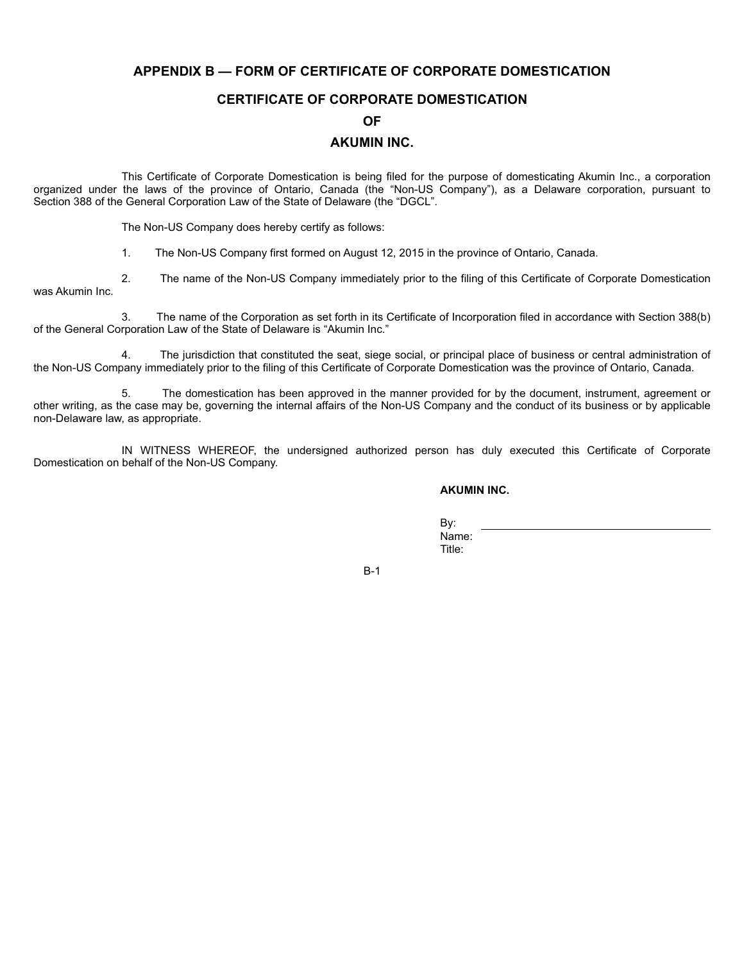# **APPENDIX B — FORM OF CERTIFICATE OF CORPORATE DOMESTICATION**

# **CERTIFICATE OF CORPORATE DOMESTICATION**

# **OF**

# **AKUMIN INC.**

This Certificate of Corporate Domestication is being filed for the purpose of domesticating Akumin Inc., a corporation organized under the laws of the province of Ontario, Canada (the "Non-US Company"), as a Delaware corporation, pursuant to Section 388 of the General Corporation Law of the State of Delaware (the "DGCL".

The Non-US Company does hereby certify as follows:

1. The Non-US Company first formed on August 12, 2015 in the province of Ontario, Canada.

2. The name of the Non-US Company immediately prior to the filing of this Certificate of Corporate Domestication was Akumin Inc.

3. The name of the Corporation as set forth in its Certificate of Incorporation filed in accordance with Section 388(b) of the General Corporation Law of the State of Delaware is "Akumin Inc."

4. The jurisdiction that constituted the seat, siege social, or principal place of business or central administration of the Non-US Company immediately prior to the filing of this Certificate of Corporate Domestication was the province of Ontario, Canada.

5. The domestication has been approved in the manner provided for by the document, instrument, agreement or other writing, as the case may be, governing the internal affairs of the Non-US Company and the conduct of its business or by applicable non-Delaware law, as appropriate.

IN WITNESS WHEREOF, the undersigned authorized person has duly executed this Certificate of Corporate Domestication on behalf of the Non-US Company.

**AKUMIN INC.**

By: Name: Title:

B-1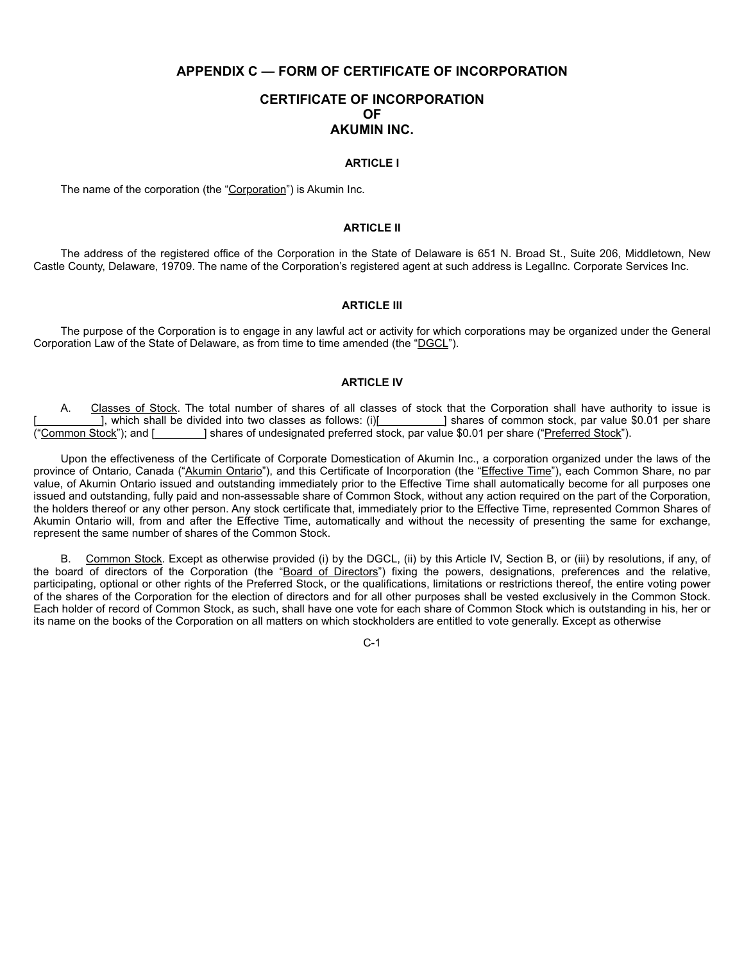# **APPENDIX C — FORM OF CERTIFICATE OF INCORPORATION**

# **CERTIFICATE OF INCORPORATION OF AKUMIN INC.**

## **ARTICLE I**

The name of the corporation (the "Corporation") is Akumin Inc.

# **ARTICLE II**

The address of the registered office of the Corporation in the State of Delaware is 651 N. Broad St., Suite 206, Middletown, New Castle County, Delaware, 19709. The name of the Corporation's registered agent at such address is LegalInc. Corporate Services Inc.

## **ARTICLE III**

The purpose of the Corporation is to engage in any lawful act or activity for which corporations may be organized under the General Corporation Law of the State of Delaware, as from time to time amended (the "DGCL").

# **ARTICLE IV**

A. Classes of Stock. The total number of shares of all classes of stock that the Corporation shall have authority to issue is [, which shall be divided into two classes as follows: (i)[ \_\_\_\_\_\_\_\_\_] shares of common stock, par value \$0.01 per share ("Common Stock"); and [ ] shares of undesignated preferred stock, par value \$0.01 per share ("Preferred Stock").

Upon the effectiveness of the Certificate of Corporate Domestication of Akumin Inc., a corporation organized under the laws of the province of Ontario, Canada ("Akumin Ontario"), and this Certificate of Incorporation (the "Effective Time"), each Common Share, no par value, of Akumin Ontario issued and outstanding immediately prior to the Effective Time shall automatically become for all purposes one issued and outstanding, fully paid and non-assessable share of Common Stock, without any action required on the part of the Corporation, the holders thereof or any other person. Any stock certificate that, immediately prior to the Effective Time, represented Common Shares of Akumin Ontario will, from and after the Effective Time, automatically and without the necessity of presenting the same for exchange, represent the same number of shares of the Common Stock.

B. Common Stock. Except as otherwise provided (i) by the DGCL, (ii) by this Article IV, Section B, or (iii) by resolutions, if any, of the board of directors of the Corporation (the "Board of Directors") fixing the powers, designations, preferences and the relative, participating, optional or other rights of the Preferred Stock, or the qualifications, limitations or restrictions thereof, the entire voting power of the shares of the Corporation for the election of directors and for all other purposes shall be vested exclusively in the Common Stock. Each holder of record of Common Stock, as such, shall have one vote for each share of Common Stock which is outstanding in his, her or its name on the books of the Corporation on all matters on which stockholders are entitled to vote generally. Except as otherwise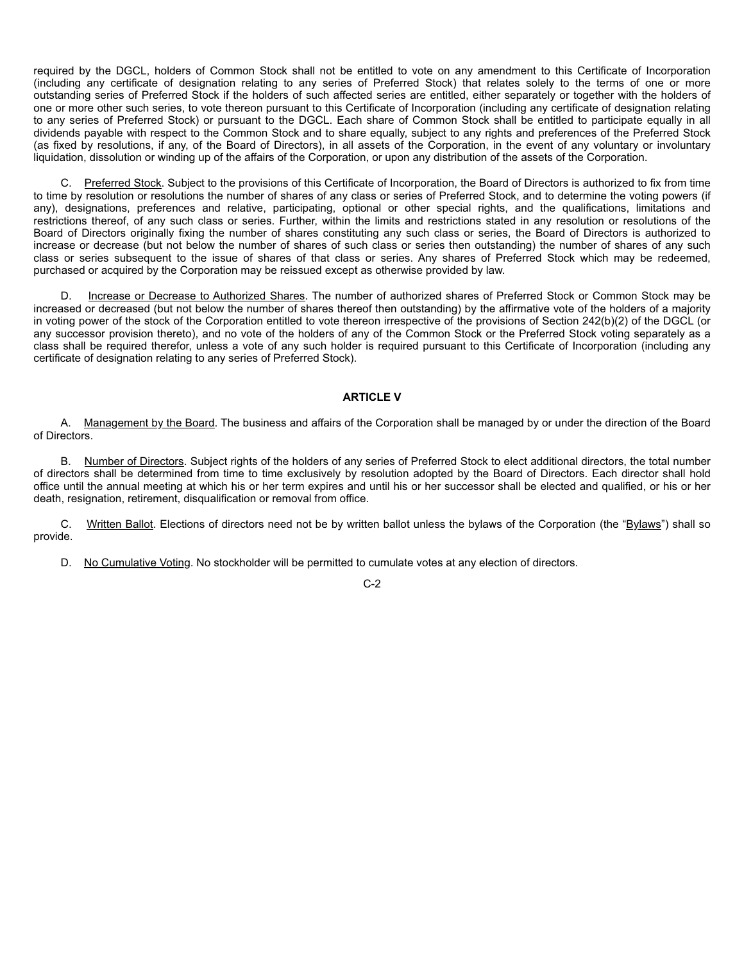required by the DGCL, holders of Common Stock shall not be entitled to vote on any amendment to this Certificate of Incorporation (including any certificate of designation relating to any series of Preferred Stock) that relates solely to the terms of one or more outstanding series of Preferred Stock if the holders of such affected series are entitled, either separately or together with the holders of one or more other such series, to vote thereon pursuant to this Certificate of Incorporation (including any certificate of designation relating to any series of Preferred Stock) or pursuant to the DGCL. Each share of Common Stock shall be entitled to participate equally in all dividends payable with respect to the Common Stock and to share equally, subject to any rights and preferences of the Preferred Stock (as fixed by resolutions, if any, of the Board of Directors), in all assets of the Corporation, in the event of any voluntary or involuntary liquidation, dissolution or winding up of the affairs of the Corporation, or upon any distribution of the assets of the Corporation.

C. Preferred Stock. Subject to the provisions of this Certificate of Incorporation, the Board of Directors is authorized to fix from time to time by resolution or resolutions the number of shares of any class or series of Preferred Stock, and to determine the voting powers (if any), designations, preferences and relative, participating, optional or other special rights, and the qualifications, limitations and restrictions thereof, of any such class or series. Further, within the limits and restrictions stated in any resolution or resolutions of the Board of Directors originally fixing the number of shares constituting any such class or series, the Board of Directors is authorized to increase or decrease (but not below the number of shares of such class or series then outstanding) the number of shares of any such class or series subsequent to the issue of shares of that class or series. Any shares of Preferred Stock which may be redeemed, purchased or acquired by the Corporation may be reissued except as otherwise provided by law.

D. Increase or Decrease to Authorized Shares. The number of authorized shares of Preferred Stock or Common Stock may be increased or decreased (but not below the number of shares thereof then outstanding) by the affirmative vote of the holders of a majority in voting power of the stock of the Corporation entitled to vote thereon irrespective of the provisions of Section 242(b)(2) of the DGCL (or any successor provision thereto), and no vote of the holders of any of the Common Stock or the Preferred Stock voting separately as a class shall be required therefor, unless a vote of any such holder is required pursuant to this Certificate of Incorporation (including any certificate of designation relating to any series of Preferred Stock).

# **ARTICLE V**

A. Management by the Board. The business and affairs of the Corporation shall be managed by or under the direction of the Board of Directors.

B. Number of Directors. Subject rights of the holders of any series of Preferred Stock to elect additional directors, the total number of directors shall be determined from time to time exclusively by resolution adopted by the Board of Directors. Each director shall hold office until the annual meeting at which his or her term expires and until his or her successor shall be elected and qualified, or his or her death, resignation, retirement, disqualification or removal from office.

C. Written Ballot. Elections of directors need not be by written ballot unless the bylaws of the Corporation (the "Bylaws") shall so provide.

D. No Cumulative Voting. No stockholder will be permitted to cumulate votes at any election of directors.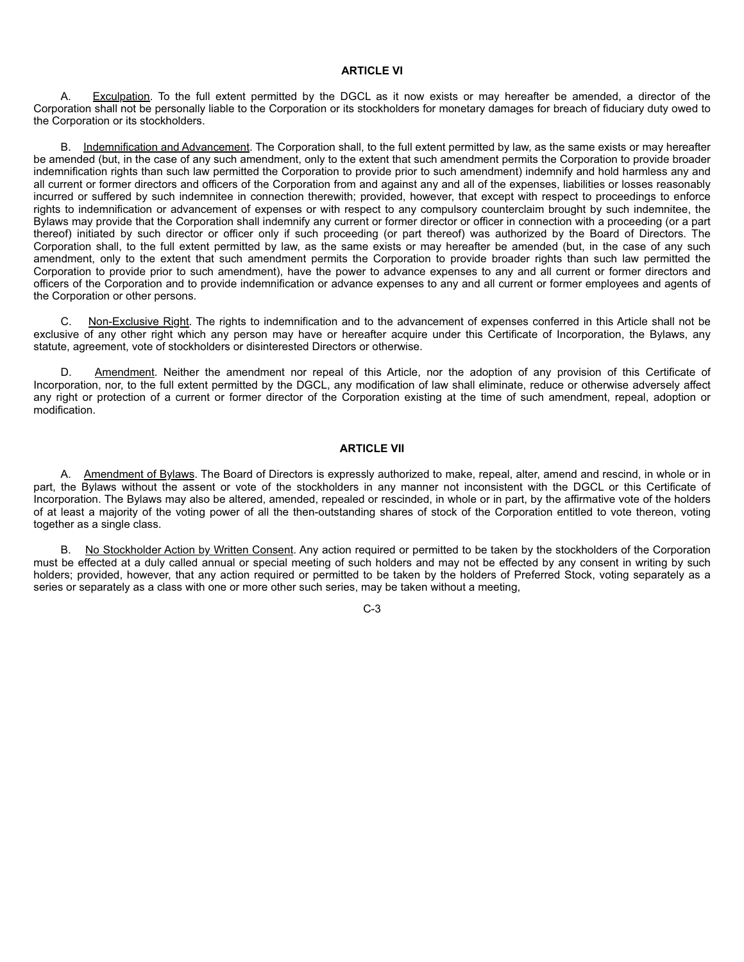## **ARTICLE VI**

A. Exculpation. To the full extent permitted by the DGCL as it now exists or may hereafter be amended, a director of the Corporation shall not be personally liable to the Corporation or its stockholders for monetary damages for breach of fiduciary duty owed to the Corporation or its stockholders.

B. Indemnification and Advancement. The Corporation shall, to the full extent permitted by law, as the same exists or may hereafter be amended (but, in the case of any such amendment, only to the extent that such amendment permits the Corporation to provide broader indemnification rights than such law permitted the Corporation to provide prior to such amendment) indemnify and hold harmless any and all current or former directors and officers of the Corporation from and against any and all of the expenses, liabilities or losses reasonably incurred or suffered by such indemnitee in connection therewith; provided, however, that except with respect to proceedings to enforce rights to indemnification or advancement of expenses or with respect to any compulsory counterclaim brought by such indemnitee, the Bylaws may provide that the Corporation shall indemnify any current or former director or officer in connection with a proceeding (or a part thereof) initiated by such director or officer only if such proceeding (or part thereof) was authorized by the Board of Directors. The Corporation shall, to the full extent permitted by law, as the same exists or may hereafter be amended (but, in the case of any such amendment, only to the extent that such amendment permits the Corporation to provide broader rights than such law permitted the Corporation to provide prior to such amendment), have the power to advance expenses to any and all current or former directors and officers of the Corporation and to provide indemnification or advance expenses to any and all current or former employees and agents of the Corporation or other persons.

C. Non-Exclusive Right. The rights to indemnification and to the advancement of expenses conferred in this Article shall not be exclusive of any other right which any person may have or hereafter acquire under this Certificate of Incorporation, the Bylaws, any statute, agreement, vote of stockholders or disinterested Directors or otherwise.

D. Amendment. Neither the amendment nor repeal of this Article, nor the adoption of any provision of this Certificate of Incorporation, nor, to the full extent permitted by the DGCL, any modification of law shall eliminate, reduce or otherwise adversely affect any right or protection of a current or former director of the Corporation existing at the time of such amendment, repeal, adoption or modification.

## **ARTICLE VII**

A. Amendment of Bylaws. The Board of Directors is expressly authorized to make, repeal, alter, amend and rescind, in whole or in part, the Bylaws without the assent or vote of the stockholders in any manner not inconsistent with the DGCL or this Certificate of Incorporation. The Bylaws may also be altered, amended, repealed or rescinded, in whole or in part, by the affirmative vote of the holders of at least a majority of the voting power of all the then-outstanding shares of stock of the Corporation entitled to vote thereon, voting together as a single class.

B. No Stockholder Action by Written Consent. Any action required or permitted to be taken by the stockholders of the Corporation must be effected at a duly called annual or special meeting of such holders and may not be effected by any consent in writing by such holders; provided, however, that any action required or permitted to be taken by the holders of Preferred Stock, voting separately as a series or separately as a class with one or more other such series, may be taken without a meeting,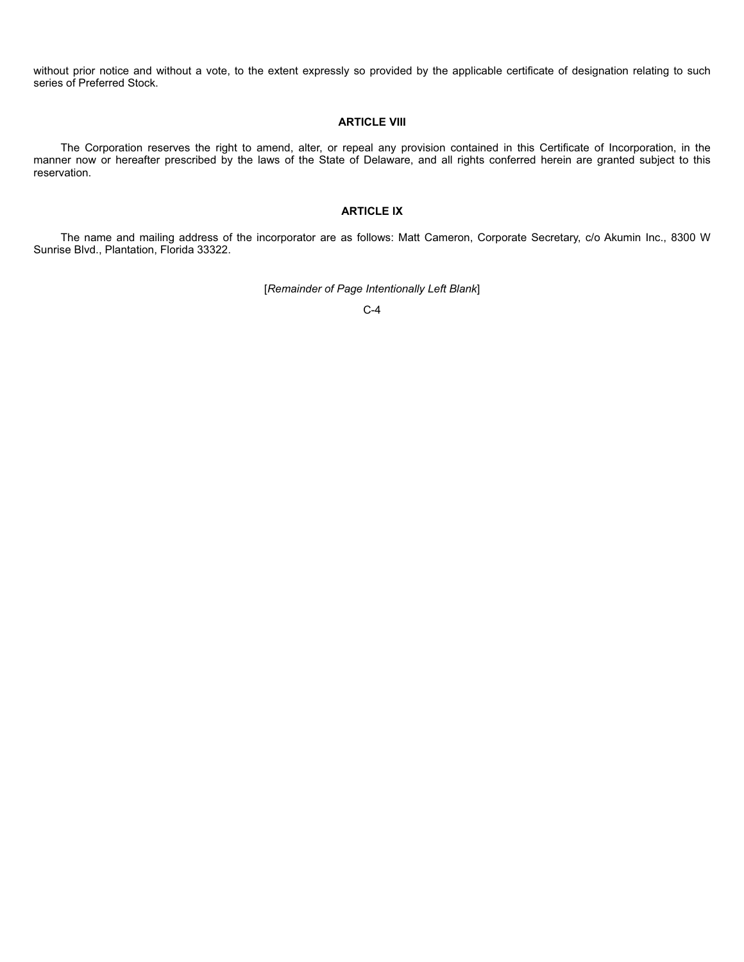without prior notice and without a vote, to the extent expressly so provided by the applicable certificate of designation relating to such series of Preferred Stock.

# **ARTICLE VIII**

The Corporation reserves the right to amend, alter, or repeal any provision contained in this Certificate of Incorporation, in the manner now or hereafter prescribed by the laws of the State of Delaware, and all rights conferred herein are granted subject to this reservation.

# **ARTICLE IX**

The name and mailing address of the incorporator are as follows: Matt Cameron, Corporate Secretary, c/o Akumin Inc., 8300 W Sunrise Blvd., Plantation, Florida 33322.

[*Remainder of Page Intentionally Left Blank*]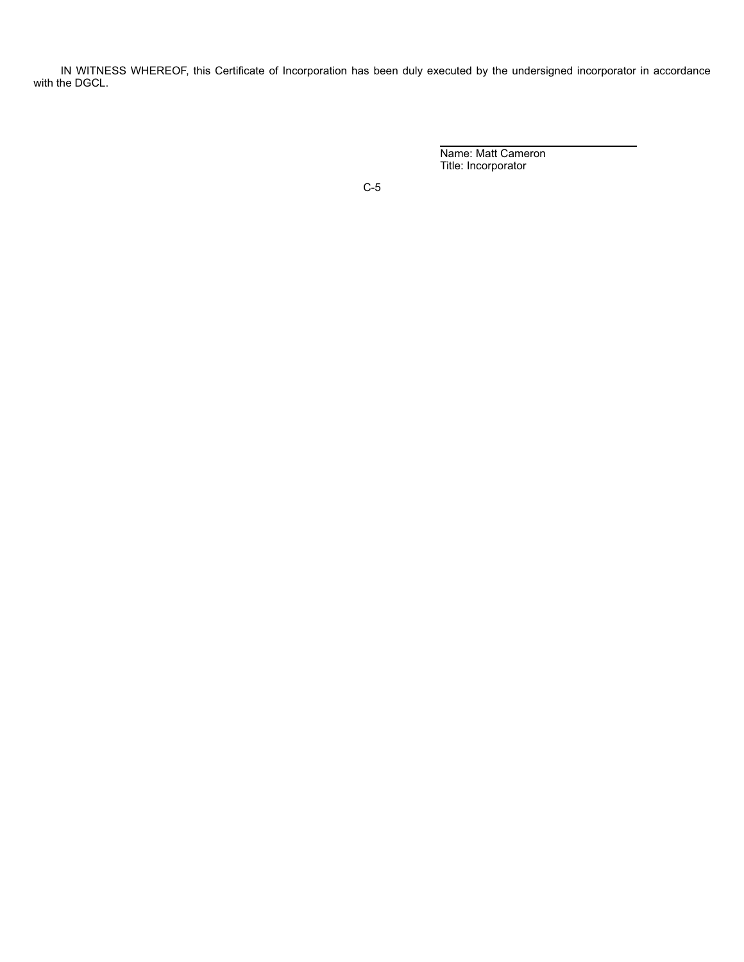IN WITNESS WHEREOF, this Certificate of Incorporation has been duly executed by the undersigned incorporator in accordance with the DGCL.

> $\overline{a}$ Name: Matt Cameron Title: Incorporator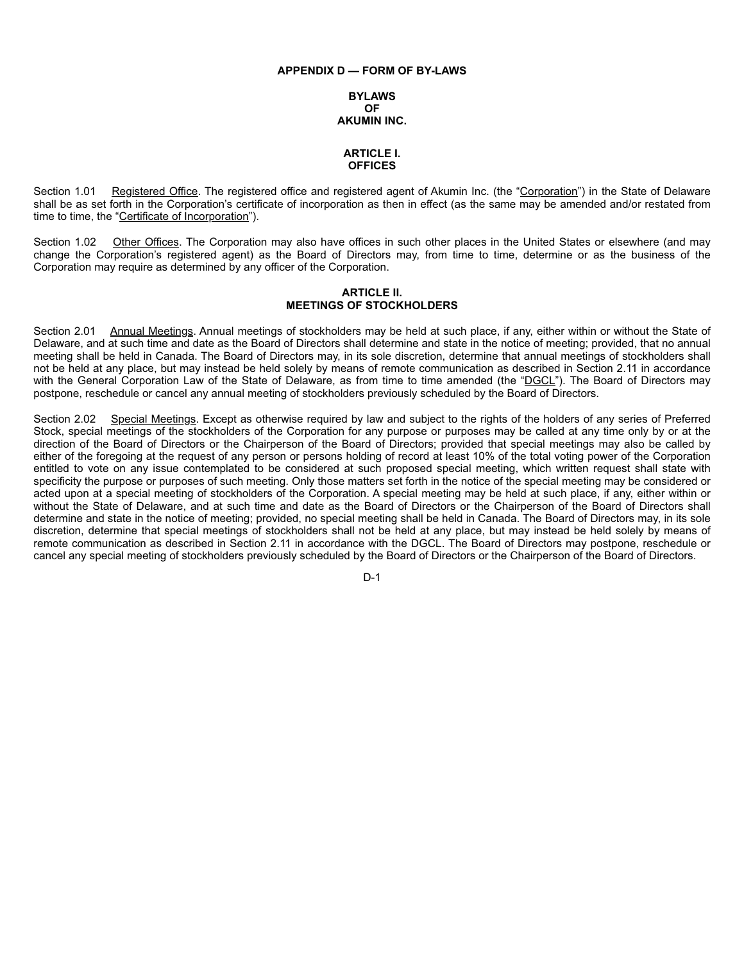## **APPENDIX D — FORM OF BY-LAWS**

## **BYLAWS OF AKUMIN INC.**

# **ARTICLE I. OFFICES**

Section 1.01 Registered Office. The registered office and registered agent of Akumin Inc. (the "Corporation") in the State of Delaware shall be as set forth in the Corporation's certificate of incorporation as then in effect (as the same may be amended and/or restated from time to time, the "Certificate of Incorporation").

Section 1.02 Other Offices. The Corporation may also have offices in such other places in the United States or elsewhere (and may change the Corporation's registered agent) as the Board of Directors may, from time to time, determine or as the business of the Corporation may require as determined by any officer of the Corporation.

# **ARTICLE II. MEETINGS OF STOCKHOLDERS**

Section 2.01 Annual Meetings. Annual meetings of stockholders may be held at such place, if any, either within or without the State of Delaware, and at such time and date as the Board of Directors shall determine and state in the notice of meeting; provided, that no annual meeting shall be held in Canada. The Board of Directors may, in its sole discretion, determine that annual meetings of stockholders shall not be held at any place, but may instead be held solely by means of remote communication as described in Section 2.11 in accordance with the General Corporation Law of the State of Delaware, as from time to time amended (the "DGCL"). The Board of Directors may postpone, reschedule or cancel any annual meeting of stockholders previously scheduled by the Board of Directors.

Section 2.02 Special Meetings. Except as otherwise required by law and subject to the rights of the holders of any series of Preferred Stock, special meetings of the stockholders of the Corporation for any purpose or purposes may be called at any time only by or at the direction of the Board of Directors or the Chairperson of the Board of Directors; provided that special meetings may also be called by either of the foregoing at the request of any person or persons holding of record at least 10% of the total voting power of the Corporation entitled to vote on any issue contemplated to be considered at such proposed special meeting, which written request shall state with specificity the purpose or purposes of such meeting. Only those matters set forth in the notice of the special meeting may be considered or acted upon at a special meeting of stockholders of the Corporation. A special meeting may be held at such place, if any, either within or without the State of Delaware, and at such time and date as the Board of Directors or the Chairperson of the Board of Directors shall determine and state in the notice of meeting; provided, no special meeting shall be held in Canada. The Board of Directors may, in its sole discretion, determine that special meetings of stockholders shall not be held at any place, but may instead be held solely by means of remote communication as described in Section 2.11 in accordance with the DGCL. The Board of Directors may postpone, reschedule or cancel any special meeting of stockholders previously scheduled by the Board of Directors or the Chairperson of the Board of Directors.

D-1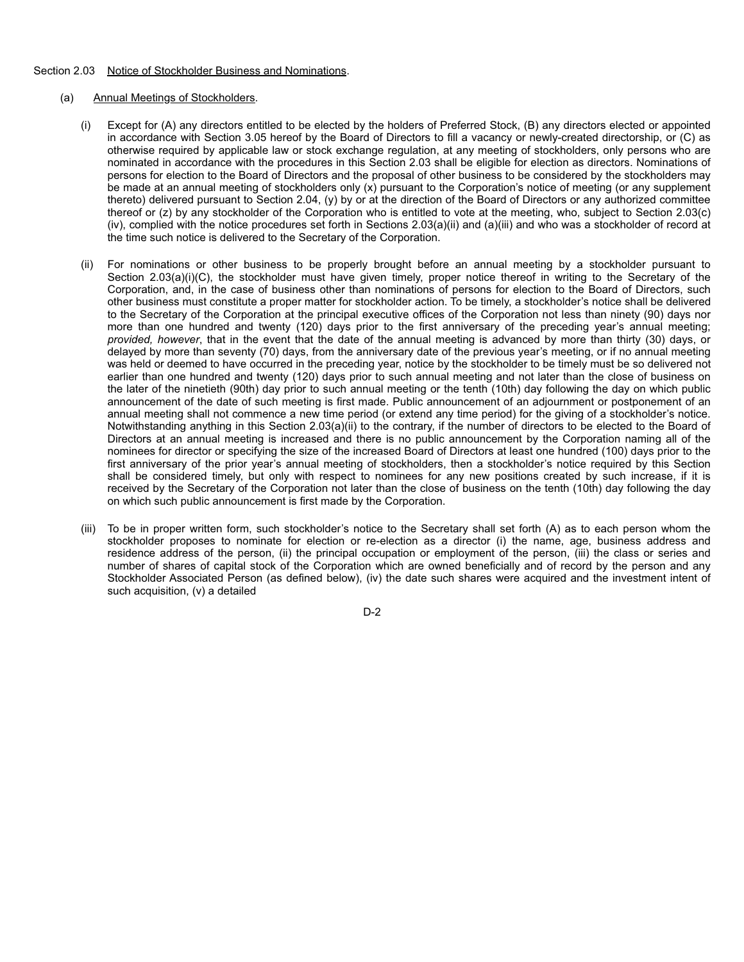# Section 2.03 Notice of Stockholder Business and Nominations.

# (a) Annual Meetings of Stockholders.

- (i) Except for (A) any directors entitled to be elected by the holders of Preferred Stock, (B) any directors elected or appointed in accordance with Section 3.05 hereof by the Board of Directors to fill a vacancy or newly-created directorship, or (C) as otherwise required by applicable law or stock exchange regulation, at any meeting of stockholders, only persons who are nominated in accordance with the procedures in this Section 2.03 shall be eligible for election as directors. Nominations of persons for election to the Board of Directors and the proposal of other business to be considered by the stockholders may be made at an annual meeting of stockholders only (x) pursuant to the Corporation's notice of meeting (or any supplement thereto) delivered pursuant to Section 2.04, (y) by or at the direction of the Board of Directors or any authorized committee thereof or (z) by any stockholder of the Corporation who is entitled to vote at the meeting, who, subject to Section 2.03(c) (iv), complied with the notice procedures set forth in Sections 2.03(a)(ii) and (a)(iii) and who was a stockholder of record at the time such notice is delivered to the Secretary of the Corporation.
- (ii) For nominations or other business to be properly brought before an annual meeting by a stockholder pursuant to Section 2.03(a)(i)(C), the stockholder must have given timely, proper notice thereof in writing to the Secretary of the Corporation, and, in the case of business other than nominations of persons for election to the Board of Directors, such other business must constitute a proper matter for stockholder action. To be timely, a stockholder's notice shall be delivered to the Secretary of the Corporation at the principal executive offices of the Corporation not less than ninety (90) days nor more than one hundred and twenty (120) days prior to the first anniversary of the preceding year's annual meeting; *provided, however*, that in the event that the date of the annual meeting is advanced by more than thirty (30) days, or delayed by more than seventy (70) days, from the anniversary date of the previous year's meeting, or if no annual meeting was held or deemed to have occurred in the preceding year, notice by the stockholder to be timely must be so delivered not earlier than one hundred and twenty (120) days prior to such annual meeting and not later than the close of business on the later of the ninetieth (90th) day prior to such annual meeting or the tenth (10th) day following the day on which public announcement of the date of such meeting is first made. Public announcement of an adjournment or postponement of an annual meeting shall not commence a new time period (or extend any time period) for the giving of a stockholder's notice. Notwithstanding anything in this Section 2.03(a)(ii) to the contrary, if the number of directors to be elected to the Board of Directors at an annual meeting is increased and there is no public announcement by the Corporation naming all of the nominees for director or specifying the size of the increased Board of Directors at least one hundred (100) days prior to the first anniversary of the prior year's annual meeting of stockholders, then a stockholder's notice required by this Section shall be considered timely, but only with respect to nominees for any new positions created by such increase, if it is received by the Secretary of the Corporation not later than the close of business on the tenth (10th) day following the day on which such public announcement is first made by the Corporation.
- (iii) To be in proper written form, such stockholder's notice to the Secretary shall set forth (A) as to each person whom the stockholder proposes to nominate for election or re-election as a director (i) the name, age, business address and residence address of the person, (ii) the principal occupation or employment of the person, (iii) the class or series and number of shares of capital stock of the Corporation which are owned beneficially and of record by the person and any Stockholder Associated Person (as defined below), (iv) the date such shares were acquired and the investment intent of such acquisition, (v) a detailed

D-2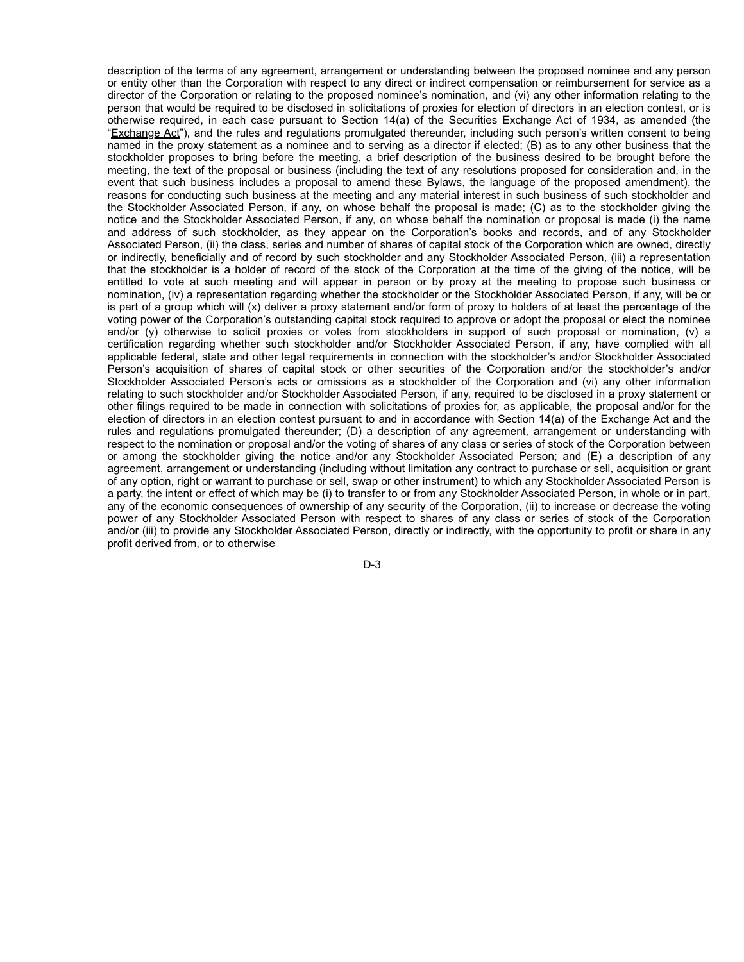description of the terms of any agreement, arrangement or understanding between the proposed nominee and any person or entity other than the Corporation with respect to any direct or indirect compensation or reimbursement for service as a director of the Corporation or relating to the proposed nominee's nomination, and (vi) any other information relating to the person that would be required to be disclosed in solicitations of proxies for election of directors in an election contest, or is otherwise required, in each case pursuant to Section 14(a) of the Securities Exchange Act of 1934, as amended (the "Exchange Act"), and the rules and regulations promulgated thereunder, including such person's written consent to being named in the proxy statement as a nominee and to serving as a director if elected; (B) as to any other business that the stockholder proposes to bring before the meeting, a brief description of the business desired to be brought before the meeting, the text of the proposal or business (including the text of any resolutions proposed for consideration and, in the event that such business includes a proposal to amend these Bylaws, the language of the proposed amendment), the reasons for conducting such business at the meeting and any material interest in such business of such stockholder and the Stockholder Associated Person, if any, on whose behalf the proposal is made; (C) as to the stockholder giving the notice and the Stockholder Associated Person, if any, on whose behalf the nomination or proposal is made (i) the name and address of such stockholder, as they appear on the Corporation's books and records, and of any Stockholder Associated Person, (ii) the class, series and number of shares of capital stock of the Corporation which are owned, directly or indirectly, beneficially and of record by such stockholder and any Stockholder Associated Person, (iii) a representation that the stockholder is a holder of record of the stock of the Corporation at the time of the giving of the notice, will be entitled to vote at such meeting and will appear in person or by proxy at the meeting to propose such business or nomination, (iv) a representation regarding whether the stockholder or the Stockholder Associated Person, if any, will be or is part of a group which will (x) deliver a proxy statement and/or form of proxy to holders of at least the percentage of the voting power of the Corporation's outstanding capital stock required to approve or adopt the proposal or elect the nominee and/or (y) otherwise to solicit proxies or votes from stockholders in support of such proposal or nomination, (v) a certification regarding whether such stockholder and/or Stockholder Associated Person, if any, have complied with all applicable federal, state and other legal requirements in connection with the stockholder's and/or Stockholder Associated Person's acquisition of shares of capital stock or other securities of the Corporation and/or the stockholder's and/or Stockholder Associated Person's acts or omissions as a stockholder of the Corporation and (vi) any other information relating to such stockholder and/or Stockholder Associated Person, if any, required to be disclosed in a proxy statement or other filings required to be made in connection with solicitations of proxies for, as applicable, the proposal and/or for the election of directors in an election contest pursuant to and in accordance with Section 14(a) of the Exchange Act and the rules and regulations promulgated thereunder; (D) a description of any agreement, arrangement or understanding with respect to the nomination or proposal and/or the voting of shares of any class or series of stock of the Corporation between or among the stockholder giving the notice and/or any Stockholder Associated Person; and (E) a description of any agreement, arrangement or understanding (including without limitation any contract to purchase or sell, acquisition or grant of any option, right or warrant to purchase or sell, swap or other instrument) to which any Stockholder Associated Person is a party, the intent or effect of which may be (i) to transfer to or from any Stockholder Associated Person, in whole or in part, any of the economic consequences of ownership of any security of the Corporation, (ii) to increase or decrease the voting power of any Stockholder Associated Person with respect to shares of any class or series of stock of the Corporation and/or (iii) to provide any Stockholder Associated Person, directly or indirectly, with the opportunity to profit or share in any profit derived from, or to otherwise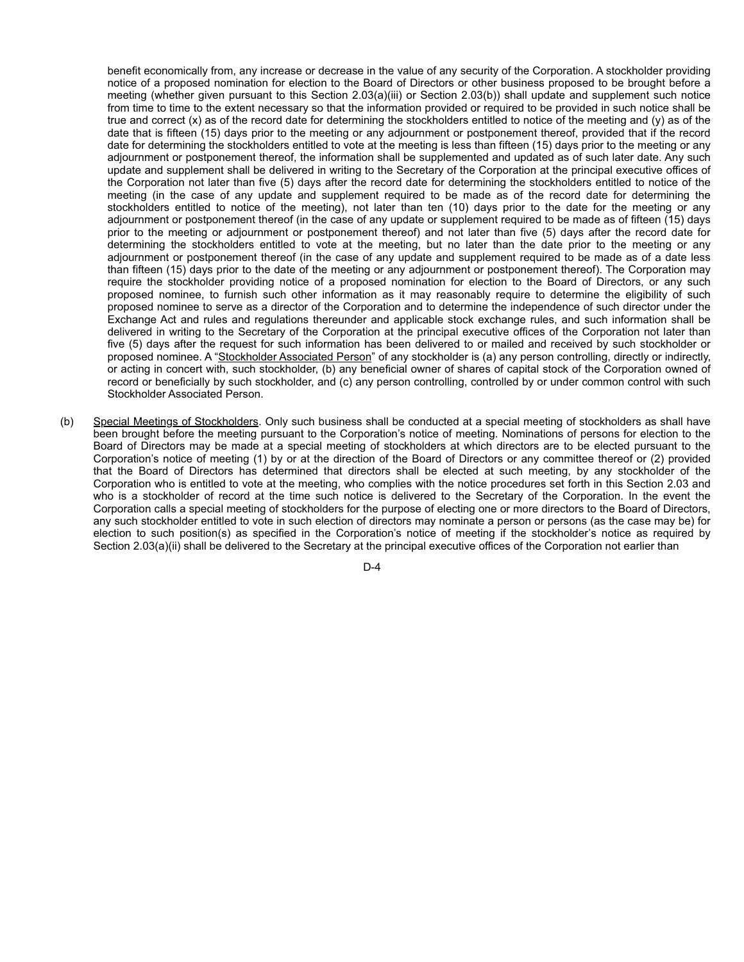benefit economically from, any increase or decrease in the value of any security of the Corporation. A stockholder providing notice of a proposed nomination for election to the Board of Directors or other business proposed to be brought before a meeting (whether given pursuant to this Section 2.03(a)(iii) or Section 2.03(b)) shall update and supplement such notice from time to time to the extent necessary so that the information provided or required to be provided in such notice shall be true and correct (x) as of the record date for determining the stockholders entitled to notice of the meeting and (y) as of the date that is fifteen (15) days prior to the meeting or any adjournment or postponement thereof, provided that if the record date for determining the stockholders entitled to vote at the meeting is less than fifteen (15) days prior to the meeting or any adjournment or postponement thereof, the information shall be supplemented and updated as of such later date. Any such update and supplement shall be delivered in writing to the Secretary of the Corporation at the principal executive offices of the Corporation not later than five (5) days after the record date for determining the stockholders entitled to notice of the meeting (in the case of any update and supplement required to be made as of the record date for determining the stockholders entitled to notice of the meeting), not later than ten (10) days prior to the date for the meeting or any adjournment or postponement thereof (in the case of any update or supplement required to be made as of fifteen (15) days prior to the meeting or adjournment or postponement thereof) and not later than five (5) days after the record date for determining the stockholders entitled to vote at the meeting, but no later than the date prior to the meeting or any adjournment or postponement thereof (in the case of any update and supplement required to be made as of a date less than fifteen (15) days prior to the date of the meeting or any adjournment or postponement thereof). The Corporation may require the stockholder providing notice of a proposed nomination for election to the Board of Directors, or any such proposed nominee, to furnish such other information as it may reasonably require to determine the eligibility of such proposed nominee to serve as a director of the Corporation and to determine the independence of such director under the Exchange Act and rules and regulations thereunder and applicable stock exchange rules, and such information shall be delivered in writing to the Secretary of the Corporation at the principal executive offices of the Corporation not later than five (5) days after the request for such information has been delivered to or mailed and received by such stockholder or proposed nominee. A "Stockholder Associated Person" of any stockholder is (a) any person controlling, directly or indirectly, or acting in concert with, such stockholder, (b) any beneficial owner of shares of capital stock of the Corporation owned of record or beneficially by such stockholder, and (c) any person controlling, controlled by or under common control with such Stockholder Associated Person.

(b) Special Meetings of Stockholders. Only such business shall be conducted at a special meeting of stockholders as shall have been brought before the meeting pursuant to the Corporation's notice of meeting. Nominations of persons for election to the Board of Directors may be made at a special meeting of stockholders at which directors are to be elected pursuant to the Corporation's notice of meeting (1) by or at the direction of the Board of Directors or any committee thereof or (2) provided that the Board of Directors has determined that directors shall be elected at such meeting, by any stockholder of the Corporation who is entitled to vote at the meeting, who complies with the notice procedures set forth in this Section 2.03 and who is a stockholder of record at the time such notice is delivered to the Secretary of the Corporation. In the event the Corporation calls a special meeting of stockholders for the purpose of electing one or more directors to the Board of Directors, any such stockholder entitled to vote in such election of directors may nominate a person or persons (as the case may be) for election to such position(s) as specified in the Corporation's notice of meeting if the stockholder's notice as required by Section 2.03(a)(ii) shall be delivered to the Secretary at the principal executive offices of the Corporation not earlier than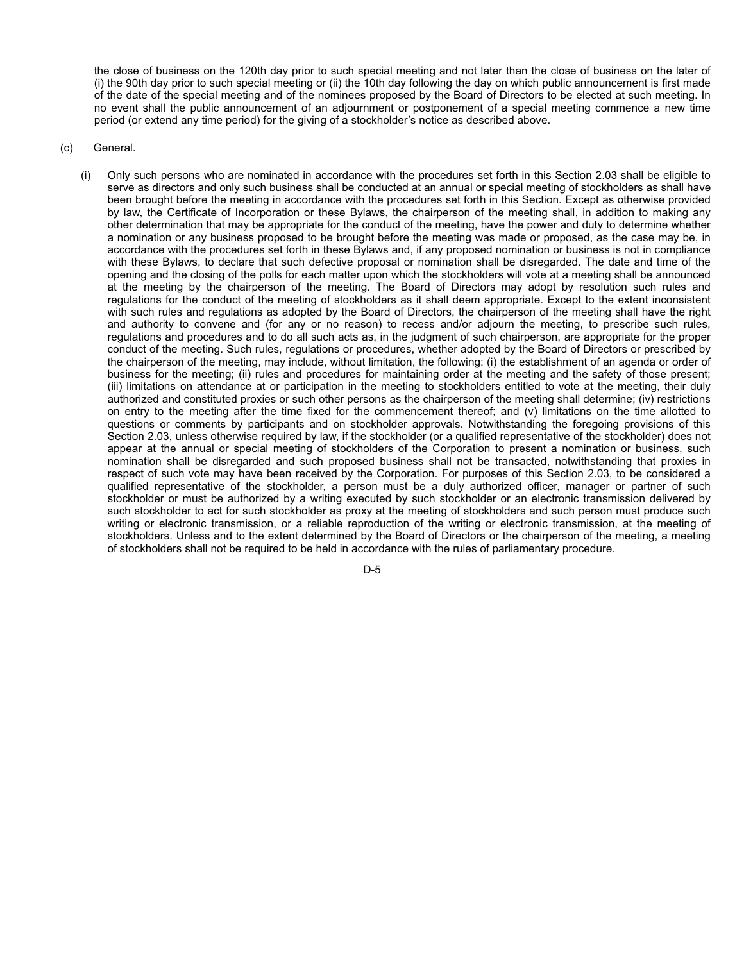the close of business on the 120th day prior to such special meeting and not later than the close of business on the later of (i) the 90th day prior to such special meeting or (ii) the 10th day following the day on which public announcement is first made of the date of the special meeting and of the nominees proposed by the Board of Directors to be elected at such meeting. In no event shall the public announcement of an adjournment or postponement of a special meeting commence a new time period (or extend any time period) for the giving of a stockholder's notice as described above.

# (c) General.

(i) Only such persons who are nominated in accordance with the procedures set forth in this Section 2.03 shall be eligible to serve as directors and only such business shall be conducted at an annual or special meeting of stockholders as shall have been brought before the meeting in accordance with the procedures set forth in this Section. Except as otherwise provided by law, the Certificate of Incorporation or these Bylaws, the chairperson of the meeting shall, in addition to making any other determination that may be appropriate for the conduct of the meeting, have the power and duty to determine whether a nomination or any business proposed to be brought before the meeting was made or proposed, as the case may be, in accordance with the procedures set forth in these Bylaws and, if any proposed nomination or business is not in compliance with these Bylaws, to declare that such defective proposal or nomination shall be disregarded. The date and time of the opening and the closing of the polls for each matter upon which the stockholders will vote at a meeting shall be announced at the meeting by the chairperson of the meeting. The Board of Directors may adopt by resolution such rules and regulations for the conduct of the meeting of stockholders as it shall deem appropriate. Except to the extent inconsistent with such rules and regulations as adopted by the Board of Directors, the chairperson of the meeting shall have the right and authority to convene and (for any or no reason) to recess and/or adjourn the meeting, to prescribe such rules, regulations and procedures and to do all such acts as, in the judgment of such chairperson, are appropriate for the proper conduct of the meeting. Such rules, regulations or procedures, whether adopted by the Board of Directors or prescribed by the chairperson of the meeting, may include, without limitation, the following: (i) the establishment of an agenda or order of business for the meeting; (ii) rules and procedures for maintaining order at the meeting and the safety of those present; (iii) limitations on attendance at or participation in the meeting to stockholders entitled to vote at the meeting, their duly authorized and constituted proxies or such other persons as the chairperson of the meeting shall determine; (iv) restrictions on entry to the meeting after the time fixed for the commencement thereof; and (v) limitations on the time allotted to questions or comments by participants and on stockholder approvals. Notwithstanding the foregoing provisions of this Section 2.03, unless otherwise required by law, if the stockholder (or a qualified representative of the stockholder) does not appear at the annual or special meeting of stockholders of the Corporation to present a nomination or business, such nomination shall be disregarded and such proposed business shall not be transacted, notwithstanding that proxies in respect of such vote may have been received by the Corporation. For purposes of this Section 2.03, to be considered a qualified representative of the stockholder, a person must be a duly authorized officer, manager or partner of such stockholder or must be authorized by a writing executed by such stockholder or an electronic transmission delivered by such stockholder to act for such stockholder as proxy at the meeting of stockholders and such person must produce such writing or electronic transmission, or a reliable reproduction of the writing or electronic transmission, at the meeting of stockholders. Unless and to the extent determined by the Board of Directors or the chairperson of the meeting, a meeting of stockholders shall not be required to be held in accordance with the rules of parliamentary procedure.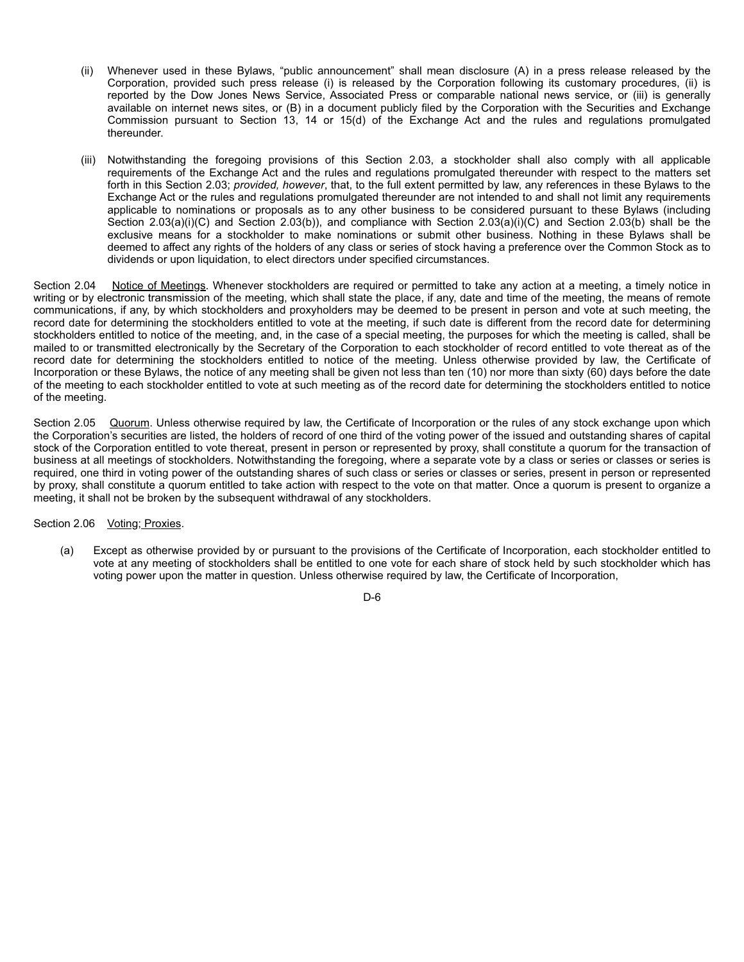- (ii) Whenever used in these Bylaws, "public announcement" shall mean disclosure (A) in a press release released by the Corporation, provided such press release (i) is released by the Corporation following its customary procedures, (ii) is reported by the Dow Jones News Service, Associated Press or comparable national news service, or (iii) is generally available on internet news sites, or (B) in a document publicly filed by the Corporation with the Securities and Exchange Commission pursuant to Section 13, 14 or 15(d) of the Exchange Act and the rules and regulations promulgated thereunder.
- (iii) Notwithstanding the foregoing provisions of this Section 2.03, a stockholder shall also comply with all applicable requirements of the Exchange Act and the rules and regulations promulgated thereunder with respect to the matters set forth in this Section 2.03; *provided, however*, that, to the full extent permitted by law, any references in these Bylaws to the Exchange Act or the rules and regulations promulgated thereunder are not intended to and shall not limit any requirements applicable to nominations or proposals as to any other business to be considered pursuant to these Bylaws (including Section 2.03(a)(i)(C) and Section 2.03(b)), and compliance with Section 2.03(a)(i)(C) and Section 2.03(b) shall be the exclusive means for a stockholder to make nominations or submit other business. Nothing in these Bylaws shall be deemed to affect any rights of the holders of any class or series of stock having a preference over the Common Stock as to dividends or upon liquidation, to elect directors under specified circumstances.

Section 2.04 Notice of Meetings. Whenever stockholders are required or permitted to take any action at a meeting, a timely notice in writing or by electronic transmission of the meeting, which shall state the place, if any, date and time of the meeting, the means of remote communications, if any, by which stockholders and proxyholders may be deemed to be present in person and vote at such meeting, the record date for determining the stockholders entitled to vote at the meeting, if such date is different from the record date for determining stockholders entitled to notice of the meeting, and, in the case of a special meeting, the purposes for which the meeting is called, shall be mailed to or transmitted electronically by the Secretary of the Corporation to each stockholder of record entitled to vote thereat as of the record date for determining the stockholders entitled to notice of the meeting. Unless otherwise provided by law, the Certificate of Incorporation or these Bylaws, the notice of any meeting shall be given not less than ten (10) nor more than sixty (60) days before the date of the meeting to each stockholder entitled to vote at such meeting as of the record date for determining the stockholders entitled to notice of the meeting.

Section 2.05 Quorum. Unless otherwise required by law, the Certificate of Incorporation or the rules of any stock exchange upon which the Corporation's securities are listed, the holders of record of one third of the voting power of the issued and outstanding shares of capital stock of the Corporation entitled to vote thereat, present in person or represented by proxy, shall constitute a quorum for the transaction of business at all meetings of stockholders. Notwithstanding the foregoing, where a separate vote by a class or series or classes or series is required, one third in voting power of the outstanding shares of such class or series or classes or series, present in person or represented by proxy, shall constitute a quorum entitled to take action with respect to the vote on that matter. Once a quorum is present to organize a meeting, it shall not be broken by the subsequent withdrawal of any stockholders.

Section 2.06 Voting; Proxies.

(a) Except as otherwise provided by or pursuant to the provisions of the Certificate of Incorporation, each stockholder entitled to vote at any meeting of stockholders shall be entitled to one vote for each share of stock held by such stockholder which has voting power upon the matter in question. Unless otherwise required by law, the Certificate of Incorporation,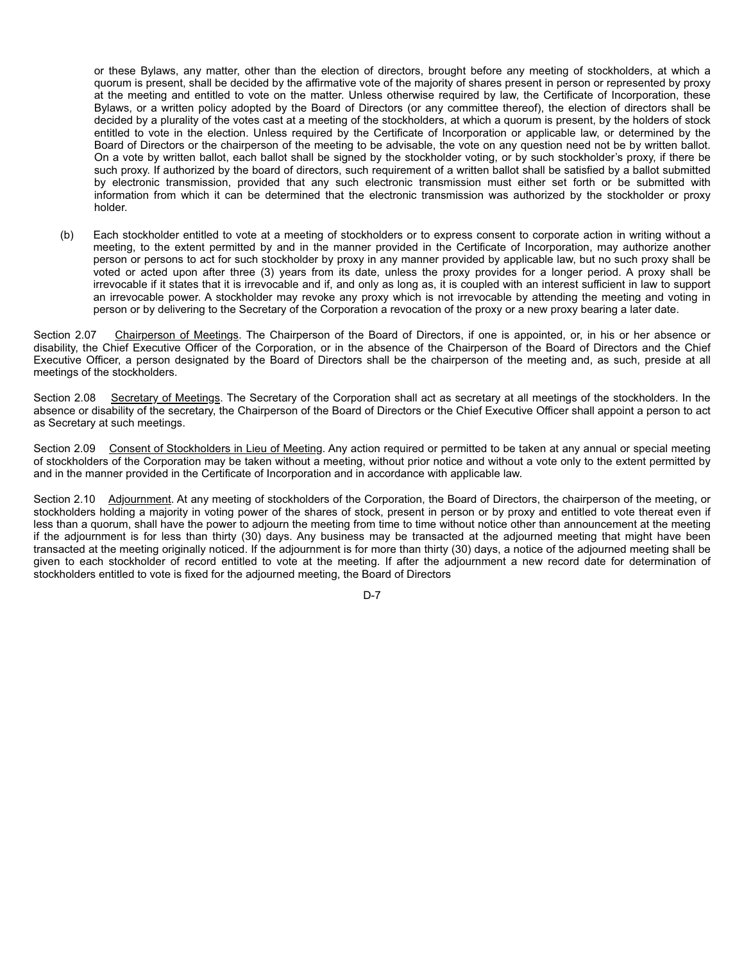or these Bylaws, any matter, other than the election of directors, brought before any meeting of stockholders, at which a quorum is present, shall be decided by the affirmative vote of the majority of shares present in person or represented by proxy at the meeting and entitled to vote on the matter. Unless otherwise required by law, the Certificate of Incorporation, these Bylaws, or a written policy adopted by the Board of Directors (or any committee thereof), the election of directors shall be decided by a plurality of the votes cast at a meeting of the stockholders, at which a quorum is present, by the holders of stock entitled to vote in the election. Unless required by the Certificate of Incorporation or applicable law, or determined by the Board of Directors or the chairperson of the meeting to be advisable, the vote on any question need not be by written ballot. On a vote by written ballot, each ballot shall be signed by the stockholder voting, or by such stockholder's proxy, if there be such proxy. If authorized by the board of directors, such requirement of a written ballot shall be satisfied by a ballot submitted by electronic transmission, provided that any such electronic transmission must either set forth or be submitted with information from which it can be determined that the electronic transmission was authorized by the stockholder or proxy holder.

(b) Each stockholder entitled to vote at a meeting of stockholders or to express consent to corporate action in writing without a meeting, to the extent permitted by and in the manner provided in the Certificate of Incorporation, may authorize another person or persons to act for such stockholder by proxy in any manner provided by applicable law, but no such proxy shall be voted or acted upon after three (3) years from its date, unless the proxy provides for a longer period. A proxy shall be irrevocable if it states that it is irrevocable and if, and only as long as, it is coupled with an interest sufficient in law to support an irrevocable power. A stockholder may revoke any proxy which is not irrevocable by attending the meeting and voting in person or by delivering to the Secretary of the Corporation a revocation of the proxy or a new proxy bearing a later date.

Section 2.07 Chairperson of Meetings. The Chairperson of the Board of Directors, if one is appointed, or, in his or her absence or disability, the Chief Executive Officer of the Corporation, or in the absence of the Chairperson of the Board of Directors and the Chief Executive Officer, a person designated by the Board of Directors shall be the chairperson of the meeting and, as such, preside at all meetings of the stockholders.

Section 2.08 Secretary of Meetings. The Secretary of the Corporation shall act as secretary at all meetings of the stockholders. In the absence or disability of the secretary, the Chairperson of the Board of Directors or the Chief Executive Officer shall appoint a person to act as Secretary at such meetings.

Section 2.09 Consent of Stockholders in Lieu of Meeting. Any action required or permitted to be taken at any annual or special meeting of stockholders of the Corporation may be taken without a meeting, without prior notice and without a vote only to the extent permitted by and in the manner provided in the Certificate of Incorporation and in accordance with applicable law.

Section 2.10 Adjournment. At any meeting of stockholders of the Corporation, the Board of Directors, the chairperson of the meeting, or stockholders holding a majority in voting power of the shares of stock, present in person or by proxy and entitled to vote thereat even if less than a quorum, shall have the power to adjourn the meeting from time to time without notice other than announcement at the meeting if the adjournment is for less than thirty (30) days. Any business may be transacted at the adjourned meeting that might have been transacted at the meeting originally noticed. If the adjournment is for more than thirty (30) days, a notice of the adjourned meeting shall be given to each stockholder of record entitled to vote at the meeting. If after the adjournment a new record date for determination of stockholders entitled to vote is fixed for the adjourned meeting, the Board of Directors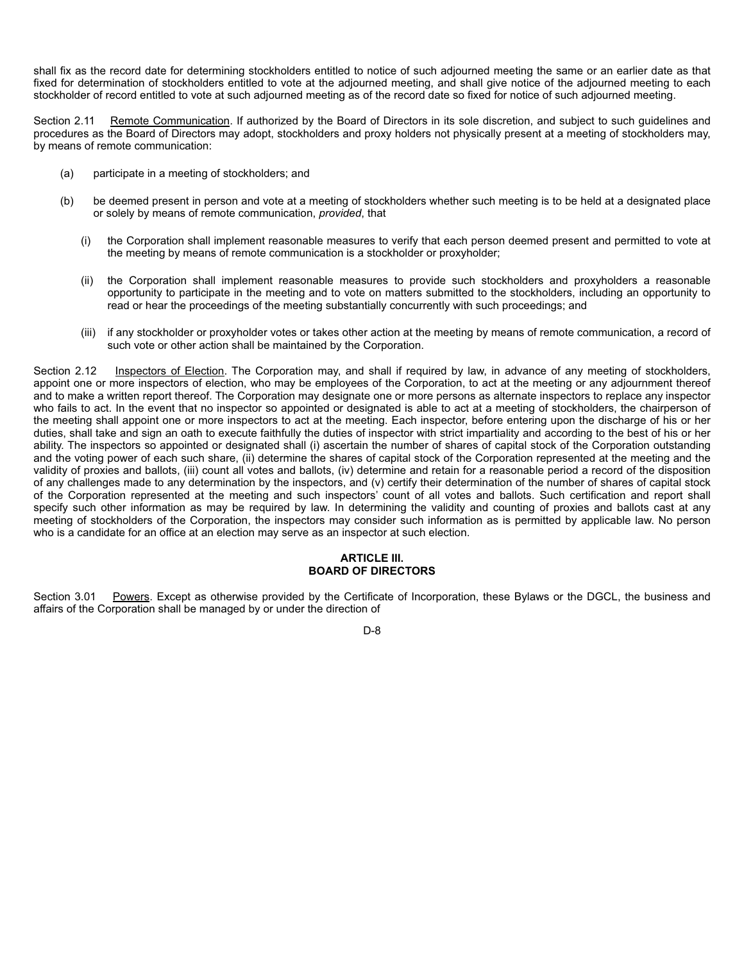shall fix as the record date for determining stockholders entitled to notice of such adjourned meeting the same or an earlier date as that fixed for determination of stockholders entitled to vote at the adjourned meeting, and shall give notice of the adjourned meeting to each stockholder of record entitled to vote at such adjourned meeting as of the record date so fixed for notice of such adjourned meeting.

Section 2.11 Remote Communication. If authorized by the Board of Directors in its sole discretion, and subject to such guidelines and procedures as the Board of Directors may adopt, stockholders and proxy holders not physically present at a meeting of stockholders may, by means of remote communication:

- (a) participate in a meeting of stockholders; and
- (b) be deemed present in person and vote at a meeting of stockholders whether such meeting is to be held at a designated place or solely by means of remote communication, *provided*, that
	- (i) the Corporation shall implement reasonable measures to verify that each person deemed present and permitted to vote at the meeting by means of remote communication is a stockholder or proxyholder;
	- (ii) the Corporation shall implement reasonable measures to provide such stockholders and proxyholders a reasonable opportunity to participate in the meeting and to vote on matters submitted to the stockholders, including an opportunity to read or hear the proceedings of the meeting substantially concurrently with such proceedings; and
	- (iii) if any stockholder or proxyholder votes or takes other action at the meeting by means of remote communication, a record of such vote or other action shall be maintained by the Corporation.

Section 2.12 Inspectors of Election. The Corporation may, and shall if required by law, in advance of any meeting of stockholders, appoint one or more inspectors of election, who may be employees of the Corporation, to act at the meeting or any adjournment thereof and to make a written report thereof. The Corporation may designate one or more persons as alternate inspectors to replace any inspector who fails to act. In the event that no inspector so appointed or designated is able to act at a meeting of stockholders, the chairperson of the meeting shall appoint one or more inspectors to act at the meeting. Each inspector, before entering upon the discharge of his or her duties, shall take and sign an oath to execute faithfully the duties of inspector with strict impartiality and according to the best of his or her ability. The inspectors so appointed or designated shall (i) ascertain the number of shares of capital stock of the Corporation outstanding and the voting power of each such share, (ii) determine the shares of capital stock of the Corporation represented at the meeting and the validity of proxies and ballots, (iii) count all votes and ballots, (iv) determine and retain for a reasonable period a record of the disposition of any challenges made to any determination by the inspectors, and (v) certify their determination of the number of shares of capital stock of the Corporation represented at the meeting and such inspectors' count of all votes and ballots. Such certification and report shall specify such other information as may be required by law. In determining the validity and counting of proxies and ballots cast at any meeting of stockholders of the Corporation, the inspectors may consider such information as is permitted by applicable law. No person who is a candidate for an office at an election may serve as an inspector at such election.

# **ARTICLE III. BOARD OF DIRECTORS**

Section 3.01 Powers. Except as otherwise provided by the Certificate of Incorporation, these Bylaws or the DGCL, the business and affairs of the Corporation shall be managed by or under the direction of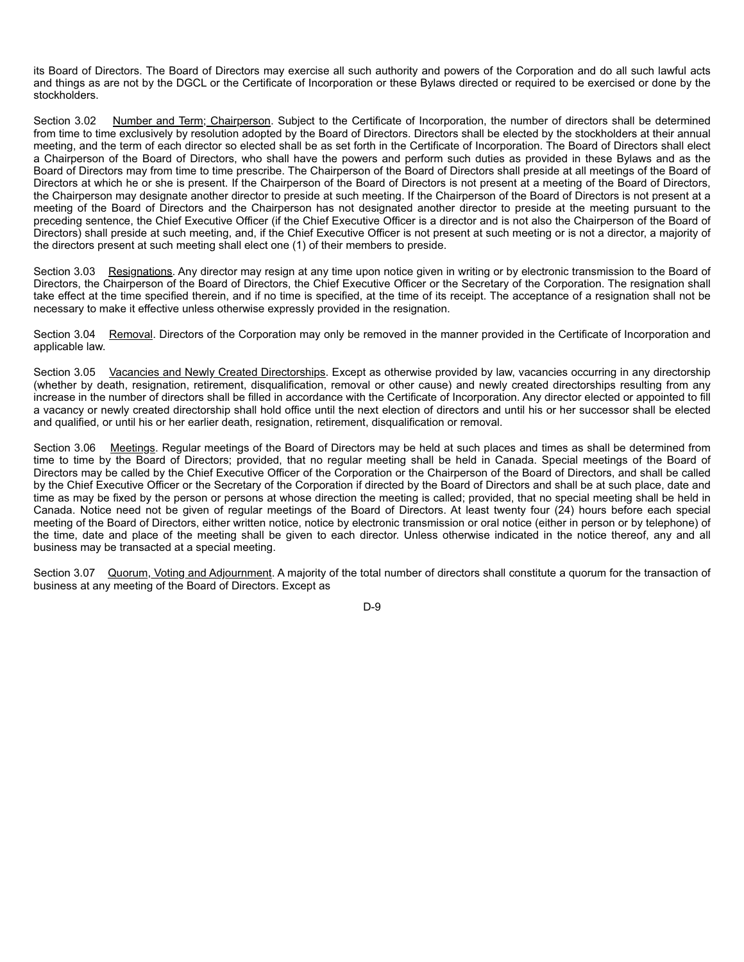its Board of Directors. The Board of Directors may exercise all such authority and powers of the Corporation and do all such lawful acts and things as are not by the DGCL or the Certificate of Incorporation or these Bylaws directed or required to be exercised or done by the stockholders.

Section 3.02 Number and Term; Chairperson. Subject to the Certificate of Incorporation, the number of directors shall be determined from time to time exclusively by resolution adopted by the Board of Directors. Directors shall be elected by the stockholders at their annual meeting, and the term of each director so elected shall be as set forth in the Certificate of Incorporation. The Board of Directors shall elect a Chairperson of the Board of Directors, who shall have the powers and perform such duties as provided in these Bylaws and as the Board of Directors may from time to time prescribe. The Chairperson of the Board of Directors shall preside at all meetings of the Board of Directors at which he or she is present. If the Chairperson of the Board of Directors is not present at a meeting of the Board of Directors, the Chairperson may designate another director to preside at such meeting. If the Chairperson of the Board of Directors is not present at a meeting of the Board of Directors and the Chairperson has not designated another director to preside at the meeting pursuant to the preceding sentence, the Chief Executive Officer (if the Chief Executive Officer is a director and is not also the Chairperson of the Board of Directors) shall preside at such meeting, and, if the Chief Executive Officer is not present at such meeting or is not a director, a majority of the directors present at such meeting shall elect one (1) of their members to preside.

Section 3.03 Resignations. Any director may resign at any time upon notice given in writing or by electronic transmission to the Board of Directors, the Chairperson of the Board of Directors, the Chief Executive Officer or the Secretary of the Corporation. The resignation shall take effect at the time specified therein, and if no time is specified, at the time of its receipt. The acceptance of a resignation shall not be necessary to make it effective unless otherwise expressly provided in the resignation.

Section 3.04 Removal. Directors of the Corporation may only be removed in the manner provided in the Certificate of Incorporation and applicable law.

Section 3.05 Vacancies and Newly Created Directorships. Except as otherwise provided by law, vacancies occurring in any directorship (whether by death, resignation, retirement, disqualification, removal or other cause) and newly created directorships resulting from any increase in the number of directors shall be filled in accordance with the Certificate of Incorporation. Any director elected or appointed to fill a vacancy or newly created directorship shall hold office until the next election of directors and until his or her successor shall be elected and qualified, or until his or her earlier death, resignation, retirement, disqualification or removal.

Section 3.06 Meetings. Regular meetings of the Board of Directors may be held at such places and times as shall be determined from time to time by the Board of Directors; provided, that no regular meeting shall be held in Canada. Special meetings of the Board of Directors may be called by the Chief Executive Officer of the Corporation or the Chairperson of the Board of Directors, and shall be called by the Chief Executive Officer or the Secretary of the Corporation if directed by the Board of Directors and shall be at such place, date and time as may be fixed by the person or persons at whose direction the meeting is called; provided, that no special meeting shall be held in Canada. Notice need not be given of regular meetings of the Board of Directors. At least twenty four (24) hours before each special meeting of the Board of Directors, either written notice, notice by electronic transmission or oral notice (either in person or by telephone) of the time, date and place of the meeting shall be given to each director. Unless otherwise indicated in the notice thereof, any and all business may be transacted at a special meeting.

Section 3.07 Quorum, Voting and Adjournment. A majority of the total number of directors shall constitute a quorum for the transaction of business at any meeting of the Board of Directors. Except as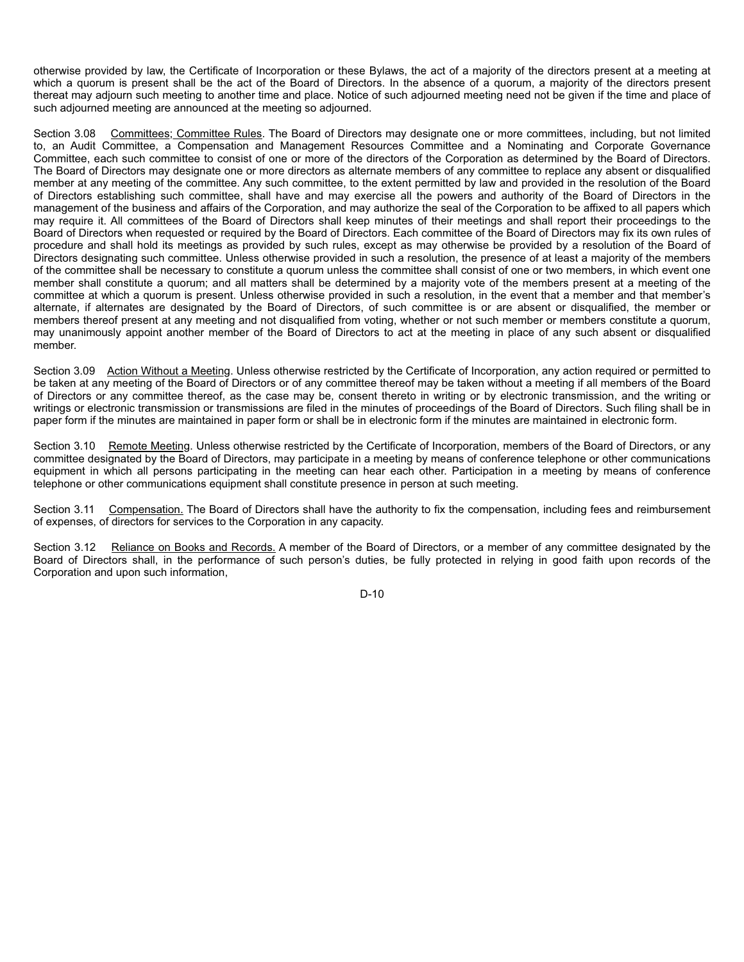otherwise provided by law, the Certificate of Incorporation or these Bylaws, the act of a majority of the directors present at a meeting at which a quorum is present shall be the act of the Board of Directors. In the absence of a quorum, a majority of the directors present thereat may adjourn such meeting to another time and place. Notice of such adjourned meeting need not be given if the time and place of such adjourned meeting are announced at the meeting so adjourned.

Section 3.08 Committees; Committee Rules. The Board of Directors may designate one or more committees, including, but not limited to, an Audit Committee, a Compensation and Management Resources Committee and a Nominating and Corporate Governance Committee, each such committee to consist of one or more of the directors of the Corporation as determined by the Board of Directors. The Board of Directors may designate one or more directors as alternate members of any committee to replace any absent or disqualified member at any meeting of the committee. Any such committee, to the extent permitted by law and provided in the resolution of the Board of Directors establishing such committee, shall have and may exercise all the powers and authority of the Board of Directors in the management of the business and affairs of the Corporation, and may authorize the seal of the Corporation to be affixed to all papers which may require it. All committees of the Board of Directors shall keep minutes of their meetings and shall report their proceedings to the Board of Directors when requested or required by the Board of Directors. Each committee of the Board of Directors may fix its own rules of procedure and shall hold its meetings as provided by such rules, except as may otherwise be provided by a resolution of the Board of Directors designating such committee. Unless otherwise provided in such a resolution, the presence of at least a majority of the members of the committee shall be necessary to constitute a quorum unless the committee shall consist of one or two members, in which event one member shall constitute a quorum; and all matters shall be determined by a majority vote of the members present at a meeting of the committee at which a quorum is present. Unless otherwise provided in such a resolution, in the event that a member and that member's alternate, if alternates are designated by the Board of Directors, of such committee is or are absent or disqualified, the member or members thereof present at any meeting and not disqualified from voting, whether or not such member or members constitute a quorum, may unanimously appoint another member of the Board of Directors to act at the meeting in place of any such absent or disqualified member.

Section 3.09 Action Without a Meeting. Unless otherwise restricted by the Certificate of Incorporation, any action required or permitted to be taken at any meeting of the Board of Directors or of any committee thereof may be taken without a meeting if all members of the Board of Directors or any committee thereof, as the case may be, consent thereto in writing or by electronic transmission, and the writing or writings or electronic transmission or transmissions are filed in the minutes of proceedings of the Board of Directors. Such filing shall be in paper form if the minutes are maintained in paper form or shall be in electronic form if the minutes are maintained in electronic form.

Section 3.10 Remote Meeting. Unless otherwise restricted by the Certificate of Incorporation, members of the Board of Directors, or any committee designated by the Board of Directors, may participate in a meeting by means of conference telephone or other communications equipment in which all persons participating in the meeting can hear each other. Participation in a meeting by means of conference telephone or other communications equipment shall constitute presence in person at such meeting.

Section 3.11 Compensation. The Board of Directors shall have the authority to fix the compensation, including fees and reimbursement of expenses, of directors for services to the Corporation in any capacity.

Section 3.12 Reliance on Books and Records. A member of the Board of Directors, or a member of any committee designated by the Board of Directors shall, in the performance of such person's duties, be fully protected in relying in good faith upon records of the Corporation and upon such information,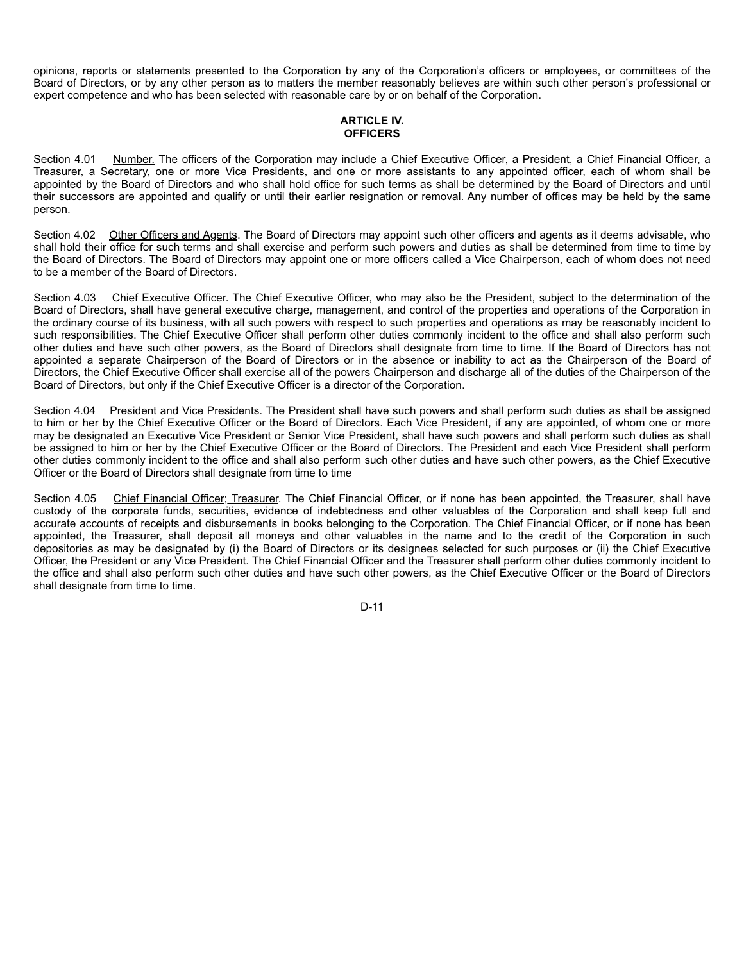opinions, reports or statements presented to the Corporation by any of the Corporation's officers or employees, or committees of the Board of Directors, or by any other person as to matters the member reasonably believes are within such other person's professional or expert competence and who has been selected with reasonable care by or on behalf of the Corporation.

# **ARTICLE IV. OFFICERS**

Section 4.01 Number. The officers of the Corporation may include a Chief Executive Officer, a President, a Chief Financial Officer, a Treasurer, a Secretary, one or more Vice Presidents, and one or more assistants to any appointed officer, each of whom shall be appointed by the Board of Directors and who shall hold office for such terms as shall be determined by the Board of Directors and until their successors are appointed and qualify or until their earlier resignation or removal. Any number of offices may be held by the same person.

Section 4.02 Other Officers and Agents. The Board of Directors may appoint such other officers and agents as it deems advisable, who shall hold their office for such terms and shall exercise and perform such powers and duties as shall be determined from time to time by the Board of Directors. The Board of Directors may appoint one or more officers called a Vice Chairperson, each of whom does not need to be a member of the Board of Directors.

Section 4.03 Chief Executive Officer. The Chief Executive Officer, who may also be the President, subject to the determination of the Board of Directors, shall have general executive charge, management, and control of the properties and operations of the Corporation in the ordinary course of its business, with all such powers with respect to such properties and operations as may be reasonably incident to such responsibilities. The Chief Executive Officer shall perform other duties commonly incident to the office and shall also perform such other duties and have such other powers, as the Board of Directors shall designate from time to time. If the Board of Directors has not appointed a separate Chairperson of the Board of Directors or in the absence or inability to act as the Chairperson of the Board of Directors, the Chief Executive Officer shall exercise all of the powers Chairperson and discharge all of the duties of the Chairperson of the Board of Directors, but only if the Chief Executive Officer is a director of the Corporation.

Section 4.04 President and Vice Presidents. The President shall have such powers and shall perform such duties as shall be assigned to him or her by the Chief Executive Officer or the Board of Directors. Each Vice President, if any are appointed, of whom one or more may be designated an Executive Vice President or Senior Vice President, shall have such powers and shall perform such duties as shall be assigned to him or her by the Chief Executive Officer or the Board of Directors. The President and each Vice President shall perform other duties commonly incident to the office and shall also perform such other duties and have such other powers, as the Chief Executive Officer or the Board of Directors shall designate from time to time

Section 4.05 Chief Financial Officer; Treasurer. The Chief Financial Officer, or if none has been appointed, the Treasurer, shall have custody of the corporate funds, securities, evidence of indebtedness and other valuables of the Corporation and shall keep full and accurate accounts of receipts and disbursements in books belonging to the Corporation. The Chief Financial Officer, or if none has been appointed, the Treasurer, shall deposit all moneys and other valuables in the name and to the credit of the Corporation in such depositories as may be designated by (i) the Board of Directors or its designees selected for such purposes or (ii) the Chief Executive Officer, the President or any Vice President. The Chief Financial Officer and the Treasurer shall perform other duties commonly incident to the office and shall also perform such other duties and have such other powers, as the Chief Executive Officer or the Board of Directors shall designate from time to time.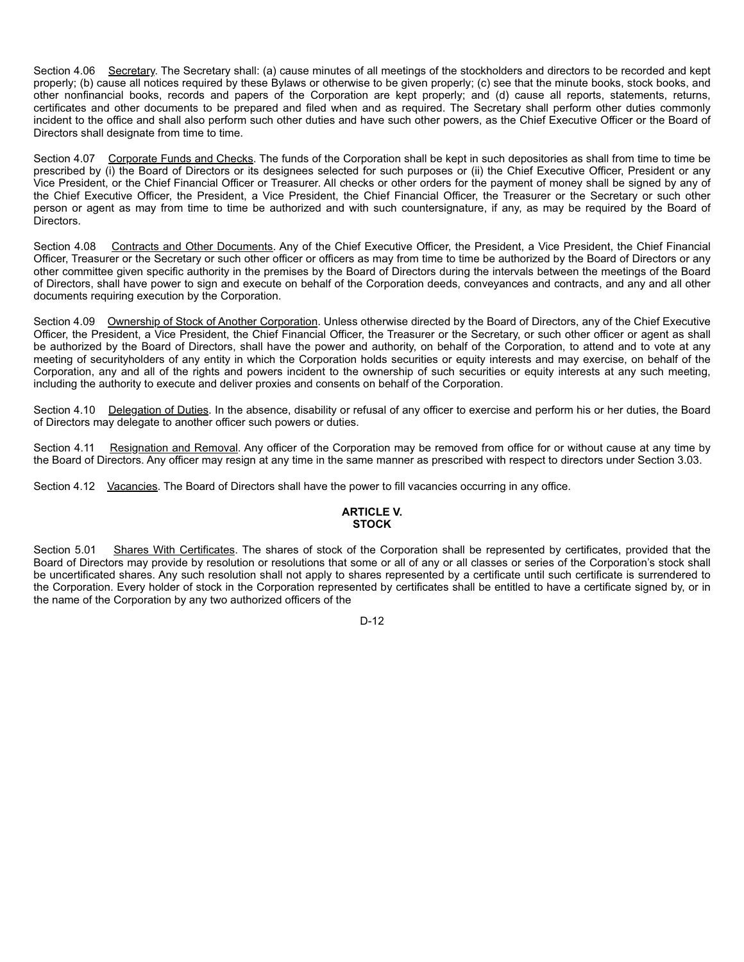Section 4.06 Secretary. The Secretary shall: (a) cause minutes of all meetings of the stockholders and directors to be recorded and kept properly; (b) cause all notices required by these Bylaws or otherwise to be given properly; (c) see that the minute books, stock books, and other nonfinancial books, records and papers of the Corporation are kept properly; and (d) cause all reports, statements, returns, certificates and other documents to be prepared and filed when and as required. The Secretary shall perform other duties commonly incident to the office and shall also perform such other duties and have such other powers, as the Chief Executive Officer or the Board of Directors shall designate from time to time.

Section 4.07 Corporate Funds and Checks. The funds of the Corporation shall be kept in such depositories as shall from time to time be prescribed by (i) the Board of Directors or its designees selected for such purposes or (ii) the Chief Executive Officer, President or any Vice President, or the Chief Financial Officer or Treasurer. All checks or other orders for the payment of money shall be signed by any of the Chief Executive Officer, the President, a Vice President, the Chief Financial Officer, the Treasurer or the Secretary or such other person or agent as may from time to time be authorized and with such countersignature, if any, as may be required by the Board of Directors.

Section 4.08 Contracts and Other Documents. Any of the Chief Executive Officer, the President, a Vice President, the Chief Financial Officer, Treasurer or the Secretary or such other officer or officers as may from time to time be authorized by the Board of Directors or any other committee given specific authority in the premises by the Board of Directors during the intervals between the meetings of the Board of Directors, shall have power to sign and execute on behalf of the Corporation deeds, conveyances and contracts, and any and all other documents requiring execution by the Corporation.

Section 4.09 Ownership of Stock of Another Corporation. Unless otherwise directed by the Board of Directors, any of the Chief Executive Officer, the President, a Vice President, the Chief Financial Officer, the Treasurer or the Secretary, or such other officer or agent as shall be authorized by the Board of Directors, shall have the power and authority, on behalf of the Corporation, to attend and to vote at any meeting of securityholders of any entity in which the Corporation holds securities or equity interests and may exercise, on behalf of the Corporation, any and all of the rights and powers incident to the ownership of such securities or equity interests at any such meeting, including the authority to execute and deliver proxies and consents on behalf of the Corporation.

Section 4.10 Delegation of Duties. In the absence, disability or refusal of any officer to exercise and perform his or her duties, the Board of Directors may delegate to another officer such powers or duties.

Section 4.11 Resignation and Removal. Any officer of the Corporation may be removed from office for or without cause at any time by the Board of Directors. Any officer may resign at any time in the same manner as prescribed with respect to directors under Section 3.03.

Section 4.12 Vacancies. The Board of Directors shall have the power to fill vacancies occurring in any office.

# **ARTICLE V. STOCK**

Section 5.01 Shares With Certificates. The shares of stock of the Corporation shall be represented by certificates, provided that the Board of Directors may provide by resolution or resolutions that some or all of any or all classes or series of the Corporation's stock shall be uncertificated shares. Any such resolution shall not apply to shares represented by a certificate until such certificate is surrendered to the Corporation. Every holder of stock in the Corporation represented by certificates shall be entitled to have a certificate signed by, or in the name of the Corporation by any two authorized officers of the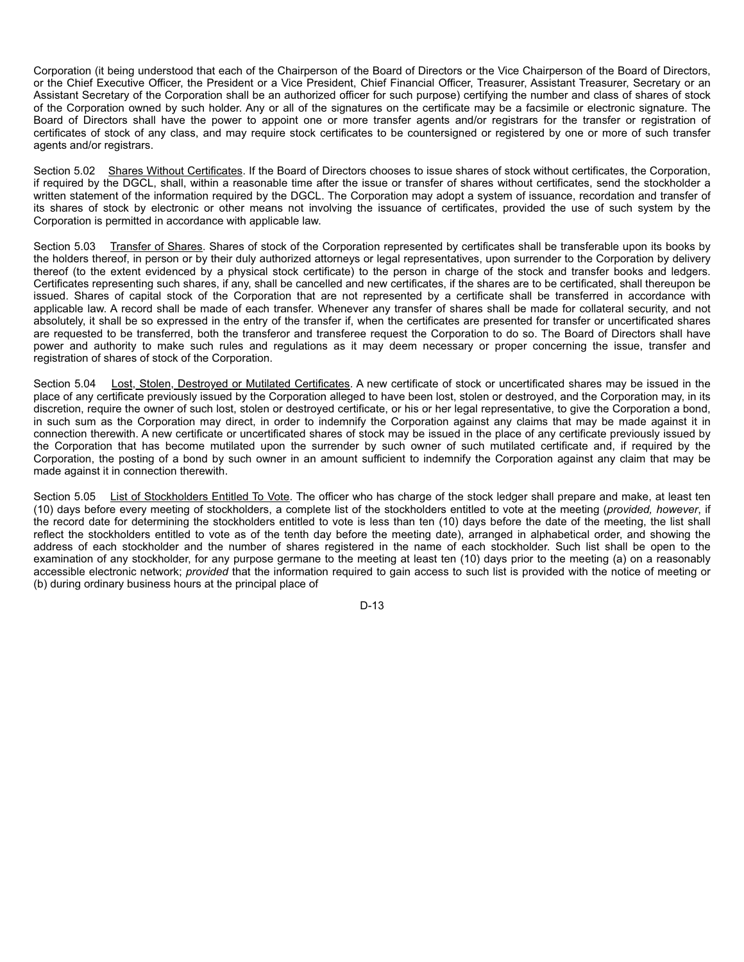Corporation (it being understood that each of the Chairperson of the Board of Directors or the Vice Chairperson of the Board of Directors, or the Chief Executive Officer, the President or a Vice President, Chief Financial Officer, Treasurer, Assistant Treasurer, Secretary or an Assistant Secretary of the Corporation shall be an authorized officer for such purpose) certifying the number and class of shares of stock of the Corporation owned by such holder. Any or all of the signatures on the certificate may be a facsimile or electronic signature. The Board of Directors shall have the power to appoint one or more transfer agents and/or registrars for the transfer or registration of certificates of stock of any class, and may require stock certificates to be countersigned or registered by one or more of such transfer agents and/or registrars.

Section 5.02 Shares Without Certificates. If the Board of Directors chooses to issue shares of stock without certificates, the Corporation, if required by the DGCL, shall, within a reasonable time after the issue or transfer of shares without certificates, send the stockholder a written statement of the information required by the DGCL. The Corporation may adopt a system of issuance, recordation and transfer of its shares of stock by electronic or other means not involving the issuance of certificates, provided the use of such system by the Corporation is permitted in accordance with applicable law.

Section 5.03 Transfer of Shares. Shares of stock of the Corporation represented by certificates shall be transferable upon its books by the holders thereof, in person or by their duly authorized attorneys or legal representatives, upon surrender to the Corporation by delivery thereof (to the extent evidenced by a physical stock certificate) to the person in charge of the stock and transfer books and ledgers. Certificates representing such shares, if any, shall be cancelled and new certificates, if the shares are to be certificated, shall thereupon be issued. Shares of capital stock of the Corporation that are not represented by a certificate shall be transferred in accordance with applicable law. A record shall be made of each transfer. Whenever any transfer of shares shall be made for collateral security, and not absolutely, it shall be so expressed in the entry of the transfer if, when the certificates are presented for transfer or uncertificated shares are requested to be transferred, both the transferor and transferee request the Corporation to do so. The Board of Directors shall have power and authority to make such rules and regulations as it may deem necessary or proper concerning the issue, transfer and registration of shares of stock of the Corporation.

Section 5.04 Lost, Stolen, Destroyed or Mutilated Certificates. A new certificate of stock or uncertificated shares may be issued in the place of any certificate previously issued by the Corporation alleged to have been lost, stolen or destroyed, and the Corporation may, in its discretion, require the owner of such lost, stolen or destroyed certificate, or his or her legal representative, to give the Corporation a bond, in such sum as the Corporation may direct, in order to indemnify the Corporation against any claims that may be made against it in connection therewith. A new certificate or uncertificated shares of stock may be issued in the place of any certificate previously issued by the Corporation that has become mutilated upon the surrender by such owner of such mutilated certificate and, if required by the Corporation, the posting of a bond by such owner in an amount sufficient to indemnify the Corporation against any claim that may be made against it in connection therewith.

Section 5.05 List of Stockholders Entitled To Vote. The officer who has charge of the stock ledger shall prepare and make, at least ten (10) days before every meeting of stockholders, a complete list of the stockholders entitled to vote at the meeting (*provided, however*, if the record date for determining the stockholders entitled to vote is less than ten (10) days before the date of the meeting, the list shall reflect the stockholders entitled to vote as of the tenth day before the meeting date), arranged in alphabetical order, and showing the address of each stockholder and the number of shares registered in the name of each stockholder. Such list shall be open to the examination of any stockholder, for any purpose germane to the meeting at least ten (10) days prior to the meeting (a) on a reasonably accessible electronic network; *provided* that the information required to gain access to such list is provided with the notice of meeting or (b) during ordinary business hours at the principal place of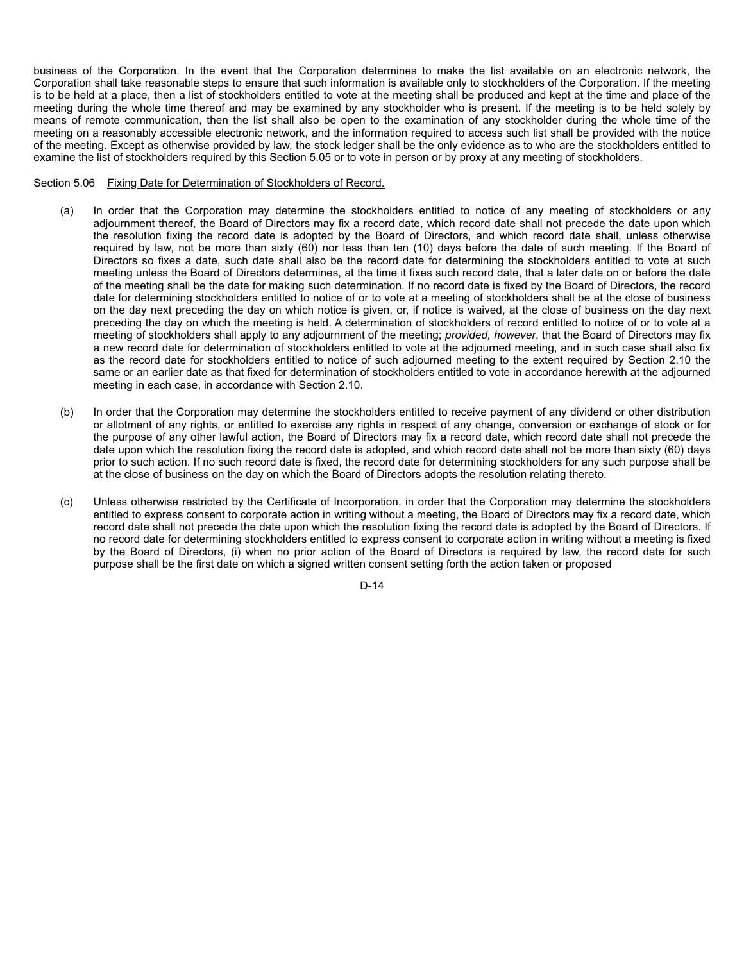business of the Corporation. In the event that the Corporation determines to make the list available on an electronic network, the Corporation shall take reasonable steps to ensure that such information is available only to stockholders of the Corporation. If the meeting is to be held at a place, then a list of stockholders entitled to vote at the meeting shall be produced and kept at the time and place of the meeting during the whole time thereof and may be examined by any stockholder who is present. If the meeting is to be held solely by means of remote communication, then the list shall also be open to the examination of any stockholder during the whole time of the meeting on a reasonably accessible electronic network, and the information required to access such list shall be provided with the notice of the meeting. Except as otherwise provided by law, the stock ledger shall be the only evidence as to who are the stockholders entitled to examine the list of stockholders required by this Section 5.05 or to vote in person or by proxy at any meeting of stockholders.

# Section 5.06 Fixing Date for Determination of Stockholders of Record.

- (a) In order that the Corporation may determine the stockholders entitled to notice of any meeting of stockholders or any adjournment thereof, the Board of Directors may fix a record date, which record date shall not precede the date upon which the resolution fixing the record date is adopted by the Board of Directors, and which record date shall, unless otherwise required by law, not be more than sixty (60) nor less than ten (10) days before the date of such meeting. If the Board of Directors so fixes a date, such date shall also be the record date for determining the stockholders entitled to vote at such meeting unless the Board of Directors determines, at the time it fixes such record date, that a later date on or before the date of the meeting shall be the date for making such determination. If no record date is fixed by the Board of Directors, the record date for determining stockholders entitled to notice of or to vote at a meeting of stockholders shall be at the close of business on the day next preceding the day on which notice is given, or, if notice is waived, at the close of business on the day next preceding the day on which the meeting is held. A determination of stockholders of record entitled to notice of or to vote at a meeting of stockholders shall apply to any adjournment of the meeting; *provided, however*, that the Board of Directors may fix a new record date for determination of stockholders entitled to vote at the adjourned meeting, and in such case shall also fix as the record date for stockholders entitled to notice of such adjourned meeting to the extent required by Section 2.10 the same or an earlier date as that fixed for determination of stockholders entitled to vote in accordance herewith at the adjourned meeting in each case, in accordance with Section 2.10.
- (b) In order that the Corporation may determine the stockholders entitled to receive payment of any dividend or other distribution or allotment of any rights, or entitled to exercise any rights in respect of any change, conversion or exchange of stock or for the purpose of any other lawful action, the Board of Directors may fix a record date, which record date shall not precede the date upon which the resolution fixing the record date is adopted, and which record date shall not be more than sixty (60) days prior to such action. If no such record date is fixed, the record date for determining stockholders for any such purpose shall be at the close of business on the day on which the Board of Directors adopts the resolution relating thereto.
- (c) Unless otherwise restricted by the Certificate of Incorporation, in order that the Corporation may determine the stockholders entitled to express consent to corporate action in writing without a meeting, the Board of Directors may fix a record date, which record date shall not precede the date upon which the resolution fixing the record date is adopted by the Board of Directors. If no record date for determining stockholders entitled to express consent to corporate action in writing without a meeting is fixed by the Board of Directors, (i) when no prior action of the Board of Directors is required by law, the record date for such purpose shall be the first date on which a signed written consent setting forth the action taken or proposed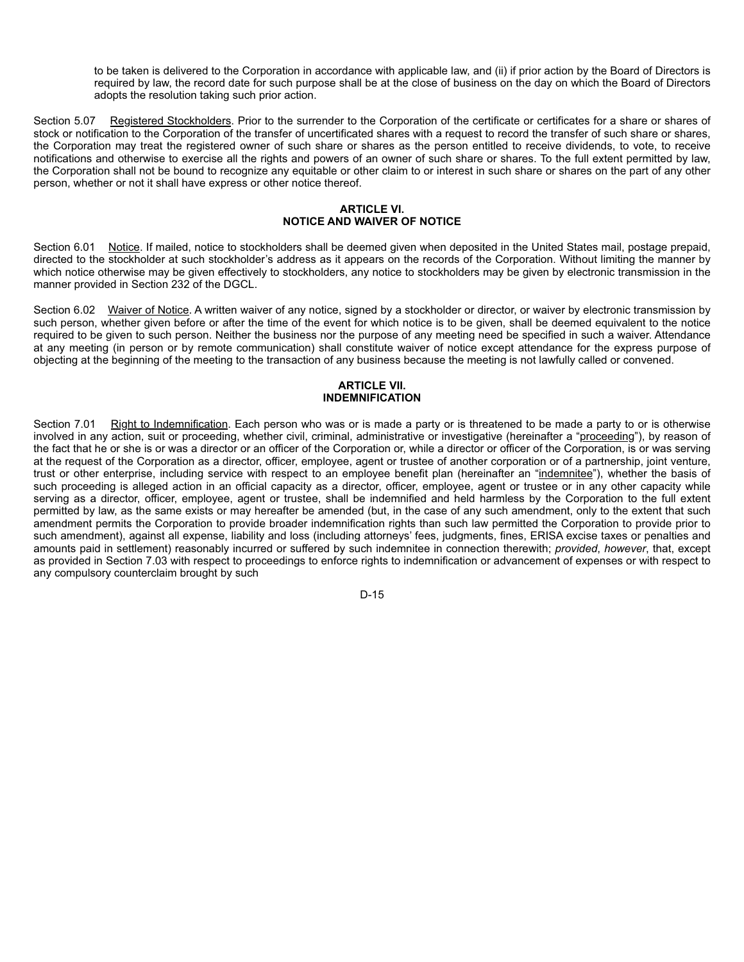to be taken is delivered to the Corporation in accordance with applicable law, and (ii) if prior action by the Board of Directors is required by law, the record date for such purpose shall be at the close of business on the day on which the Board of Directors adopts the resolution taking such prior action.

Section 5.07 Registered Stockholders. Prior to the surrender to the Corporation of the certificate or certificates for a share or shares of stock or notification to the Corporation of the transfer of uncertificated shares with a request to record the transfer of such share or shares, the Corporation may treat the registered owner of such share or shares as the person entitled to receive dividends, to vote, to receive notifications and otherwise to exercise all the rights and powers of an owner of such share or shares. To the full extent permitted by law, the Corporation shall not be bound to recognize any equitable or other claim to or interest in such share or shares on the part of any other person, whether or not it shall have express or other notice thereof.

# **ARTICLE VI. NOTICE AND WAIVER OF NOTICE**

Section 6.01 Notice. If mailed, notice to stockholders shall be deemed given when deposited in the United States mail, postage prepaid, directed to the stockholder at such stockholder's address as it appears on the records of the Corporation. Without limiting the manner by which notice otherwise may be given effectively to stockholders, any notice to stockholders may be given by electronic transmission in the manner provided in Section 232 of the DGCL.

Section 6.02 Waiver of Notice. A written waiver of any notice, signed by a stockholder or director, or waiver by electronic transmission by such person, whether given before or after the time of the event for which notice is to be given, shall be deemed equivalent to the notice required to be given to such person. Neither the business nor the purpose of any meeting need be specified in such a waiver. Attendance at any meeting (in person or by remote communication) shall constitute waiver of notice except attendance for the express purpose of objecting at the beginning of the meeting to the transaction of any business because the meeting is not lawfully called or convened.

# **ARTICLE VII. INDEMNIFICATION**

Section 7.01 Right to Indemnification. Each person who was or is made a party or is threatened to be made a party to or is otherwise involved in any action, suit or proceeding, whether civil, criminal, administrative or investigative (hereinafter a "proceeding"), by reason of the fact that he or she is or was a director or an officer of the Corporation or, while a director or officer of the Corporation, is or was serving at the request of the Corporation as a director, officer, employee, agent or trustee of another corporation or of a partnership, joint venture, trust or other enterprise, including service with respect to an employee benefit plan (hereinafter an "indemnitee"), whether the basis of such proceeding is alleged action in an official capacity as a director, officer, employee, agent or trustee or in any other capacity while serving as a director, officer, employee, agent or trustee, shall be indemnified and held harmless by the Corporation to the full extent permitted by law, as the same exists or may hereafter be amended (but, in the case of any such amendment, only to the extent that such amendment permits the Corporation to provide broader indemnification rights than such law permitted the Corporation to provide prior to such amendment), against all expense, liability and loss (including attorneys' fees, judgments, fines, ERISA excise taxes or penalties and amounts paid in settlement) reasonably incurred or suffered by such indemnitee in connection therewith; *provided*, *however*, that, except as provided in Section 7.03 with respect to proceedings to enforce rights to indemnification or advancement of expenses or with respect to any compulsory counterclaim brought by such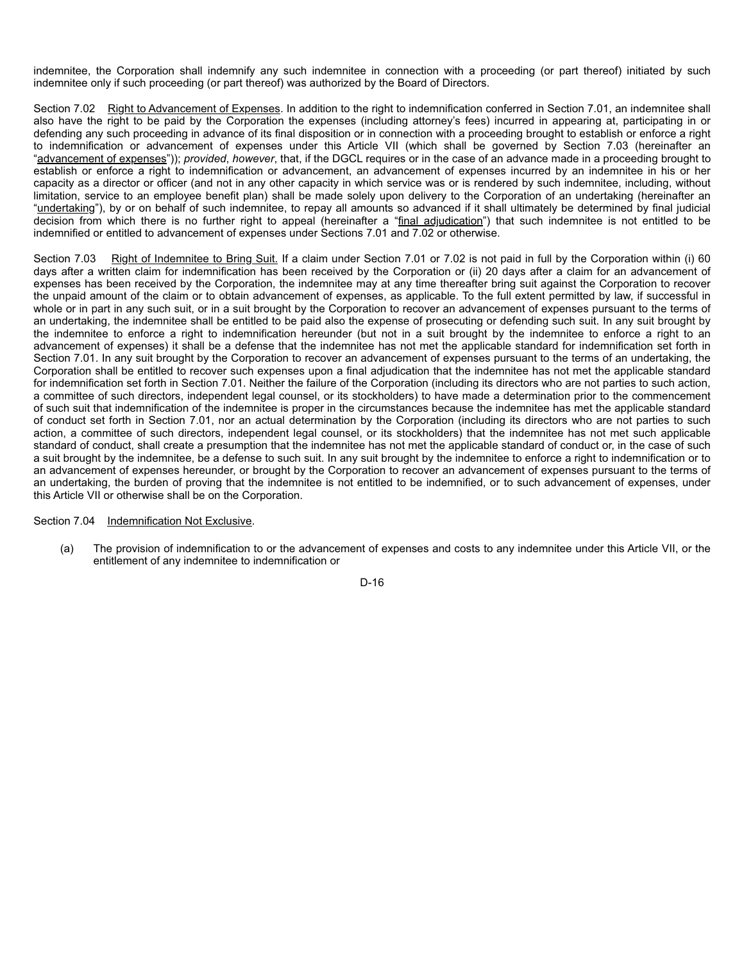indemnitee, the Corporation shall indemnify any such indemnitee in connection with a proceeding (or part thereof) initiated by such indemnitee only if such proceeding (or part thereof) was authorized by the Board of Directors.

Section 7.02 Right to Advancement of Expenses. In addition to the right to indemnification conferred in Section 7.01, an indemnitee shall also have the right to be paid by the Corporation the expenses (including attorney's fees) incurred in appearing at, participating in or defending any such proceeding in advance of its final disposition or in connection with a proceeding brought to establish or enforce a right to indemnification or advancement of expenses under this Article VII (which shall be governed by Section 7.03 (hereinafter an "advancement of expenses")); *provided*, *however*, that, if the DGCL requires or in the case of an advance made in a proceeding brought to establish or enforce a right to indemnification or advancement, an advancement of expenses incurred by an indemnitee in his or her capacity as a director or officer (and not in any other capacity in which service was or is rendered by such indemnitee, including, without limitation, service to an employee benefit plan) shall be made solely upon delivery to the Corporation of an undertaking (hereinafter an "undertaking"), by or on behalf of such indemnitee, to repay all amounts so advanced if it shall ultimately be determined by final judicial decision from which there is no further right to appeal (hereinafter a "final adjudication") that such indemnitee is not entitled to be indemnified or entitled to advancement of expenses under Sections 7.01 and 7.02 or otherwise.

Section 7.03 Right of Indemnitee to Bring Suit. If a claim under Section 7.01 or 7.02 is not paid in full by the Corporation within (i) 60 days after a written claim for indemnification has been received by the Corporation or (ii) 20 days after a claim for an advancement of expenses has been received by the Corporation, the indemnitee may at any time thereafter bring suit against the Corporation to recover the unpaid amount of the claim or to obtain advancement of expenses, as applicable. To the full extent permitted by law, if successful in whole or in part in any such suit, or in a suit brought by the Corporation to recover an advancement of expenses pursuant to the terms of an undertaking, the indemnitee shall be entitled to be paid also the expense of prosecuting or defending such suit. In any suit brought by the indemnitee to enforce a right to indemnification hereunder (but not in a suit brought by the indemnitee to enforce a right to an advancement of expenses) it shall be a defense that the indemnitee has not met the applicable standard for indemnification set forth in Section 7.01. In any suit brought by the Corporation to recover an advancement of expenses pursuant to the terms of an undertaking, the Corporation shall be entitled to recover such expenses upon a final adjudication that the indemnitee has not met the applicable standard for indemnification set forth in Section 7.01. Neither the failure of the Corporation (including its directors who are not parties to such action, a committee of such directors, independent legal counsel, or its stockholders) to have made a determination prior to the commencement of such suit that indemnification of the indemnitee is proper in the circumstances because the indemnitee has met the applicable standard of conduct set forth in Section 7.01, nor an actual determination by the Corporation (including its directors who are not parties to such action, a committee of such directors, independent legal counsel, or its stockholders) that the indemnitee has not met such applicable standard of conduct, shall create a presumption that the indemnitee has not met the applicable standard of conduct or, in the case of such a suit brought by the indemnitee, be a defense to such suit. In any suit brought by the indemnitee to enforce a right to indemnification or to an advancement of expenses hereunder, or brought by the Corporation to recover an advancement of expenses pursuant to the terms of an undertaking, the burden of proving that the indemnitee is not entitled to be indemnified, or to such advancement of expenses, under this Article VII or otherwise shall be on the Corporation.

# Section 7.04 Indemnification Not Exclusive.

(a) The provision of indemnification to or the advancement of expenses and costs to any indemnitee under this Article VII, or the entitlement of any indemnitee to indemnification or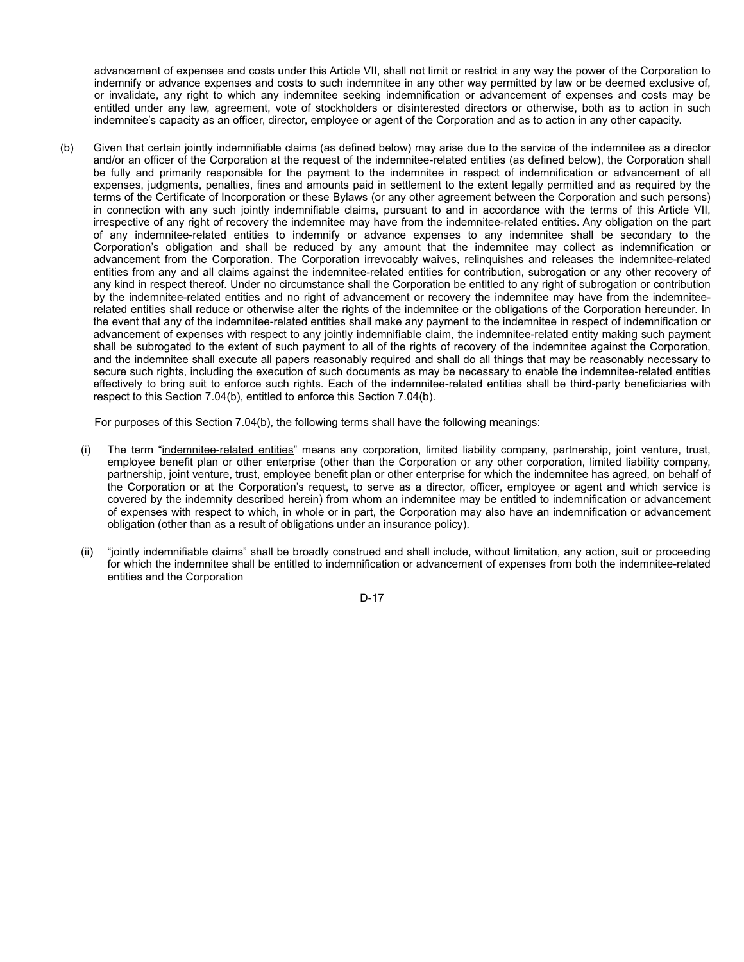advancement of expenses and costs under this Article VII, shall not limit or restrict in any way the power of the Corporation to indemnify or advance expenses and costs to such indemnitee in any other way permitted by law or be deemed exclusive of, or invalidate, any right to which any indemnitee seeking indemnification or advancement of expenses and costs may be entitled under any law, agreement, vote of stockholders or disinterested directors or otherwise, both as to action in such indemnitee's capacity as an officer, director, employee or agent of the Corporation and as to action in any other capacity.

(b) Given that certain jointly indemnifiable claims (as defined below) may arise due to the service of the indemnitee as a director and/or an officer of the Corporation at the request of the indemnitee-related entities (as defined below), the Corporation shall be fully and primarily responsible for the payment to the indemnitee in respect of indemnification or advancement of all expenses, judgments, penalties, fines and amounts paid in settlement to the extent legally permitted and as required by the terms of the Certificate of Incorporation or these Bylaws (or any other agreement between the Corporation and such persons) in connection with any such jointly indemnifiable claims, pursuant to and in accordance with the terms of this Article VII, irrespective of any right of recovery the indemnitee may have from the indemnitee-related entities. Any obligation on the part of any indemnitee-related entities to indemnify or advance expenses to any indemnitee shall be secondary to the Corporation's obligation and shall be reduced by any amount that the indemnitee may collect as indemnification or advancement from the Corporation. The Corporation irrevocably waives, relinquishes and releases the indemnitee-related entities from any and all claims against the indemnitee-related entities for contribution, subrogation or any other recovery of any kind in respect thereof. Under no circumstance shall the Corporation be entitled to any right of subrogation or contribution by the indemnitee-related entities and no right of advancement or recovery the indemnitee may have from the indemniteerelated entities shall reduce or otherwise alter the rights of the indemnitee or the obligations of the Corporation hereunder. In the event that any of the indemnitee-related entities shall make any payment to the indemnitee in respect of indemnification or advancement of expenses with respect to any jointly indemnifiable claim, the indemnitee-related entity making such payment shall be subrogated to the extent of such payment to all of the rights of recovery of the indemnitee against the Corporation, and the indemnitee shall execute all papers reasonably required and shall do all things that may be reasonably necessary to secure such rights, including the execution of such documents as may be necessary to enable the indemnitee-related entities effectively to bring suit to enforce such rights. Each of the indemnitee-related entities shall be third-party beneficiaries with respect to this Section 7.04(b), entitled to enforce this Section 7.04(b).

For purposes of this Section 7.04(b), the following terms shall have the following meanings:

- (i) The term "indemnitee-related entities" means any corporation, limited liability company, partnership, joint venture, trust, employee benefit plan or other enterprise (other than the Corporation or any other corporation, limited liability company, partnership, joint venture, trust, employee benefit plan or other enterprise for which the indemnitee has agreed, on behalf of the Corporation or at the Corporation's request, to serve as a director, officer, employee or agent and which service is covered by the indemnity described herein) from whom an indemnitee may be entitled to indemnification or advancement of expenses with respect to which, in whole or in part, the Corporation may also have an indemnification or advancement obligation (other than as a result of obligations under an insurance policy).
- (ii) "jointly indemnifiable claims" shall be broadly construed and shall include, without limitation, any action, suit or proceeding for which the indemnitee shall be entitled to indemnification or advancement of expenses from both the indemnitee-related entities and the Corporation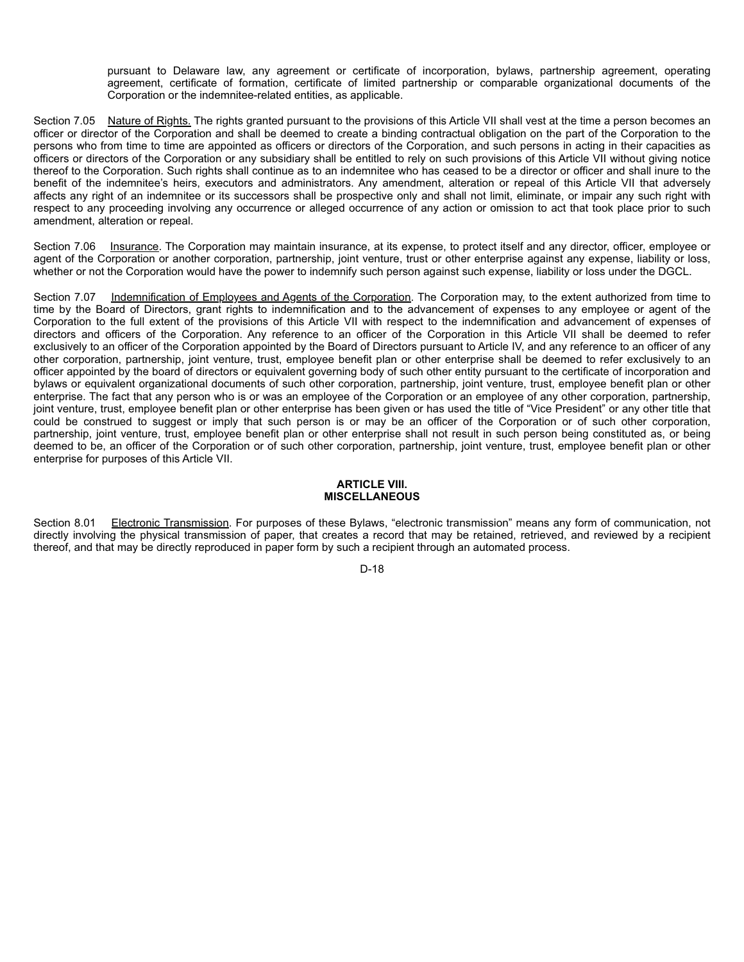pursuant to Delaware law, any agreement or certificate of incorporation, bylaws, partnership agreement, operating agreement, certificate of formation, certificate of limited partnership or comparable organizational documents of the Corporation or the indemnitee-related entities, as applicable.

Section 7.05 Nature of Rights. The rights granted pursuant to the provisions of this Article VII shall vest at the time a person becomes an officer or director of the Corporation and shall be deemed to create a binding contractual obligation on the part of the Corporation to the persons who from time to time are appointed as officers or directors of the Corporation, and such persons in acting in their capacities as officers or directors of the Corporation or any subsidiary shall be entitled to rely on such provisions of this Article VII without giving notice thereof to the Corporation. Such rights shall continue as to an indemnitee who has ceased to be a director or officer and shall inure to the benefit of the indemnitee's heirs, executors and administrators. Any amendment, alteration or repeal of this Article VII that adversely affects any right of an indemnitee or its successors shall be prospective only and shall not limit, eliminate, or impair any such right with respect to any proceeding involving any occurrence or alleged occurrence of any action or omission to act that took place prior to such amendment, alteration or repeal.

Section 7.06 Insurance. The Corporation may maintain insurance, at its expense, to protect itself and any director, officer, employee or agent of the Corporation or another corporation, partnership, joint venture, trust or other enterprise against any expense, liability or loss, whether or not the Corporation would have the power to indemnify such person against such expense, liability or loss under the DGCL.

Section 7.07 Indemnification of Employees and Agents of the Corporation. The Corporation may, to the extent authorized from time to time by the Board of Directors, grant rights to indemnification and to the advancement of expenses to any employee or agent of the Corporation to the full extent of the provisions of this Article VII with respect to the indemnification and advancement of expenses of directors and officers of the Corporation. Any reference to an officer of the Corporation in this Article VII shall be deemed to refer exclusively to an officer of the Corporation appointed by the Board of Directors pursuant to Article IV, and any reference to an officer of any other corporation, partnership, joint venture, trust, employee benefit plan or other enterprise shall be deemed to refer exclusively to an officer appointed by the board of directors or equivalent governing body of such other entity pursuant to the certificate of incorporation and bylaws or equivalent organizational documents of such other corporation, partnership, joint venture, trust, employee benefit plan or other enterprise. The fact that any person who is or was an employee of the Corporation or an employee of any other corporation, partnership, joint venture, trust, employee benefit plan or other enterprise has been given or has used the title of "Vice President" or any other title that could be construed to suggest or imply that such person is or may be an officer of the Corporation or of such other corporation, partnership, joint venture, trust, employee benefit plan or other enterprise shall not result in such person being constituted as, or being deemed to be, an officer of the Corporation or of such other corporation, partnership, joint venture, trust, employee benefit plan or other enterprise for purposes of this Article VII.

# **ARTICLE VIII. MISCELLANEOUS**

Section 8.01 Electronic Transmission. For purposes of these Bylaws, "electronic transmission" means any form of communication, not directly involving the physical transmission of paper, that creates a record that may be retained, retrieved, and reviewed by a recipient thereof, and that may be directly reproduced in paper form by such a recipient through an automated process.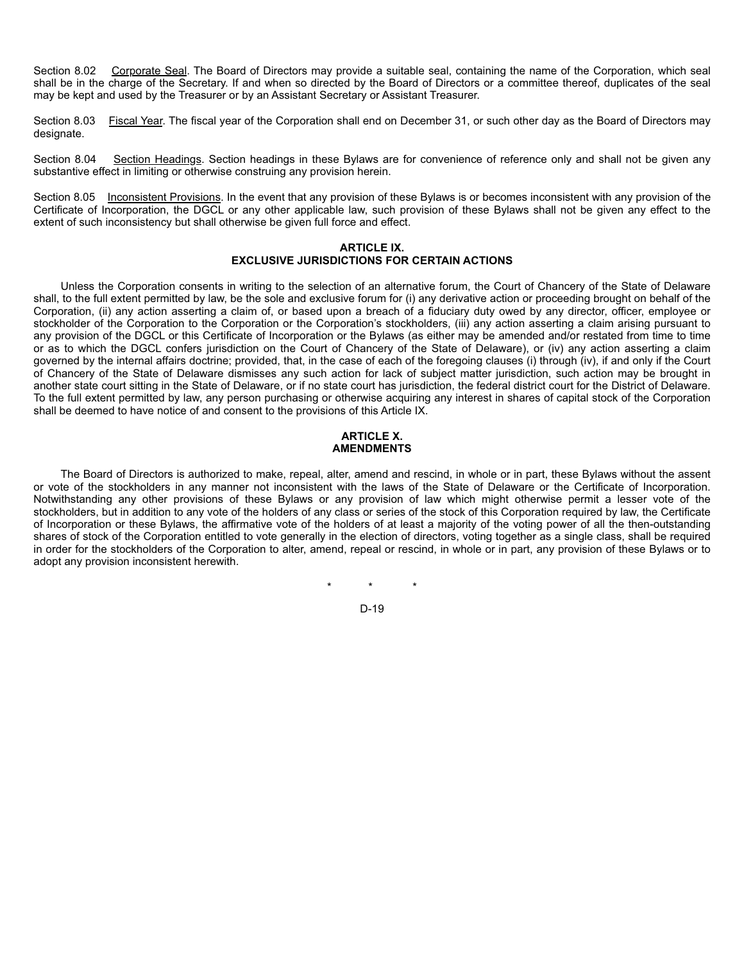Section 8.02 Corporate Seal. The Board of Directors may provide a suitable seal, containing the name of the Corporation, which seal shall be in the charge of the Secretary. If and when so directed by the Board of Directors or a committee thereof, duplicates of the seal may be kept and used by the Treasurer or by an Assistant Secretary or Assistant Treasurer.

Section 8.03 Fiscal Year. The fiscal year of the Corporation shall end on December 31, or such other day as the Board of Directors may designate.

Section 8.04 Section Headings. Section headings in these Bylaws are for convenience of reference only and shall not be given any substantive effect in limiting or otherwise construing any provision herein.

Section 8.05 Inconsistent Provisions. In the event that any provision of these Bylaws is or becomes inconsistent with any provision of the Certificate of Incorporation, the DGCL or any other applicable law, such provision of these Bylaws shall not be given any effect to the extent of such inconsistency but shall otherwise be given full force and effect.

## **ARTICLE IX. EXCLUSIVE JURISDICTIONS FOR CERTAIN ACTIONS**

Unless the Corporation consents in writing to the selection of an alternative forum, the Court of Chancery of the State of Delaware shall, to the full extent permitted by law, be the sole and exclusive forum for (i) any derivative action or proceeding brought on behalf of the Corporation, (ii) any action asserting a claim of, or based upon a breach of a fiduciary duty owed by any director, officer, employee or stockholder of the Corporation to the Corporation or the Corporation's stockholders, (iii) any action asserting a claim arising pursuant to any provision of the DGCL or this Certificate of Incorporation or the Bylaws (as either may be amended and/or restated from time to time or as to which the DGCL confers jurisdiction on the Court of Chancery of the State of Delaware), or (iv) any action asserting a claim governed by the internal affairs doctrine; provided, that, in the case of each of the foregoing clauses (i) through (iv), if and only if the Court of Chancery of the State of Delaware dismisses any such action for lack of subject matter jurisdiction, such action may be brought in another state court sitting in the State of Delaware, or if no state court has jurisdiction, the federal district court for the District of Delaware. To the full extent permitted by law, any person purchasing or otherwise acquiring any interest in shares of capital stock of the Corporation shall be deemed to have notice of and consent to the provisions of this Article IX.

# **ARTICLE X. AMENDMENTS**

The Board of Directors is authorized to make, repeal, alter, amend and rescind, in whole or in part, these Bylaws without the assent or vote of the stockholders in any manner not inconsistent with the laws of the State of Delaware or the Certificate of Incorporation. Notwithstanding any other provisions of these Bylaws or any provision of law which might otherwise permit a lesser vote of the stockholders, but in addition to any vote of the holders of any class or series of the stock of this Corporation required by law, the Certificate of Incorporation or these Bylaws, the affirmative vote of the holders of at least a majority of the voting power of all the then-outstanding shares of stock of the Corporation entitled to vote generally in the election of directors, voting together as a single class, shall be required in order for the stockholders of the Corporation to alter, amend, repeal or rescind, in whole or in part, any provision of these Bylaws or to adopt any provision inconsistent herewith.

\* \* \*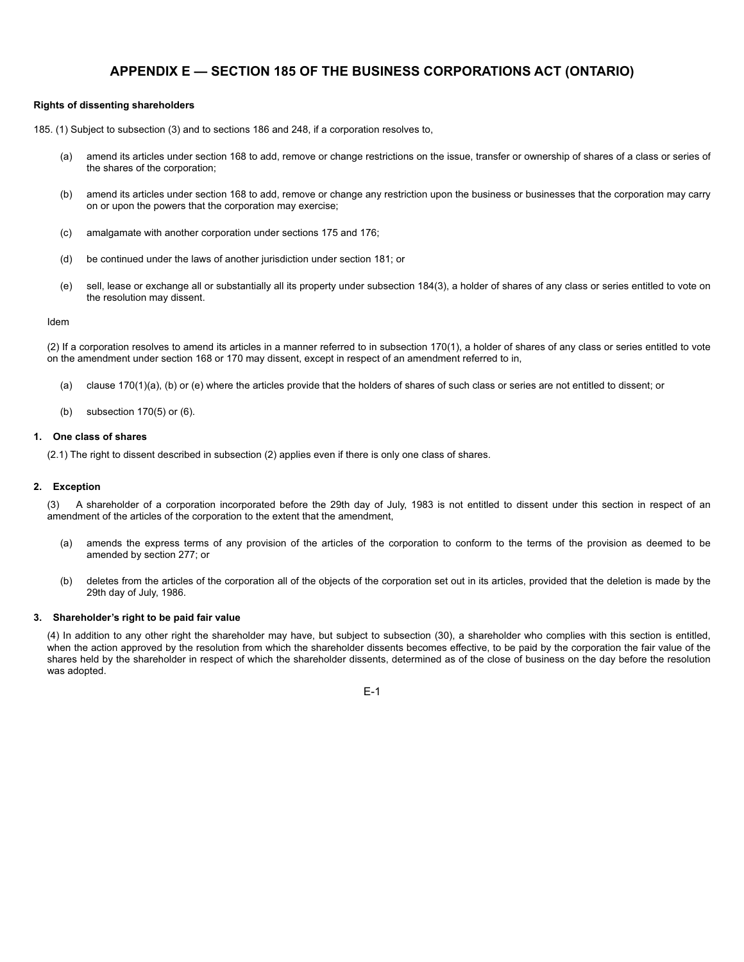# **APPENDIX E — SECTION 185 OF THE BUSINESS CORPORATIONS ACT (ONTARIO)**

#### **Rights of dissenting shareholders**

185. (1) Subject to subsection (3) and to sections 186 and 248, if a corporation resolves to,

- (a) amend its articles under section 168 to add, remove or change restrictions on the issue, transfer or ownership of shares of a class or series of the shares of the corporation;
- (b) amend its articles under section 168 to add, remove or change any restriction upon the business or businesses that the corporation may carry on or upon the powers that the corporation may exercise;
- (c) amalgamate with another corporation under sections 175 and 176;
- (d) be continued under the laws of another jurisdiction under section 181; or
- (e) sell, lease or exchange all or substantially all its property under subsection 184(3), a holder of shares of any class or series entitled to vote on the resolution may dissent.

#### Idem

(2) If a corporation resolves to amend its articles in a manner referred to in subsection 170(1), a holder of shares of any class or series entitled to vote on the amendment under section 168 or 170 may dissent, except in respect of an amendment referred to in,

- (a) clause 170(1)(a), (b) or (e) where the articles provide that the holders of shares of such class or series are not entitled to dissent; or
- (b) subsection 170(5) or (6).

#### **1. One class of shares**

(2.1) The right to dissent described in subsection (2) applies even if there is only one class of shares.

### **2. Exception**

(3) A shareholder of a corporation incorporated before the 29th day of July, 1983 is not entitled to dissent under this section in respect of an amendment of the articles of the corporation to the extent that the amendment,

- (a) amends the express terms of any provision of the articles of the corporation to conform to the terms of the provision as deemed to be amended by section 277; or
- (b) deletes from the articles of the corporation all of the objects of the corporation set out in its articles, provided that the deletion is made by the 29th day of July, 1986.

## **3. Shareholder's right to be paid fair value**

(4) In addition to any other right the shareholder may have, but subject to subsection (30), a shareholder who complies with this section is entitled, when the action approved by the resolution from which the shareholder dissents becomes effective, to be paid by the corporation the fair value of the shares held by the shareholder in respect of which the shareholder dissents, determined as of the close of business on the day before the resolution was adopted.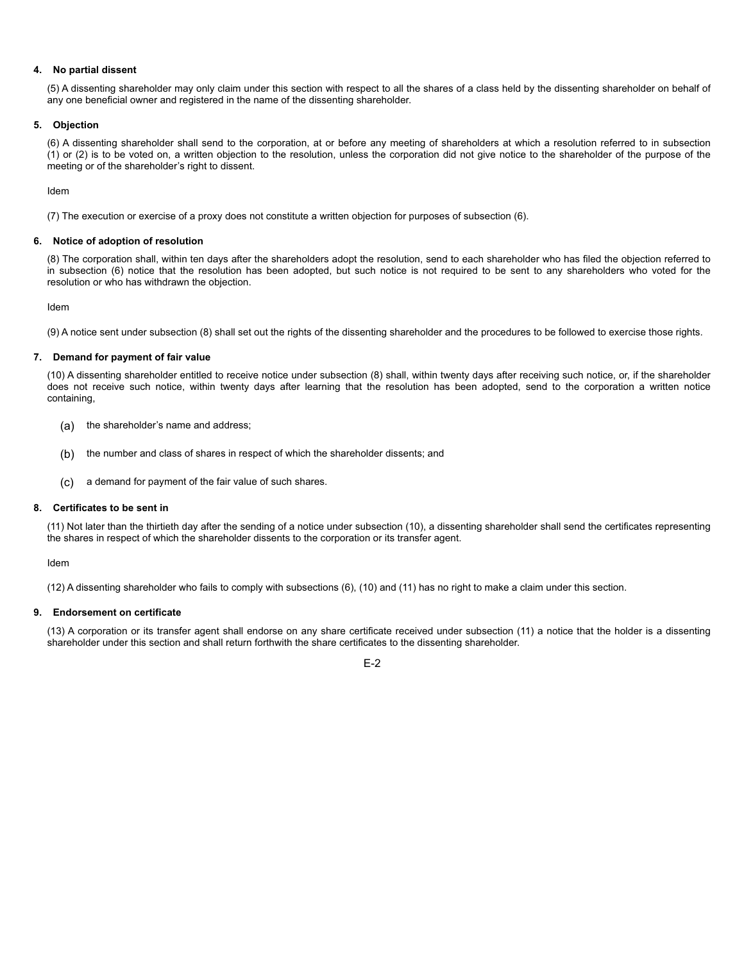### **4. No partial dissent**

(5) A dissenting shareholder may only claim under this section with respect to all the shares of a class held by the dissenting shareholder on behalf of any one beneficial owner and registered in the name of the dissenting shareholder.

#### **5. Objection**

(6) A dissenting shareholder shall send to the corporation, at or before any meeting of shareholders at which a resolution referred to in subsection (1) or (2) is to be voted on, a written objection to the resolution, unless the corporation did not give notice to the shareholder of the purpose of the meeting or of the shareholder's right to dissent.

Idem

(7) The execution or exercise of a proxy does not constitute a written objection for purposes of subsection (6).

## **6. Notice of adoption of resolution**

(8) The corporation shall, within ten days after the shareholders adopt the resolution, send to each shareholder who has filed the objection referred to in subsection (6) notice that the resolution has been adopted, but such notice is not required to be sent to any shareholders who voted for the resolution or who has withdrawn the objection.

Idem

(9) A notice sent under subsection (8) shall set out the rights of the dissenting shareholder and the procedures to be followed to exercise those rights.

#### **7. Demand for payment of fair value**

(10) A dissenting shareholder entitled to receive notice under subsection (8) shall, within twenty days after receiving such notice, or, if the shareholder does not receive such notice, within twenty days after learning that the resolution has been adopted, send to the corporation a written notice containing,

- (a) the shareholder's name and address;
- (b) the number and class of shares in respect of which the shareholder dissents; and
- (c) a demand for payment of the fair value of such shares.

#### **8. Certificates to be sent in**

(11) Not later than the thirtieth day after the sending of a notice under subsection (10), a dissenting shareholder shall send the certificates representing the shares in respect of which the shareholder dissents to the corporation or its transfer agent.

Idem

(12) A dissenting shareholder who fails to comply with subsections (6), (10) and (11) has no right to make a claim under this section.

#### **9. Endorsement on certificate**

(13) A corporation or its transfer agent shall endorse on any share certificate received under subsection (11) a notice that the holder is a dissenting shareholder under this section and shall return forthwith the share certificates to the dissenting shareholder.

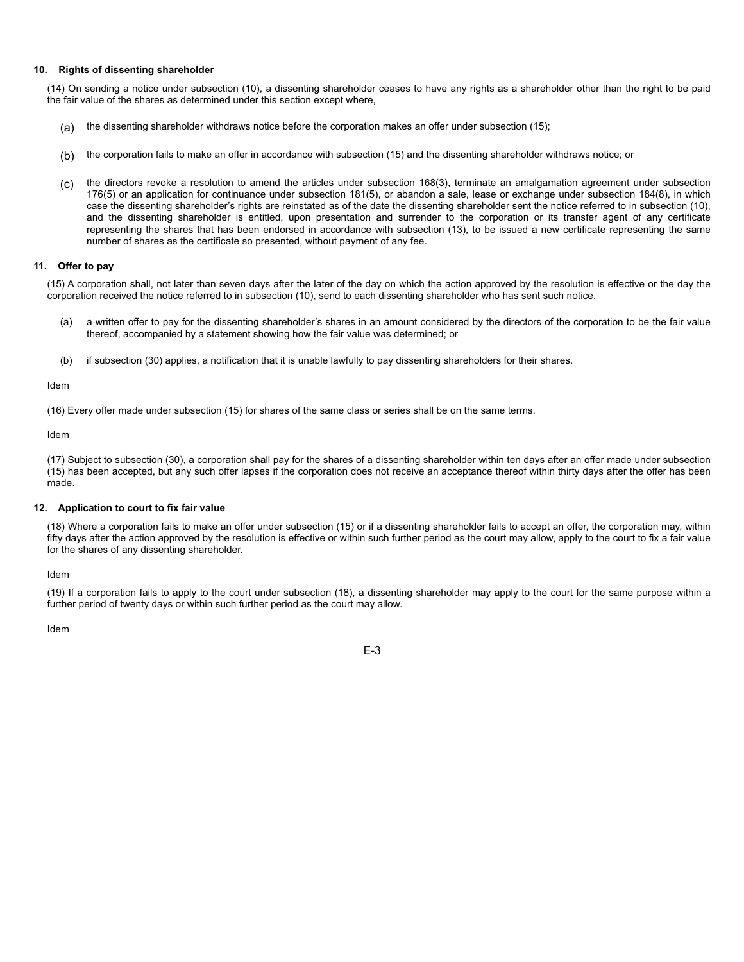#### **10. Rights of dissenting shareholder**

(14) On sending a notice under subsection (10), a dissenting shareholder ceases to have any rights as a shareholder other than the right to be paid the fair value of the shares as determined under this section except where,

- (a) the dissenting shareholder withdraws notice before the corporation makes an offer under subsection (15);
- (b) the corporation fails to make an offer in accordance with subsection (15) and the dissenting shareholder withdraws notice; or
- (c) the directors revoke a resolution to amend the articles under subsection 168(3), terminate an amalgamation agreement under subsection 176(5) or an application for continuance under subsection 181(5), or abandon a sale, lease or exchange under subsection 184(8), in which case the dissenting shareholder's rights are reinstated as of the date the dissenting shareholder sent the notice referred to in subsection (10), and the dissenting shareholder is entitled, upon presentation and surrender to the corporation or its transfer agent of any certificate representing the shares that has been endorsed in accordance with subsection (13), to be issued a new certificate representing the same number of shares as the certificate so presented, without payment of any fee.

## **11. Offer to pay**

(15) A corporation shall, not later than seven days after the later of the day on which the action approved by the resolution is effective or the day the corporation received the notice referred to in subsection (10), send to each dissenting shareholder who has sent such notice,

- (a) a written offer to pay for the dissenting shareholder's shares in an amount considered by the directors of the corporation to be the fair value thereof, accompanied by a statement showing how the fair value was determined; or
- (b) if subsection (30) applies, a notification that it is unable lawfully to pay dissenting shareholders for their shares.

#### Idem

(16) Every offer made under subsection (15) for shares of the same class or series shall be on the same terms.

Idem

(17) Subject to subsection (30), a corporation shall pay for the shares of a dissenting shareholder within ten days after an offer made under subsection (15) has been accepted, but any such offer lapses if the corporation does not receive an acceptance thereof within thirty days after the offer has been made.

#### **12. Application to court to fix fair value**

(18) Where a corporation fails to make an offer under subsection (15) or if a dissenting shareholder fails to accept an offer, the corporation may, within fifty days after the action approved by the resolution is effective or within such further period as the court may allow, apply to the court to fix a fair value for the shares of any dissenting shareholder.

#### Idem

(19) If a corporation fails to apply to the court under subsection (18), a dissenting shareholder may apply to the court for the same purpose within a further period of twenty days or within such further period as the court may allow.

Idem

E-3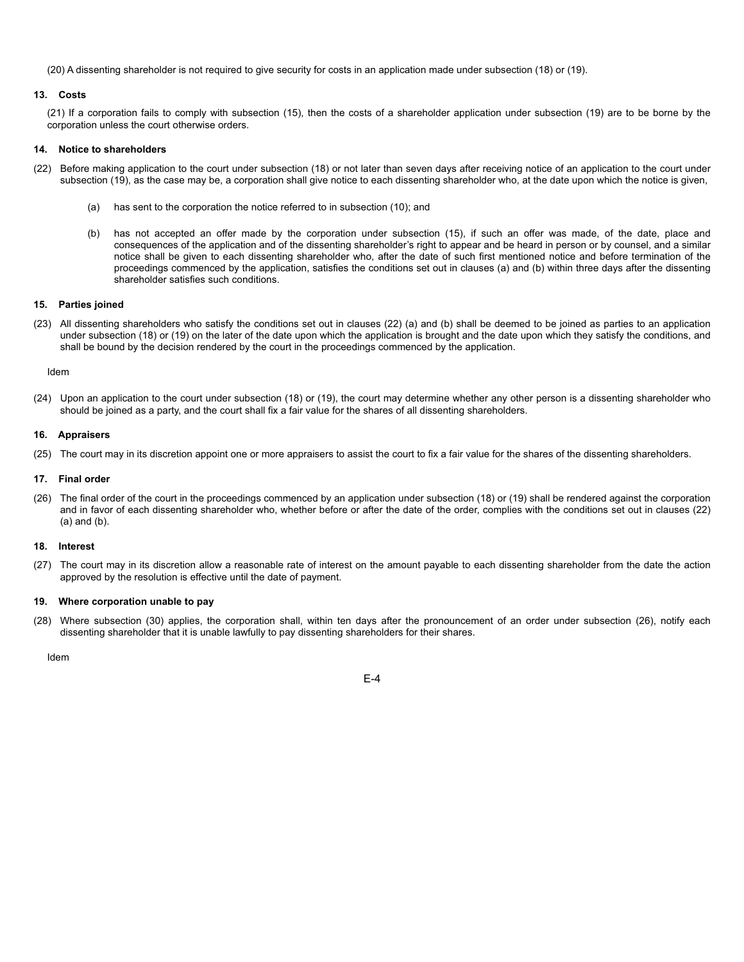(20) A dissenting shareholder is not required to give security for costs in an application made under subsection (18) or (19).

#### **13. Costs**

(21) If a corporation fails to comply with subsection (15), then the costs of a shareholder application under subsection (19) are to be borne by the corporation unless the court otherwise orders.

#### **14. Notice to shareholders**

- (22) Before making application to the court under subsection (18) or not later than seven days after receiving notice of an application to the court under subsection (19), as the case may be, a corporation shall give notice to each dissenting shareholder who, at the date upon which the notice is given,
	- (a) has sent to the corporation the notice referred to in subsection (10); and
	- (b) has not accepted an offer made by the corporation under subsection (15), if such an offer was made, of the date, place and consequences of the application and of the dissenting shareholder's right to appear and be heard in person or by counsel, and a similar notice shall be given to each dissenting shareholder who, after the date of such first mentioned notice and before termination of the proceedings commenced by the application, satisfies the conditions set out in clauses (a) and (b) within three days after the dissenting shareholder satisfies such conditions.

#### **15. Parties joined**

(23) All dissenting shareholders who satisfy the conditions set out in clauses (22) (a) and (b) shall be deemed to be joined as parties to an application under subsection (18) or (19) on the later of the date upon which the application is brought and the date upon which they satisfy the conditions, and shall be bound by the decision rendered by the court in the proceedings commenced by the application.

#### Idem

(24) Upon an application to the court under subsection (18) or (19), the court may determine whether any other person is a dissenting shareholder who should be joined as a party, and the court shall fix a fair value for the shares of all dissenting shareholders.

#### **16. Appraisers**

(25) The court may in its discretion appoint one or more appraisers to assist the court to fix a fair value for the shares of the dissenting shareholders.

### **17. Final order**

(26) The final order of the court in the proceedings commenced by an application under subsection (18) or (19) shall be rendered against the corporation and in favor of each dissenting shareholder who, whether before or after the date of the order, complies with the conditions set out in clauses (22) (a) and (b).

#### **18. Interest**

(27) The court may in its discretion allow a reasonable rate of interest on the amount payable to each dissenting shareholder from the date the action approved by the resolution is effective until the date of payment.

#### **19. Where corporation unable to pay**

(28) Where subsection (30) applies, the corporation shall, within ten days after the pronouncement of an order under subsection (26), notify each dissenting shareholder that it is unable lawfully to pay dissenting shareholders for their shares.

Idem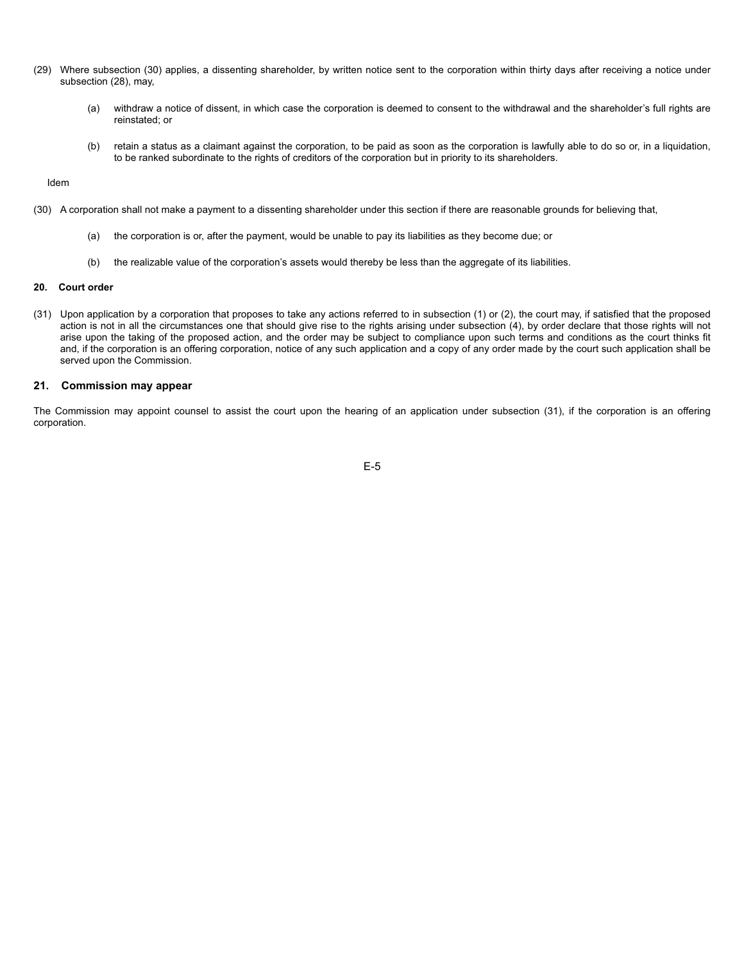- (29) Where subsection (30) applies, a dissenting shareholder, by written notice sent to the corporation within thirty days after receiving a notice under subsection (28), may,
	- (a) withdraw a notice of dissent, in which case the corporation is deemed to consent to the withdrawal and the shareholder's full rights are reinstated; or
	- (b) retain a status as a claimant against the corporation, to be paid as soon as the corporation is lawfully able to do so or, in a liquidation, to be ranked subordinate to the rights of creditors of the corporation but in priority to its shareholders.

Idem

- (30) A corporation shall not make a payment to a dissenting shareholder under this section if there are reasonable grounds for believing that,
	- (a) the corporation is or, after the payment, would be unable to pay its liabilities as they become due; or
	- (b) the realizable value of the corporation's assets would thereby be less than the aggregate of its liabilities.

#### **20. Court order**

(31) Upon application by a corporation that proposes to take any actions referred to in subsection (1) or (2), the court may, if satisfied that the proposed action is not in all the circumstances one that should give rise to the rights arising under subsection (4), by order declare that those rights will not arise upon the taking of the proposed action, and the order may be subject to compliance upon such terms and conditions as the court thinks fit and, if the corporation is an offering corporation, notice of any such application and a copy of any order made by the court such application shall be served upon the Commission.

# **21. Commission may appear**

The Commission may appoint counsel to assist the court upon the hearing of an application under subsection (31), if the corporation is an offering corporation.

E-5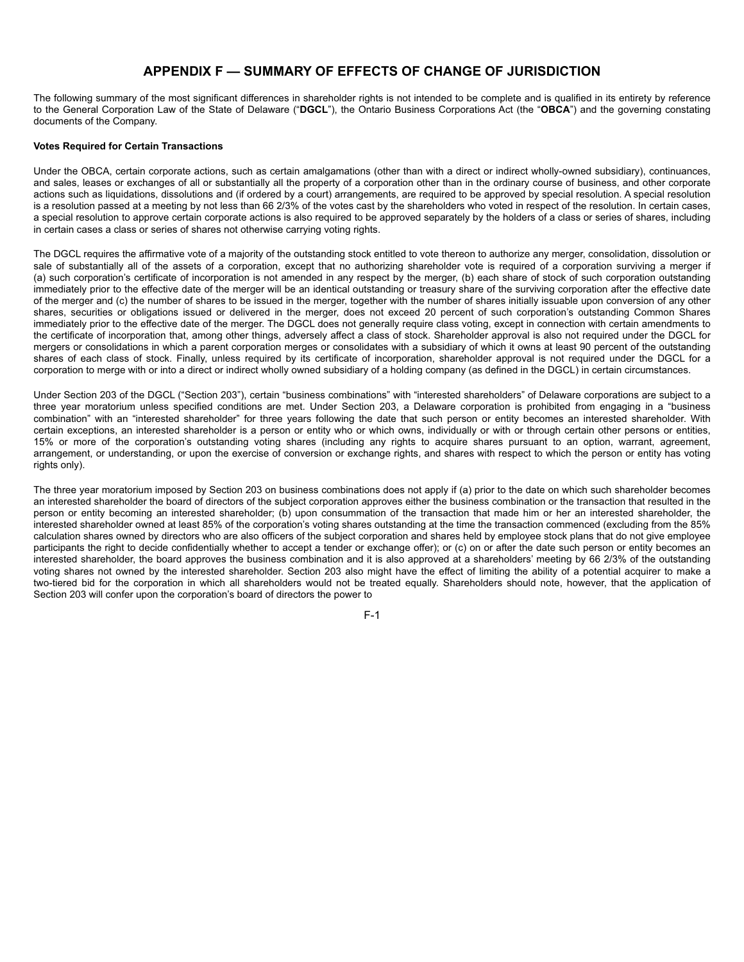# **APPENDIX F — SUMMARY OF EFFECTS OF CHANGE OF JURISDICTION**

The following summary of the most significant differences in shareholder rights is not intended to be complete and is qualified in its entirety by reference to the General Corporation Law of the State of Delaware ("**DGCL**"), the Ontario Business Corporations Act (the "**OBCA**") and the governing constating documents of the Company.

#### **Votes Required for Certain Transactions**

Under the OBCA, certain corporate actions, such as certain amalgamations (other than with a direct or indirect wholly-owned subsidiary), continuances, and sales, leases or exchanges of all or substantially all the property of a corporation other than in the ordinary course of business, and other corporate actions such as liquidations, dissolutions and (if ordered by a court) arrangements, are required to be approved by special resolution. A special resolution is a resolution passed at a meeting by not less than 66 2/3% of the votes cast by the shareholders who voted in respect of the resolution. In certain cases, a special resolution to approve certain corporate actions is also required to be approved separately by the holders of a class or series of shares, including in certain cases a class or series of shares not otherwise carrying voting rights.

The DGCL requires the affirmative vote of a majority of the outstanding stock entitled to vote thereon to authorize any merger, consolidation, dissolution or sale of substantially all of the assets of a corporation, except that no authorizing shareholder vote is required of a corporation surviving a merger if (a) such corporation's certificate of incorporation is not amended in any respect by the merger, (b) each share of stock of such corporation outstanding immediately prior to the effective date of the merger will be an identical outstanding or treasury share of the surviving corporation after the effective date of the merger and (c) the number of shares to be issued in the merger, together with the number of shares initially issuable upon conversion of any other shares, securities or obligations issued or delivered in the merger, does not exceed 20 percent of such corporation's outstanding Common Shares immediately prior to the effective date of the merger. The DGCL does not generally require class voting, except in connection with certain amendments to the certificate of incorporation that, among other things, adversely affect a class of stock. Shareholder approval is also not required under the DGCL for mergers or consolidations in which a parent corporation merges or consolidates with a subsidiary of which it owns at least 90 percent of the outstanding shares of each class of stock. Finally, unless required by its certificate of incorporation, shareholder approval is not required under the DGCL for a corporation to merge with or into a direct or indirect wholly owned subsidiary of a holding company (as defined in the DGCL) in certain circumstances.

Under Section 203 of the DGCL ("Section 203"), certain "business combinations" with "interested shareholders" of Delaware corporations are subject to a three year moratorium unless specified conditions are met. Under Section 203, a Delaware corporation is prohibited from engaging in a "business combination" with an "interested shareholder" for three years following the date that such person or entity becomes an interested shareholder. With certain exceptions, an interested shareholder is a person or entity who or which owns, individually or with or through certain other persons or entities, 15% or more of the corporation's outstanding voting shares (including any rights to acquire shares pursuant to an option, warrant, agreement, arrangement, or understanding, or upon the exercise of conversion or exchange rights, and shares with respect to which the person or entity has voting rights only).

The three year moratorium imposed by Section 203 on business combinations does not apply if (a) prior to the date on which such shareholder becomes an interested shareholder the board of directors of the subject corporation approves either the business combination or the transaction that resulted in the person or entity becoming an interested shareholder; (b) upon consummation of the transaction that made him or her an interested shareholder, the interested shareholder owned at least 85% of the corporation's voting shares outstanding at the time the transaction commenced (excluding from the 85% calculation shares owned by directors who are also officers of the subject corporation and shares held by employee stock plans that do not give employee participants the right to decide confidentially whether to accept a tender or exchange offer); or (c) on or after the date such person or entity becomes an interested shareholder, the board approves the business combination and it is also approved at a shareholders' meeting by 66 2/3% of the outstanding voting shares not owned by the interested shareholder. Section 203 also might have the effect of limiting the ability of a potential acquirer to make a two-tiered bid for the corporation in which all shareholders would not be treated equally. Shareholders should note, however, that the application of Section 203 will confer upon the corporation's board of directors the power to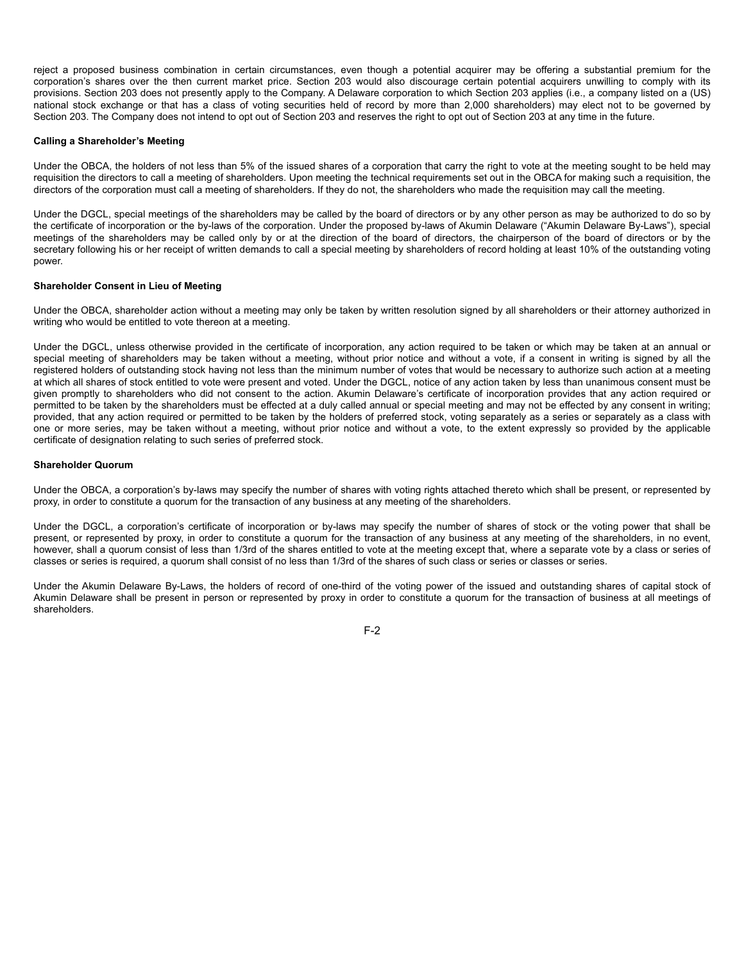reject a proposed business combination in certain circumstances, even though a potential acquirer may be offering a substantial premium for the corporation's shares over the then current market price. Section 203 would also discourage certain potential acquirers unwilling to comply with its provisions. Section 203 does not presently apply to the Company. A Delaware corporation to which Section 203 applies (i.e., a company listed on a (US) national stock exchange or that has a class of voting securities held of record by more than 2,000 shareholders) may elect not to be governed by Section 203. The Company does not intend to opt out of Section 203 and reserves the right to opt out of Section 203 at any time in the future.

### **Calling a Shareholder's Meeting**

Under the OBCA, the holders of not less than 5% of the issued shares of a corporation that carry the right to vote at the meeting sought to be held may requisition the directors to call a meeting of shareholders. Upon meeting the technical requirements set out in the OBCA for making such a requisition, the directors of the corporation must call a meeting of shareholders. If they do not, the shareholders who made the requisition may call the meeting.

Under the DGCL, special meetings of the shareholders may be called by the board of directors or by any other person as may be authorized to do so by the certificate of incorporation or the by-laws of the corporation. Under the proposed by-laws of Akumin Delaware ("Akumin Delaware By-Laws"), special meetings of the shareholders may be called only by or at the direction of the board of directors, the chairperson of the board of directors or by the secretary following his or her receipt of written demands to call a special meeting by shareholders of record holding at least 10% of the outstanding voting power.

## **Shareholder Consent in Lieu of Meeting**

Under the OBCA, shareholder action without a meeting may only be taken by written resolution signed by all shareholders or their attorney authorized in writing who would be entitled to vote thereon at a meeting.

Under the DGCL, unless otherwise provided in the certificate of incorporation, any action required to be taken or which may be taken at an annual or special meeting of shareholders may be taken without a meeting, without prior notice and without a vote, if a consent in writing is signed by all the registered holders of outstanding stock having not less than the minimum number of votes that would be necessary to authorize such action at a meeting at which all shares of stock entitled to vote were present and voted. Under the DGCL, notice of any action taken by less than unanimous consent must be given promptly to shareholders who did not consent to the action. Akumin Delaware's certificate of incorporation provides that any action required or permitted to be taken by the shareholders must be effected at a duly called annual or special meeting and may not be effected by any consent in writing; provided, that any action required or permitted to be taken by the holders of preferred stock, voting separately as a series or separately as a class with one or more series, may be taken without a meeting, without prior notice and without a vote, to the extent expressly so provided by the applicable certificate of designation relating to such series of preferred stock.

#### **Shareholder Quorum**

Under the OBCA, a corporation's by-laws may specify the number of shares with voting rights attached thereto which shall be present, or represented by proxy, in order to constitute a quorum for the transaction of any business at any meeting of the shareholders.

Under the DGCL, a corporation's certificate of incorporation or by-laws may specify the number of shares of stock or the voting power that shall be present, or represented by proxy, in order to constitute a quorum for the transaction of any business at any meeting of the shareholders, in no event, however, shall a quorum consist of less than 1/3rd of the shares entitled to vote at the meeting except that, where a separate vote by a class or series of classes or series is required, a quorum shall consist of no less than 1/3rd of the shares of such class or series or classes or series.

Under the Akumin Delaware By-Laws, the holders of record of one-third of the voting power of the issued and outstanding shares of capital stock of Akumin Delaware shall be present in person or represented by proxy in order to constitute a quorum for the transaction of business at all meetings of shareholders.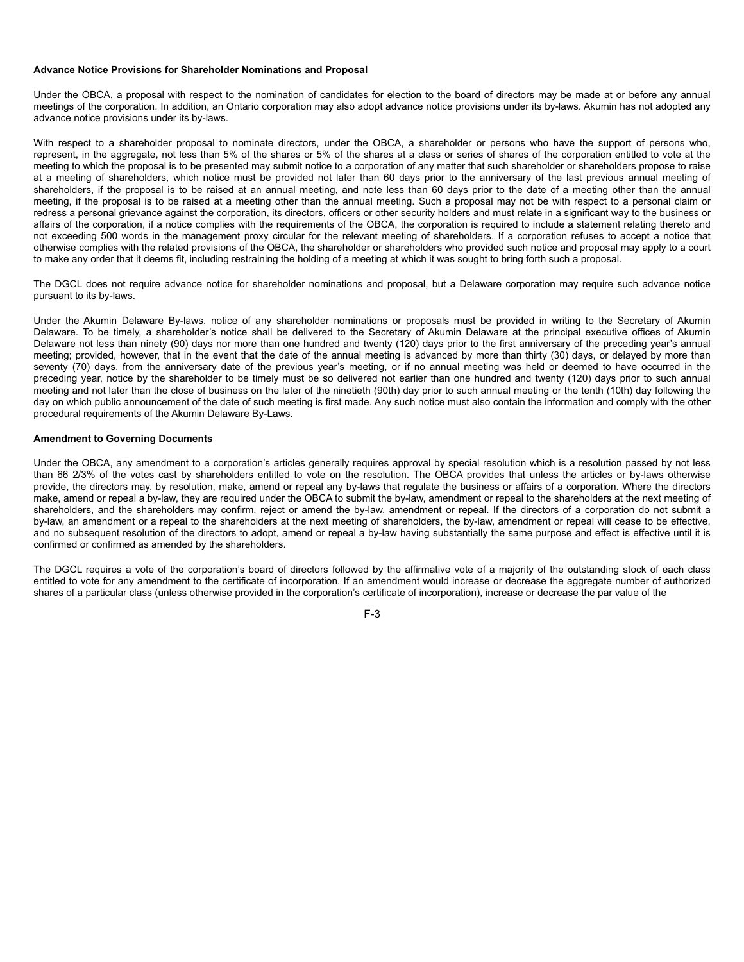#### **Advance Notice Provisions for Shareholder Nominations and Proposal**

Under the OBCA, a proposal with respect to the nomination of candidates for election to the board of directors may be made at or before any annual meetings of the corporation. In addition, an Ontario corporation may also adopt advance notice provisions under its by-laws. Akumin has not adopted any advance notice provisions under its by-laws.

With respect to a shareholder proposal to nominate directors, under the OBCA, a shareholder or persons who have the support of persons who, represent, in the aggregate, not less than 5% of the shares or 5% of the shares at a class or series of shares of the corporation entitled to vote at the meeting to which the proposal is to be presented may submit notice to a corporation of any matter that such shareholder or shareholders propose to raise at a meeting of shareholders, which notice must be provided not later than 60 days prior to the anniversary of the last previous annual meeting of shareholders, if the proposal is to be raised at an annual meeting, and note less than 60 days prior to the date of a meeting other than the annual meeting, if the proposal is to be raised at a meeting other than the annual meeting. Such a proposal may not be with respect to a personal claim or redress a personal grievance against the corporation, its directors, officers or other security holders and must relate in a significant way to the business or affairs of the corporation, if a notice complies with the requirements of the OBCA, the corporation is required to include a statement relating thereto and not exceeding 500 words in the management proxy circular for the relevant meeting of shareholders. If a corporation refuses to accept a notice that otherwise complies with the related provisions of the OBCA, the shareholder or shareholders who provided such notice and proposal may apply to a court to make any order that it deems fit, including restraining the holding of a meeting at which it was sought to bring forth such a proposal.

The DGCL does not require advance notice for shareholder nominations and proposal, but a Delaware corporation may require such advance notice pursuant to its by-laws.

Under the Akumin Delaware By-laws, notice of any shareholder nominations or proposals must be provided in writing to the Secretary of Akumin Delaware. To be timely, a shareholder's notice shall be delivered to the Secretary of Akumin Delaware at the principal executive offices of Akumin Delaware not less than ninety (90) days nor more than one hundred and twenty (120) days prior to the first anniversary of the preceding year's annual meeting; provided, however, that in the event that the date of the annual meeting is advanced by more than thirty (30) days, or delayed by more than seventy (70) days, from the anniversary date of the previous year's meeting, or if no annual meeting was held or deemed to have occurred in the preceding year, notice by the shareholder to be timely must be so delivered not earlier than one hundred and twenty (120) days prior to such annual meeting and not later than the close of business on the later of the ninetieth (90th) day prior to such annual meeting or the tenth (10th) day following the day on which public announcement of the date of such meeting is first made. Any such notice must also contain the information and comply with the other procedural requirements of the Akumin Delaware By-Laws.

#### **Amendment to Governing Documents**

Under the OBCA, any amendment to a corporation's articles generally requires approval by special resolution which is a resolution passed by not less than 66 2/3% of the votes cast by shareholders entitled to vote on the resolution. The OBCA provides that unless the articles or by-laws otherwise provide, the directors may, by resolution, make, amend or repeal any by-laws that regulate the business or affairs of a corporation. Where the directors make, amend or repeal a by-law, they are required under the OBCA to submit the by-law, amendment or repeal to the shareholders at the next meeting of shareholders, and the shareholders may confirm, reject or amend the by-law, amendment or repeal. If the directors of a corporation do not submit a by-law, an amendment or a repeal to the shareholders at the next meeting of shareholders, the by-law, amendment or repeal will cease to be effective, and no subsequent resolution of the directors to adopt, amend or repeal a by-law having substantially the same purpose and effect is effective until it is confirmed or confirmed as amended by the shareholders.

The DGCL requires a vote of the corporation's board of directors followed by the affirmative vote of a majority of the outstanding stock of each class entitled to vote for any amendment to the certificate of incorporation. If an amendment would increase or decrease the aggregate number of authorized shares of a particular class (unless otherwise provided in the corporation's certificate of incorporation), increase or decrease the par value of the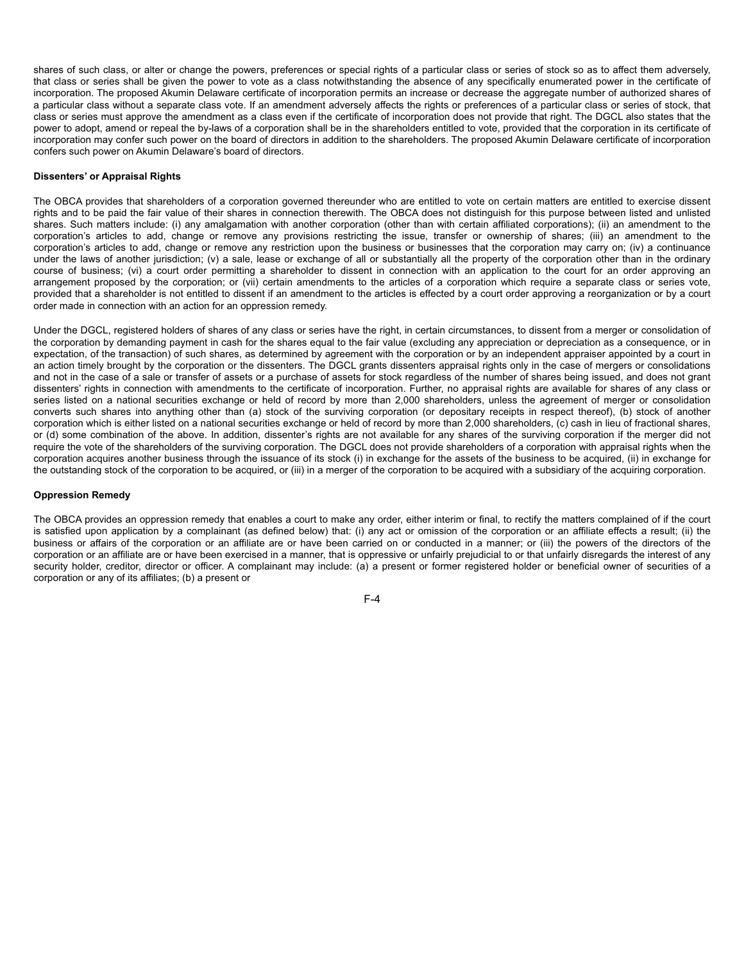shares of such class, or alter or change the powers, preferences or special rights of a particular class or series of stock so as to affect them adversely, that class or series shall be given the power to vote as a class notwithstanding the absence of any specifically enumerated power in the certificate of incorporation. The proposed Akumin Delaware certificate of incorporation permits an increase or decrease the aggregate number of authorized shares of a particular class without a separate class vote. If an amendment adversely affects the rights or preferences of a particular class or series of stock, that class or series must approve the amendment as a class even if the certificate of incorporation does not provide that right. The DGCL also states that the power to adopt, amend or repeal the by-laws of a corporation shall be in the shareholders entitled to vote, provided that the corporation in its certificate of incorporation may confer such power on the board of directors in addition to the shareholders. The proposed Akumin Delaware certificate of incorporation confers such power on Akumin Delaware's board of directors.

#### **Dissenters' or Appraisal Rights**

The OBCA provides that shareholders of a corporation governed thereunder who are entitled to vote on certain matters are entitled to exercise dissent rights and to be paid the fair value of their shares in connection therewith. The OBCA does not distinguish for this purpose between listed and unlisted shares. Such matters include: (i) any amalgamation with another corporation (other than with certain affiliated corporations); (ii) an amendment to the corporation's articles to add, change or remove any provisions restricting the issue, transfer or ownership of shares; (iii) an amendment to the corporation's articles to add, change or remove any restriction upon the business or businesses that the corporation may carry on; (iv) a continuance under the laws of another jurisdiction; (v) a sale, lease or exchange of all or substantially all the property of the corporation other than in the ordinary course of business; (vi) a court order permitting a shareholder to dissent in connection with an application to the court for an order approving an arrangement proposed by the corporation; or (vii) certain amendments to the articles of a corporation which require a separate class or series vote, provided that a shareholder is not entitled to dissent if an amendment to the articles is effected by a court order approving a reorganization or by a court order made in connection with an action for an oppression remedy.

Under the DGCL, registered holders of shares of any class or series have the right, in certain circumstances, to dissent from a merger or consolidation of the corporation by demanding payment in cash for the shares equal to the fair value (excluding any appreciation or depreciation as a consequence, or in expectation, of the transaction) of such shares, as determined by agreement with the corporation or by an independent appraiser appointed by a court in an action timely brought by the corporation or the dissenters. The DGCL grants dissenters appraisal rights only in the case of mergers or consolidations and not in the case of a sale or transfer of assets or a purchase of assets for stock regardless of the number of shares being issued, and does not grant dissenters' rights in connection with amendments to the certificate of incorporation. Further, no appraisal rights are available for shares of any class or series listed on a national securities exchange or held of record by more than 2,000 shareholders, unless the agreement of merger or consolidation converts such shares into anything other than (a) stock of the surviving corporation (or depositary receipts in respect thereof), (b) stock of another corporation which is either listed on a national securities exchange or held of record by more than 2,000 shareholders, (c) cash in lieu of fractional shares, or (d) some combination of the above. In addition, dissenter's rights are not available for any shares of the surviving corporation if the merger did not require the vote of the shareholders of the surviving corporation. The DGCL does not provide shareholders of a corporation with appraisal rights when the corporation acquires another business through the issuance of its stock (i) in exchange for the assets of the business to be acquired, (ii) in exchange for the outstanding stock of the corporation to be acquired, or (iii) in a merger of the corporation to be acquired with a subsidiary of the acquiring corporation.

### **Oppression Remedy**

The OBCA provides an oppression remedy that enables a court to make any order, either interim or final, to rectify the matters complained of if the court is satisfied upon application by a complainant (as defined below) that: (i) any act or omission of the corporation or an affiliate effects a result; (ii) the business or affairs of the corporation or an affiliate are or have been carried on or conducted in a manner; or (iii) the powers of the directors of the corporation or an affiliate are or have been exercised in a manner, that is oppressive or unfairly prejudicial to or that unfairly disregards the interest of any security holder, creditor, director or officer. A complainant may include: (a) a present or former registered holder or beneficial owner of securities of a corporation or any of its affiliates; (b) a present or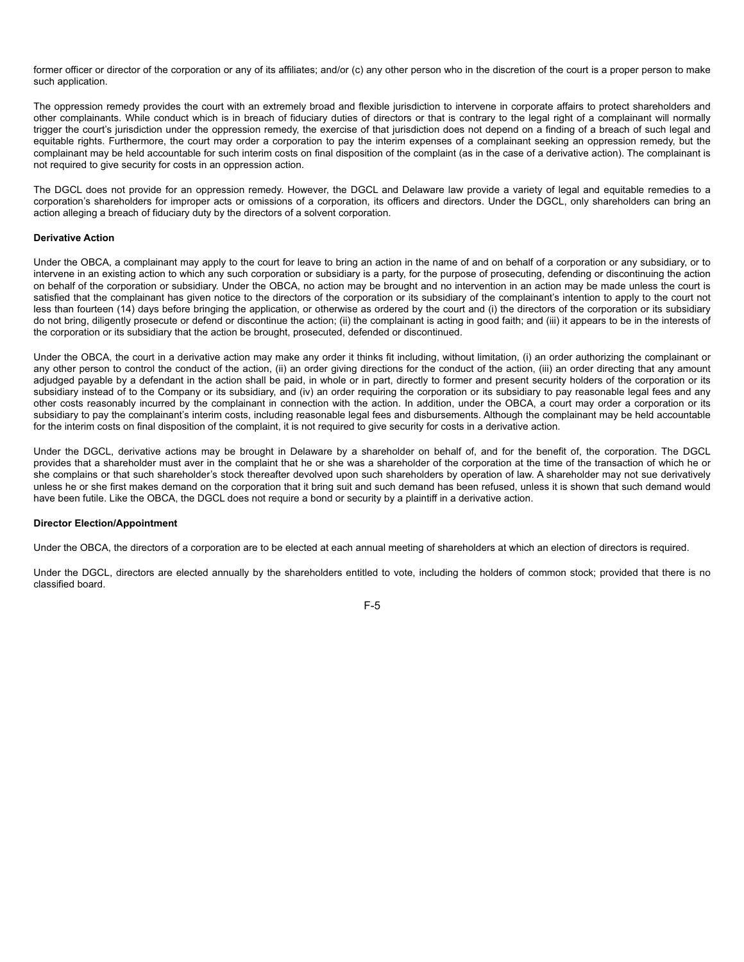former officer or director of the corporation or any of its affiliates; and/or (c) any other person who in the discretion of the court is a proper person to make such application.

The oppression remedy provides the court with an extremely broad and flexible jurisdiction to intervene in corporate affairs to protect shareholders and other complainants. While conduct which is in breach of fiduciary duties of directors or that is contrary to the legal right of a complainant will normally trigger the court's jurisdiction under the oppression remedy, the exercise of that jurisdiction does not depend on a finding of a breach of such legal and equitable rights. Furthermore, the court may order a corporation to pay the interim expenses of a complainant seeking an oppression remedy, but the complainant may be held accountable for such interim costs on final disposition of the complaint (as in the case of a derivative action). The complainant is not required to give security for costs in an oppression action.

The DGCL does not provide for an oppression remedy. However, the DGCL and Delaware law provide a variety of legal and equitable remedies to a corporation's shareholders for improper acts or omissions of a corporation, its officers and directors. Under the DGCL, only shareholders can bring an action alleging a breach of fiduciary duty by the directors of a solvent corporation.

### **Derivative Action**

Under the OBCA, a complainant may apply to the court for leave to bring an action in the name of and on behalf of a corporation or any subsidiary, or to intervene in an existing action to which any such corporation or subsidiary is a party, for the purpose of prosecuting, defending or discontinuing the action on behalf of the corporation or subsidiary. Under the OBCA, no action may be brought and no intervention in an action may be made unless the court is satisfied that the complainant has given notice to the directors of the corporation or its subsidiary of the complainant's intention to apply to the court not less than fourteen (14) days before bringing the application, or otherwise as ordered by the court and (i) the directors of the corporation or its subsidiary do not bring, diligently prosecute or defend or discontinue the action; (ii) the complainant is acting in good faith; and (iii) it appears to be in the interests of the corporation or its subsidiary that the action be brought, prosecuted, defended or discontinued.

Under the OBCA, the court in a derivative action may make any order it thinks fit including, without limitation, (i) an order authorizing the complainant or any other person to control the conduct of the action, (ii) an order giving directions for the conduct of the action, (iii) an order directing that any amount adjudged payable by a defendant in the action shall be paid, in whole or in part, directly to former and present security holders of the corporation or its subsidiary instead of to the Company or its subsidiary, and (iv) an order requiring the corporation or its subsidiary to pay reasonable legal fees and any other costs reasonably incurred by the complainant in connection with the action. In addition, under the OBCA, a court may order a corporation or its subsidiary to pay the complainant's interim costs, including reasonable legal fees and disbursements. Although the complainant may be held accountable for the interim costs on final disposition of the complaint, it is not required to give security for costs in a derivative action.

Under the DGCL, derivative actions may be brought in Delaware by a shareholder on behalf of, and for the benefit of, the corporation. The DGCL provides that a shareholder must aver in the complaint that he or she was a shareholder of the corporation at the time of the transaction of which he or she complains or that such shareholder's stock thereafter devolved upon such shareholders by operation of law. A shareholder may not sue derivatively unless he or she first makes demand on the corporation that it bring suit and such demand has been refused, unless it is shown that such demand would have been futile. Like the OBCA, the DGCL does not require a bond or security by a plaintiff in a derivative action.

#### **Director Election/Appointment**

Under the OBCA, the directors of a corporation are to be elected at each annual meeting of shareholders at which an election of directors is required.

Under the DGCL, directors are elected annually by the shareholders entitled to vote, including the holders of common stock; provided that there is no classified board.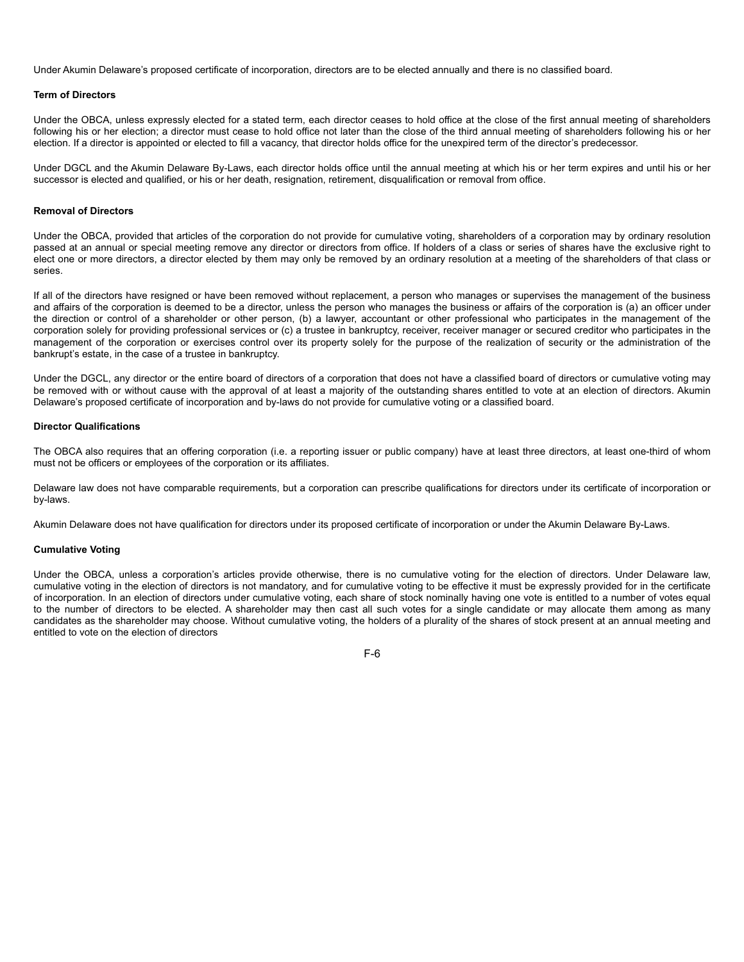Under Akumin Delaware's proposed certificate of incorporation, directors are to be elected annually and there is no classified board.

#### **Term of Directors**

Under the OBCA, unless expressly elected for a stated term, each director ceases to hold office at the close of the first annual meeting of shareholders following his or her election; a director must cease to hold office not later than the close of the third annual meeting of shareholders following his or her election. If a director is appointed or elected to fill a vacancy, that director holds office for the unexpired term of the director's predecessor.

Under DGCL and the Akumin Delaware By-Laws, each director holds office until the annual meeting at which his or her term expires and until his or her successor is elected and qualified, or his or her death, resignation, retirement, disqualification or removal from office.

#### **Removal of Directors**

Under the OBCA, provided that articles of the corporation do not provide for cumulative voting, shareholders of a corporation may by ordinary resolution passed at an annual or special meeting remove any director or directors from office. If holders of a class or series of shares have the exclusive right to elect one or more directors, a director elected by them may only be removed by an ordinary resolution at a meeting of the shareholders of that class or series.

If all of the directors have resigned or have been removed without replacement, a person who manages or supervises the management of the business and affairs of the corporation is deemed to be a director, unless the person who manages the business or affairs of the corporation is (a) an officer under the direction or control of a shareholder or other person, (b) a lawyer, accountant or other professional who participates in the management of the corporation solely for providing professional services or (c) a trustee in bankruptcy, receiver, receiver manager or secured creditor who participates in the management of the corporation or exercises control over its property solely for the purpose of the realization of security or the administration of the bankrupt's estate, in the case of a trustee in bankruptcy.

Under the DGCL, any director or the entire board of directors of a corporation that does not have a classified board of directors or cumulative voting may be removed with or without cause with the approval of at least a majority of the outstanding shares entitled to vote at an election of directors. Akumin Delaware's proposed certificate of incorporation and by-laws do not provide for cumulative voting or a classified board.

#### **Director Qualifications**

The OBCA also requires that an offering corporation (i.e. a reporting issuer or public company) have at least three directors, at least one-third of whom must not be officers or employees of the corporation or its affiliates.

Delaware law does not have comparable requirements, but a corporation can prescribe qualifications for directors under its certificate of incorporation or by-laws.

Akumin Delaware does not have qualification for directors under its proposed certificate of incorporation or under the Akumin Delaware By-Laws.

#### **Cumulative Voting**

Under the OBCA, unless a corporation's articles provide otherwise, there is no cumulative voting for the election of directors. Under Delaware law, cumulative voting in the election of directors is not mandatory, and for cumulative voting to be effective it must be expressly provided for in the certificate of incorporation. In an election of directors under cumulative voting, each share of stock nominally having one vote is entitled to a number of votes equal to the number of directors to be elected. A shareholder may then cast all such votes for a single candidate or may allocate them among as many candidates as the shareholder may choose. Without cumulative voting, the holders of a plurality of the shares of stock present at an annual meeting and entitled to vote on the election of directors

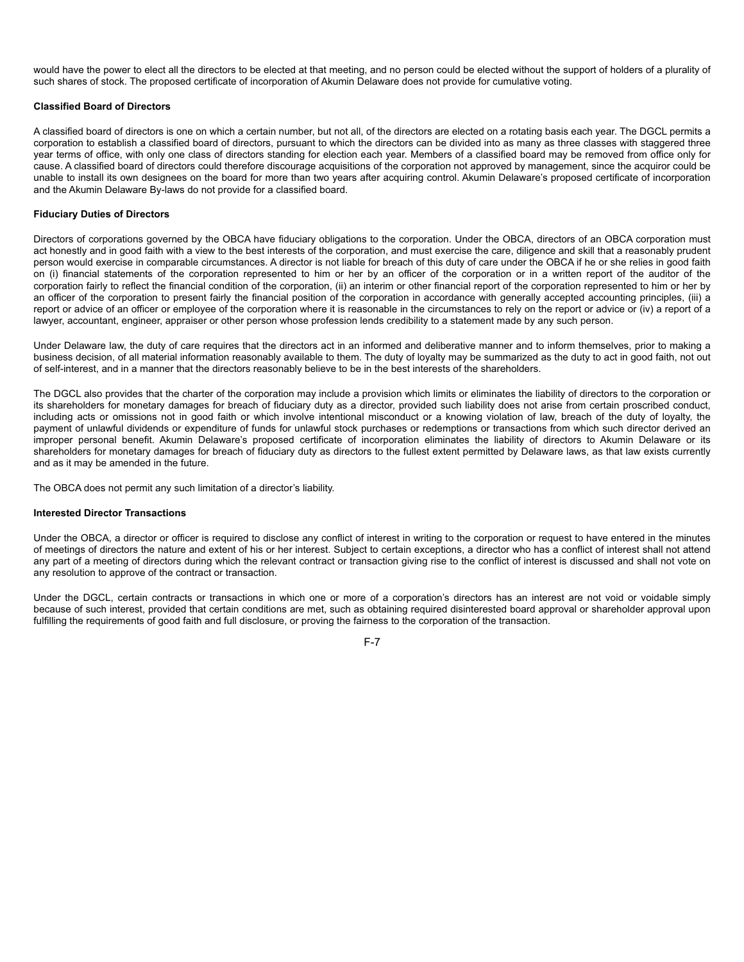would have the power to elect all the directors to be elected at that meeting, and no person could be elected without the support of holders of a plurality of such shares of stock. The proposed certificate of incorporation of Akumin Delaware does not provide for cumulative voting.

#### **Classified Board of Directors**

A classified board of directors is one on which a certain number, but not all, of the directors are elected on a rotating basis each year. The DGCL permits a corporation to establish a classified board of directors, pursuant to which the directors can be divided into as many as three classes with staggered three year terms of office, with only one class of directors standing for election each year. Members of a classified board may be removed from office only for cause. A classified board of directors could therefore discourage acquisitions of the corporation not approved by management, since the acquiror could be unable to install its own designees on the board for more than two years after acquiring control. Akumin Delaware's proposed certificate of incorporation and the Akumin Delaware By-laws do not provide for a classified board.

#### **Fiduciary Duties of Directors**

Directors of corporations governed by the OBCA have fiduciary obligations to the corporation. Under the OBCA, directors of an OBCA corporation must act honestly and in good faith with a view to the best interests of the corporation, and must exercise the care, diligence and skill that a reasonably prudent person would exercise in comparable circumstances. A director is not liable for breach of this duty of care under the OBCA if he or she relies in good faith on (i) financial statements of the corporation represented to him or her by an officer of the corporation or in a written report of the auditor of the corporation fairly to reflect the financial condition of the corporation, (ii) an interim or other financial report of the corporation represented to him or her by an officer of the corporation to present fairly the financial position of the corporation in accordance with generally accepted accounting principles, (iii) a report or advice of an officer or employee of the corporation where it is reasonable in the circumstances to rely on the report or advice or (iv) a report of a lawyer, accountant, engineer, appraiser or other person whose profession lends credibility to a statement made by any such person.

Under Delaware law, the duty of care requires that the directors act in an informed and deliberative manner and to inform themselves, prior to making a business decision, of all material information reasonably available to them. The duty of loyalty may be summarized as the duty to act in good faith, not out of self-interest, and in a manner that the directors reasonably believe to be in the best interests of the shareholders.

The DGCL also provides that the charter of the corporation may include a provision which limits or eliminates the liability of directors to the corporation or its shareholders for monetary damages for breach of fiduciary duty as a director, provided such liability does not arise from certain proscribed conduct, including acts or omissions not in good faith or which involve intentional misconduct or a knowing violation of law, breach of the duty of loyalty, the payment of unlawful dividends or expenditure of funds for unlawful stock purchases or redemptions or transactions from which such director derived an improper personal benefit. Akumin Delaware's proposed certificate of incorporation eliminates the liability of directors to Akumin Delaware or its shareholders for monetary damages for breach of fiduciary duty as directors to the fullest extent permitted by Delaware laws, as that law exists currently and as it may be amended in the future.

The OBCA does not permit any such limitation of a director's liability.

### **Interested Director Transactions**

Under the OBCA, a director or officer is required to disclose any conflict of interest in writing to the corporation or request to have entered in the minutes of meetings of directors the nature and extent of his or her interest. Subject to certain exceptions, a director who has a conflict of interest shall not attend any part of a meeting of directors during which the relevant contract or transaction giving rise to the conflict of interest is discussed and shall not vote on any resolution to approve of the contract or transaction.

Under the DGCL, certain contracts or transactions in which one or more of a corporation's directors has an interest are not void or voidable simply because of such interest, provided that certain conditions are met, such as obtaining required disinterested board approval or shareholder approval upon fulfilling the requirements of good faith and full disclosure, or proving the fairness to the corporation of the transaction.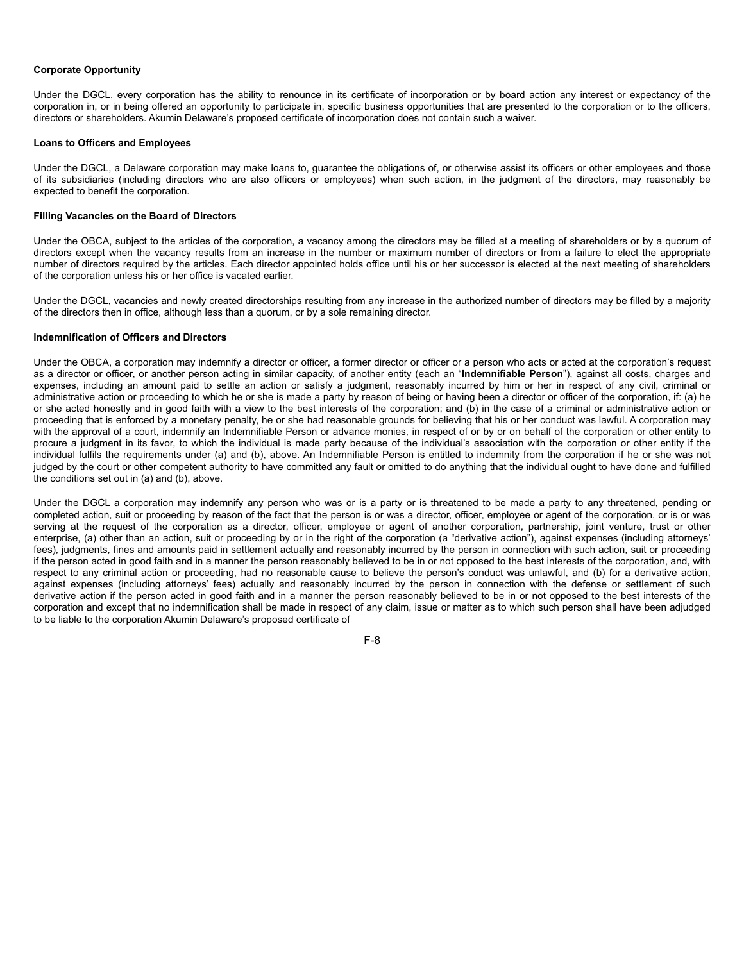#### **Corporate Opportunity**

Under the DGCL, every corporation has the ability to renounce in its certificate of incorporation or by board action any interest or expectancy of the corporation in, or in being offered an opportunity to participate in, specific business opportunities that are presented to the corporation or to the officers, directors or shareholders. Akumin Delaware's proposed certificate of incorporation does not contain such a waiver.

#### **Loans to Officers and Employees**

Under the DGCL, a Delaware corporation may make loans to, guarantee the obligations of, or otherwise assist its officers or other employees and those of its subsidiaries (including directors who are also officers or employees) when such action, in the judgment of the directors, may reasonably be expected to benefit the corporation.

## **Filling Vacancies on the Board of Directors**

Under the OBCA, subject to the articles of the corporation, a vacancy among the directors may be filled at a meeting of shareholders or by a quorum of directors except when the vacancy results from an increase in the number or maximum number of directors or from a failure to elect the appropriate number of directors required by the articles. Each director appointed holds office until his or her successor is elected at the next meeting of shareholders of the corporation unless his or her office is vacated earlier.

Under the DGCL, vacancies and newly created directorships resulting from any increase in the authorized number of directors may be filled by a majority of the directors then in office, although less than a quorum, or by a sole remaining director.

#### **Indemnification of Officers and Directors**

Under the OBCA, a corporation may indemnify a director or officer, a former director or officer or a person who acts or acted at the corporation's request as a director or officer, or another person acting in similar capacity, of another entity (each an "**Indemnifiable Person**"), against all costs, charges and expenses, including an amount paid to settle an action or satisfy a judgment, reasonably incurred by him or her in respect of any civil, criminal or administrative action or proceeding to which he or she is made a party by reason of being or having been a director or officer of the corporation, if: (a) he or she acted honestly and in good faith with a view to the best interests of the corporation; and (b) in the case of a criminal or administrative action or proceeding that is enforced by a monetary penalty, he or she had reasonable grounds for believing that his or her conduct was lawful. A corporation may with the approval of a court, indemnify an Indemnifiable Person or advance monies, in respect of or by or on behalf of the corporation or other entity to procure a judgment in its favor, to which the individual is made party because of the individual's association with the corporation or other entity if the individual fulfils the requirements under (a) and (b), above. An Indemnifiable Person is entitled to indemnity from the corporation if he or she was not judged by the court or other competent authority to have committed any fault or omitted to do anything that the individual ought to have done and fulfilled the conditions set out in (a) and (b), above.

Under the DGCL a corporation may indemnify any person who was or is a party or is threatened to be made a party to any threatened, pending or completed action, suit or proceeding by reason of the fact that the person is or was a director, officer, employee or agent of the corporation, or is or was serving at the request of the corporation as a director, officer, employee or agent of another corporation, partnership, joint venture, trust or other enterprise, (a) other than an action, suit or proceeding by or in the right of the corporation (a "derivative action"), against expenses (including attorneys' fees), judgments, fines and amounts paid in settlement actually and reasonably incurred by the person in connection with such action, suit or proceeding if the person acted in good faith and in a manner the person reasonably believed to be in or not opposed to the best interests of the corporation, and, with respect to any criminal action or proceeding, had no reasonable cause to believe the person's conduct was unlawful, and (b) for a derivative action, against expenses (including attorneys' fees) actually and reasonably incurred by the person in connection with the defense or settlement of such derivative action if the person acted in good faith and in a manner the person reasonably believed to be in or not opposed to the best interests of the corporation and except that no indemnification shall be made in respect of any claim, issue or matter as to which such person shall have been adjudged to be liable to the corporation Akumin Delaware's proposed certificate of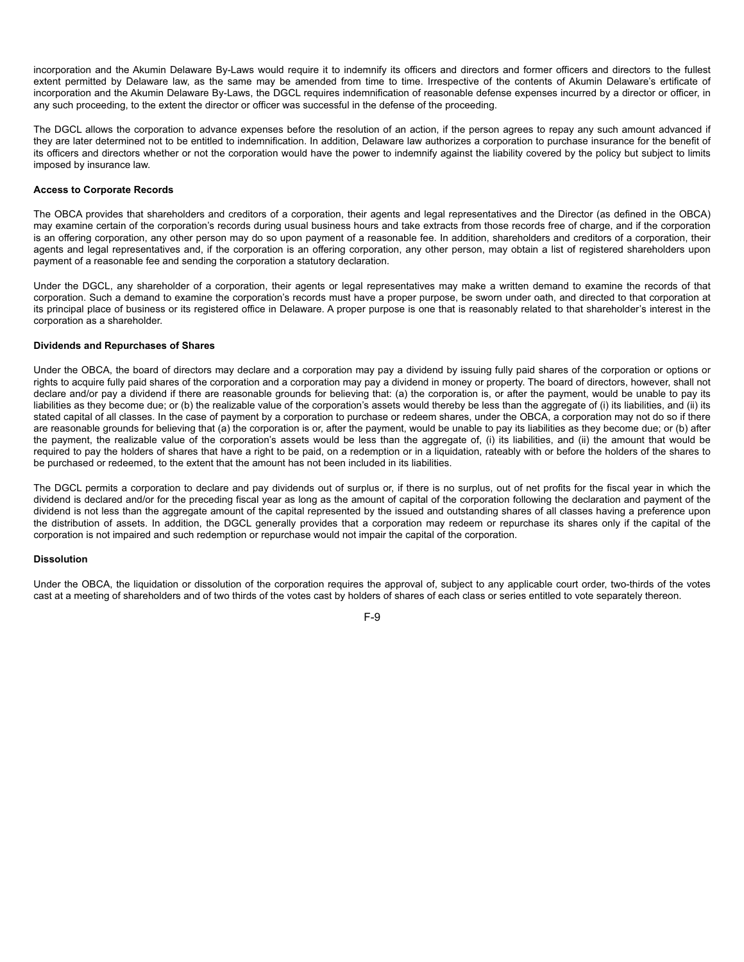incorporation and the Akumin Delaware By-Laws would require it to indemnify its officers and directors and former officers and directors to the fullest extent permitted by Delaware law, as the same may be amended from time to time. Irrespective of the contents of Akumin Delaware's ertificate of incorporation and the Akumin Delaware By-Laws, the DGCL requires indemnification of reasonable defense expenses incurred by a director or officer, in any such proceeding, to the extent the director or officer was successful in the defense of the proceeding.

The DGCL allows the corporation to advance expenses before the resolution of an action, if the person agrees to repay any such amount advanced if they are later determined not to be entitled to indemnification. In addition, Delaware law authorizes a corporation to purchase insurance for the benefit of its officers and directors whether or not the corporation would have the power to indemnify against the liability covered by the policy but subject to limits imposed by insurance law.

#### **Access to Corporate Records**

The OBCA provides that shareholders and creditors of a corporation, their agents and legal representatives and the Director (as defined in the OBCA) may examine certain of the corporation's records during usual business hours and take extracts from those records free of charge, and if the corporation is an offering corporation, any other person may do so upon payment of a reasonable fee. In addition, shareholders and creditors of a corporation, their agents and legal representatives and, if the corporation is an offering corporation, any other person, may obtain a list of registered shareholders upon payment of a reasonable fee and sending the corporation a statutory declaration.

Under the DGCL, any shareholder of a corporation, their agents or legal representatives may make a written demand to examine the records of that corporation. Such a demand to examine the corporation's records must have a proper purpose, be sworn under oath, and directed to that corporation at its principal place of business or its registered office in Delaware. A proper purpose is one that is reasonably related to that shareholder's interest in the corporation as a shareholder.

#### **Dividends and Repurchases of Shares**

Under the OBCA, the board of directors may declare and a corporation may pay a dividend by issuing fully paid shares of the corporation or options or rights to acquire fully paid shares of the corporation and a corporation may pay a dividend in money or property. The board of directors, however, shall not declare and/or pay a dividend if there are reasonable grounds for believing that: (a) the corporation is, or after the payment, would be unable to pay its liabilities as they become due; or (b) the realizable value of the corporation's assets would thereby be less than the aggregate of (i) its liabilities, and (ii) its stated capital of all classes. In the case of payment by a corporation to purchase or redeem shares, under the OBCA, a corporation may not do so if there are reasonable grounds for believing that (a) the corporation is or, after the payment, would be unable to pay its liabilities as they become due; or (b) after the payment, the realizable value of the corporation's assets would be less than the aggregate of, (i) its liabilities, and (ii) the amount that would be required to pay the holders of shares that have a right to be paid, on a redemption or in a liquidation, rateably with or before the holders of the shares to be purchased or redeemed, to the extent that the amount has not been included in its liabilities.

The DGCL permits a corporation to declare and pay dividends out of surplus or, if there is no surplus, out of net profits for the fiscal year in which the dividend is declared and/or for the preceding fiscal year as long as the amount of capital of the corporation following the declaration and payment of the dividend is not less than the aggregate amount of the capital represented by the issued and outstanding shares of all classes having a preference upon the distribution of assets. In addition, the DGCL generally provides that a corporation may redeem or repurchase its shares only if the capital of the corporation is not impaired and such redemption or repurchase would not impair the capital of the corporation.

## **Dissolution**

Under the OBCA, the liquidation or dissolution of the corporation requires the approval of, subject to any applicable court order, two-thirds of the votes cast at a meeting of shareholders and of two thirds of the votes cast by holders of shares of each class or series entitled to vote separately thereon.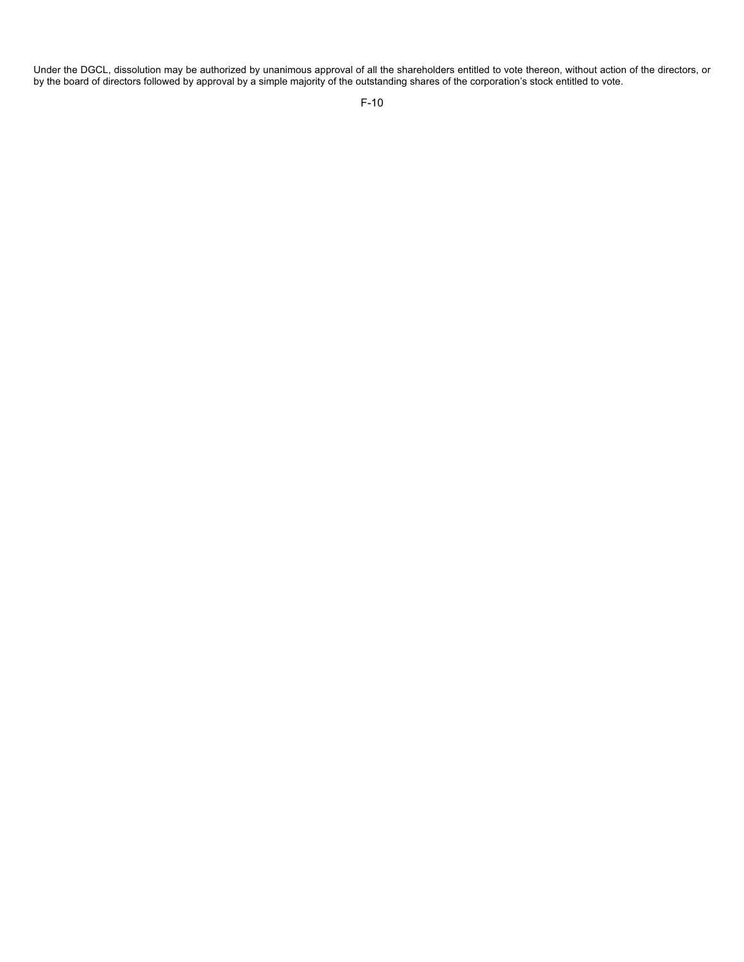Under the DGCL, dissolution may be authorized by unanimous approval of all the shareholders entitled to vote thereon, without action of the directors, or by the board of directors followed by approval by a simple majority of the outstanding shares of the corporation's stock entitled to vote.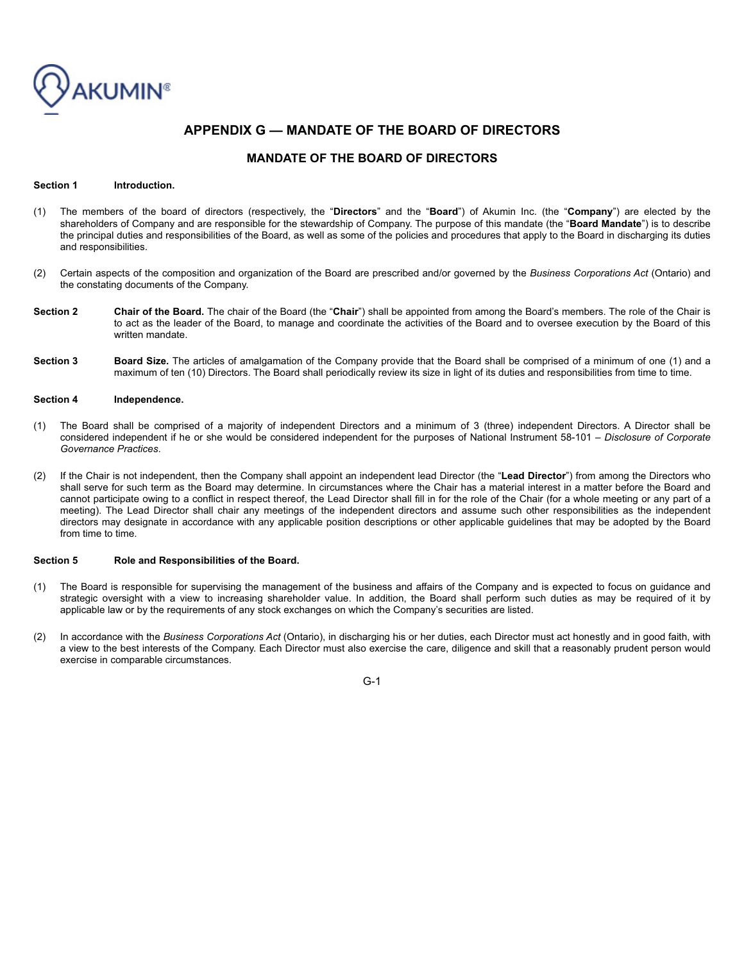

# **APPENDIX G — MANDATE OF THE BOARD OF DIRECTORS**

# **MANDATE OF THE BOARD OF DIRECTORS**

#### Section 1 **Introduction.**

- (1) The members of the board of directors (respectively, the "**Directors**" and the "**Board**") of Akumin Inc. (the "**Company**") are elected by the shareholders of Company and are responsible for the stewardship of Company. The purpose of this mandate (the "**Board Mandate**") is to describe the principal duties and responsibilities of the Board, as well as some of the policies and procedures that apply to the Board in discharging its duties and responsibilities.
- (2) Certain aspects of the composition and organization of the Board are prescribed and/or governed by the *Business Corporations Act* (Ontario) and the constating documents of the Company.
- **Section 2 Chair of the Board.** The chair of the Board (the "**Chair**") shall be appointed from among the Board's members. The role of the Chair is to act as the leader of the Board, to manage and coordinate the activities of the Board and to oversee execution by the Board of this written mandate.
- Section 3 Board Size. The articles of amalgamation of the Company provide that the Board shall be comprised of a minimum of one (1) and a maximum of ten (10) Directors. The Board shall periodically review its size in light of its duties and responsibilities from time to time.

#### **Section 4 Independence.**

- (1) The Board shall be comprised of a majority of independent Directors and a minimum of 3 (three) independent Directors. A Director shall be considered independent if he or she would be considered independent for the purposes of National Instrument 58-101 *– Disclosure of Corporate Governance Practices*.
- (2) If the Chair is not independent, then the Company shall appoint an independent lead Director (the "**Lead Director**") from among the Directors who shall serve for such term as the Board may determine. In circumstances where the Chair has a material interest in a matter before the Board and cannot participate owing to a conflict in respect thereof, the Lead Director shall fill in for the role of the Chair (for a whole meeting or any part of a meeting). The Lead Director shall chair any meetings of the independent directors and assume such other responsibilities as the independent directors may designate in accordance with any applicable position descriptions or other applicable guidelines that may be adopted by the Board from time to time.

#### **Section 5 Role and Responsibilities of the Board.**

- (1) The Board is responsible for supervising the management of the business and affairs of the Company and is expected to focus on guidance and strategic oversight with a view to increasing shareholder value. In addition, the Board shall perform such duties as may be required of it by applicable law or by the requirements of any stock exchanges on which the Company's securities are listed.
- (2) In accordance with the *Business Corporations Act* (Ontario), in discharging his or her duties, each Director must act honestly and in good faith, with a view to the best interests of the Company. Each Director must also exercise the care, diligence and skill that a reasonably prudent person would exercise in comparable circumstances.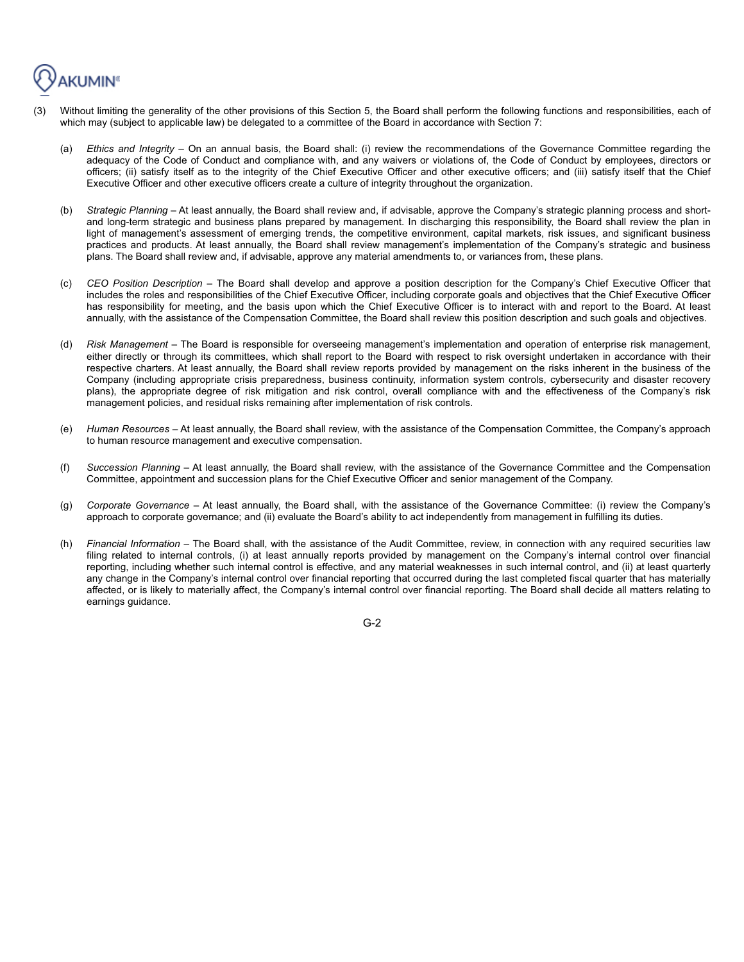

- Without limiting the generality of the other provisions of this Section 5, the Board shall perform the following functions and responsibilities, each of which may (subject to applicable law) be delegated to a committee of the Board in accordance with Section 7:
	- (a) *Ethics and Integrity*  On an annual basis, the Board shall: (i) review the recommendations of the Governance Committee regarding the adequacy of the Code of Conduct and compliance with, and any waivers or violations of, the Code of Conduct by employees, directors or officers; (ii) satisfy itself as to the integrity of the Chief Executive Officer and other executive officers; and (iii) satisfy itself that the Chief Executive Officer and other executive officers create a culture of integrity throughout the organization.
	- (b) *Strategic Planning*  At least annually, the Board shall review and, if advisable, approve the Company's strategic planning process and shortand long-term strategic and business plans prepared by management. In discharging this responsibility, the Board shall review the plan in light of management's assessment of emerging trends, the competitive environment, capital markets, risk issues, and significant business practices and products. At least annually, the Board shall review management's implementation of the Company's strategic and business plans. The Board shall review and, if advisable, approve any material amendments to, or variances from, these plans.
	- (c) *CEO Position Description*  The Board shall develop and approve a position description for the Company's Chief Executive Officer that includes the roles and responsibilities of the Chief Executive Officer, including corporate goals and objectives that the Chief Executive Officer has responsibility for meeting, and the basis upon which the Chief Executive Officer is to interact with and report to the Board. At least annually, with the assistance of the Compensation Committee, the Board shall review this position description and such goals and objectives.
	- (d) *Risk Management*  The Board is responsible for overseeing management's implementation and operation of enterprise risk management, either directly or through its committees, which shall report to the Board with respect to risk oversight undertaken in accordance with their respective charters. At least annually, the Board shall review reports provided by management on the risks inherent in the business of the Company (including appropriate crisis preparedness, business continuity, information system controls, cybersecurity and disaster recovery plans), the appropriate degree of risk mitigation and risk control, overall compliance with and the effectiveness of the Company's risk management policies, and residual risks remaining after implementation of risk controls.
	- (e) *Human Resources*  At least annually, the Board shall review, with the assistance of the Compensation Committee, the Company's approach to human resource management and executive compensation.
	- (f) *Succession Planning*  At least annually, the Board shall review, with the assistance of the Governance Committee and the Compensation Committee, appointment and succession plans for the Chief Executive Officer and senior management of the Company.
	- (g) *Corporate Governance*  At least annually, the Board shall, with the assistance of the Governance Committee: (i) review the Company's approach to corporate governance; and (ii) evaluate the Board's ability to act independently from management in fulfilling its duties.
	- (h) *Financial Information*  The Board shall, with the assistance of the Audit Committee, review, in connection with any required securities law filing related to internal controls, (i) at least annually reports provided by management on the Company's internal control over financial reporting, including whether such internal control is effective, and any material weaknesses in such internal control, and (ii) at least quarterly any change in the Company's internal control over financial reporting that occurred during the last completed fiscal quarter that has materially affected, or is likely to materially affect, the Company's internal control over financial reporting. The Board shall decide all matters relating to earnings guidance.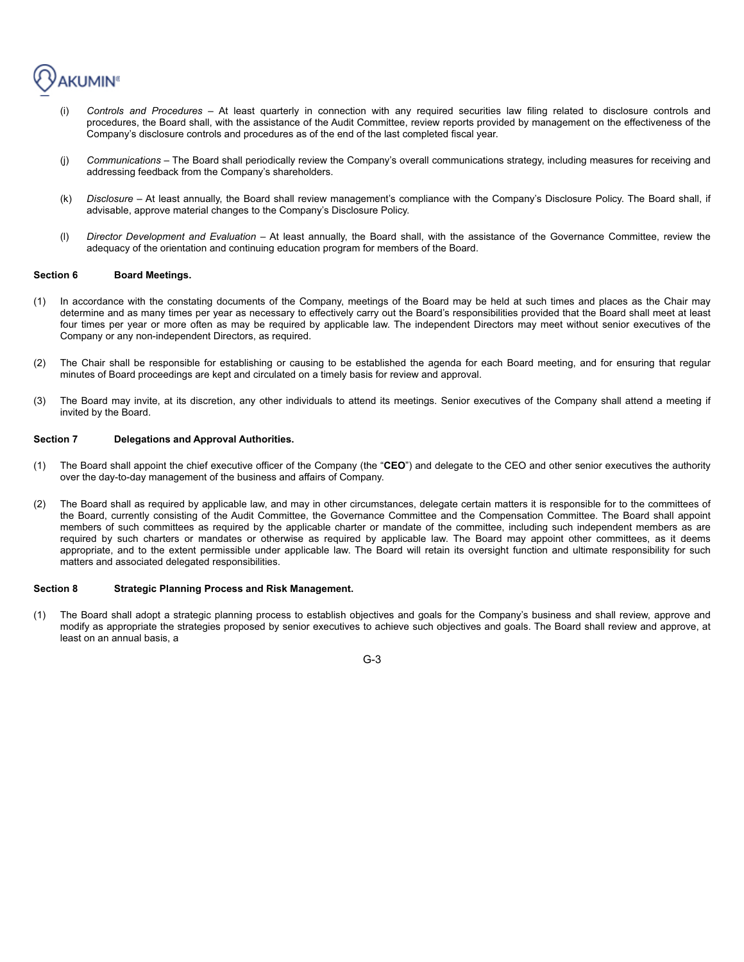

- (i) *Controls and Procedures*  At least quarterly in connection with any required securities law filing related to disclosure controls and procedures, the Board shall, with the assistance of the Audit Committee, review reports provided by management on the effectiveness of the Company's disclosure controls and procedures as of the end of the last completed fiscal year.
- (j) *Communications*  The Board shall periodically review the Company's overall communications strategy, including measures for receiving and addressing feedback from the Company's shareholders.
- (k) *Disclosure*  At least annually, the Board shall review management's compliance with the Company's Disclosure Policy. The Board shall, if advisable, approve material changes to the Company's Disclosure Policy.
- (l) *Director Development and Evaluation*  At least annually, the Board shall, with the assistance of the Governance Committee, review the adequacy of the orientation and continuing education program for members of the Board.

#### Section 6 Board Meetings.

- (1) In accordance with the constating documents of the Company, meetings of the Board may be held at such times and places as the Chair may determine and as many times per year as necessary to effectively carry out the Board's responsibilities provided that the Board shall meet at least four times per year or more often as may be required by applicable law. The independent Directors may meet without senior executives of the Company or any non-independent Directors, as required.
- (2) The Chair shall be responsible for establishing or causing to be established the agenda for each Board meeting, and for ensuring that regular minutes of Board proceedings are kept and circulated on a timely basis for review and approval.
- (3) The Board may invite, at its discretion, any other individuals to attend its meetings. Senior executives of the Company shall attend a meeting if invited by the Board.

## **Section 7 Delegations and Approval Authorities.**

- (1) The Board shall appoint the chief executive officer of the Company (the "**CEO**") and delegate to the CEO and other senior executives the authority over the day-to-day management of the business and affairs of Company.
- (2) The Board shall as required by applicable law, and may in other circumstances, delegate certain matters it is responsible for to the committees of the Board, currently consisting of the Audit Committee, the Governance Committee and the Compensation Committee. The Board shall appoint members of such committees as required by the applicable charter or mandate of the committee, including such independent members as are required by such charters or mandates or otherwise as required by applicable law. The Board may appoint other committees, as it deems appropriate, and to the extent permissible under applicable law. The Board will retain its oversight function and ultimate responsibility for such matters and associated delegated responsibilities.

### **Section 8 Strategic Planning Process and Risk Management.**

(1) The Board shall adopt a strategic planning process to establish objectives and goals for the Company's business and shall review, approve and modify as appropriate the strategies proposed by senior executives to achieve such objectives and goals. The Board shall review and approve, at least on an annual basis, a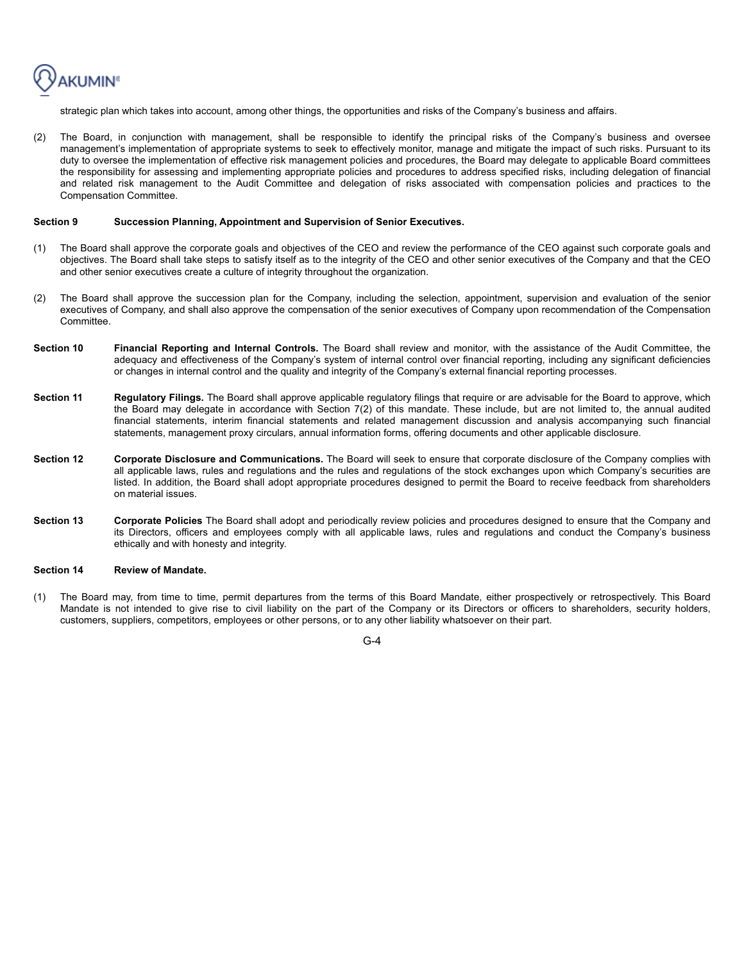**AKUMIN<sup>®</sup>** 

strategic plan which takes into account, among other things, the opportunities and risks of the Company's business and affairs.

(2) The Board, in conjunction with management, shall be responsible to identify the principal risks of the Company's business and oversee management's implementation of appropriate systems to seek to effectively monitor, manage and mitigate the impact of such risks. Pursuant to its duty to oversee the implementation of effective risk management policies and procedures, the Board may delegate to applicable Board committees the responsibility for assessing and implementing appropriate policies and procedures to address specified risks, including delegation of financial and related risk management to the Audit Committee and delegation of risks associated with compensation policies and practices to the Compensation Committee.

#### **Section 9 Succession Planning, Appointment and Supervision of Senior Executives.**

- (1) The Board shall approve the corporate goals and objectives of the CEO and review the performance of the CEO against such corporate goals and objectives. The Board shall take steps to satisfy itself as to the integrity of the CEO and other senior executives of the Company and that the CEO and other senior executives create a culture of integrity throughout the organization.
- (2) The Board shall approve the succession plan for the Company, including the selection, appointment, supervision and evaluation of the senior executives of Company, and shall also approve the compensation of the senior executives of Company upon recommendation of the Compensation Committee.
- **Section 10 Financial Reporting and Internal Controls.** The Board shall review and monitor, with the assistance of the Audit Committee, the adequacy and effectiveness of the Company's system of internal control over financial reporting, including any significant deficiencies or changes in internal control and the quality and integrity of the Company's external financial reporting processes.
- **Section 11** Regulatory Filings. The Board shall approve applicable regulatory filings that require or are advisable for the Board to approve, which the Board may delegate in accordance with Section 7(2) of this mandate. These include, but are not limited to, the annual audited financial statements, interim financial statements and related management discussion and analysis accompanying such financial statements, management proxy circulars, annual information forms, offering documents and other applicable disclosure.
- **Section 12** Corporate Disclosure and Communications. The Board will seek to ensure that corporate disclosure of the Company complies with all applicable laws, rules and regulations and the rules and regulations of the stock exchanges upon which Company's securities are listed. In addition, the Board shall adopt appropriate procedures designed to permit the Board to receive feedback from shareholders on material issues.
- **Section 13 Corporate Policies** The Board shall adopt and periodically review policies and procedures designed to ensure that the Company and its Directors, officers and employees comply with all applicable laws, rules and regulations and conduct the Company's business ethically and with honesty and integrity.

#### **Section 14 Review of Mandate.**

(1) The Board may, from time to time, permit departures from the terms of this Board Mandate, either prospectively or retrospectively. This Board Mandate is not intended to give rise to civil liability on the part of the Company or its Directors or officers to shareholders, security holders, customers, suppliers, competitors, employees or other persons, or to any other liability whatsoever on their part.